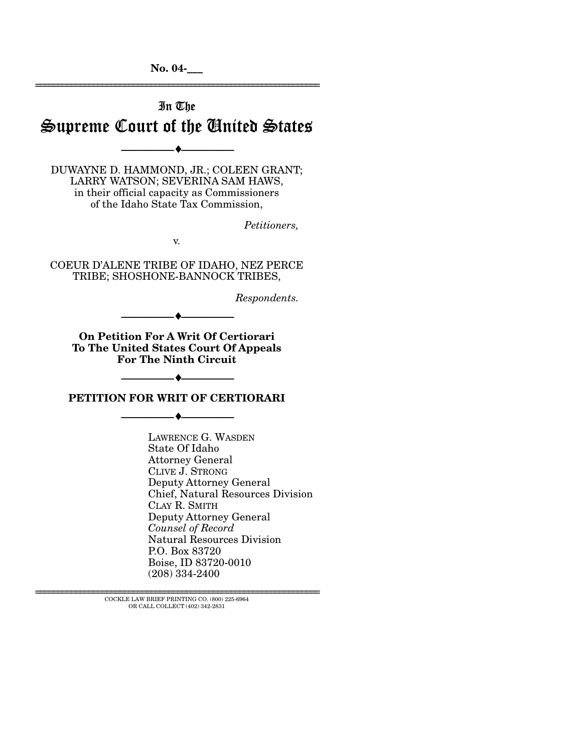**No. 04-\_\_\_**  ================================================================

# In The Supreme Court of the United States

--------------------------------- ♦ ---------------------------------

DUWAYNE D. HAMMOND, JR.; COLEEN GRANT; LARRY WATSON; SEVERINA SAM HAWS, in their official capacity as Commissioners of the Idaho State Tax Commission,

*Petitioners,* 

v.

COEUR D'ALENE TRIBE OF IDAHO, NEZ PERCE TRIBE; SHOSHONE-BANNOCK TRIBES,

*Respondents.* 

--------------------------------- ♦ ---------------------------------

**On Petition For A Writ Of Certiorari To The United States Court Of Appeals For The Ninth Circuit** 

**PETITION FOR WRIT OF CERTIORARI** 

--------------------------------- ♦ ---------------------------------

--------------------------------- ♦ ---------------------------------

LAWRENCE G. WASDEN State Of Idaho Attorney General CLIVE J. STRONG Deputy Attorney General Chief, Natural Resources Division CLAY R. SMITH Deputy Attorney General *Counsel of Record*  Natural Resources Division P.O. Box 83720 Boise, ID 83720-0010 (208) 334-2400

 ${\rm COCKLE}$  LAW BRIEF PRINTING CO. (800) 225-6964 OR CALL COLLECT (402) 342-2831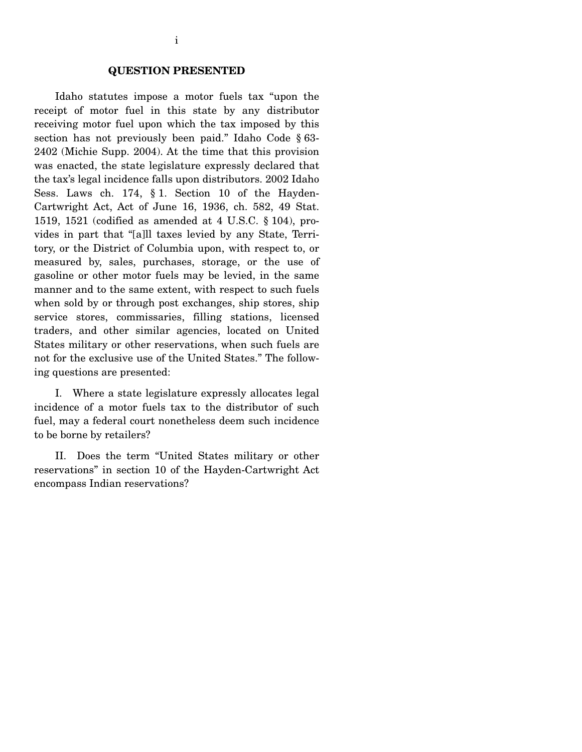#### **QUESTION PRESENTED**

 Idaho statutes impose a motor fuels tax "upon the receipt of motor fuel in this state by any distributor receiving motor fuel upon which the tax imposed by this section has not previously been paid." Idaho Code § 63- 2402 (Michie Supp. 2004). At the time that this provision was enacted, the state legislature expressly declared that the tax's legal incidence falls upon distributors. 2002 Idaho Sess. Laws ch. 174, § 1. Section 10 of the Hayden-Cartwright Act, Act of June 16, 1936, ch. 582, 49 Stat. 1519, 1521 (codified as amended at 4 U.S.C. § 104), provides in part that "[a]ll taxes levied by any State, Territory, or the District of Columbia upon, with respect to, or measured by, sales, purchases, storage, or the use of gasoline or other motor fuels may be levied, in the same manner and to the same extent, with respect to such fuels when sold by or through post exchanges, ship stores, ship service stores, commissaries, filling stations, licensed traders, and other similar agencies, located on United States military or other reservations, when such fuels are not for the exclusive use of the United States." The following questions are presented:

 I. Where a state legislature expressly allocates legal incidence of a motor fuels tax to the distributor of such fuel, may a federal court nonetheless deem such incidence to be borne by retailers?

 II. Does the term "United States military or other reservations" in section 10 of the Hayden-Cartwright Act encompass Indian reservations?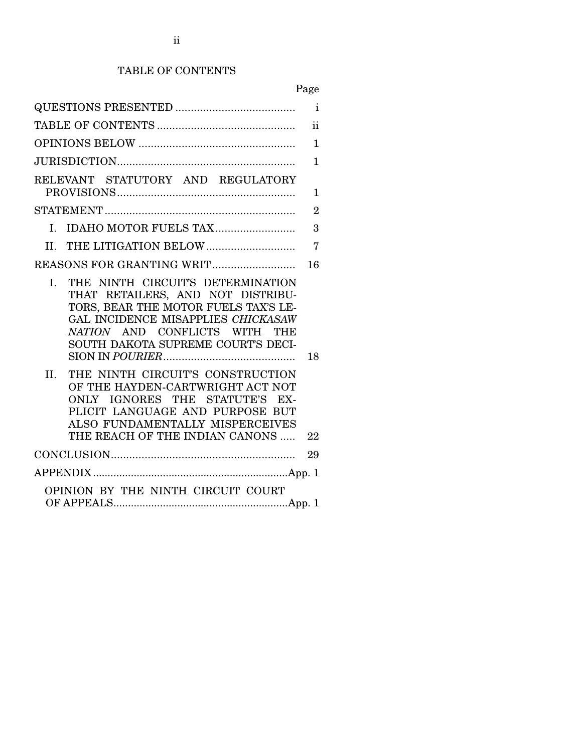## TABLE OF CONTENTS

# Page

|                                                                                                                                                                                                                       | $\mathbf{i}$   |
|-----------------------------------------------------------------------------------------------------------------------------------------------------------------------------------------------------------------------|----------------|
|                                                                                                                                                                                                                       | $\mathbf{ii}$  |
|                                                                                                                                                                                                                       | $\mathbf{1}$   |
|                                                                                                                                                                                                                       | 1              |
| RELEVANT STATUTORY AND REGULATORY                                                                                                                                                                                     | 1              |
|                                                                                                                                                                                                                       | $\overline{2}$ |
| IDAHO MOTOR FUELS TAX<br>L.                                                                                                                                                                                           | 3              |
|                                                                                                                                                                                                                       | $\overline{7}$ |
|                                                                                                                                                                                                                       | 16             |
| THE NINTH CIRCUIT'S DETERMINATION<br>L.                                                                                                                                                                               |                |
| THAT RETAILERS, AND NOT DISTRIBU-<br>TORS, BEAR THE MOTOR FUELS TAX'S LE-<br>GAL INCIDENCE MISAPPLIES CHICKASAW<br>NATION AND CONFLICTS WITH<br>THE<br>SOUTH DAKOTA SUPREME COURT'S DECI-                             | 18             |
| THE NINTH CIRCUIT'S CONSTRUCTION<br>II.<br>OF THE HAYDEN-CARTWRIGHT ACT NOT<br>ONLY IGNORES THE STATUTE'S EX-<br>PLICIT LANGUAGE AND PURPOSE BUT<br>ALSO FUNDAMENTALLY MISPERCEIVES<br>THE REACH OF THE INDIAN CANONS | 22             |
|                                                                                                                                                                                                                       | 29             |
|                                                                                                                                                                                                                       |                |
| OPINION BY THE NINTH CIRCUIT COURT                                                                                                                                                                                    |                |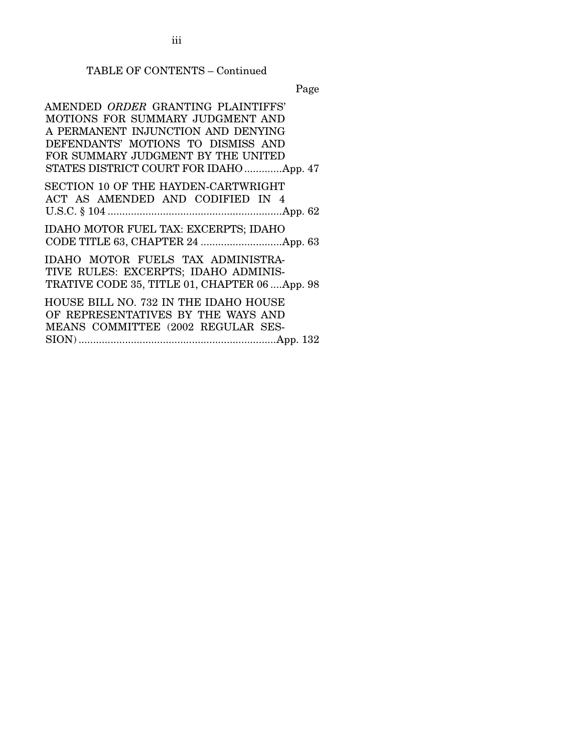iii

### TABLE OF CONTENTS – Continued

Page

 AMENDED *ORDER* GRANTING PLAINTIFFS' MOTIONS FOR SUMMARY JUDGMENT AND A PERMANENT INJUNCTION AND DENYING DEFENDANTS' MOTIONS TO DISMISS AND FOR SUMMARY JUDGMENT BY THE UNITED STATES DISTRICT COURT FOR IDAHO.............App. 47 SECTION 10 OF THE HAYDEN-CARTWRIGHT ACT AS AMENDED AND CODIFIED IN 4 U.S.C. § 104 ............................................................App. 62 IDAHO MOTOR FUEL TAX: EXCERPTS; IDAHO CODE TITLE 63, CHAPTER 24 ............................App. 63 IDAHO MOTOR FUELS TAX ADMINISTRA-TIVE RULES: EXCERPTS; IDAHO ADMINIS-TRATIVE CODE 35, TITLE 01, CHAPTER 06 ....App. 98 HOUSE BILL NO. 732 IN THE IDAHO HOUSE OF REPRESENTATIVES BY THE WAYS AND MEANS COMMITTEE (2002 REGULAR SES-

SION) ....................................................................App. 132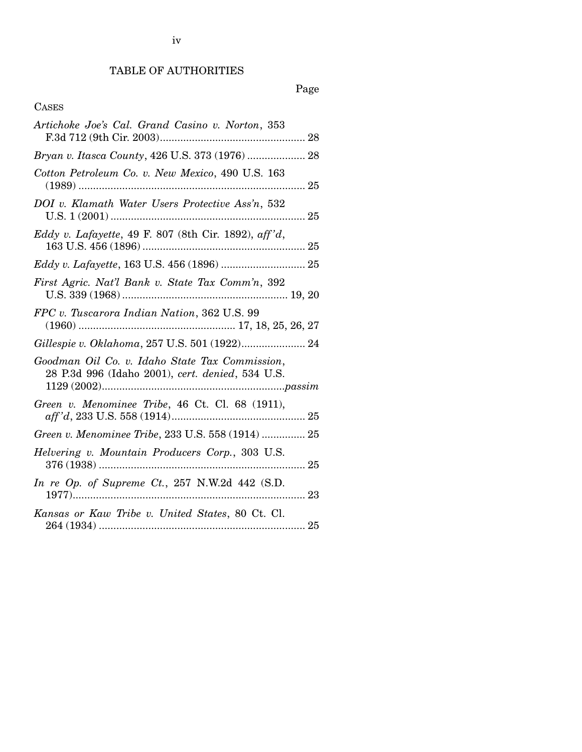# Page

### CASES

| Artichoke Joe's Cal. Grand Casino v. Norton, 353                                                   |  |
|----------------------------------------------------------------------------------------------------|--|
| Bryan v. Itasca County, 426 U.S. 373 (1976)  28                                                    |  |
| Cotton Petroleum Co. v. New Mexico, 490 U.S. 163                                                   |  |
| DOI v. Klamath Water Users Protective Ass'n, 532                                                   |  |
| Eddy v. Lafayette, 49 F. 807 (8th Cir. 1892), aff'd,                                               |  |
| Eddy v. Lafayette, 163 U.S. 456 (1896)  25                                                         |  |
| First Agric. Nat'l Bank v. State Tax Comm'n, 392                                                   |  |
| FPC v. Tuscarora Indian Nation, 362 U.S. 99                                                        |  |
| Gillespie v. Oklahoma, 257 U.S. 501 (1922) 24                                                      |  |
| Goodman Oil Co. v. Idaho State Tax Commission,<br>28 P.3d 996 (Idaho 2001), cert. denied, 534 U.S. |  |
| Green v. Menominee Tribe, 46 Ct. Cl. 68 (1911),                                                    |  |
| Green v. Menominee Tribe, 233 U.S. 558 (1914)  25                                                  |  |
| Helvering v. Mountain Producers Corp., 303 U.S.                                                    |  |
| In re Op. of Supreme Ct., 257 N.W.2d 442 (S.D.                                                     |  |
| Kansas or Kaw Tribe v. United States, 80 Ct. Cl.                                                   |  |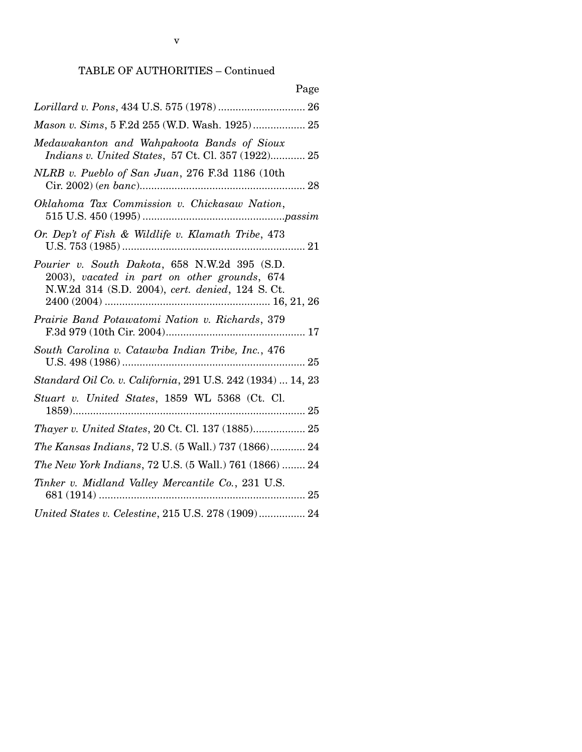## TABLE OF AUTHORITIES – Continued

| Page                                                                                                                                             |
|--------------------------------------------------------------------------------------------------------------------------------------------------|
| Lorillard v. Pons, 434 U.S. 575 (1978)  26                                                                                                       |
| Mason v. Sims, 5 F.2d 255 (W.D. Wash. 1925) 25                                                                                                   |
| Medawakanton and Wahpakoota Bands of Sioux<br>Indians v. United States, 57 Ct. Cl. 357 (1922) 25                                                 |
| NLRB v. Pueblo of San Juan, 276 F.3d 1186 (10th                                                                                                  |
| Oklahoma Tax Commission v. Chickasaw Nation,                                                                                                     |
| Or. Dep't of Fish & Wildlife v. Klamath Tribe, 473                                                                                               |
| Pourier v. South Dakota, 658 N.W.2d 395 (S.D.<br>2003), vacated in part on other grounds, 674<br>N.W.2d 314 (S.D. 2004), cert. denied, 124 S.Ct. |
| Prairie Band Potawatomi Nation v. Richards, 379                                                                                                  |
| South Carolina v. Catawba Indian Tribe, Inc., 476                                                                                                |
| Standard Oil Co. v. California, 291 U.S. 242 (1934)  14, 23                                                                                      |
| Stuart v. United States, 1859 WL 5368 (Ct. Cl.                                                                                                   |
| Thayer v. United States, 20 Ct. Cl. 137 (1885) 25                                                                                                |
| <i>The Kansas Indians, 72 U.S. (5 Wall.) 737 (1866) 24</i>                                                                                       |
| The New York Indians, 72 U.S. (5 Wall.) 761 (1866)  24                                                                                           |
| Tinker v. Midland Valley Mercantile Co., 231 U.S.                                                                                                |
| United States v. Celestine, 215 U.S. 278 (1909) 24                                                                                               |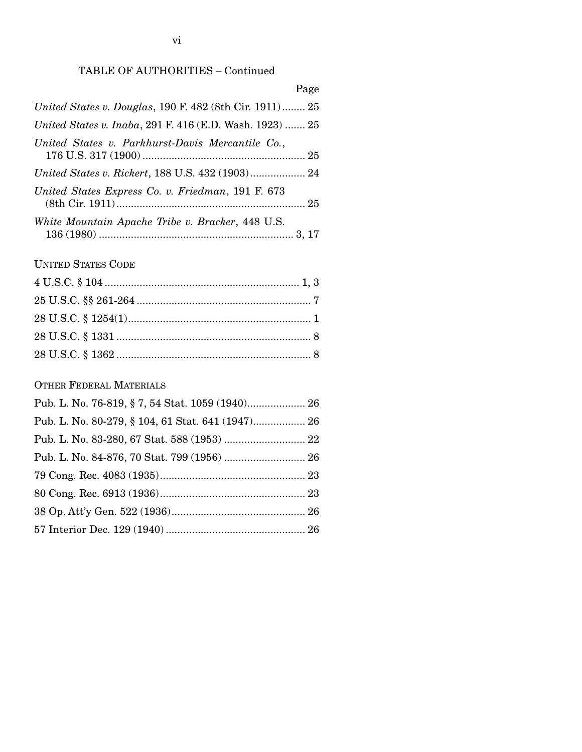### TABLE OF AUTHORITIES – Continued

| Page                                                     |
|----------------------------------------------------------|
| United States v. Douglas, 190 F. 482 (8th Cir. 1911) 25  |
| United States v. Inaba, 291 F. 416 (E.D. Wash. 1923)  25 |
| United States v. Parkhurst-Davis Mercantile Co.,         |
|                                                          |
| United States Express Co. v. Friedman, 191 F. 673        |
| White Mountain Apache Tribe v. Bracker, 448 U.S.         |

# UNITED STATES CODE

## OTHER FEDERAL MATERIALS

| Pub. L. No. 76-819, § 7, 54 Stat. 1059 (1940) 26 |  |
|--------------------------------------------------|--|
|                                                  |  |
|                                                  |  |
|                                                  |  |
|                                                  |  |
|                                                  |  |
|                                                  |  |
|                                                  |  |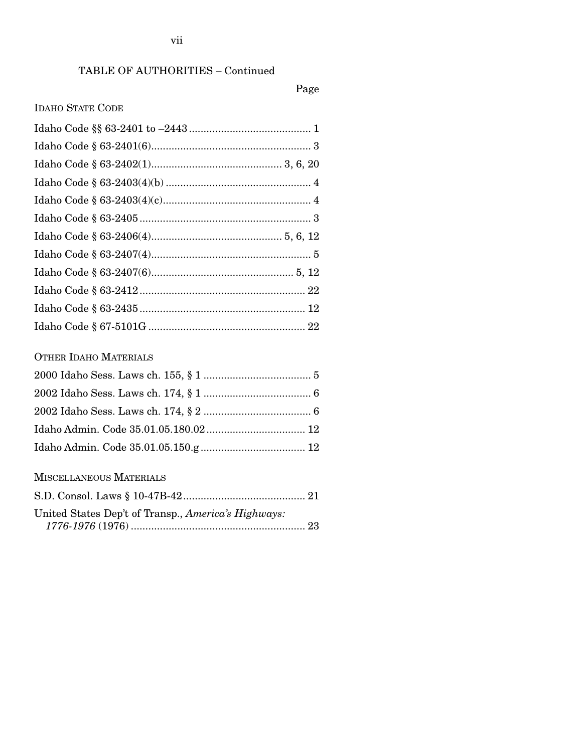# TABLE OF AUTHORITIES – Continued

### Page

### IDAHO STATE CODE

# OTHER IDAHO MATERIALS

### MISCELLANEOUS MATERIALS

| United States Dep't of Transp., America's Highways: |  |
|-----------------------------------------------------|--|
|                                                     |  |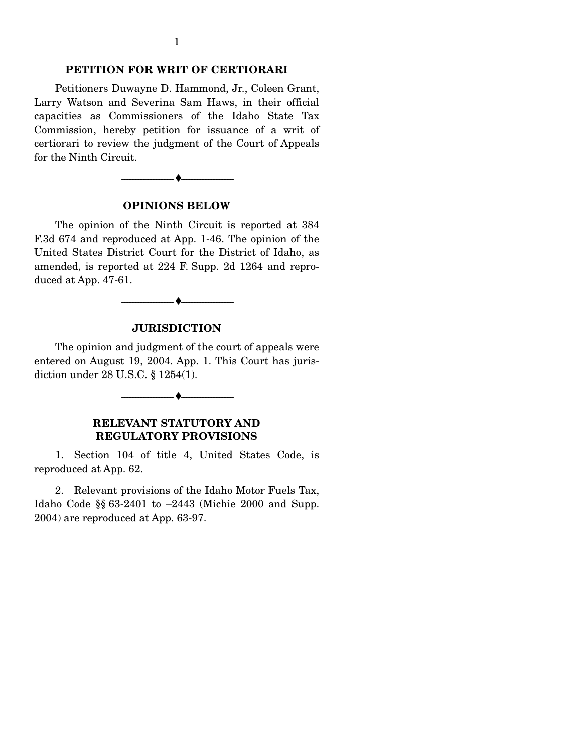#### **PETITION FOR WRIT OF CERTIORARI**

 Petitioners Duwayne D. Hammond, Jr., Coleen Grant, Larry Watson and Severina Sam Haws, in their official capacities as Commissioners of the Idaho State Tax Commission, hereby petition for issuance of a writ of certiorari to review the judgment of the Court of Appeals for the Ninth Circuit.



#### **OPINIONS BELOW**

 The opinion of the Ninth Circuit is reported at 384 F.3d 674 and reproduced at App. 1-46. The opinion of the United States District Court for the District of Idaho, as amended, is reported at 224 F. Supp. 2d 1264 and reproduced at App. 47-61.

#### **JURISDICTION**

--------------------------------- ♦ ---------------------------------

 The opinion and judgment of the court of appeals were entered on August 19, 2004. App. 1. This Court has jurisdiction under 28 U.S.C. § 1254(1).

--------------------------------- ♦ ---------------------------------

**RELEVANT STATUTORY AND REGULATORY PROVISIONS** 

 1. Section 104 of title 4, United States Code, is reproduced at App. 62.

 2. Relevant provisions of the Idaho Motor Fuels Tax, Idaho Code §§ 63-2401 to –2443 (Michie 2000 and Supp. 2004) are reproduced at App. 63-97.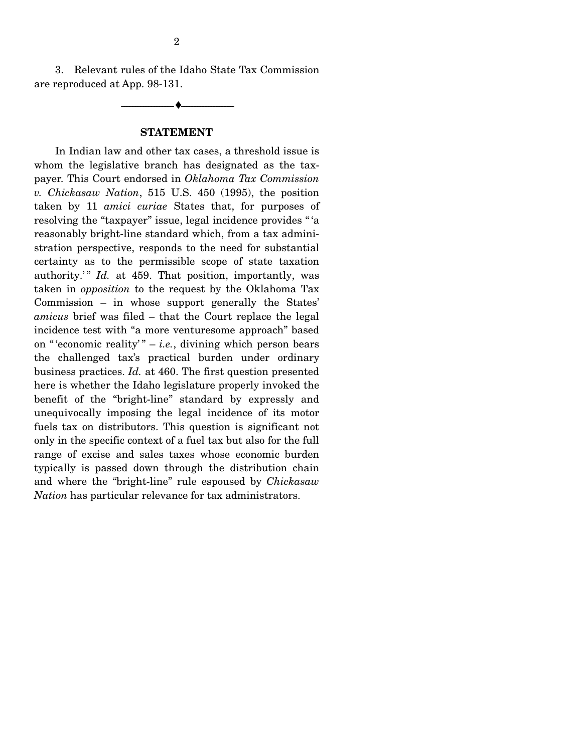3. Relevant rules of the Idaho State Tax Commission are reproduced at App. 98-131.

**STATEMENT** 

--------------------------------- ♦ ---------------------------------

 In Indian law and other tax cases, a threshold issue is whom the legislative branch has designated as the taxpayer. This Court endorsed in *Oklahoma Tax Commission v. Chickasaw Nation*, 515 U.S. 450 (1995), the position taken by 11 *amici curiae* States that, for purposes of resolving the "taxpayer" issue, legal incidence provides " 'a reasonably bright-line standard which, from a tax administration perspective, responds to the need for substantial certainty as to the permissible scope of state taxation authority.'" *Id.* at 459. That position, importantly, was taken in *opposition* to the request by the Oklahoma Tax Commission – in whose support generally the States' *amicus* brief was filed – that the Court replace the legal incidence test with "a more venturesome approach" based on "'economic reality'"  $-$  *i.e.*, divining which person bears the challenged tax's practical burden under ordinary business practices. *Id.* at 460. The first question presented here is whether the Idaho legislature properly invoked the benefit of the "bright-line" standard by expressly and unequivocally imposing the legal incidence of its motor fuels tax on distributors. This question is significant not only in the specific context of a fuel tax but also for the full range of excise and sales taxes whose economic burden typically is passed down through the distribution chain and where the "bright-line" rule espoused by *Chickasaw Nation* has particular relevance for tax administrators.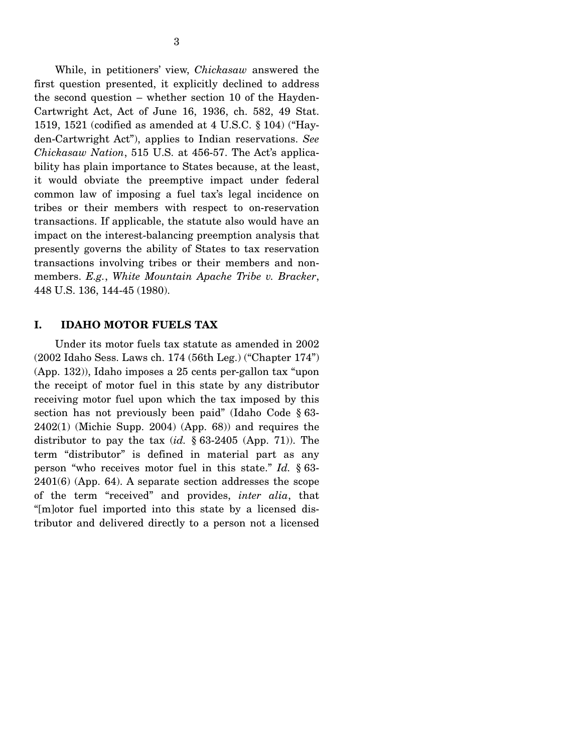While, in petitioners' view, *Chickasaw* answered the first question presented, it explicitly declined to address the second question – whether section 10 of the Hayden-Cartwright Act, Act of June 16, 1936, ch. 582, 49 Stat. 1519, 1521 (codified as amended at 4 U.S.C. § 104) ("Hayden-Cartwright Act"), applies to Indian reservations. *See Chickasaw Nation*, 515 U.S. at 456-57. The Act's applicability has plain importance to States because, at the least, it would obviate the preemptive impact under federal common law of imposing a fuel tax's legal incidence on tribes or their members with respect to on-reservation transactions. If applicable, the statute also would have an impact on the interest-balancing preemption analysis that presently governs the ability of States to tax reservation transactions involving tribes or their members and nonmembers. *E.g.*, *White Mountain Apache Tribe v. Bracker*, 448 U.S. 136, 144-45 (1980).

#### **I. IDAHO MOTOR FUELS TAX**

 Under its motor fuels tax statute as amended in 2002 (2002 Idaho Sess. Laws ch. 174 (56th Leg.) ("Chapter 174") (App. 132)), Idaho imposes a 25 cents per-gallon tax "upon the receipt of motor fuel in this state by any distributor receiving motor fuel upon which the tax imposed by this section has not previously been paid" (Idaho Code § 63-  $2402(1)$  (Michie Supp. 2004) (App. 68)) and requires the distributor to pay the tax (*id.* § 63-2405 (App. 71)). The term "distributor" is defined in material part as any person "who receives motor fuel in this state." *Id.* § 63- 2401(6) (App. 64). A separate section addresses the scope of the term "received" and provides, *inter alia*, that "[m]otor fuel imported into this state by a licensed distributor and delivered directly to a person not a licensed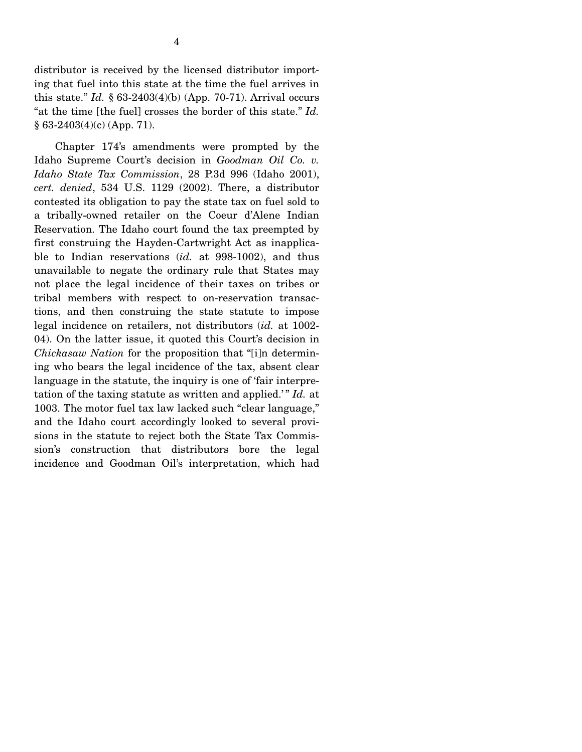$§ 63-2403(4)(c)$  (App. 71).

4

"at the time [the fuel] crosses the border of this state." *Id.*

 Chapter 174's amendments were prompted by the Idaho Supreme Court's decision in *Goodman Oil Co. v. Idaho State Tax Commission*, 28 P.3d 996 (Idaho 2001), *cert. denied*, 534 U.S. 1129 (2002). There, a distributor contested its obligation to pay the state tax on fuel sold to a tribally-owned retailer on the Coeur d'Alene Indian Reservation. The Idaho court found the tax preempted by first construing the Hayden-Cartwright Act as inapplicable to Indian reservations (*id.* at 998-1002), and thus unavailable to negate the ordinary rule that States may not place the legal incidence of their taxes on tribes or tribal members with respect to on-reservation transactions, and then construing the state statute to impose legal incidence on retailers, not distributors (*id.* at 1002- 04). On the latter issue, it quoted this Court's decision in *Chickasaw Nation* for the proposition that "[i]n determining who bears the legal incidence of the tax, absent clear language in the statute, the inquiry is one of 'fair interpretation of the taxing statute as written and applied.'" *Id.* at 1003. The motor fuel tax law lacked such "clear language," and the Idaho court accordingly looked to several provisions in the statute to reject both the State Tax Commission's construction that distributors bore the legal incidence and Goodman Oil's interpretation, which had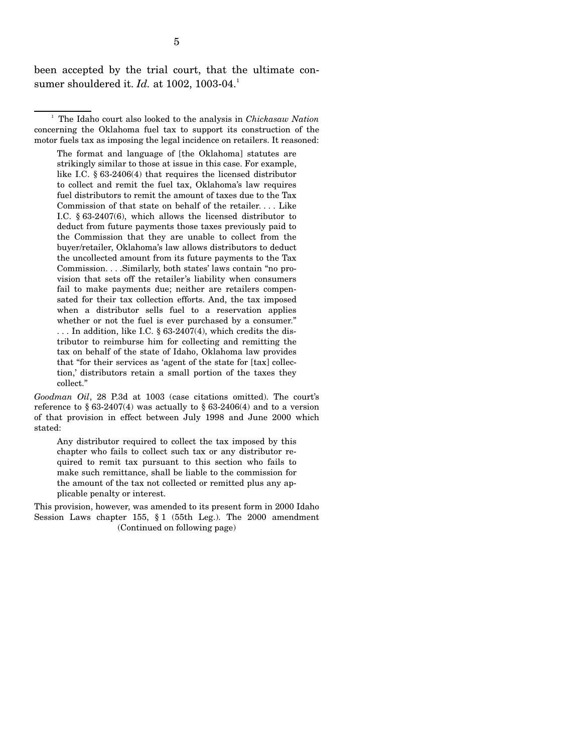been accepted by the trial court, that the ultimate consumer shouldered it. *Id.* at 1002, 1003-04.<sup>1</sup>

<sup>1</sup> The Idaho court also looked to the analysis in *Chickasaw Nation* concerning the Oklahoma fuel tax to support its construction of the motor fuels tax as imposing the legal incidence on retailers. It reasoned:

The format and language of [the Oklahoma] statutes are strikingly similar to those at issue in this case. For example, like I.C. § 63-2406(4) that requires the licensed distributor to collect and remit the fuel tax, Oklahoma's law requires fuel distributors to remit the amount of taxes due to the Tax Commission of that state on behalf of the retailer. . . . Like I.C. § 63-2407(6), which allows the licensed distributor to deduct from future payments those taxes previously paid to the Commission that they are unable to collect from the buyer/retailer, Oklahoma's law allows distributors to deduct the uncollected amount from its future payments to the Tax Commission. . . .Similarly, both states' laws contain "no provision that sets off the retailer's liability when consumers fail to make payments due; neither are retailers compensated for their tax collection efforts. And, the tax imposed when a distributor sells fuel to a reservation applies whether or not the fuel is ever purchased by a consumer." ... In addition, like I.C.  $\S 63-2407(4)$ , which credits the distributor to reimburse him for collecting and remitting the tax on behalf of the state of Idaho, Oklahoma law provides that "for their services as 'agent of the state for [tax] collection,' distributors retain a small portion of the taxes they collect."

*Goodman Oil*, 28 P.3d at 1003 (case citations omitted). The court's reference to  $\S 63-2407(4)$  was actually to  $\S 63-2406(4)$  and to a version of that provision in effect between July 1998 and June 2000 which stated:

Any distributor required to collect the tax imposed by this chapter who fails to collect such tax or any distributor required to remit tax pursuant to this section who fails to make such remittance, shall be liable to the commission for the amount of the tax not collected or remitted plus any applicable penalty or interest.

This provision, however, was amended to its present form in 2000 Idaho Session Laws chapter 155, § 1 (55th Leg.). The 2000 amendment (Continued on following page)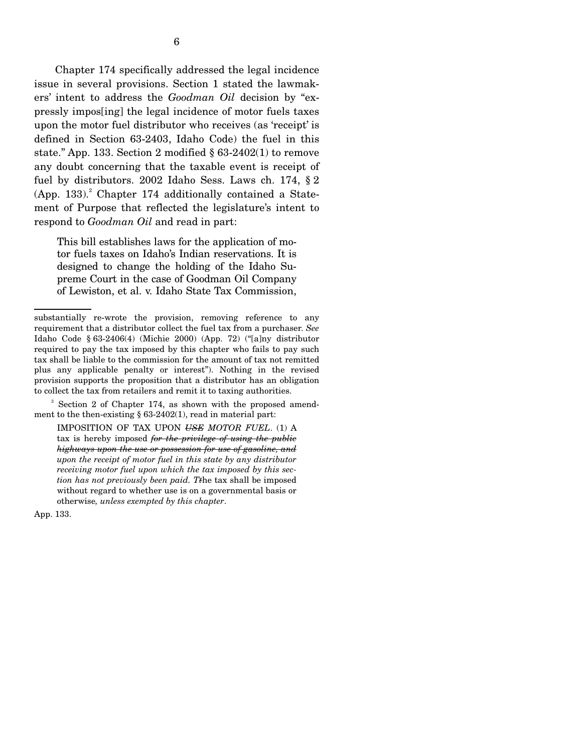Chapter 174 specifically addressed the legal incidence issue in several provisions. Section 1 stated the lawmakers' intent to address the *Goodman Oil* decision by "expressly impos[ing] the legal incidence of motor fuels taxes upon the motor fuel distributor who receives (as 'receipt' is defined in Section 63-2403, Idaho Code) the fuel in this state." App. 133. Section 2 modified § 63-2402(1) to remove any doubt concerning that the taxable event is receipt of fuel by distributors. 2002 Idaho Sess. Laws ch. 174, § 2  $(App. 133).$ <sup>2</sup> Chapter 174 additionally contained a Statement of Purpose that reflected the legislature's intent to respond to *Goodman Oil* and read in part:

This bill establishes laws for the application of motor fuels taxes on Idaho's Indian reservations. It is designed to change the holding of the Idaho Supreme Court in the case of Goodman Oil Company of Lewiston, et al. v. Idaho State Tax Commission,

<sup>2</sup> Section 2 of Chapter 174, as shown with the proposed amendment to the then-existing  $\S 63-2402(1)$ , read in material part:

IMPOSITION OF TAX UPON *USE MOTOR FUEL*. (1) A tax is hereby imposed *for the privilege of using the public highways upon the use or possession for use of gasoline, and upon the receipt of motor fuel in this state by any distributor receiving motor fuel upon which the tax imposed by this section has not previously been paid. Tt*he tax shall be imposed without regard to whether use is on a governmental basis or otherwise*, unless exempted by this chapter*.

App. 133.

substantially re-wrote the provision, removing reference to any requirement that a distributor collect the fuel tax from a purchaser. *See* Idaho Code § 63-2406(4) (Michie 2000) (App. 72) ("[a]ny distributor required to pay the tax imposed by this chapter who fails to pay such tax shall be liable to the commission for the amount of tax not remitted plus any applicable penalty or interest"). Nothing in the revised provision supports the proposition that a distributor has an obligation to collect the tax from retailers and remit it to taxing authorities.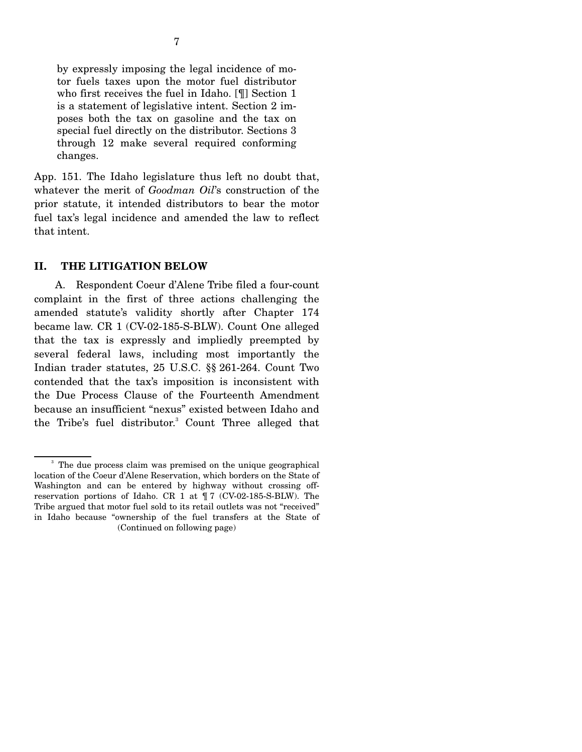by expressly imposing the legal incidence of motor fuels taxes upon the motor fuel distributor who first receives the fuel in Idaho. [¶] Section 1 is a statement of legislative intent. Section 2 imposes both the tax on gasoline and the tax on special fuel directly on the distributor. Sections 3 through 12 make several required conforming changes.

App. 151. The Idaho legislature thus left no doubt that, whatever the merit of *Goodman Oil*'s construction of the prior statute, it intended distributors to bear the motor fuel tax's legal incidence and amended the law to reflect that intent.

### **II. THE LITIGATION BELOW**

 A. Respondent Coeur d'Alene Tribe filed a four-count complaint in the first of three actions challenging the amended statute's validity shortly after Chapter 174 became law. CR 1 (CV-02-185-S-BLW). Count One alleged that the tax is expressly and impliedly preempted by several federal laws, including most importantly the Indian trader statutes, 25 U.S.C. §§ 261-264. Count Two contended that the tax's imposition is inconsistent with the Due Process Clause of the Fourteenth Amendment because an insufficient "nexus" existed between Idaho and the Tribe's fuel distributor.<sup>3</sup> Count Three alleged that

<sup>&</sup>lt;sup>3</sup> The due process claim was premised on the unique geographical location of the Coeur d'Alene Reservation, which borders on the State of Washington and can be entered by highway without crossing offreservation portions of Idaho. CR 1 at ¶ 7 (CV-02-185-S-BLW). The Tribe argued that motor fuel sold to its retail outlets was not "received" in Idaho because "ownership of the fuel transfers at the State of (Continued on following page)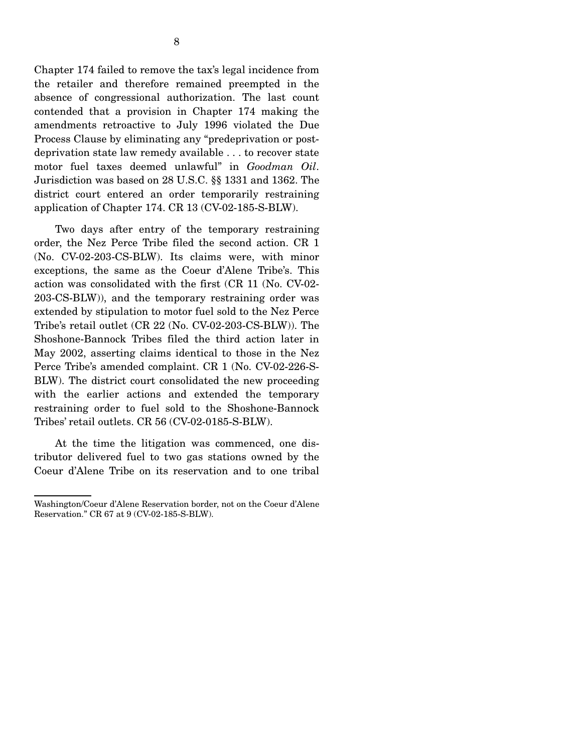Chapter 174 failed to remove the tax's legal incidence from the retailer and therefore remained preempted in the absence of congressional authorization. The last count contended that a provision in Chapter 174 making the amendments retroactive to July 1996 violated the Due Process Clause by eliminating any "predeprivation or postdeprivation state law remedy available . . . to recover state motor fuel taxes deemed unlawful" in *Goodman Oil*. Jurisdiction was based on 28 U.S.C. §§ 1331 and 1362. The district court entered an order temporarily restraining application of Chapter 174. CR 13 (CV-02-185-S-BLW).

 Two days after entry of the temporary restraining order, the Nez Perce Tribe filed the second action. CR 1 (No. CV-02-203-CS-BLW). Its claims were, with minor exceptions, the same as the Coeur d'Alene Tribe's. This action was consolidated with the first (CR 11 (No. CV-02- 203-CS-BLW)), and the temporary restraining order was extended by stipulation to motor fuel sold to the Nez Perce Tribe's retail outlet (CR 22 (No. CV-02-203-CS-BLW)). The Shoshone-Bannock Tribes filed the third action later in May 2002, asserting claims identical to those in the Nez Perce Tribe's amended complaint. CR 1 (No. CV-02-226-S-BLW). The district court consolidated the new proceeding with the earlier actions and extended the temporary restraining order to fuel sold to the Shoshone-Bannock Tribes' retail outlets. CR 56 (CV-02-0185-S-BLW).

 At the time the litigation was commenced, one distributor delivered fuel to two gas stations owned by the Coeur d'Alene Tribe on its reservation and to one tribal

Washington/Coeur d'Alene Reservation border, not on the Coeur d'Alene Reservation." CR 67 at 9 (CV-02-185-S-BLW).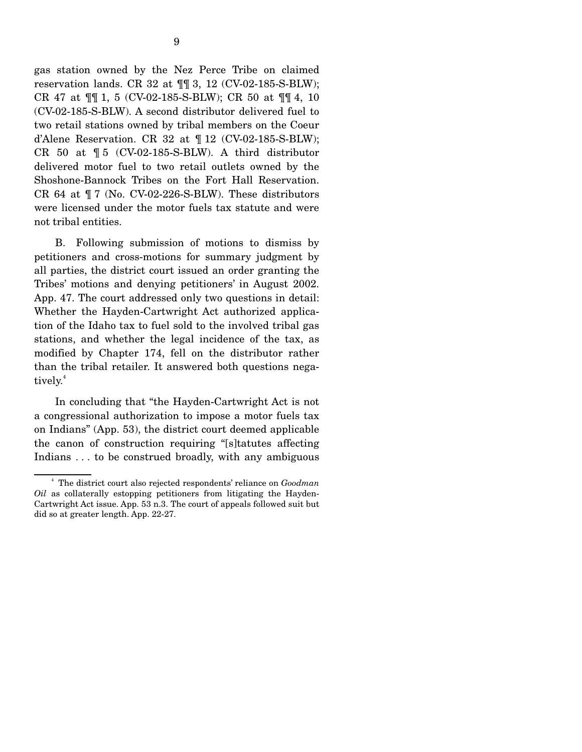gas station owned by the Nez Perce Tribe on claimed reservation lands. CR 32 at ¶¶ 3, 12 (CV-02-185-S-BLW); CR 47 at ¶¶ 1, 5 (CV-02-185-S-BLW); CR 50 at ¶¶ 4, 10 (CV-02-185-S-BLW). A second distributor delivered fuel to two retail stations owned by tribal members on the Coeur d'Alene Reservation. CR 32 at  $\P$  12 (CV-02-185-S-BLW); CR 50 at ¶ 5 (CV-02-185-S-BLW). A third distributor delivered motor fuel to two retail outlets owned by the Shoshone-Bannock Tribes on the Fort Hall Reservation. CR 64 at  $\P$  7 (No. CV-02-226-S-BLW). These distributors were licensed under the motor fuels tax statute and were not tribal entities.

 B. Following submission of motions to dismiss by petitioners and cross-motions for summary judgment by all parties, the district court issued an order granting the Tribes' motions and denying petitioners' in August 2002. App. 47. The court addressed only two questions in detail: Whether the Hayden-Cartwright Act authorized application of the Idaho tax to fuel sold to the involved tribal gas stations, and whether the legal incidence of the tax, as modified by Chapter 174, fell on the distributor rather than the tribal retailer. It answered both questions negatively.<sup>4</sup>

 In concluding that "the Hayden-Cartwright Act is not a congressional authorization to impose a motor fuels tax on Indians" (App. 53), the district court deemed applicable the canon of construction requiring "[s]tatutes affecting Indians . . . to be construed broadly, with any ambiguous

<sup>4</sup> The district court also rejected respondents' reliance on *Goodman Oil* as collaterally estopping petitioners from litigating the Hayden-Cartwright Act issue. App. 53 n.3. The court of appeals followed suit but did so at greater length. App. 22-27.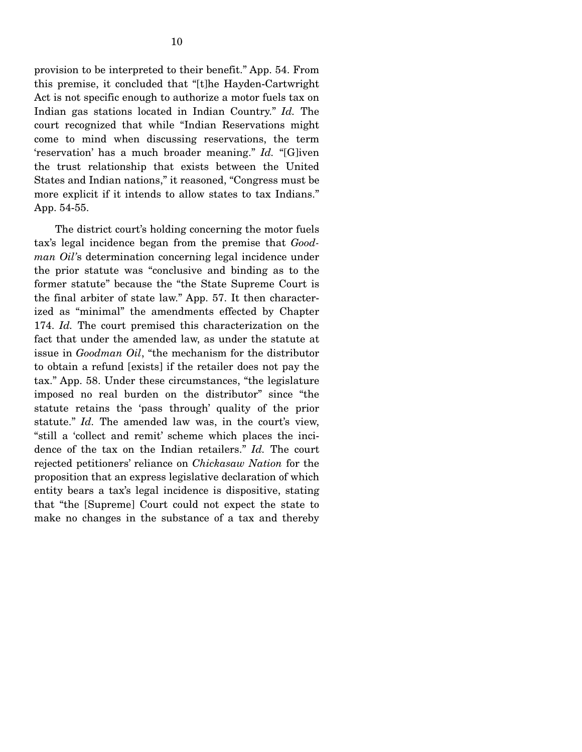provision to be interpreted to their benefit." App. 54. From this premise, it concluded that "[t]he Hayden-Cartwright Act is not specific enough to authorize a motor fuels tax on Indian gas stations located in Indian Country." *Id.* The court recognized that while "Indian Reservations might come to mind when discussing reservations, the term 'reservation' has a much broader meaning." *Id.* "[G]iven the trust relationship that exists between the United States and Indian nations," it reasoned, "Congress must be more explicit if it intends to allow states to tax Indians." App. 54-55.

 The district court's holding concerning the motor fuels tax's legal incidence began from the premise that *Goodman Oil'*s determination concerning legal incidence under the prior statute was "conclusive and binding as to the former statute" because the "the State Supreme Court is the final arbiter of state law." App. 57. It then characterized as "minimal" the amendments effected by Chapter 174. *Id.* The court premised this characterization on the fact that under the amended law, as under the statute at issue in *Goodman Oil*, "the mechanism for the distributor to obtain a refund [exists] if the retailer does not pay the tax." App. 58. Under these circumstances, "the legislature imposed no real burden on the distributor" since "the statute retains the 'pass through' quality of the prior statute." *Id.* The amended law was, in the court's view, "still a 'collect and remit' scheme which places the incidence of the tax on the Indian retailers." *Id.* The court rejected petitioners' reliance on *Chickasaw Nation* for the proposition that an express legislative declaration of which entity bears a tax's legal incidence is dispositive, stating that "the [Supreme] Court could not expect the state to make no changes in the substance of a tax and thereby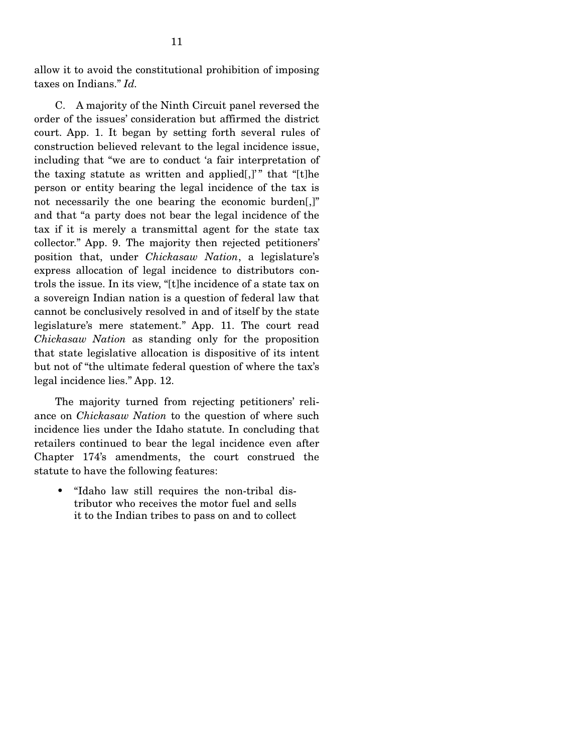allow it to avoid the constitutional prohibition of imposing taxes on Indians." *Id.*

 C. A majority of the Ninth Circuit panel reversed the order of the issues' consideration but affirmed the district court. App. 1. It began by setting forth several rules of construction believed relevant to the legal incidence issue, including that "we are to conduct 'a fair interpretation of the taxing statute as written and applied[,]" that "[t]he person or entity bearing the legal incidence of the tax is not necessarily the one bearing the economic burden[,]" and that "a party does not bear the legal incidence of the tax if it is merely a transmittal agent for the state tax collector." App. 9. The majority then rejected petitioners' position that, under *Chickasaw Nation*, a legislature's express allocation of legal incidence to distributors controls the issue. In its view, "[t]he incidence of a state tax on a sovereign Indian nation is a question of federal law that cannot be conclusively resolved in and of itself by the state legislature's mere statement." App. 11. The court read *Chickasaw Nation* as standing only for the proposition that state legislative allocation is dispositive of its intent but not of "the ultimate federal question of where the tax's legal incidence lies." App. 12.

 The majority turned from rejecting petitioners' reliance on *Chickasaw Nation* to the question of where such incidence lies under the Idaho statute. In concluding that retailers continued to bear the legal incidence even after Chapter 174's amendments, the court construed the statute to have the following features:

• "Idaho law still requires the non-tribal distributor who receives the motor fuel and sells it to the Indian tribes to pass on and to collect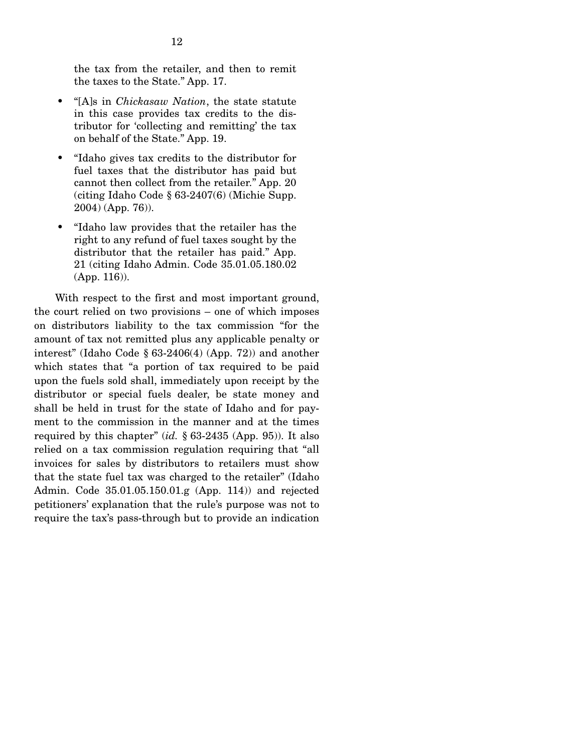the tax from the retailer, and then to remit the taxes to the State." App. 17.

- "[A]s in *Chickasaw Nation*, the state statute in this case provides tax credits to the distributor for 'collecting and remitting' the tax on behalf of the State." App. 19.
- "Idaho gives tax credits to the distributor for fuel taxes that the distributor has paid but cannot then collect from the retailer." App. 20 (citing Idaho Code § 63-2407(6) (Michie Supp. 2004) (App. 76)).
- "Idaho law provides that the retailer has the right to any refund of fuel taxes sought by the distributor that the retailer has paid." App. 21 (citing Idaho Admin. Code 35.01.05.180.02 (App. 116)).

 With respect to the first and most important ground, the court relied on two provisions – one of which imposes on distributors liability to the tax commission "for the amount of tax not remitted plus any applicable penalty or interest" (Idaho Code § 63-2406(4) (App. 72)) and another which states that "a portion of tax required to be paid upon the fuels sold shall, immediately upon receipt by the distributor or special fuels dealer, be state money and shall be held in trust for the state of Idaho and for payment to the commission in the manner and at the times required by this chapter" (*id.* § 63-2435 (App. 95)). It also relied on a tax commission regulation requiring that "all invoices for sales by distributors to retailers must show that the state fuel tax was charged to the retailer" (Idaho Admin. Code 35.01.05.150.01.g (App. 114)) and rejected petitioners' explanation that the rule's purpose was not to require the tax's pass-through but to provide an indication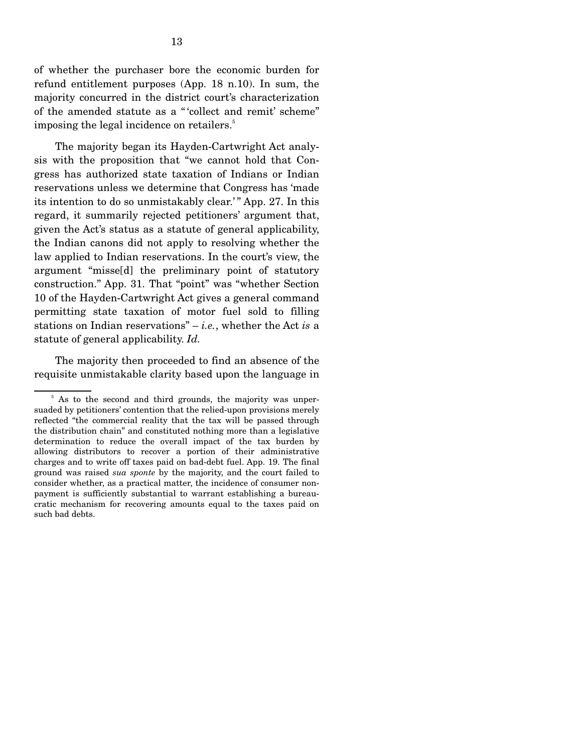of whether the purchaser bore the economic burden for refund entitlement purposes (App. 18 n.10). In sum, the majority concurred in the district court's characterization of the amended statute as a " 'collect and remit' scheme" imposing the legal incidence on retailers.<sup>5</sup>

 The majority began its Hayden-Cartwright Act analysis with the proposition that "we cannot hold that Congress has authorized state taxation of Indians or Indian reservations unless we determine that Congress has 'made its intention to do so unmistakably clear.' " App. 27. In this regard, it summarily rejected petitioners' argument that, given the Act's status as a statute of general applicability, the Indian canons did not apply to resolving whether the law applied to Indian reservations. In the court's view, the argument "misse[d] the preliminary point of statutory construction." App. 31. That "point" was "whether Section 10 of the Hayden-Cartwright Act gives a general command permitting state taxation of motor fuel sold to filling stations on Indian reservations" – *i.e.*, whether the Act *is* a statute of general applicability. *Id.*

 The majority then proceeded to find an absence of the requisite unmistakable clarity based upon the language in

<sup>&</sup>lt;sup>5</sup> As to the second and third grounds, the majority was unpersuaded by petitioners' contention that the relied-upon provisions merely reflected "the commercial reality that the tax will be passed through the distribution chain" and constituted nothing more than a legislative determination to reduce the overall impact of the tax burden by allowing distributors to recover a portion of their administrative charges and to write off taxes paid on bad-debt fuel. App. 19. The final ground was raised *sua sponte* by the majority, and the court failed to consider whether, as a practical matter, the incidence of consumer nonpayment is sufficiently substantial to warrant establishing a bureaucratic mechanism for recovering amounts equal to the taxes paid on such bad debts.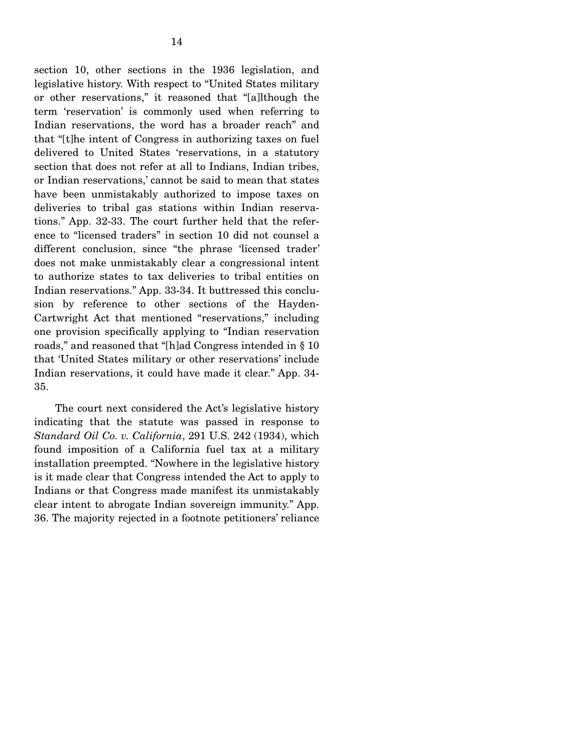section 10, other sections in the 1936 legislation, and legislative history. With respect to "United States military or other reservations," it reasoned that "[a]lthough the term 'reservation' is commonly used when referring to Indian reservations, the word has a broader reach" and that "[t]he intent of Congress in authorizing taxes on fuel delivered to United States 'reservations, in a statutory section that does not refer at all to Indians, Indian tribes, or Indian reservations,' cannot be said to mean that states have been unmistakably authorized to impose taxes on deliveries to tribal gas stations within Indian reservations." App. 32-33. The court further held that the reference to "licensed traders" in section 10 did not counsel a different conclusion, since "the phrase 'licensed trader' does not make unmistakably clear a congressional intent to authorize states to tax deliveries to tribal entities on Indian reservations." App. 33-34. It buttressed this conclusion by reference to other sections of the Hayden-Cartwright Act that mentioned "reservations," including one provision specifically applying to "Indian reservation roads," and reasoned that "[h]ad Congress intended in § 10 that 'United States military or other reservations' include Indian reservations, it could have made it clear." App. 34- 35.

 The court next considered the Act's legislative history indicating that the statute was passed in response to *Standard Oil Co. v. California*, 291 U.S. 242 (1934), which found imposition of a California fuel tax at a military installation preempted. "Nowhere in the legislative history is it made clear that Congress intended the Act to apply to Indians or that Congress made manifest its unmistakably clear intent to abrogate Indian sovereign immunity." App. 36. The majority rejected in a footnote petitioners' reliance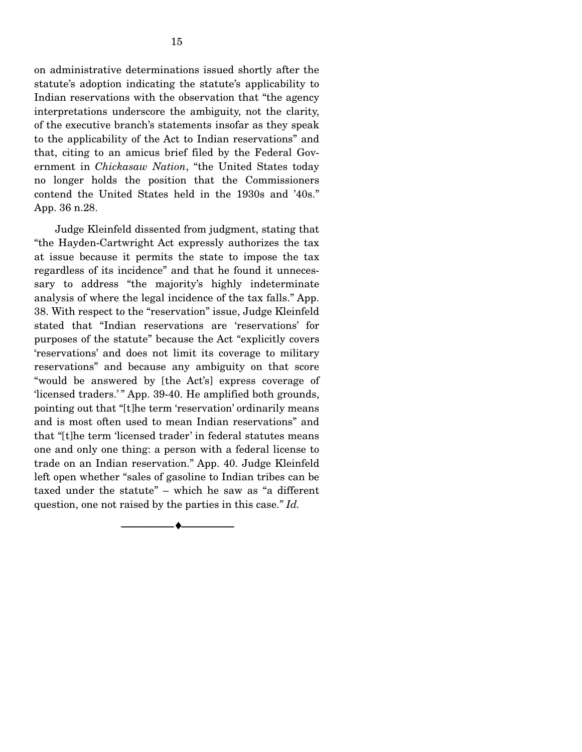on administrative determinations issued shortly after the statute's adoption indicating the statute's applicability to Indian reservations with the observation that "the agency interpretations underscore the ambiguity, not the clarity, of the executive branch's statements insofar as they speak to the applicability of the Act to Indian reservations" and that, citing to an amicus brief filed by the Federal Government in *Chickasaw Nation*, "the United States today no longer holds the position that the Commissioners contend the United States held in the 1930s and '40s." App. 36 n.28.

 Judge Kleinfeld dissented from judgment, stating that "the Hayden-Cartwright Act expressly authorizes the tax at issue because it permits the state to impose the tax regardless of its incidence" and that he found it unnecessary to address "the majority's highly indeterminate analysis of where the legal incidence of the tax falls." App. 38. With respect to the "reservation" issue, Judge Kleinfeld stated that "Indian reservations are 'reservations' for purposes of the statute" because the Act "explicitly covers 'reservations' and does not limit its coverage to military reservations" and because any ambiguity on that score "would be answered by [the Act's] express coverage of 'licensed traders.'" App. 39-40. He amplified both grounds, pointing out that "[t]he term 'reservation' ordinarily means and is most often used to mean Indian reservations" and that "[t]he term 'licensed trader' in federal statutes means one and only one thing: a person with a federal license to trade on an Indian reservation." App. 40. Judge Kleinfeld left open whether "sales of gasoline to Indian tribes can be taxed under the statute" – which he saw as "a different question, one not raised by the parties in this case." *Id.* 

--------------------------------- ♦ ---------------------------------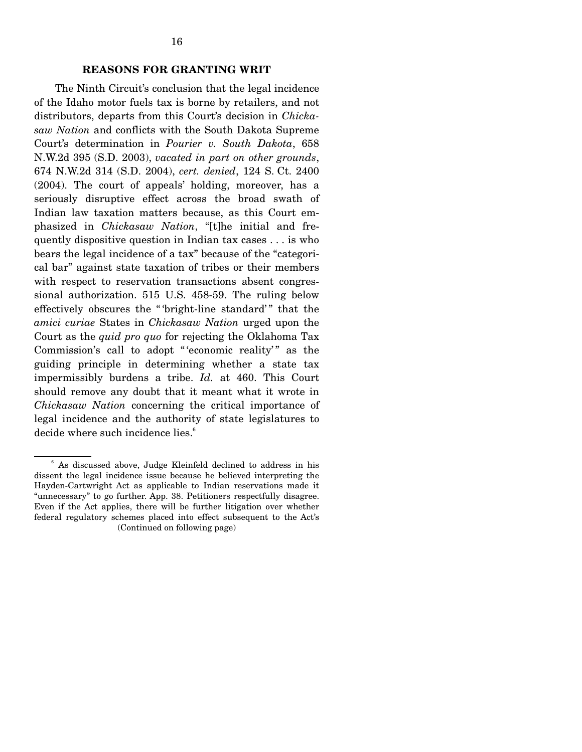#### **REASONS FOR GRANTING WRIT**

 The Ninth Circuit's conclusion that the legal incidence of the Idaho motor fuels tax is borne by retailers, and not distributors, departs from this Court's decision in *Chickasaw Nation* and conflicts with the South Dakota Supreme Court's determination in *Pourier v. South Dakota*, 658 N.W.2d 395 (S.D. 2003), *vacated in part on other grounds*, 674 N.W.2d 314 (S.D. 2004), *cert. denied*, 124 S. Ct. 2400 (2004). The court of appeals' holding, moreover, has a seriously disruptive effect across the broad swath of Indian law taxation matters because, as this Court emphasized in *Chickasaw Nation*, "[t]he initial and frequently dispositive question in Indian tax cases . . . is who bears the legal incidence of a tax" because of the "categorical bar" against state taxation of tribes or their members with respect to reservation transactions absent congressional authorization. 515 U.S. 458-59. The ruling below effectively obscures the " 'bright-line standard' " that the *amici curiae* States in *Chickasaw Nation* urged upon the Court as the *quid pro quo* for rejecting the Oklahoma Tax Commission's call to adopt "'economic reality'" as the guiding principle in determining whether a state tax impermissibly burdens a tribe. *Id.* at 460. This Court should remove any doubt that it meant what it wrote in *Chickasaw Nation* concerning the critical importance of legal incidence and the authority of state legislatures to decide where such incidence lies.<sup>6</sup>

<sup>&</sup>lt;sup>6</sup> As discussed above, Judge Kleinfeld declined to address in his dissent the legal incidence issue because he believed interpreting the Hayden-Cartwright Act as applicable to Indian reservations made it "unnecessary" to go further. App. 38. Petitioners respectfully disagree. Even if the Act applies, there will be further litigation over whether federal regulatory schemes placed into effect subsequent to the Act's (Continued on following page)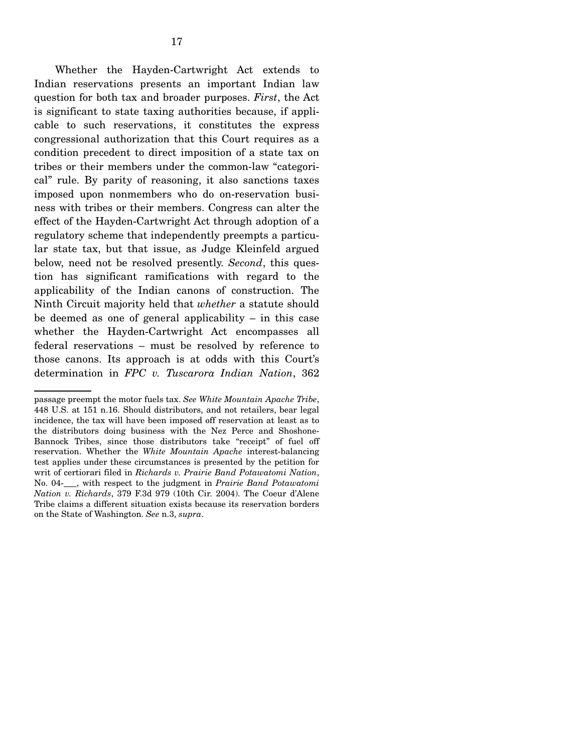Whether the Hayden-Cartwright Act extends to Indian reservations presents an important Indian law question for both tax and broader purposes. *First*, the Act is significant to state taxing authorities because, if applicable to such reservations, it constitutes the express congressional authorization that this Court requires as a condition precedent to direct imposition of a state tax on tribes or their members under the common-law "categorical" rule. By parity of reasoning, it also sanctions taxes imposed upon nonmembers who do on-reservation business with tribes or their members. Congress can alter the effect of the Hayden-Cartwright Act through adoption of a regulatory scheme that independently preempts a particular state tax, but that issue, as Judge Kleinfeld argued below, need not be resolved presently. *Second*, this question has significant ramifications with regard to the applicability of the Indian canons of construction. The Ninth Circuit majority held that *whether* a statute should be deemed as one of general applicability – in this case whether the Hayden-Cartwright Act encompasses all federal reservations – must be resolved by reference to those canons. Its approach is at odds with this Court's determination in *FPC v. Tuscarora Indian Nation*, 362

passage preempt the motor fuels tax. *See White Mountain Apache Tribe*, 448 U.S. at 151 n.16. Should distributors, and not retailers, bear legal incidence, the tax will have been imposed off reservation at least as to the distributors doing business with the Nez Perce and Shoshone-Bannock Tribes, since those distributors take "receipt" of fuel off reservation. Whether the *White Mountain Apache* interest-balancing test applies under these circumstances is presented by the petition for writ of certiorari filed in *Richards v. Prairie Band Potawatomi Nation*, No. 04-\_\_\_, with respect to the judgment in *Prairie Band Potawatomi Nation v. Richards*, 379 F.3d 979 (10th Cir. 2004). The Coeur d'Alene Tribe claims a different situation exists because its reservation borders on the State of Washington. *See* n.3, *supra*.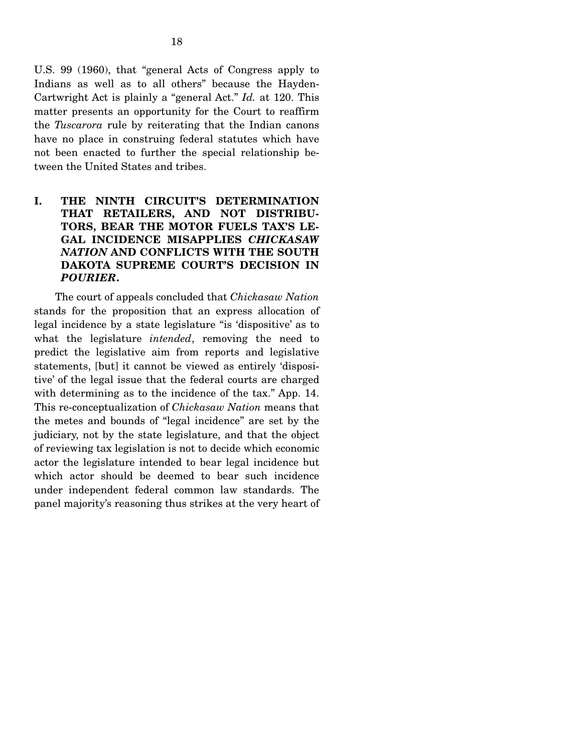U.S. 99 (1960), that "general Acts of Congress apply to Indians as well as to all others" because the Hayden-Cartwright Act is plainly a "general Act." *Id.* at 120. This matter presents an opportunity for the Court to reaffirm the *Tuscarora* rule by reiterating that the Indian canons have no place in construing federal statutes which have not been enacted to further the special relationship between the United States and tribes.

### **I. THE NINTH CIRCUIT'S DETERMINATION THAT RETAILERS, AND NOT DISTRIBU-TORS, BEAR THE MOTOR FUELS TAX'S LE-GAL INCIDENCE MISAPPLIES** *CHICKASAW NATION* **AND CONFLICTS WITH THE SOUTH DAKOTA SUPREME COURT'S DECISION IN**  *POURIER***.**

 The court of appeals concluded that *Chickasaw Nation* stands for the proposition that an express allocation of legal incidence by a state legislature "is 'dispositive' as to what the legislature *intended*, removing the need to predict the legislative aim from reports and legislative statements, [but] it cannot be viewed as entirely 'dispositive' of the legal issue that the federal courts are charged with determining as to the incidence of the tax." App. 14. This re-conceptualization of *Chickasaw Nation* means that the metes and bounds of "legal incidence" are set by the judiciary, not by the state legislature, and that the object of reviewing tax legislation is not to decide which economic actor the legislature intended to bear legal incidence but which actor should be deemed to bear such incidence under independent federal common law standards. The panel majority's reasoning thus strikes at the very heart of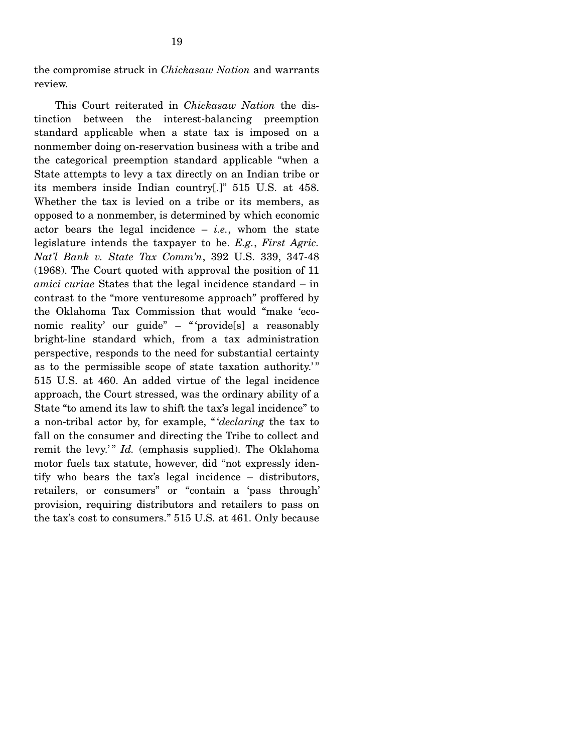the compromise struck in *Chickasaw Nation* and warrants review.

 This Court reiterated in *Chickasaw Nation* the distinction between the interest-balancing preemption standard applicable when a state tax is imposed on a nonmember doing on-reservation business with a tribe and the categorical preemption standard applicable "when a State attempts to levy a tax directly on an Indian tribe or its members inside Indian country[.]" 515 U.S. at 458. Whether the tax is levied on a tribe or its members, as opposed to a nonmember, is determined by which economic actor bears the legal incidence  $-$  *i.e.*, whom the state legislature intends the taxpayer to be. *E.g.*, *First Agric. Nat'l Bank v. State Tax Comm'n*, 392 U.S. 339, 347-48 (1968). The Court quoted with approval the position of 11 *amici curiae* States that the legal incidence standard – in contrast to the "more venturesome approach" proffered by the Oklahoma Tax Commission that would "make 'economic reality' our guide" – " 'provide[s] a reasonably bright-line standard which, from a tax administration perspective, responds to the need for substantial certainty as to the permissible scope of state taxation authority.'" 515 U.S. at 460. An added virtue of the legal incidence approach, the Court stressed, was the ordinary ability of a State "to amend its law to shift the tax's legal incidence" to a non-tribal actor by, for example, " '*declaring* the tax to fall on the consumer and directing the Tribe to collect and remit the levy.'" *Id.* (emphasis supplied). The Oklahoma motor fuels tax statute, however, did "not expressly identify who bears the tax's legal incidence – distributors, retailers, or consumers" or "contain a 'pass through' provision, requiring distributors and retailers to pass on the tax's cost to consumers." 515 U.S. at 461. Only because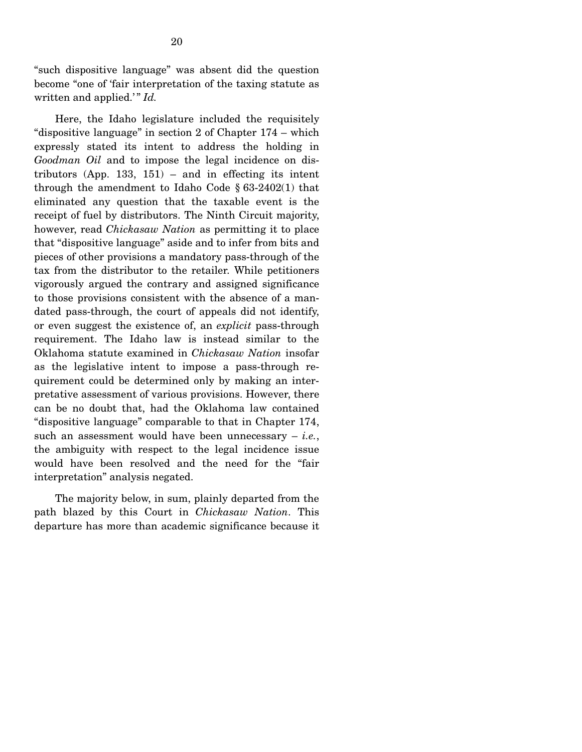"such dispositive language" was absent did the question become "one of 'fair interpretation of the taxing statute as written and applied.'" *Id.* 

 Here, the Idaho legislature included the requisitely "dispositive language" in section 2 of Chapter 174 – which expressly stated its intent to address the holding in *Goodman Oil* and to impose the legal incidence on distributors (App. 133, 151) – and in effecting its intent through the amendment to Idaho Code § 63-2402(1) that eliminated any question that the taxable event is the receipt of fuel by distributors. The Ninth Circuit majority, however, read *Chickasaw Nation* as permitting it to place that "dispositive language" aside and to infer from bits and pieces of other provisions a mandatory pass-through of the tax from the distributor to the retailer. While petitioners vigorously argued the contrary and assigned significance to those provisions consistent with the absence of a mandated pass-through, the court of appeals did not identify, or even suggest the existence of, an *explicit* pass-through requirement. The Idaho law is instead similar to the Oklahoma statute examined in *Chickasaw Nation* insofar as the legislative intent to impose a pass-through requirement could be determined only by making an interpretative assessment of various provisions. However, there can be no doubt that, had the Oklahoma law contained "dispositive language" comparable to that in Chapter 174, such an assessment would have been unnecessary – *i.e.*, the ambiguity with respect to the legal incidence issue would have been resolved and the need for the "fair interpretation" analysis negated.

 The majority below, in sum, plainly departed from the path blazed by this Court in *Chickasaw Nation*. This departure has more than academic significance because it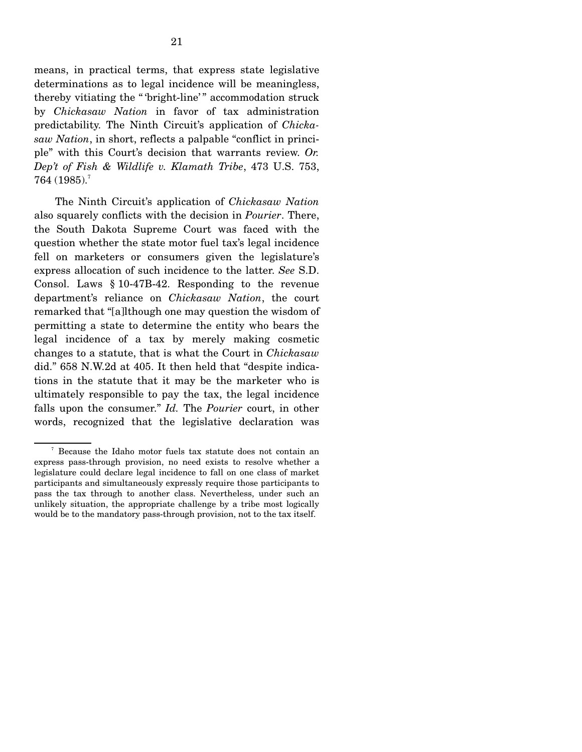means, in practical terms, that express state legislative determinations as to legal incidence will be meaningless, thereby vitiating the "bright-line'" accommodation struck by *Chickasaw Nation* in favor of tax administration predictability. The Ninth Circuit's application of *Chickasaw Nation*, in short, reflects a palpable "conflict in principle" with this Court's decision that warrants review. *Or. Dep't of Fish & Wildlife v. Klamath Tribe*, 473 U.S. 753,  $764$  (1985).<sup>7</sup>

 The Ninth Circuit's application of *Chickasaw Nation* also squarely conflicts with the decision in *Pourier*. There, the South Dakota Supreme Court was faced with the question whether the state motor fuel tax's legal incidence fell on marketers or consumers given the legislature's express allocation of such incidence to the latter. *See* S.D. Consol. Laws § 10-47B-42. Responding to the revenue department's reliance on *Chickasaw Nation*, the court remarked that "[a]lthough one may question the wisdom of permitting a state to determine the entity who bears the legal incidence of a tax by merely making cosmetic changes to a statute, that is what the Court in *Chickasaw* did." 658 N.W.2d at 405. It then held that "despite indications in the statute that it may be the marketer who is ultimately responsible to pay the tax, the legal incidence falls upon the consumer." *Id.* The *Pourier* court, in other words, recognized that the legislative declaration was

<sup>7</sup> Because the Idaho motor fuels tax statute does not contain an express pass-through provision, no need exists to resolve whether a legislature could declare legal incidence to fall on one class of market participants and simultaneously expressly require those participants to pass the tax through to another class. Nevertheless, under such an unlikely situation, the appropriate challenge by a tribe most logically would be to the mandatory pass-through provision, not to the tax itself.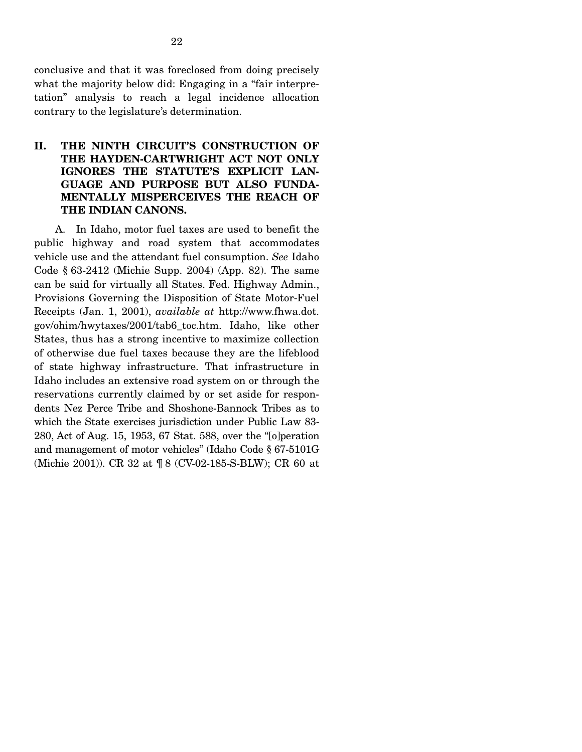conclusive and that it was foreclosed from doing precisely what the majority below did: Engaging in a "fair interpretation" analysis to reach a legal incidence allocation contrary to the legislature's determination.

### **II. THE NINTH CIRCUIT'S CONSTRUCTION OF THE HAYDEN-CARTWRIGHT ACT NOT ONLY IGNORES THE STATUTE'S EXPLICIT LAN-GUAGE AND PURPOSE BUT ALSO FUNDA-MENTALLY MISPERCEIVES THE REACH OF THE INDIAN CANONS.**

 A. In Idaho, motor fuel taxes are used to benefit the public highway and road system that accommodates vehicle use and the attendant fuel consumption. *See* Idaho Code § 63-2412 (Michie Supp. 2004) (App. 82). The same can be said for virtually all States. Fed. Highway Admin., Provisions Governing the Disposition of State Motor-Fuel Receipts (Jan. 1, 2001), *available at* http://www.fhwa.dot. gov/ohim/hwytaxes/2001/tab6\_toc.htm. Idaho, like other States, thus has a strong incentive to maximize collection of otherwise due fuel taxes because they are the lifeblood of state highway infrastructure. That infrastructure in Idaho includes an extensive road system on or through the reservations currently claimed by or set aside for respondents Nez Perce Tribe and Shoshone-Bannock Tribes as to which the State exercises jurisdiction under Public Law 83- 280, Act of Aug. 15, 1953, 67 Stat. 588, over the "[o]peration and management of motor vehicles" (Idaho Code § 67-5101G (Michie 2001)). CR 32 at ¶ 8 (CV-02-185-S-BLW); CR 60 at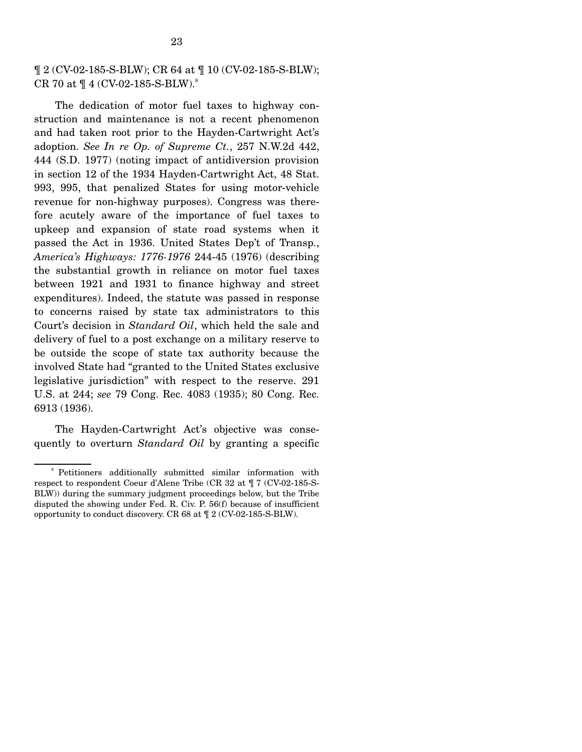23

 The dedication of motor fuel taxes to highway construction and maintenance is not a recent phenomenon and had taken root prior to the Hayden-Cartwright Act's adoption. *See In re Op. of Supreme Ct.*, 257 N.W.2d 442, 444 (S.D. 1977) (noting impact of antidiversion provision in section 12 of the 1934 Hayden-Cartwright Act, 48 Stat. 993, 995, that penalized States for using motor-vehicle revenue for non-highway purposes). Congress was therefore acutely aware of the importance of fuel taxes to upkeep and expansion of state road systems when it passed the Act in 1936. United States Dep't of Transp., *America's Highways: 1776-1976* 244-45 (1976) (describing the substantial growth in reliance on motor fuel taxes between 1921 and 1931 to finance highway and street expenditures). Indeed, the statute was passed in response to concerns raised by state tax administrators to this Court's decision in *Standard Oil*, which held the sale and delivery of fuel to a post exchange on a military reserve to be outside the scope of state tax authority because the involved State had "granted to the United States exclusive legislative jurisdiction" with respect to the reserve. 291 U.S. at 244; *see* 79 Cong. Rec. 4083 (1935); 80 Cong. Rec. 6913 (1936).

 The Hayden-Cartwright Act's objective was consequently to overturn *Standard Oil* by granting a specific

<sup>8</sup> Petitioners additionally submitted similar information with respect to respondent Coeur d'Alene Tribe (CR 32 at ¶ 7 (CV-02-185-S-BLW)) during the summary judgment proceedings below, but the Tribe disputed the showing under Fed. R. Civ. P. 56(f) because of insufficient opportunity to conduct discovery. CR 68 at ¶ 2 (CV-02-185-S-BLW).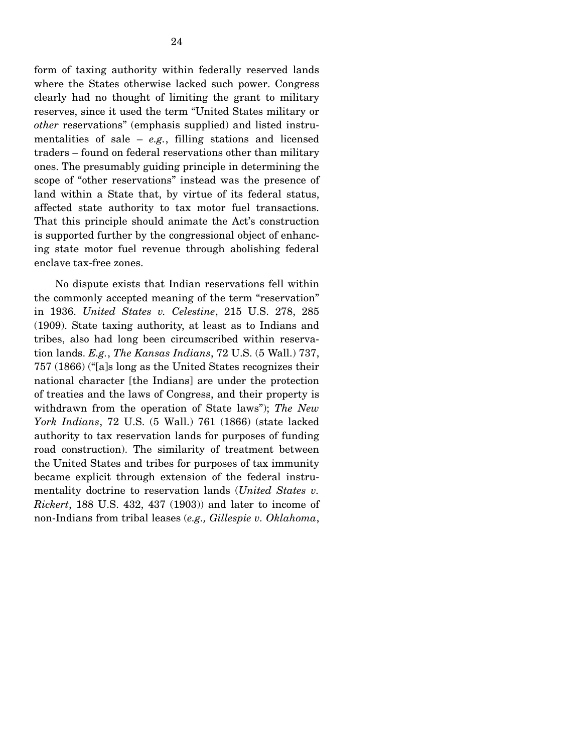form of taxing authority within federally reserved lands where the States otherwise lacked such power. Congress clearly had no thought of limiting the grant to military reserves, since it used the term "United States military or *other* reservations" (emphasis supplied) and listed instrumentalities of sale – *e.g.*, filling stations and licensed traders – found on federal reservations other than military ones. The presumably guiding principle in determining the scope of "other reservations" instead was the presence of land within a State that, by virtue of its federal status, affected state authority to tax motor fuel transactions. That this principle should animate the Act's construction is supported further by the congressional object of enhancing state motor fuel revenue through abolishing federal enclave tax-free zones.

 No dispute exists that Indian reservations fell within the commonly accepted meaning of the term "reservation" in 1936. *United States v. Celestine*, 215 U.S. 278, 285 (1909). State taxing authority, at least as to Indians and tribes, also had long been circumscribed within reservation lands. *E.g.*, *The Kansas Indians*, 72 U.S. (5 Wall.) 737, 757 (1866) ("[a]s long as the United States recognizes their national character [the Indians] are under the protection of treaties and the laws of Congress, and their property is withdrawn from the operation of State laws"); *The New York Indians*, 72 U.S. (5 Wall.) 761 (1866) (state lacked authority to tax reservation lands for purposes of funding road construction). The similarity of treatment between the United States and tribes for purposes of tax immunity became explicit through extension of the federal instrumentality doctrine to reservation lands (*United States v. Rickert*, 188 U.S. 432, 437 (1903)) and later to income of non-Indians from tribal leases (*e.g., Gillespie v. Oklahoma*,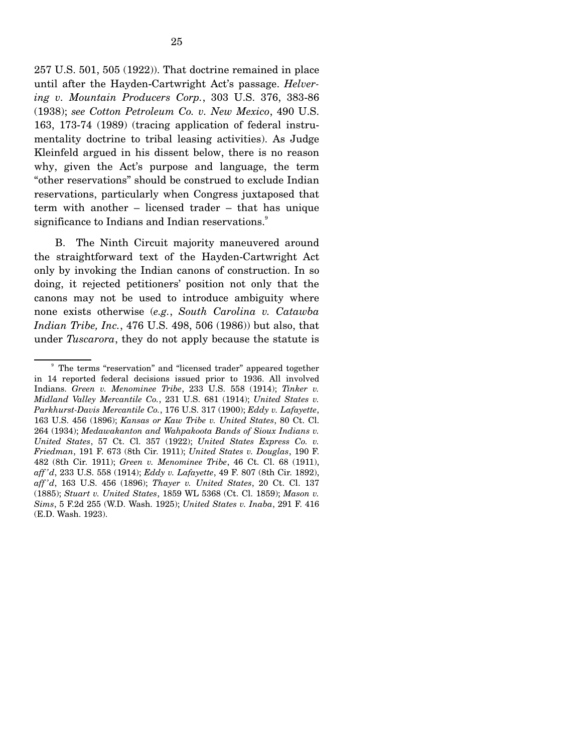257 U.S. 501, 505 (1922)). That doctrine remained in place until after the Hayden-Cartwright Act's passage. *Helvering v. Mountain Producers Corp.*, 303 U.S. 376, 383-86 (1938); *see Cotton Petroleum Co. v. New Mexico*, 490 U.S. 163, 173-74 (1989) (tracing application of federal instrumentality doctrine to tribal leasing activities). As Judge Kleinfeld argued in his dissent below, there is no reason why, given the Act's purpose and language, the term "other reservations" should be construed to exclude Indian reservations, particularly when Congress juxtaposed that term with another – licensed trader – that has unique significance to Indians and Indian reservations.<sup>9</sup>

 B. The Ninth Circuit majority maneuvered around the straightforward text of the Hayden-Cartwright Act only by invoking the Indian canons of construction. In so doing, it rejected petitioners' position not only that the canons may not be used to introduce ambiguity where none exists otherwise (*e.g.*, *South Carolina v. Catawba Indian Tribe, Inc.*, 476 U.S. 498, 506 (1986)) but also, that under *Tuscarora*, they do not apply because the statute is

<sup>&</sup>lt;sup>9</sup> The terms "reservation" and "licensed trader" appeared together in 14 reported federal decisions issued prior to 1936. All involved Indians. *Green v. Menominee Tribe*, 233 U.S. 558 (1914); *Tinker v. Midland Valley Mercantile Co.*, 231 U.S. 681 (1914); *United States v. Parkhurst-Davis Mercantile Co.*, 176 U.S. 317 (1900); *Eddy v. Lafayette*, 163 U.S. 456 (1896); *Kansas or Kaw Tribe v. United States*, 80 Ct. Cl. 264 (1934); *Medawakanton and Wahpakoota Bands of Sioux Indians v. United States*, 57 Ct. Cl. 357 (1922); *United States Express Co. v. Friedman*, 191 F. 673 (8th Cir. 1911); *United States v. Douglas*, 190 F. 482 (8th Cir. 1911); *Green v. Menominee Tribe*, 46 Ct. Cl. 68 (1911), *aff 'd*, 233 U.S. 558 (1914); *Eddy v. Lafayette*, 49 F. 807 (8th Cir. 1892), *aff 'd*, 163 U.S. 456 (1896); *Thayer v. United States*, 20 Ct. Cl. 137 (1885); *Stuart v. United States*, 1859 WL 5368 (Ct. Cl. 1859); *Mason v. Sims*, 5 F.2d 255 (W.D. Wash. 1925); *United States v. Inaba*, 291 F. 416 (E.D. Wash. 1923).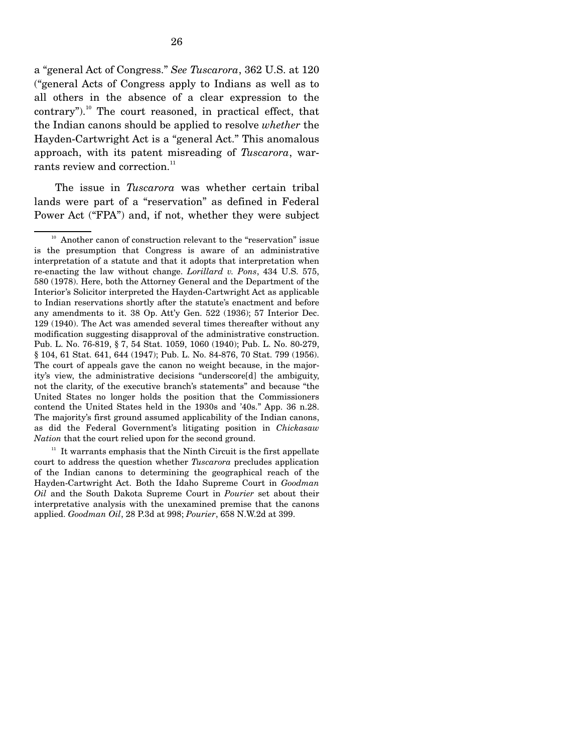a "general Act of Congress." *See Tuscarora*, 362 U.S. at 120 ("general Acts of Congress apply to Indians as well as to all others in the absence of a clear expression to the  $contrary$ ").<sup>10</sup> The court reasoned, in practical effect, that the Indian canons should be applied to resolve *whether* the Hayden-Cartwright Act is a "general Act." This anomalous approach, with its patent misreading of *Tuscarora*, warrants review and correction. $11$ 

 The issue in *Tuscarora* was whether certain tribal lands were part of a "reservation" as defined in Federal Power Act ("FPA") and, if not, whether they were subject

 $11$  It warrants emphasis that the Ninth Circuit is the first appellate court to address the question whether *Tuscarora* precludes application of the Indian canons to determining the geographical reach of the Hayden-Cartwright Act. Both the Idaho Supreme Court in *Goodman Oil* and the South Dakota Supreme Court in *Pourier* set about their interpretative analysis with the unexamined premise that the canons applied. *Goodman Oil*, 28 P.3d at 998; *Pourier*, 658 N.W.2d at 399.

<sup>&</sup>lt;sup>10</sup> Another canon of construction relevant to the "reservation" issue is the presumption that Congress is aware of an administrative interpretation of a statute and that it adopts that interpretation when re-enacting the law without change. *Lorillard v. Pons*, 434 U.S. 575, 580 (1978). Here, both the Attorney General and the Department of the Interior's Solicitor interpreted the Hayden-Cartwright Act as applicable to Indian reservations shortly after the statute's enactment and before any amendments to it. 38 Op. Att'y Gen. 522 (1936); 57 Interior Dec. 129 (1940). The Act was amended several times thereafter without any modification suggesting disapproval of the administrative construction. Pub. L. No. 76-819, § 7, 54 Stat. 1059, 1060 (1940); Pub. L. No. 80-279, § 104, 61 Stat. 641, 644 (1947); Pub. L. No. 84-876, 70 Stat. 799 (1956). The court of appeals gave the canon no weight because, in the majority's view, the administrative decisions "underscore[d] the ambiguity, not the clarity, of the executive branch's statements" and because "the United States no longer holds the position that the Commissioners contend the United States held in the 1930s and '40s." App. 36 n.28. The majority's first ground assumed applicability of the Indian canons, as did the Federal Government's litigating position in *Chickasaw Nation* that the court relied upon for the second ground.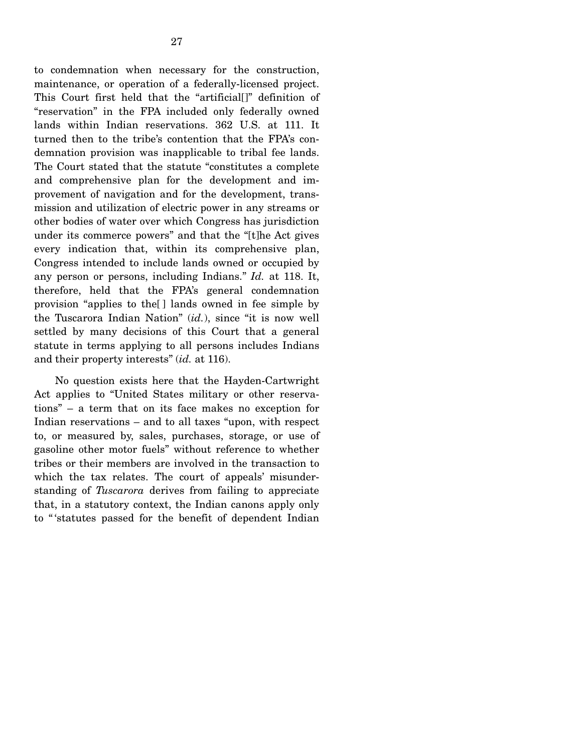to condemnation when necessary for the construction, maintenance, or operation of a federally-licensed project. This Court first held that the "artificial[]" definition of "reservation" in the FPA included only federally owned lands within Indian reservations. 362 U.S. at 111. It turned then to the tribe's contention that the FPA's condemnation provision was inapplicable to tribal fee lands. The Court stated that the statute "constitutes a complete and comprehensive plan for the development and improvement of navigation and for the development, transmission and utilization of electric power in any streams or other bodies of water over which Congress has jurisdiction under its commerce powers" and that the "[t]he Act gives every indication that, within its comprehensive plan, Congress intended to include lands owned or occupied by any person or persons, including Indians." *Id.* at 118. It, therefore, held that the FPA's general condemnation provision "applies to the[ ] lands owned in fee simple by the Tuscarora Indian Nation" (*id.*), since "it is now well settled by many decisions of this Court that a general statute in terms applying to all persons includes Indians and their property interests" (*id.* at 116).

 No question exists here that the Hayden-Cartwright Act applies to "United States military or other reservations" – a term that on its face makes no exception for Indian reservations – and to all taxes "upon, with respect to, or measured by, sales, purchases, storage, or use of gasoline other motor fuels" without reference to whether tribes or their members are involved in the transaction to which the tax relates. The court of appeals' misunderstanding of *Tuscarora* derives from failing to appreciate that, in a statutory context, the Indian canons apply only to " 'statutes passed for the benefit of dependent Indian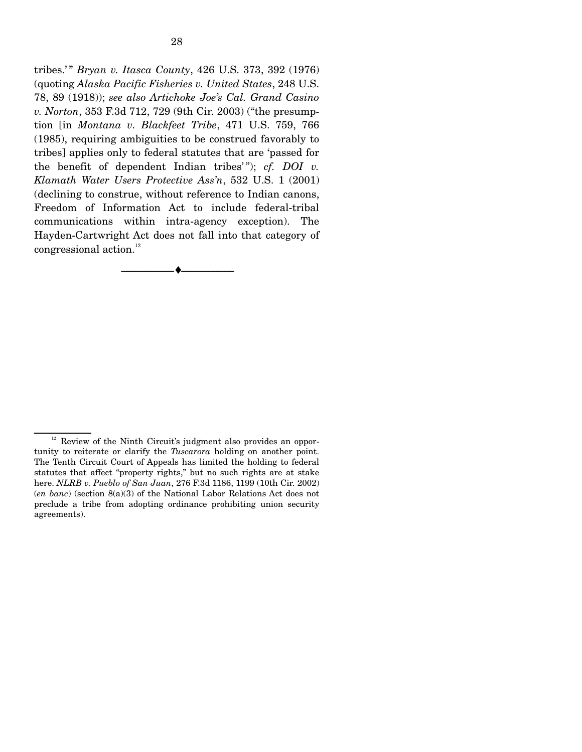tribes.' " *Bryan v. Itasca County*, 426 U.S. 373, 392 (1976) (quoting *Alaska Pacific Fisheries v. United States*, 248 U.S. 78, 89 (1918)); *see also Artichoke Joe's Cal. Grand Casino v. Norton*, 353 F.3d 712, 729 (9th Cir. 2003) ("the presumption [in *Montana v. Blackfeet Tribe*, 471 U.S. 759, 766 (1985), requiring ambiguities to be construed favorably to tribes] applies only to federal statutes that are 'passed for the benefit of dependent Indian tribes'"); *cf. DOI v. Klamath Water Users Protective Ass'n*, 532 U.S. 1 (2001) (declining to construe, without reference to Indian canons, Freedom of Information Act to include federal-tribal communications within intra-agency exception). The Hayden-Cartwright Act does not fall into that category of congressional action.<sup>12</sup>

--------------------------------- ♦ ---------------------------------

 $12$  Review of the Ninth Circuit's judgment also provides an opportunity to reiterate or clarify the *Tuscarora* holding on another point. The Tenth Circuit Court of Appeals has limited the holding to federal statutes that affect "property rights," but no such rights are at stake here. *NLRB v. Pueblo of San Juan*, 276 F.3d 1186, 1199 (10th Cir. 2002) (*en banc*) (section 8(a)(3) of the National Labor Relations Act does not preclude a tribe from adopting ordinance prohibiting union security agreements).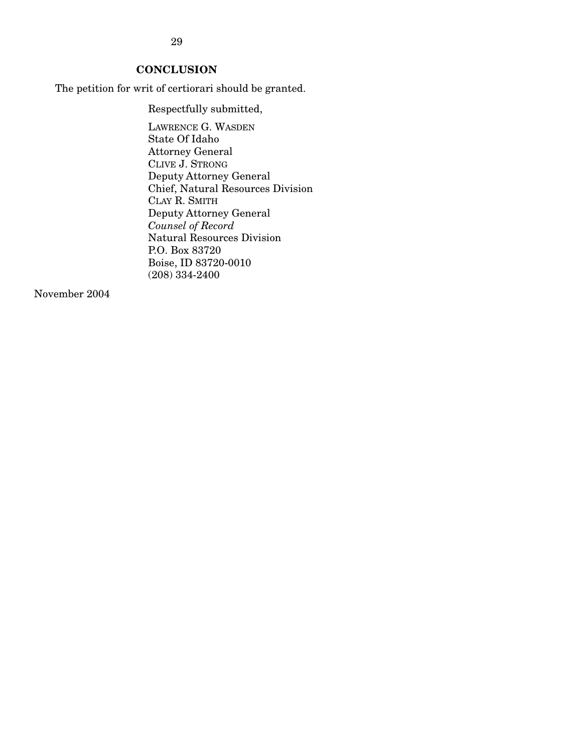29

# **CONCLUSION**

The petition for writ of certiorari should be granted.

Respectfully submitted,

LAWRENCE G. WASDEN State Of Idaho Attorney General CLIVE J. STRONG Deputy Attorney General Chief, Natural Resources Division CLAY R. SMITH Deputy Attorney General *Counsel of Record*  Natural Resources Division P.O. Box 83720 Boise, ID 83720-0010 (208) 334-2400

November 2004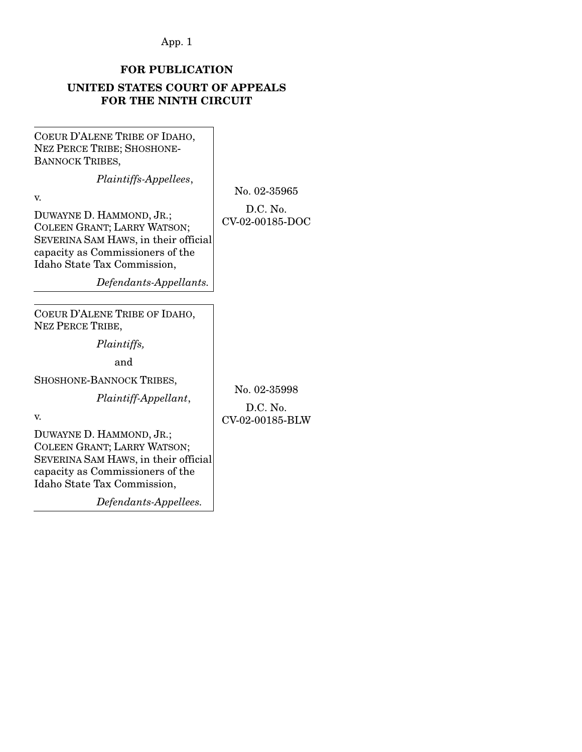## App. 1

# **FOR PUBLICATION**

## **UNITED STATES COURT OF APPEALS FOR THE NINTH CIRCUIT**

COEUR D'ALENE TRIBE OF IDAHO, NEZ PERCE TRIBE; SHOSHONE-BANNOCK TRIBES,

*Plaintiffs-Appellees*,

v.

No. 02-35965 D.C. No.

CV-02-00185-DOC

DUWAYNE D. HAMMOND, JR.; COLEEN GRANT; LARRY WATSON; SEVERINA SAM HAWS, in their official capacity as Commissioners of the Idaho State Tax Commission,

 *Defendants-Appellants.* 

COEUR D'ALENE TRIBE OF IDAHO, NEZ PERCE TRIBE,

 *Plaintiffs,*

and

SHOSHONE-BANNOCK TRIBES,

 *Plaintiff-Appellant*,

No. 02-35998

D.C. No. CV-02-00185-BLW

v.

DUWAYNE D. HAMMOND, JR.; COLEEN GRANT; LARRY WATSON; SEVERINA SAM HAWS, in their official capacity as Commissioners of the Idaho State Tax Commission,

 *Defendants-Appellees.*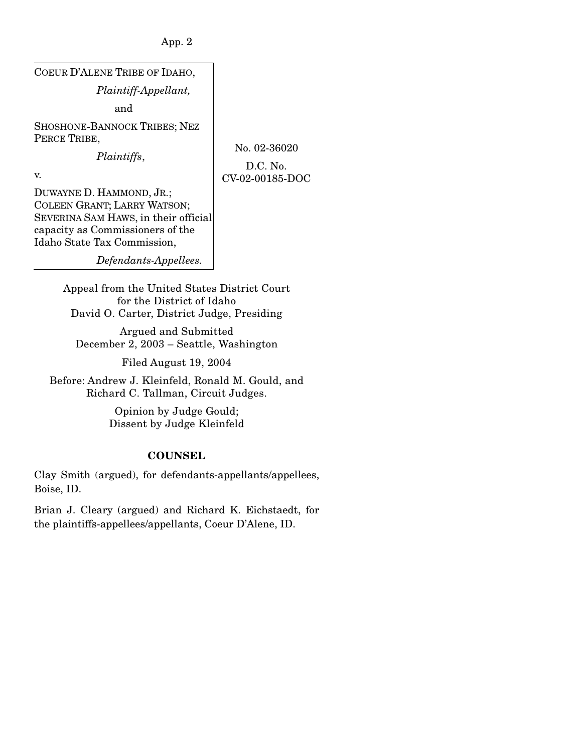App. 2

COEUR D'ALENE TRIBE OF IDAHO,  *Plaintiff-Appellant,* and SHOSHONE-BANNOCK TRIBES; NEZ PERCE TRIBE,  *Plaintiffs*,

No. 02-36020

D.C. No. CV-02-00185-DOC

v.

DUWAYNE D. HAMMOND, JR.; COLEEN GRANT; LARRY WATSON; SEVERINA SAM HAWS, in their official capacity as Commissioners of the Idaho State Tax Commission,

 *Defendants-Appellees.* 

Appeal from the United States District Court for the District of Idaho David O. Carter, District Judge, Presiding

Argued and Submitted December 2, 2003 – Seattle, Washington

Filed August 19, 2004

Before: Andrew J. Kleinfeld, Ronald M. Gould, and Richard C. Tallman, Circuit Judges.

> Opinion by Judge Gould; Dissent by Judge Kleinfeld

# **COUNSEL**

Clay Smith (argued), for defendants-appellants/appellees, Boise, ID.

Brian J. Cleary (argued) and Richard K. Eichstaedt, for the plaintiffs-appellees/appellants, Coeur D'Alene, ID.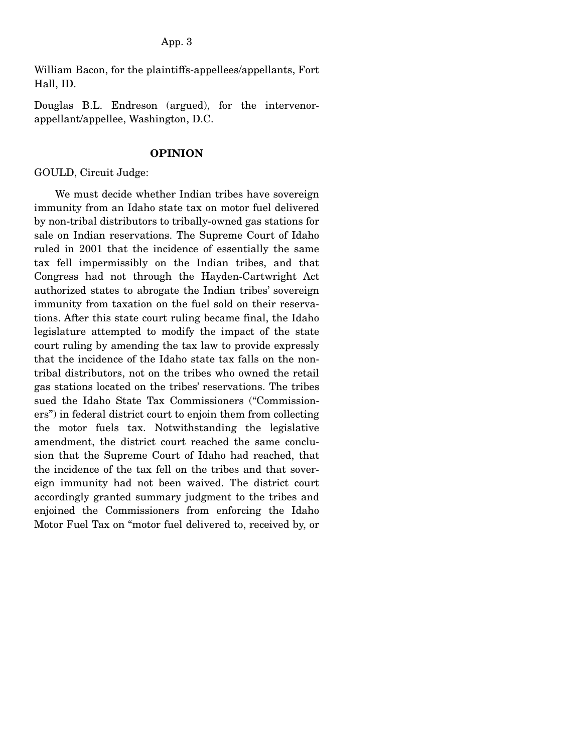William Bacon, for the plaintiffs-appellees/appellants, Fort Hall, ID.

Douglas B.L. Endreson (argued), for the intervenorappellant/appellee, Washington, D.C.

### **OPINION**

## GOULD, Circuit Judge:

 We must decide whether Indian tribes have sovereign immunity from an Idaho state tax on motor fuel delivered by non-tribal distributors to tribally-owned gas stations for sale on Indian reservations. The Supreme Court of Idaho ruled in 2001 that the incidence of essentially the same tax fell impermissibly on the Indian tribes, and that Congress had not through the Hayden-Cartwright Act authorized states to abrogate the Indian tribes' sovereign immunity from taxation on the fuel sold on their reservations. After this state court ruling became final, the Idaho legislature attempted to modify the impact of the state court ruling by amending the tax law to provide expressly that the incidence of the Idaho state tax falls on the nontribal distributors, not on the tribes who owned the retail gas stations located on the tribes' reservations. The tribes sued the Idaho State Tax Commissioners ("Commissioners") in federal district court to enjoin them from collecting the motor fuels tax. Notwithstanding the legislative amendment, the district court reached the same conclusion that the Supreme Court of Idaho had reached, that the incidence of the tax fell on the tribes and that sovereign immunity had not been waived. The district court accordingly granted summary judgment to the tribes and enjoined the Commissioners from enforcing the Idaho Motor Fuel Tax on "motor fuel delivered to, received by, or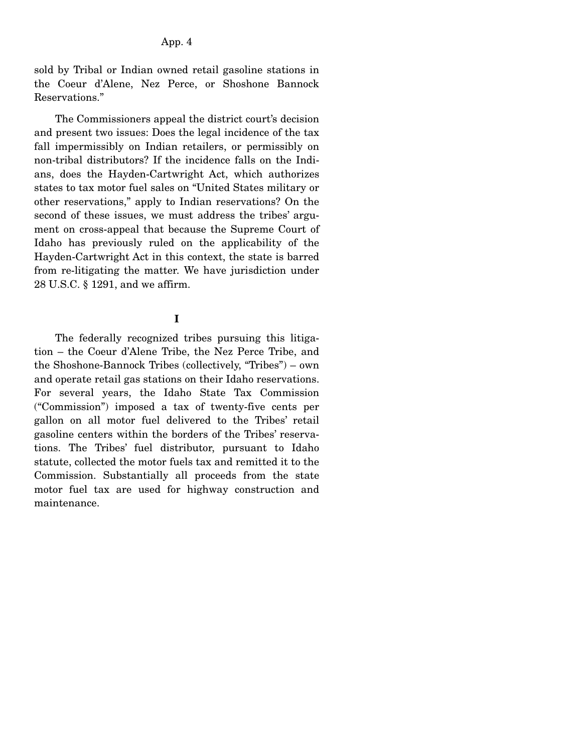sold by Tribal or Indian owned retail gasoline stations in the Coeur d'Alene, Nez Perce, or Shoshone Bannock Reservations."

 The Commissioners appeal the district court's decision and present two issues: Does the legal incidence of the tax fall impermissibly on Indian retailers, or permissibly on non-tribal distributors? If the incidence falls on the Indians, does the Hayden-Cartwright Act, which authorizes states to tax motor fuel sales on "United States military or other reservations," apply to Indian reservations? On the second of these issues, we must address the tribes' argument on cross-appeal that because the Supreme Court of Idaho has previously ruled on the applicability of the Hayden-Cartwright Act in this context, the state is barred from re-litigating the matter. We have jurisdiction under 28 U.S.C. § 1291, and we affirm.

## **I**

 The federally recognized tribes pursuing this litigation – the Coeur d'Alene Tribe, the Nez Perce Tribe, and the Shoshone-Bannock Tribes (collectively, "Tribes") – own and operate retail gas stations on their Idaho reservations. For several years, the Idaho State Tax Commission ("Commission") imposed a tax of twenty-five cents per gallon on all motor fuel delivered to the Tribes' retail gasoline centers within the borders of the Tribes' reservations. The Tribes' fuel distributor, pursuant to Idaho statute, collected the motor fuels tax and remitted it to the Commission. Substantially all proceeds from the state motor fuel tax are used for highway construction and maintenance.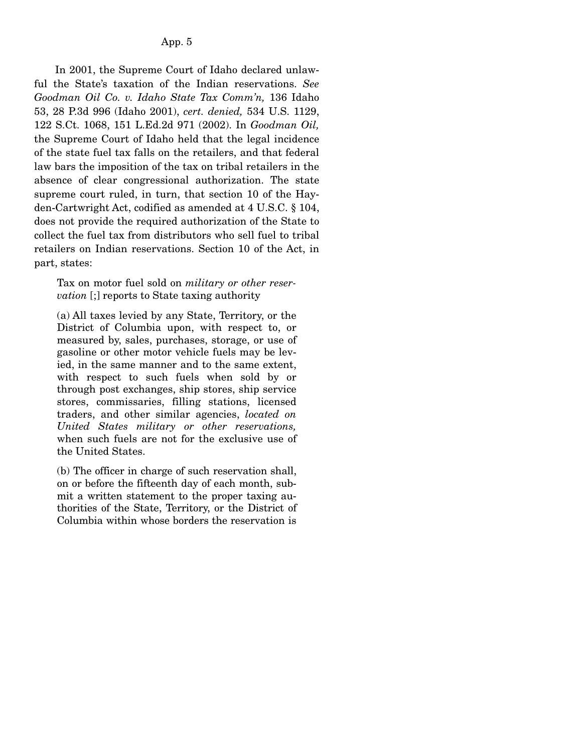In 2001, the Supreme Court of Idaho declared unlawful the State's taxation of the Indian reservations. *See Goodman Oil Co. v. Idaho State Tax Comm'n,* 136 Idaho 53, 28 P.3d 996 (Idaho 2001), *cert. denied,* 534 U.S. 1129, 122 S.Ct. 1068, 151 L.Ed.2d 971 (2002). In *Goodman Oil,* the Supreme Court of Idaho held that the legal incidence of the state fuel tax falls on the retailers, and that federal law bars the imposition of the tax on tribal retailers in the absence of clear congressional authorization. The state supreme court ruled, in turn, that section 10 of the Hayden-Cartwright Act, codified as amended at 4 U.S.C. § 104, does not provide the required authorization of the State to collect the fuel tax from distributors who sell fuel to tribal retailers on Indian reservations. Section 10 of the Act, in part, states:

Tax on motor fuel sold on *military or other reservation* [;] reports to State taxing authority

(a) All taxes levied by any State, Territory, or the District of Columbia upon, with respect to, or measured by, sales, purchases, storage, or use of gasoline or other motor vehicle fuels may be levied, in the same manner and to the same extent, with respect to such fuels when sold by or through post exchanges, ship stores, ship service stores, commissaries, filling stations, licensed traders, and other similar agencies, *located on United States military or other reservations,* when such fuels are not for the exclusive use of the United States.

(b) The officer in charge of such reservation shall, on or before the fifteenth day of each month, submit a written statement to the proper taxing authorities of the State, Territory, or the District of Columbia within whose borders the reservation is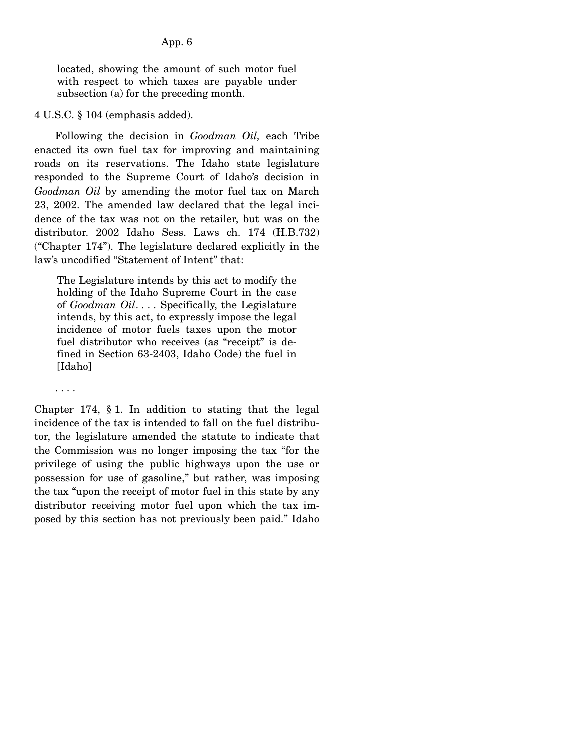located, showing the amount of such motor fuel with respect to which taxes are payable under subsection (a) for the preceding month.

### 4 U.S.C. § 104 (emphasis added).

 Following the decision in *Goodman Oil,* each Tribe enacted its own fuel tax for improving and maintaining roads on its reservations. The Idaho state legislature responded to the Supreme Court of Idaho's decision in *Goodman Oil* by amending the motor fuel tax on March 23, 2002. The amended law declared that the legal incidence of the tax was not on the retailer, but was on the distributor. 2002 Idaho Sess. Laws ch. 174 (H.B.732) ("Chapter 174"). The legislature declared explicitly in the law's uncodified "Statement of Intent" that:

The Legislature intends by this act to modify the holding of the Idaho Supreme Court in the case of *Goodman Oil*. . . . Specifically, the Legislature intends, by this act, to expressly impose the legal incidence of motor fuels taxes upon the motor fuel distributor who receives (as "receipt" is defined in Section 63-2403, Idaho Code) the fuel in [Idaho]

. . . .

Chapter 174, § 1. In addition to stating that the legal incidence of the tax is intended to fall on the fuel distributor, the legislature amended the statute to indicate that the Commission was no longer imposing the tax "for the privilege of using the public highways upon the use or possession for use of gasoline," but rather, was imposing the tax "upon the receipt of motor fuel in this state by any distributor receiving motor fuel upon which the tax imposed by this section has not previously been paid." Idaho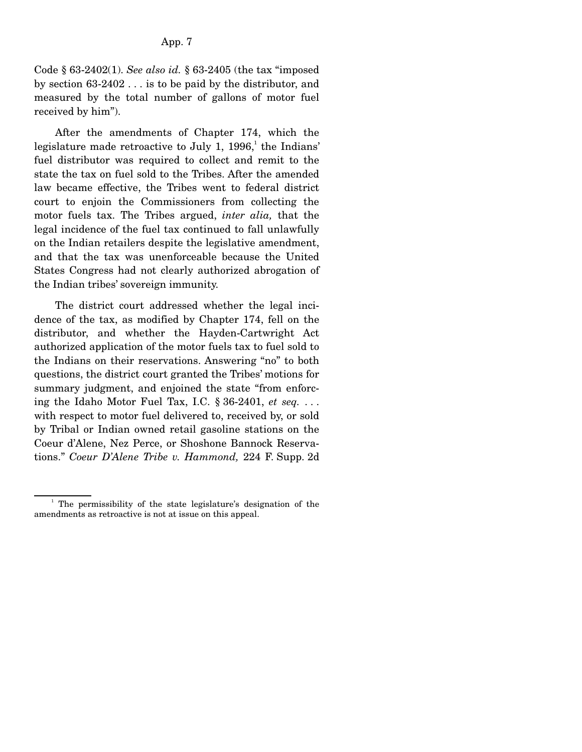Code § 63-2402(1). *See also id.* § 63-2405 (the tax "imposed by section 63-2402 . . . is to be paid by the distributor, and measured by the total number of gallons of motor fuel received by him").

 After the amendments of Chapter 174, which the legislature made retroactive to July 1,  $1996$ , the Indians' fuel distributor was required to collect and remit to the state the tax on fuel sold to the Tribes. After the amended law became effective, the Tribes went to federal district court to enjoin the Commissioners from collecting the motor fuels tax. The Tribes argued, *inter alia,* that the legal incidence of the fuel tax continued to fall unlawfully on the Indian retailers despite the legislative amendment, and that the tax was unenforceable because the United States Congress had not clearly authorized abrogation of the Indian tribes' sovereign immunity.

 The district court addressed whether the legal incidence of the tax, as modified by Chapter 174, fell on the distributor, and whether the Hayden-Cartwright Act authorized application of the motor fuels tax to fuel sold to the Indians on their reservations. Answering "no" to both questions, the district court granted the Tribes' motions for summary judgment, and enjoined the state "from enforcing the Idaho Motor Fuel Tax, I.C. § 36-2401, *et seq.* . . . with respect to motor fuel delivered to, received by, or sold by Tribal or Indian owned retail gasoline stations on the Coeur d'Alene, Nez Perce, or Shoshone Bannock Reservations." *Coeur D'Alene Tribe v. Hammond,* 224 F. Supp. 2d

<sup>&</sup>lt;sup>1</sup> The permissibility of the state legislature's designation of the amendments as retroactive is not at issue on this appeal.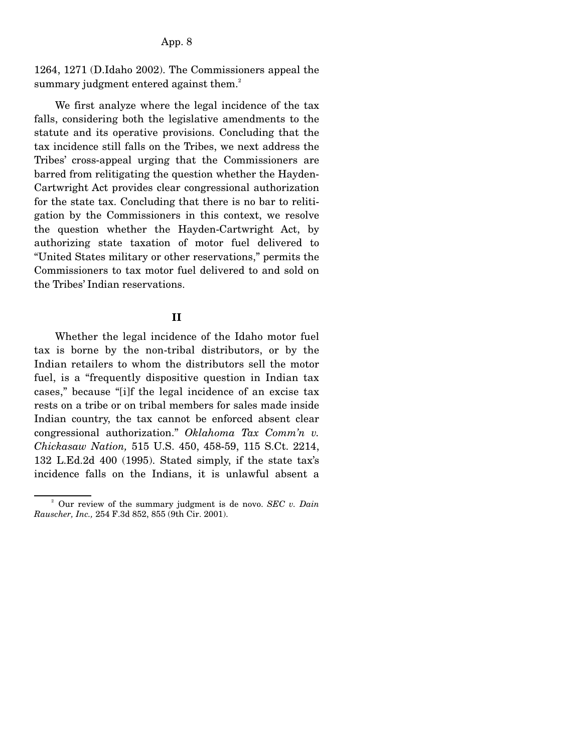### App. 8

1264, 1271 (D.Idaho 2002). The Commissioners appeal the summary judgment entered against them.<sup>2</sup>

 We first analyze where the legal incidence of the tax falls, considering both the legislative amendments to the statute and its operative provisions. Concluding that the tax incidence still falls on the Tribes, we next address the Tribes' cross-appeal urging that the Commissioners are barred from relitigating the question whether the Hayden-Cartwright Act provides clear congressional authorization for the state tax. Concluding that there is no bar to relitigation by the Commissioners in this context, we resolve the question whether the Hayden-Cartwright Act, by authorizing state taxation of motor fuel delivered to "United States military or other reservations," permits the Commissioners to tax motor fuel delivered to and sold on the Tribes' Indian reservations.

### **II**

Whether the legal incidence of the Idaho motor fuel tax is borne by the non-tribal distributors, or by the Indian retailers to whom the distributors sell the motor fuel, is a "frequently dispositive question in Indian tax cases," because "[i]f the legal incidence of an excise tax rests on a tribe or on tribal members for sales made inside Indian country, the tax cannot be enforced absent clear congressional authorization." *Oklahoma Tax Comm'n v. Chickasaw Nation,* 515 U.S. 450, 458-59, 115 S.Ct. 2214, 132 L.Ed.2d 400 (1995). Stated simply, if the state tax's incidence falls on the Indians, it is unlawful absent a

<sup>2</sup> Our review of the summary judgment is de novo. *SEC v. Dain Rauscher, Inc.,* 254 F.3d 852, 855 (9th Cir. 2001).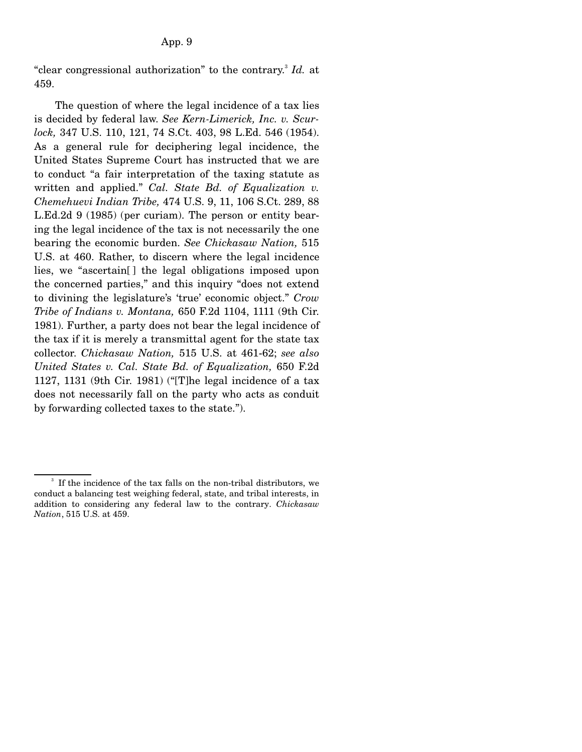"clear congressional authorization" to the contrary.<sup>3</sup> Id. at 459.

 The question of where the legal incidence of a tax lies is decided by federal law. *See Kern-Limerick, Inc. v. Scurlock,* 347 U.S. 110, 121, 74 S.Ct. 403, 98 L.Ed. 546 (1954). As a general rule for deciphering legal incidence, the United States Supreme Court has instructed that we are to conduct "a fair interpretation of the taxing statute as written and applied." *Cal. State Bd. of Equalization v. Chemehuevi Indian Tribe,* 474 U.S. 9, 11, 106 S.Ct. 289, 88 L.Ed.2d 9 (1985) (per curiam). The person or entity bearing the legal incidence of the tax is not necessarily the one bearing the economic burden. *See Chickasaw Nation,* 515 U.S. at 460. Rather, to discern where the legal incidence lies, we "ascertain[ ] the legal obligations imposed upon the concerned parties," and this inquiry "does not extend to divining the legislature's 'true' economic object." *Crow Tribe of Indians v. Montana,* 650 F.2d 1104, 1111 (9th Cir. 1981). Further, a party does not bear the legal incidence of the tax if it is merely a transmittal agent for the state tax collector. *Chickasaw Nation,* 515 U.S. at 461-62; *see also United States v. Cal. State Bd. of Equalization,* 650 F.2d 1127, 1131 (9th Cir. 1981) ("[T]he legal incidence of a tax does not necessarily fall on the party who acts as conduit by forwarding collected taxes to the state.").

<sup>3</sup> If the incidence of the tax falls on the non-tribal distributors, we conduct a balancing test weighing federal, state, and tribal interests, in addition to considering any federal law to the contrary. *Chickasaw Nation*, 515 U.S. at 459.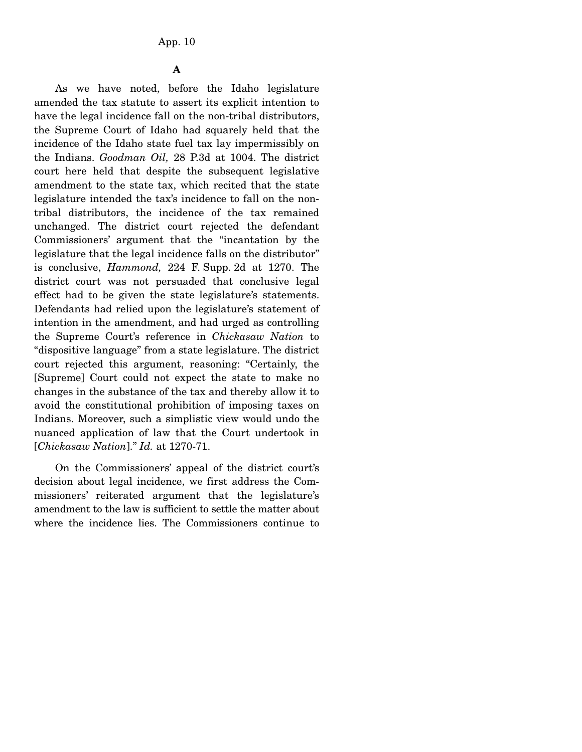**A** 

 As we have noted, before the Idaho legislature amended the tax statute to assert its explicit intention to have the legal incidence fall on the non-tribal distributors, the Supreme Court of Idaho had squarely held that the incidence of the Idaho state fuel tax lay impermissibly on the Indians. *Goodman Oil,* 28 P.3d at 1004. The district court here held that despite the subsequent legislative amendment to the state tax, which recited that the state legislature intended the tax's incidence to fall on the nontribal distributors, the incidence of the tax remained unchanged. The district court rejected the defendant Commissioners' argument that the "incantation by the legislature that the legal incidence falls on the distributor" is conclusive, *Hammond,* 224 F. Supp. 2d at 1270. The district court was not persuaded that conclusive legal effect had to be given the state legislature's statements. Defendants had relied upon the legislature's statement of intention in the amendment, and had urged as controlling the Supreme Court's reference in *Chickasaw Nation* to "dispositive language" from a state legislature. The district court rejected this argument, reasoning: "Certainly, the [Supreme] Court could not expect the state to make no changes in the substance of the tax and thereby allow it to avoid the constitutional prohibition of imposing taxes on Indians. Moreover, such a simplistic view would undo the nuanced application of law that the Court undertook in [*Chickasaw Nation*]." *Id.* at 1270-71.

 On the Commissioners' appeal of the district court's decision about legal incidence, we first address the Commissioners' reiterated argument that the legislature's amendment to the law is sufficient to settle the matter about where the incidence lies. The Commissioners continue to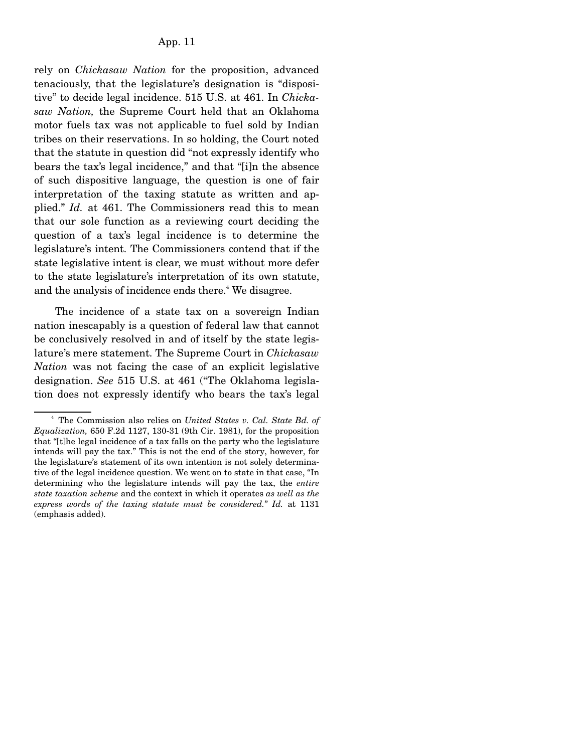rely on *Chickasaw Nation* for the proposition, advanced tenaciously, that the legislature's designation is "dispositive" to decide legal incidence. 515 U.S. at 461. In *Chickasaw Nation,* the Supreme Court held that an Oklahoma motor fuels tax was not applicable to fuel sold by Indian tribes on their reservations. In so holding, the Court noted that the statute in question did "not expressly identify who bears the tax's legal incidence," and that "[i]n the absence of such dispositive language, the question is one of fair interpretation of the taxing statute as written and applied." *Id.* at 461. The Commissioners read this to mean that our sole function as a reviewing court deciding the question of a tax's legal incidence is to determine the legislature's intent. The Commissioners contend that if the state legislative intent is clear, we must without more defer to the state legislature's interpretation of its own statute, and the analysis of incidence ends there.<sup>4</sup> We disagree.

 The incidence of a state tax on a sovereign Indian nation inescapably is a question of federal law that cannot be conclusively resolved in and of itself by the state legislature's mere statement. The Supreme Court in *Chickasaw Nation* was not facing the case of an explicit legislative designation. *See* 515 U.S. at 461 ("The Oklahoma legislation does not expressly identify who bears the tax's legal

<sup>4</sup> The Commission also relies on *United States v. Cal. State Bd. of Equalization,* 650 F.2d 1127, 130-31 (9th Cir. 1981), for the proposition that "[t]he legal incidence of a tax falls on the party who the legislature intends will pay the tax." This is not the end of the story, however, for the legislature's statement of its own intention is not solely determinative of the legal incidence question. We went on to state in that case, "In determining who the legislature intends will pay the tax, the *entire state taxation scheme* and the context in which it operates *as well as the express words of the taxing statute must be considered.*" *Id.* at 1131 (emphasis added).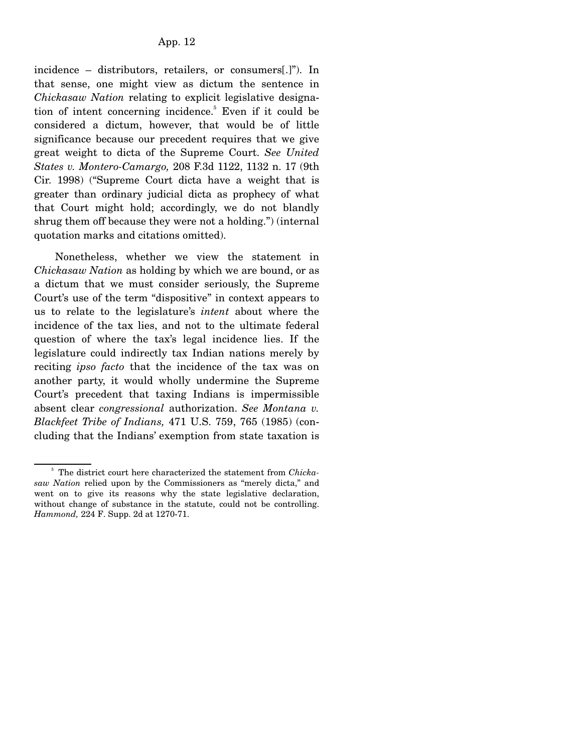incidence – distributors, retailers, or consumers[.]"). In that sense, one might view as dictum the sentence in *Chickasaw Nation* relating to explicit legislative designation of intent concerning incidence.<sup>5</sup> Even if it could be considered a dictum, however, that would be of little significance because our precedent requires that we give great weight to dicta of the Supreme Court. *See United States v. Montero-Camargo,* 208 F.3d 1122, 1132 n. 17 (9th Cir. 1998) ("Supreme Court dicta have a weight that is greater than ordinary judicial dicta as prophecy of what that Court might hold; accordingly, we do not blandly shrug them off because they were not a holding.") (internal quotation marks and citations omitted).

 Nonetheless, whether we view the statement in *Chickasaw Nation* as holding by which we are bound, or as a dictum that we must consider seriously, the Supreme Court's use of the term "dispositive" in context appears to us to relate to the legislature's *intent* about where the incidence of the tax lies, and not to the ultimate federal question of where the tax's legal incidence lies. If the legislature could indirectly tax Indian nations merely by reciting *ipso facto* that the incidence of the tax was on another party, it would wholly undermine the Supreme Court's precedent that taxing Indians is impermissible absent clear *congressional* authorization. *See Montana v. Blackfeet Tribe of Indians,* 471 U.S. 759, 765 (1985) (concluding that the Indians' exemption from state taxation is

<sup>&</sup>lt;sup>5</sup> The district court here characterized the statement from *Chickasaw Nation* relied upon by the Commissioners as "merely dicta," and went on to give its reasons why the state legislative declaration, without change of substance in the statute, could not be controlling. *Hammond,* 224 F. Supp. 2d at 1270-71.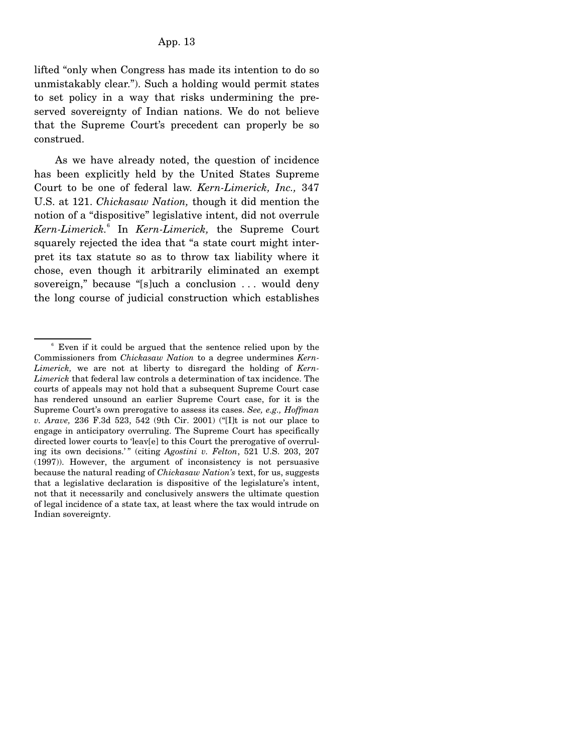lifted "only when Congress has made its intention to do so unmistakably clear."). Such a holding would permit states to set policy in a way that risks undermining the preserved sovereignty of Indian nations. We do not believe that the Supreme Court's precedent can properly be so construed.

 As we have already noted, the question of incidence has been explicitly held by the United States Supreme Court to be one of federal law. *Kern-Limerick, Inc.,* 347 U.S. at 121. *Chickasaw Nation,* though it did mention the notion of a "dispositive" legislative intent, did not overrule *Kern-Limerick.*<sup>6</sup> In *Kern-Limerick,* the Supreme Court squarely rejected the idea that "a state court might interpret its tax statute so as to throw tax liability where it chose, even though it arbitrarily eliminated an exempt sovereign," because "[s]uch a conclusion . . . would deny the long course of judicial construction which establishes

<sup>6</sup> Even if it could be argued that the sentence relied upon by the Commissioners from *Chickasaw Nation* to a degree undermines *Kern-Limerick,* we are not at liberty to disregard the holding of *Kern-Limerick* that federal law controls a determination of tax incidence. The courts of appeals may not hold that a subsequent Supreme Court case has rendered unsound an earlier Supreme Court case, for it is the Supreme Court's own prerogative to assess its cases. *See, e.g., Hoffman v. Arave,* 236 F.3d 523, 542 (9th Cir. 2001) ("[I]t is not our place to engage in anticipatory overruling. The Supreme Court has specifically directed lower courts to 'leav[e] to this Court the prerogative of overruling its own decisions.'" (citing Agostini v. Felton, 521 U.S. 203, 207 (1997)). However, the argument of inconsistency is not persuasive because the natural reading of *Chickasaw Nation's* text, for us, suggests that a legislative declaration is dispositive of the legislature's intent, not that it necessarily and conclusively answers the ultimate question of legal incidence of a state tax, at least where the tax would intrude on Indian sovereignty.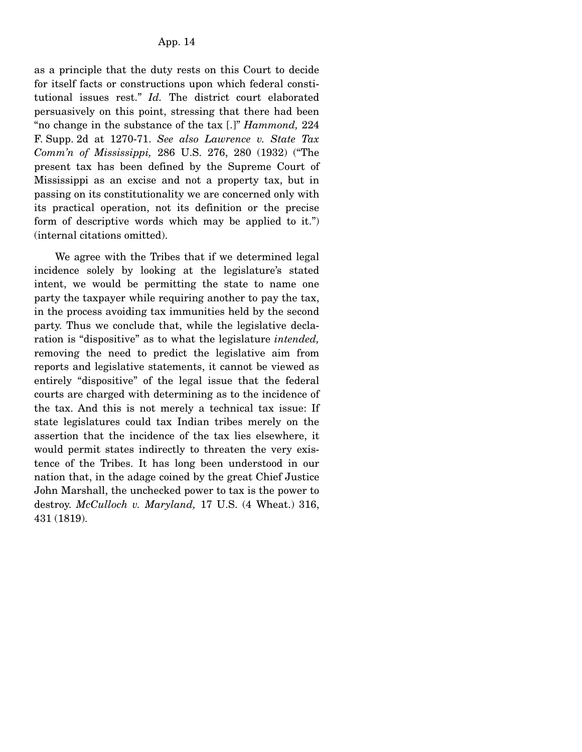as a principle that the duty rests on this Court to decide for itself facts or constructions upon which federal constitutional issues rest." *Id.* The district court elaborated persuasively on this point, stressing that there had been "no change in the substance of the tax [.]" *Hammond,* 224 F. Supp. 2d at 1270-71. *See also Lawrence v. State Tax Comm'n of Mississippi,* 286 U.S. 276, 280 (1932) ("The present tax has been defined by the Supreme Court of Mississippi as an excise and not a property tax, but in passing on its constitutionality we are concerned only with its practical operation, not its definition or the precise form of descriptive words which may be applied to it.") (internal citations omitted).

 We agree with the Tribes that if we determined legal incidence solely by looking at the legislature's stated intent, we would be permitting the state to name one party the taxpayer while requiring another to pay the tax, in the process avoiding tax immunities held by the second party. Thus we conclude that, while the legislative declaration is "dispositive" as to what the legislature *intended,* removing the need to predict the legislative aim from reports and legislative statements, it cannot be viewed as entirely "dispositive" of the legal issue that the federal courts are charged with determining as to the incidence of the tax. And this is not merely a technical tax issue: If state legislatures could tax Indian tribes merely on the assertion that the incidence of the tax lies elsewhere, it would permit states indirectly to threaten the very existence of the Tribes. It has long been understood in our nation that, in the adage coined by the great Chief Justice John Marshall, the unchecked power to tax is the power to destroy. *McCulloch v. Maryland,* 17 U.S. (4 Wheat.) 316, 431 (1819).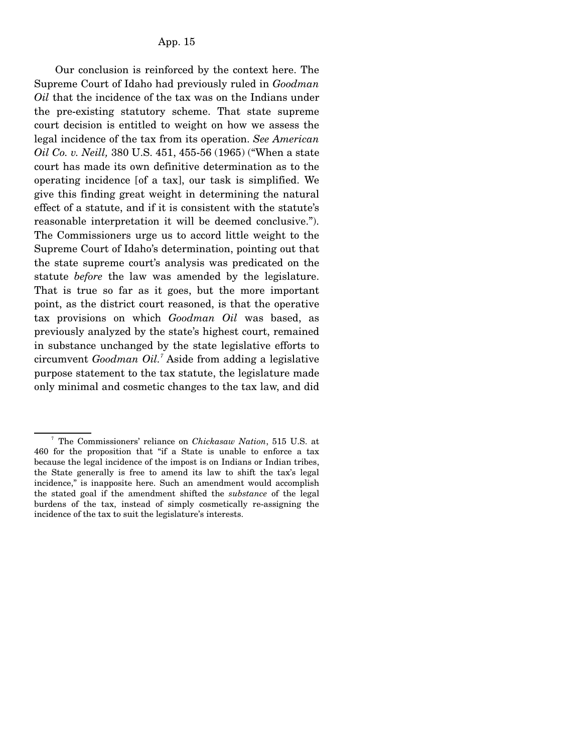Our conclusion is reinforced by the context here. The Supreme Court of Idaho had previously ruled in *Goodman Oil* that the incidence of the tax was on the Indians under the pre-existing statutory scheme. That state supreme court decision is entitled to weight on how we assess the legal incidence of the tax from its operation. *See American Oil Co. v. Neill,* 380 U.S. 451, 455-56 (1965) ("When a state court has made its own definitive determination as to the operating incidence [of a tax], our task is simplified. We give this finding great weight in determining the natural effect of a statute, and if it is consistent with the statute's reasonable interpretation it will be deemed conclusive."). The Commissioners urge us to accord little weight to the Supreme Court of Idaho's determination, pointing out that the state supreme court's analysis was predicated on the statute *before* the law was amended by the legislature. That is true so far as it goes, but the more important point, as the district court reasoned, is that the operative tax provisions on which *Goodman Oil* was based, as previously analyzed by the state's highest court, remained in substance unchanged by the state legislative efforts to circumvent *Goodman Oil.<sup>7</sup>* Aside from adding a legislative purpose statement to the tax statute, the legislature made only minimal and cosmetic changes to the tax law, and did

<sup>7</sup> The Commissioners' reliance on *Chickasaw Nation*, 515 U.S. at 460 for the proposition that "if a State is unable to enforce a tax because the legal incidence of the impost is on Indians or Indian tribes, the State generally is free to amend its law to shift the tax's legal incidence," is inapposite here. Such an amendment would accomplish the stated goal if the amendment shifted the *substance* of the legal burdens of the tax, instead of simply cosmetically re-assigning the incidence of the tax to suit the legislature's interests.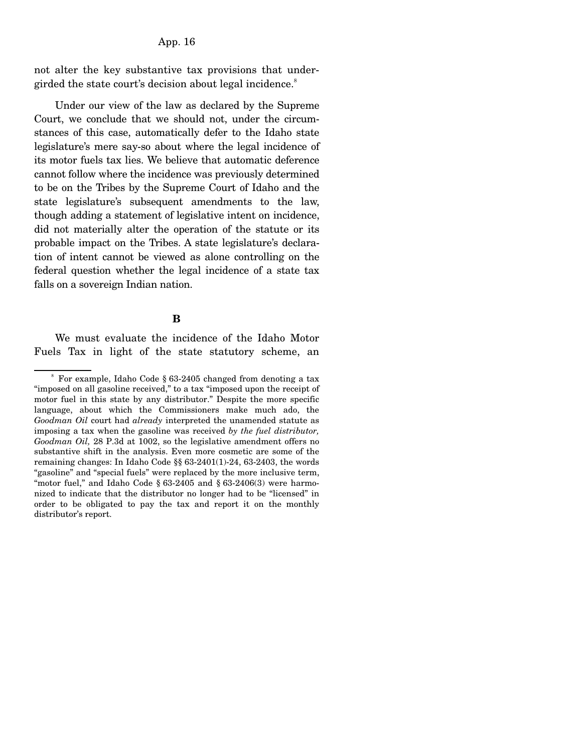App. 16

not alter the key substantive tax provisions that undergirded the state court's decision about legal incidence.<sup>8</sup>

 Under our view of the law as declared by the Supreme Court, we conclude that we should not, under the circumstances of this case, automatically defer to the Idaho state legislature's mere say-so about where the legal incidence of its motor fuels tax lies. We believe that automatic deference cannot follow where the incidence was previously determined to be on the Tribes by the Supreme Court of Idaho and the state legislature's subsequent amendments to the law, though adding a statement of legislative intent on incidence, did not materially alter the operation of the statute or its probable impact on the Tribes. A state legislature's declaration of intent cannot be viewed as alone controlling on the federal question whether the legal incidence of a state tax falls on a sovereign Indian nation.

### **B**

 We must evaluate the incidence of the Idaho Motor Fuels Tax in light of the state statutory scheme, an

<sup>8</sup> For example, Idaho Code § 63-2405 changed from denoting a tax "imposed on all gasoline received," to a tax "imposed upon the receipt of motor fuel in this state by any distributor." Despite the more specific language, about which the Commissioners make much ado, the *Goodman Oil* court had *already* interpreted the unamended statute as imposing a tax when the gasoline was received *by the fuel distributor, Goodman Oil,* 28 P.3d at 1002, so the legislative amendment offers no substantive shift in the analysis. Even more cosmetic are some of the remaining changes: In Idaho Code §§ 63-2401(1)-24, 63-2403, the words "gasoline" and "special fuels" were replaced by the more inclusive term, "motor fuel," and Idaho Code § 63-2405 and § 63-2406(3) were harmonized to indicate that the distributor no longer had to be "licensed" in order to be obligated to pay the tax and report it on the monthly distributor's report.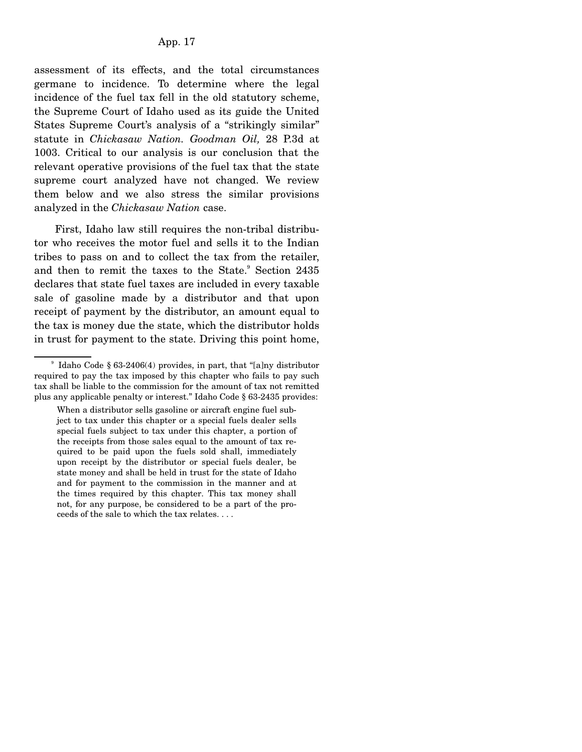assessment of its effects, and the total circumstances germane to incidence. To determine where the legal incidence of the fuel tax fell in the old statutory scheme, the Supreme Court of Idaho used as its guide the United States Supreme Court's analysis of a "strikingly similar" statute in *Chickasaw Nation. Goodman Oil,* 28 P.3d at 1003. Critical to our analysis is our conclusion that the relevant operative provisions of the fuel tax that the state supreme court analyzed have not changed. We review them below and we also stress the similar provisions analyzed in the *Chickasaw Nation* case.

 First, Idaho law still requires the non-tribal distributor who receives the motor fuel and sells it to the Indian tribes to pass on and to collect the tax from the retailer, and then to remit the taxes to the State.<sup>9</sup> Section 2435 declares that state fuel taxes are included in every taxable sale of gasoline made by a distributor and that upon receipt of payment by the distributor, an amount equal to the tax is money due the state, which the distributor holds in trust for payment to the state. Driving this point home,

<sup>9</sup> Idaho Code § 63-2406(4) provides, in part, that "[a]ny distributor required to pay the tax imposed by this chapter who fails to pay such tax shall be liable to the commission for the amount of tax not remitted plus any applicable penalty or interest." Idaho Code § 63-2435 provides:

When a distributor sells gasoline or aircraft engine fuel subject to tax under this chapter or a special fuels dealer sells special fuels subject to tax under this chapter, a portion of the receipts from those sales equal to the amount of tax required to be paid upon the fuels sold shall, immediately upon receipt by the distributor or special fuels dealer, be state money and shall be held in trust for the state of Idaho and for payment to the commission in the manner and at the times required by this chapter. This tax money shall not, for any purpose, be considered to be a part of the proceeds of the sale to which the tax relates. . . .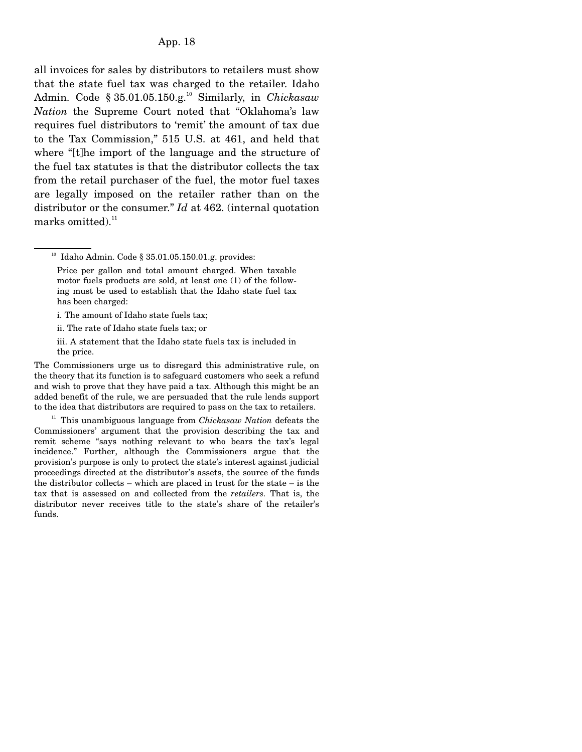all invoices for sales by distributors to retailers must show that the state fuel tax was charged to the retailer. Idaho Admin. Code § 35.01.05.150.g.10 Similarly, in *Chickasaw Nation* the Supreme Court noted that "Oklahoma's law requires fuel distributors to 'remit' the amount of tax due to the Tax Commission," 515 U.S. at 461, and held that where "[t]he import of the language and the structure of the fuel tax statutes is that the distributor collects the tax from the retail purchaser of the fuel, the motor fuel taxes are legally imposed on the retailer rather than on the distributor or the consumer." *Id* at 462. (internal quotation marks omitted). $^{11}$ 

<sup>10</sup> Idaho Admin. Code § 35.01.05.150.01.g. provides:

i. The amount of Idaho state fuels tax;

ii. The rate of Idaho state fuels tax; or

iii. A statement that the Idaho state fuels tax is included in the price.

The Commissioners urge us to disregard this administrative rule, on the theory that its function is to safeguard customers who seek a refund and wish to prove that they have paid a tax. Although this might be an added benefit of the rule, we are persuaded that the rule lends support to the idea that distributors are required to pass on the tax to retailers.

 11 This unambiguous language from *Chickasaw Nation* defeats the Commissioners' argument that the provision describing the tax and remit scheme "says nothing relevant to who bears the tax's legal incidence." Further, although the Commissioners argue that the provision's purpose is only to protect the state's interest against judicial proceedings directed at the distributor's assets, the source of the funds the distributor collects – which are placed in trust for the state – is the tax that is assessed on and collected from the *retailers.* That is, the distributor never receives title to the state's share of the retailer's funds.

Price per gallon and total amount charged. When taxable motor fuels products are sold, at least one (1) of the following must be used to establish that the Idaho state fuel tax has been charged: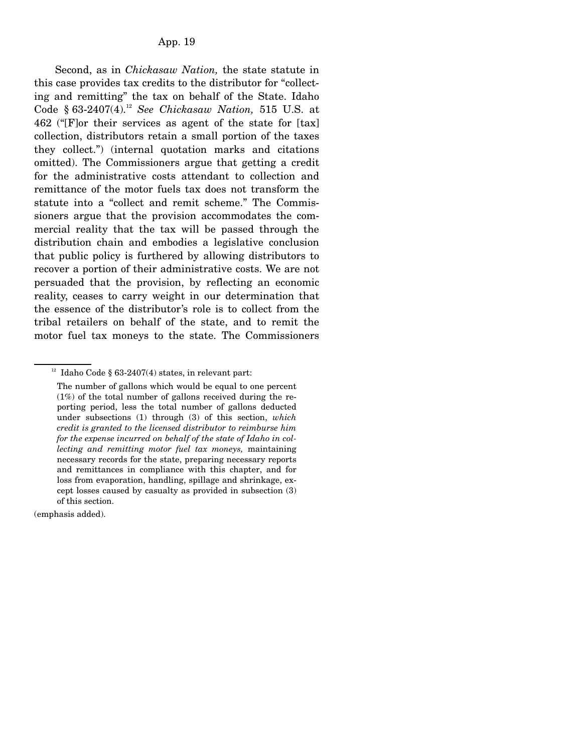Second, as in *Chickasaw Nation,* the state statute in this case provides tax credits to the distributor for "collecting and remitting" the tax on behalf of the State. Idaho Code § 63-2407(4).12 *See Chickasaw Nation,* 515 U.S. at 462 ("[F]or their services as agent of the state for [tax] collection, distributors retain a small portion of the taxes they collect.") (internal quotation marks and citations omitted). The Commissioners argue that getting a credit for the administrative costs attendant to collection and remittance of the motor fuels tax does not transform the statute into a "collect and remit scheme." The Commissioners argue that the provision accommodates the commercial reality that the tax will be passed through the distribution chain and embodies a legislative conclusion that public policy is furthered by allowing distributors to recover a portion of their administrative costs. We are not persuaded that the provision, by reflecting an economic reality, ceases to carry weight in our determination that the essence of the distributor's role is to collect from the tribal retailers on behalf of the state, and to remit the motor fuel tax moneys to the state. The Commissioners

(emphasis added).

 $12$  Idaho Code § 63-2407(4) states, in relevant part:

The number of gallons which would be equal to one percent (1%) of the total number of gallons received during the reporting period, less the total number of gallons deducted under subsections (1) through (3) of this section, *which credit is granted to the licensed distributor to reimburse him for the expense incurred on behalf of the state of Idaho in collecting and remitting motor fuel tax moneys,* maintaining necessary records for the state, preparing necessary reports and remittances in compliance with this chapter, and for loss from evaporation, handling, spillage and shrinkage, except losses caused by casualty as provided in subsection (3) of this section.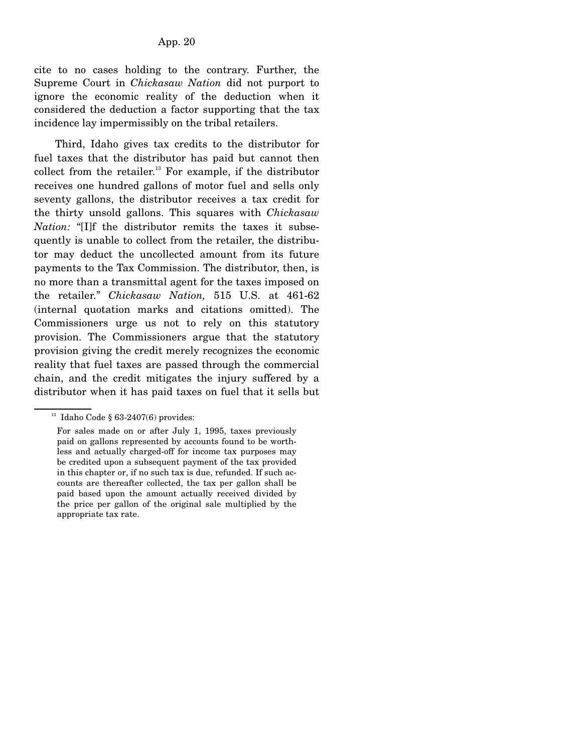cite to no cases holding to the contrary. Further, the Supreme Court in *Chickasaw Nation* did not purport to ignore the economic reality of the deduction when it considered the deduction a factor supporting that the tax incidence lay impermissibly on the tribal retailers.

 Third, Idaho gives tax credits to the distributor for fuel taxes that the distributor has paid but cannot then collect from the retailer.<sup>13</sup> For example, if the distributor receives one hundred gallons of motor fuel and sells only seventy gallons, the distributor receives a tax credit for the thirty unsold gallons. This squares with *Chickasaw Nation:* "[I]f the distributor remits the taxes it subsequently is unable to collect from the retailer, the distributor may deduct the uncollected amount from its future payments to the Tax Commission. The distributor, then, is no more than a transmittal agent for the taxes imposed on the retailer." *Chickasaw Nation,* 515 U.S. at 461-62 (internal quotation marks and citations omitted). The Commissioners urge us not to rely on this statutory provision. The Commissioners argue that the statutory provision giving the credit merely recognizes the economic reality that fuel taxes are passed through the commercial chain, and the credit mitigates the injury suffered by a distributor when it has paid taxes on fuel that it sells but

 $13$  Idaho Code § 63-2407(6) provides:

For sales made on or after July 1, 1995, taxes previously paid on gallons represented by accounts found to be worthless and actually charged-off for income tax purposes may be credited upon a subsequent payment of the tax provided in this chapter or, if no such tax is due, refunded. If such accounts are thereafter collected, the tax per gallon shall be paid based upon the amount actually received divided by the price per gallon of the original sale multiplied by the appropriate tax rate.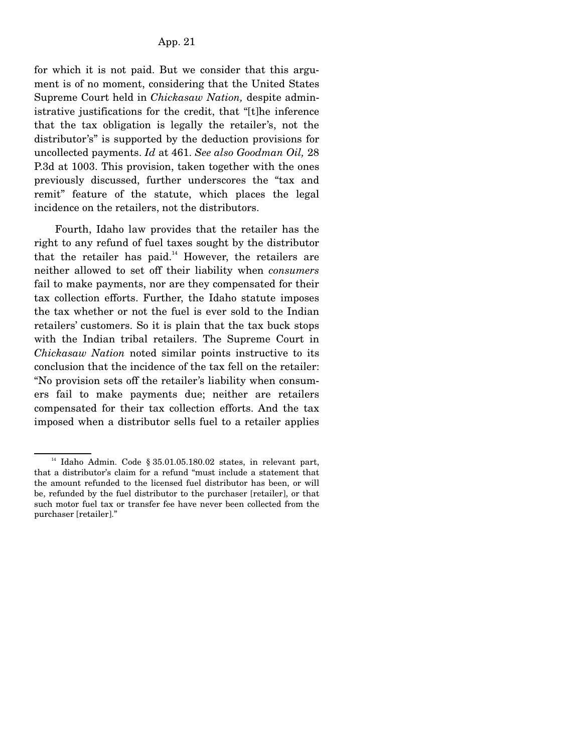for which it is not paid. But we consider that this argument is of no moment, considering that the United States Supreme Court held in *Chickasaw Nation,* despite administrative justifications for the credit, that "[t]he inference that the tax obligation is legally the retailer's, not the distributor's" is supported by the deduction provisions for uncollected payments. *Id* at 461. *See also Goodman Oil,* 28 P.3d at 1003. This provision, taken together with the ones previously discussed, further underscores the "tax and remit" feature of the statute, which places the legal incidence on the retailers, not the distributors.

 Fourth, Idaho law provides that the retailer has the right to any refund of fuel taxes sought by the distributor that the retailer has paid.<sup>14</sup> However, the retailers are neither allowed to set off their liability when *consumers* fail to make payments, nor are they compensated for their tax collection efforts. Further, the Idaho statute imposes the tax whether or not the fuel is ever sold to the Indian retailers' customers. So it is plain that the tax buck stops with the Indian tribal retailers. The Supreme Court in *Chickasaw Nation* noted similar points instructive to its conclusion that the incidence of the tax fell on the retailer: "No provision sets off the retailer's liability when consumers fail to make payments due; neither are retailers compensated for their tax collection efforts. And the tax imposed when a distributor sells fuel to a retailer applies

<sup>&</sup>lt;sup>14</sup> Idaho Admin. Code § 35.01.05.180.02 states, in relevant part, that a distributor's claim for a refund "must include a statement that the amount refunded to the licensed fuel distributor has been, or will be, refunded by the fuel distributor to the purchaser [retailer], or that such motor fuel tax or transfer fee have never been collected from the purchaser [retailer]."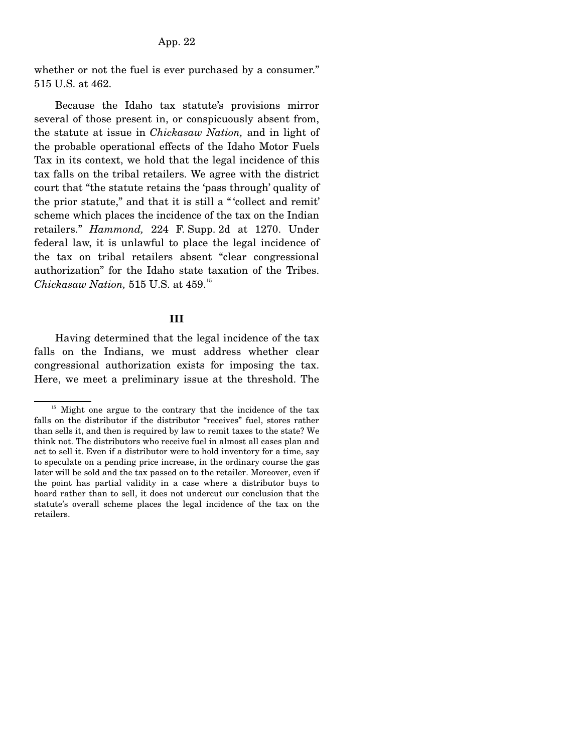App. 22

whether or not the fuel is ever purchased by a consumer." 515 U.S. at 462.

 Because the Idaho tax statute's provisions mirror several of those present in, or conspicuously absent from, the statute at issue in *Chickasaw Nation,* and in light of the probable operational effects of the Idaho Motor Fuels Tax in its context, we hold that the legal incidence of this tax falls on the tribal retailers. We agree with the district court that "the statute retains the 'pass through' quality of the prior statute," and that it is still a " 'collect and remit' scheme which places the incidence of the tax on the Indian retailers." *Hammond,* 224 F. Supp. 2d at 1270. Under federal law, it is unlawful to place the legal incidence of the tax on tribal retailers absent "clear congressional authorization" for the Idaho state taxation of the Tribes. *Chickasaw Nation,* 515 U.S. at 459.15

#### **III**

 Having determined that the legal incidence of the tax falls on the Indians, we must address whether clear congressional authorization exists for imposing the tax. Here, we meet a preliminary issue at the threshold. The

<sup>&</sup>lt;sup>15</sup> Might one argue to the contrary that the incidence of the tax falls on the distributor if the distributor "receives" fuel, stores rather than sells it, and then is required by law to remit taxes to the state? We think not. The distributors who receive fuel in almost all cases plan and act to sell it. Even if a distributor were to hold inventory for a time, say to speculate on a pending price increase, in the ordinary course the gas later will be sold and the tax passed on to the retailer. Moreover, even if the point has partial validity in a case where a distributor buys to hoard rather than to sell, it does not undercut our conclusion that the statute's overall scheme places the legal incidence of the tax on the retailers.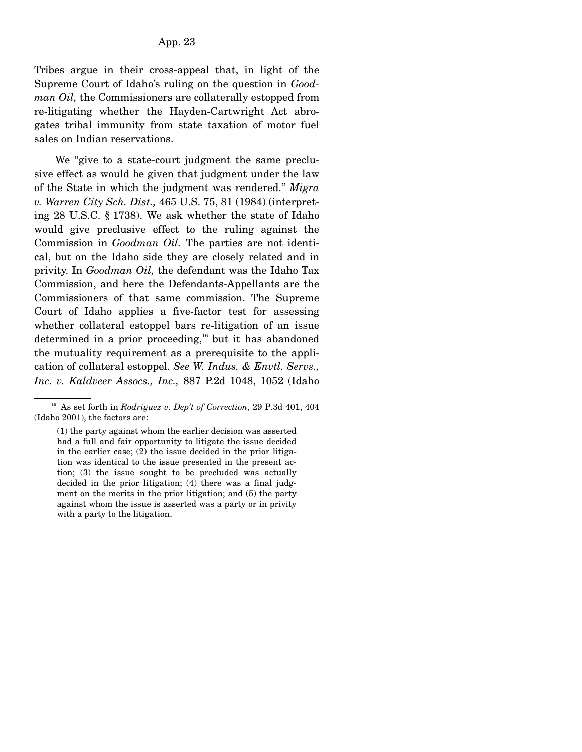Tribes argue in their cross-appeal that, in light of the Supreme Court of Idaho's ruling on the question in *Goodman Oil,* the Commissioners are collaterally estopped from re-litigating whether the Hayden-Cartwright Act abrogates tribal immunity from state taxation of motor fuel sales on Indian reservations.

 We "give to a state-court judgment the same preclusive effect as would be given that judgment under the law of the State in which the judgment was rendered." *Migra v. Warren City Sch. Dist.,* 465 U.S. 75, 81 (1984) (interpreting 28 U.S.C. § 1738). We ask whether the state of Idaho would give preclusive effect to the ruling against the Commission in *Goodman Oil.* The parties are not identical, but on the Idaho side they are closely related and in privity. In *Goodman Oil,* the defendant was the Idaho Tax Commission, and here the Defendants-Appellants are the Commissioners of that same commission. The Supreme Court of Idaho applies a five-factor test for assessing whether collateral estoppel bars re-litigation of an issue determined in a prior proceeding,<sup>16</sup> but it has abandoned the mutuality requirement as a prerequisite to the application of collateral estoppel. *See W. Indus. & Envtl. Servs., Inc. v. Kaldveer Assocs., Inc.,* 887 P.2d 1048, 1052 (Idaho

16 As set forth in *Rodriguez v. Dep't of Correction*, 29 P.3d 401, 404 (Idaho 2001), the factors are:

<sup>(1)</sup> the party against whom the earlier decision was asserted had a full and fair opportunity to litigate the issue decided in the earlier case; (2) the issue decided in the prior litigation was identical to the issue presented in the present action; (3) the issue sought to be precluded was actually decided in the prior litigation; (4) there was a final judgment on the merits in the prior litigation; and (5) the party against whom the issue is asserted was a party or in privity with a party to the litigation.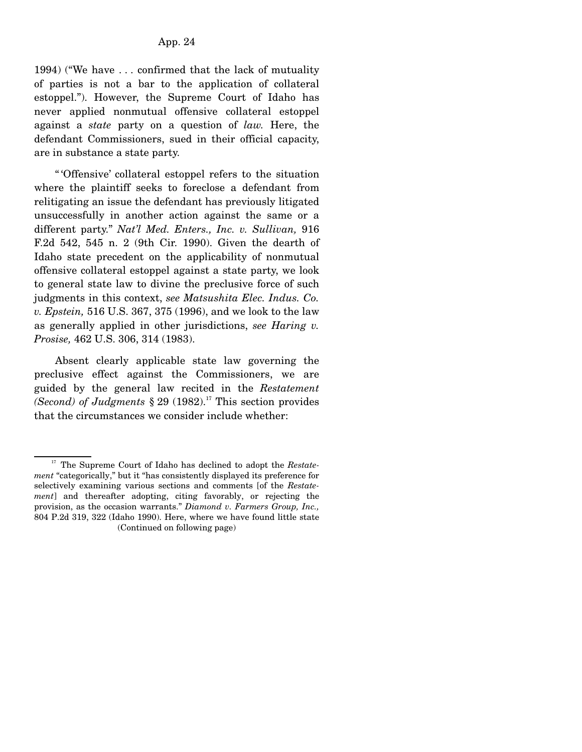1994) ("We have . . . confirmed that the lack of mutuality of parties is not a bar to the application of collateral estoppel."). However, the Supreme Court of Idaho has never applied nonmutual offensive collateral estoppel against a *state* party on a question of *law.* Here, the defendant Commissioners, sued in their official capacity, are in substance a state party.

 " 'Offensive' collateral estoppel refers to the situation where the plaintiff seeks to foreclose a defendant from relitigating an issue the defendant has previously litigated unsuccessfully in another action against the same or a different party." *Nat'l Med. Enters., Inc. v. Sullivan,* 916 F.2d 542, 545 n. 2 (9th Cir. 1990). Given the dearth of Idaho state precedent on the applicability of nonmutual offensive collateral estoppel against a state party, we look to general state law to divine the preclusive force of such judgments in this context, *see Matsushita Elec. Indus. Co. v. Epstein,* 516 U.S. 367, 375 (1996), and we look to the law as generally applied in other jurisdictions, *see Haring v. Prosise,* 462 U.S. 306, 314 (1983).

 Absent clearly applicable state law governing the preclusive effect against the Commissioners, we are guided by the general law recited in the *Restatement (Second) of Judgments*  $\S 29 (1982).$ <sup>17</sup> This section provides that the circumstances we consider include whether:

<sup>&</sup>lt;sup>17</sup> The Supreme Court of Idaho has declined to adopt the *Restatement* "categorically," but it "has consistently displayed its preference for selectively examining various sections and comments [of the *Restatement*] and thereafter adopting, citing favorably, or rejecting the provision, as the occasion warrants." *Diamond v. Farmers Group, Inc.,* 804 P.2d 319, 322 (Idaho 1990). Here, where we have found little state (Continued on following page)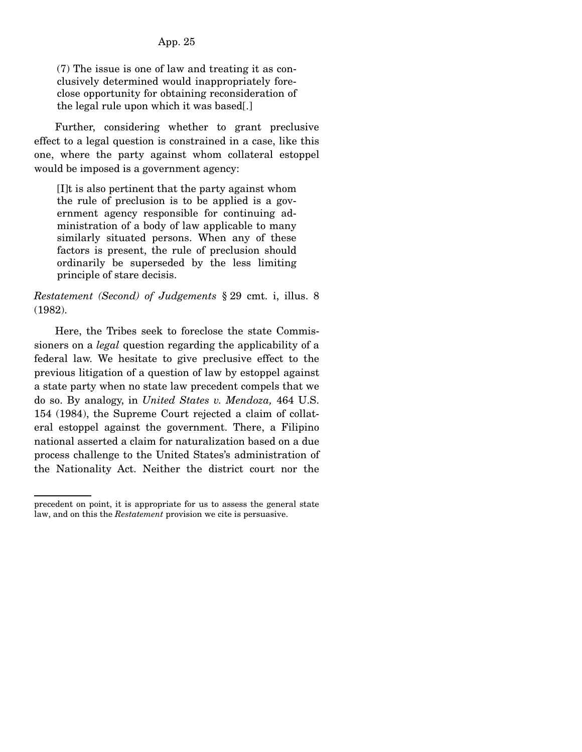(7) The issue is one of law and treating it as conclusively determined would inappropriately foreclose opportunity for obtaining reconsideration of the legal rule upon which it was based[.]

 Further, considering whether to grant preclusive effect to a legal question is constrained in a case, like this one, where the party against whom collateral estoppel would be imposed is a government agency:

[I]t is also pertinent that the party against whom the rule of preclusion is to be applied is a government agency responsible for continuing administration of a body of law applicable to many similarly situated persons. When any of these factors is present, the rule of preclusion should ordinarily be superseded by the less limiting principle of stare decisis.

*Restatement (Second) of Judgements* § 29 cmt. i, illus. 8 (1982).

 Here, the Tribes seek to foreclose the state Commissioners on a *legal* question regarding the applicability of a federal law. We hesitate to give preclusive effect to the previous litigation of a question of law by estoppel against a state party when no state law precedent compels that we do so. By analogy, in *United States v. Mendoza,* 464 U.S. 154 (1984), the Supreme Court rejected a claim of collateral estoppel against the government. There, a Filipino national asserted a claim for naturalization based on a due process challenge to the United States's administration of the Nationality Act. Neither the district court nor the

precedent on point, it is appropriate for us to assess the general state law, and on this the *Restatement* provision we cite is persuasive.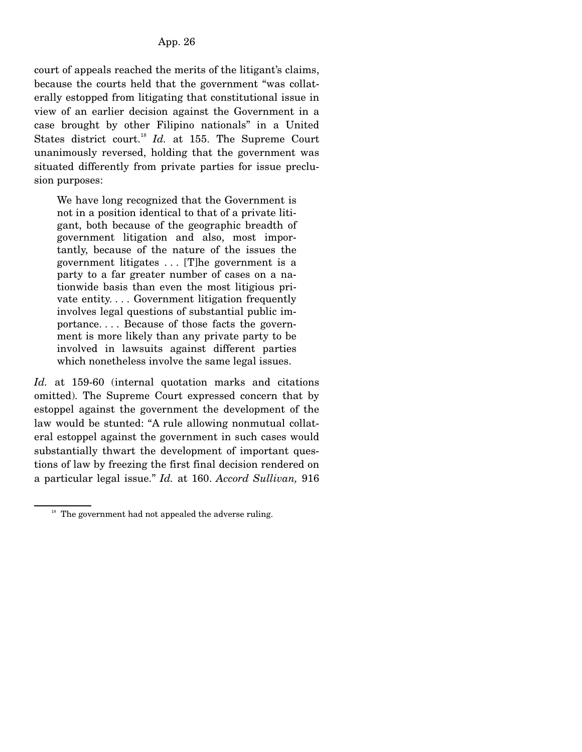court of appeals reached the merits of the litigant's claims, because the courts held that the government "was collaterally estopped from litigating that constitutional issue in view of an earlier decision against the Government in a case brought by other Filipino nationals" in a United States district court.<sup>18</sup> *Id.* at 155. The Supreme Court unanimously reversed, holding that the government was situated differently from private parties for issue preclusion purposes:

We have long recognized that the Government is not in a position identical to that of a private litigant, both because of the geographic breadth of government litigation and also, most importantly, because of the nature of the issues the government litigates . . . [T]he government is a party to a far greater number of cases on a nationwide basis than even the most litigious private entity. . . . Government litigation frequently involves legal questions of substantial public importance. . . . Because of those facts the government is more likely than any private party to be involved in lawsuits against different parties which nonetheless involve the same legal issues.

*Id.* at 159-60 (internal quotation marks and citations omitted). The Supreme Court expressed concern that by estoppel against the government the development of the law would be stunted: "A rule allowing nonmutual collateral estoppel against the government in such cases would substantially thwart the development of important questions of law by freezing the first final decision rendered on a particular legal issue." *Id.* at 160. *Accord Sullivan,* 916

 $18$  The government had not appealed the adverse ruling.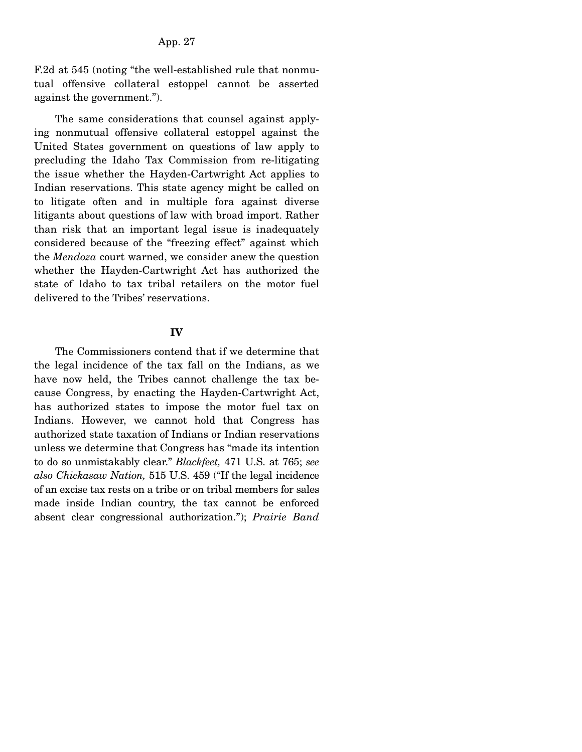F.2d at 545 (noting "the well-established rule that nonmutual offensive collateral estoppel cannot be asserted against the government.").

 The same considerations that counsel against applying nonmutual offensive collateral estoppel against the United States government on questions of law apply to precluding the Idaho Tax Commission from re-litigating the issue whether the Hayden-Cartwright Act applies to Indian reservations. This state agency might be called on to litigate often and in multiple fora against diverse litigants about questions of law with broad import. Rather than risk that an important legal issue is inadequately considered because of the "freezing effect" against which the *Mendoza* court warned, we consider anew the question whether the Hayden-Cartwright Act has authorized the state of Idaho to tax tribal retailers on the motor fuel delivered to the Tribes' reservations.

#### **IV**

 The Commissioners contend that if we determine that the legal incidence of the tax fall on the Indians, as we have now held, the Tribes cannot challenge the tax because Congress, by enacting the Hayden-Cartwright Act, has authorized states to impose the motor fuel tax on Indians. However, we cannot hold that Congress has authorized state taxation of Indians or Indian reservations unless we determine that Congress has "made its intention to do so unmistakably clear." *Blackfeet,* 471 U.S. at 765; *see also Chickasaw Nation,* 515 U.S. 459 ("If the legal incidence of an excise tax rests on a tribe or on tribal members for sales made inside Indian country, the tax cannot be enforced absent clear congressional authorization."); *Prairie Band*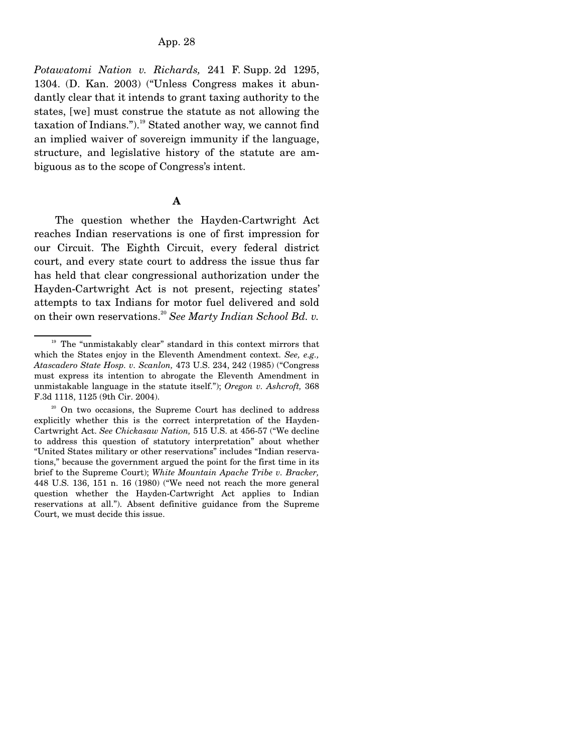App. 28

*Potawatomi Nation v. Richards,* 241 F. Supp. 2d 1295, 1304. (D. Kan. 2003) ("Unless Congress makes it abundantly clear that it intends to grant taxing authority to the states, [we] must construe the statute as not allowing the taxation of Indians.").<sup>19</sup> Stated another way, we cannot find an implied waiver of sovereign immunity if the language, structure, and legislative history of the statute are ambiguous as to the scope of Congress's intent.

### **A**

 The question whether the Hayden-Cartwright Act reaches Indian reservations is one of first impression for our Circuit. The Eighth Circuit, every federal district court, and every state court to address the issue thus far has held that clear congressional authorization under the Hayden-Cartwright Act is not present, rejecting states' attempts to tax Indians for motor fuel delivered and sold on their own reservations.<sup>20</sup> *See Marty Indian School Bd. v.* 

<sup>&</sup>lt;sup>19</sup> The "unmistakably clear" standard in this context mirrors that which the States enjoy in the Eleventh Amendment context. *See, e.g., Atascadero State Hosp. v. Scanlon,* 473 U.S. 234, 242 (1985) ("Congress must express its intention to abrogate the Eleventh Amendment in unmistakable language in the statute itself."); *Oregon v. Ashcroft,* 368 F.3d 1118, 1125 (9th Cir. 2004).

<sup>&</sup>lt;sup>20</sup> On two occasions, the Supreme Court has declined to address explicitly whether this is the correct interpretation of the Hayden-Cartwright Act. *See Chickasaw Nation,* 515 U.S. at 456-57 ("We decline to address this question of statutory interpretation" about whether "United States military or other reservations" includes "Indian reservations," because the government argued the point for the first time in its brief to the Supreme Court); *White Mountain Apache Tribe v. Bracker,* 448 U.S. 136, 151 n. 16 (1980) ("We need not reach the more general question whether the Hayden-Cartwright Act applies to Indian reservations at all."). Absent definitive guidance from the Supreme Court, we must decide this issue.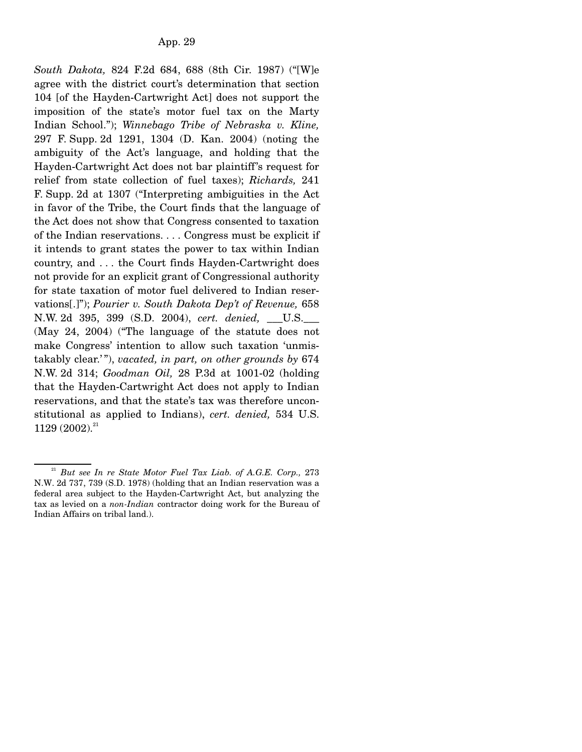*South Dakota,* 824 F.2d 684, 688 (8th Cir. 1987) ("[W]e agree with the district court's determination that section 104 [of the Hayden-Cartwright Act] does not support the imposition of the state's motor fuel tax on the Marty Indian School."); *Winnebago Tribe of Nebraska v. Kline,* 297 F. Supp. 2d 1291, 1304 (D. Kan. 2004) (noting the ambiguity of the Act's language, and holding that the Hayden-Cartwright Act does not bar plaintiff's request for relief from state collection of fuel taxes); *Richards,* 241 F. Supp. 2d at 1307 ("Interpreting ambiguities in the Act in favor of the Tribe, the Court finds that the language of the Act does not show that Congress consented to taxation of the Indian reservations. . . . Congress must be explicit if it intends to grant states the power to tax within Indian country, and . . . the Court finds Hayden-Cartwright does not provide for an explicit grant of Congressional authority for state taxation of motor fuel delivered to Indian reservations[.]"); *Pourier v. South Dakota Dep't of Revenue,* 658 N.W. 2d 395, 399 (S.D. 2004), *cert. denied,* \_\_\_U.S.\_\_\_ (May 24, 2004) ("The language of the statute does not make Congress' intention to allow such taxation 'unmistakably clear.' "), *vacated, in part, on other grounds by* 674 N.W. 2d 314; *Goodman Oil,* 28 P.3d at 1001-02 (holding that the Hayden-Cartwright Act does not apply to Indian reservations, and that the state's tax was therefore unconstitutional as applied to Indians), *cert. denied,* 534 U.S.  $1129(2002).$ <sup>21</sup>

<sup>21</sup> *But see In re State Motor Fuel Tax Liab. of A.G.E. Corp.,* 273 N.W. 2d 737, 739 (S.D. 1978) (holding that an Indian reservation was a federal area subject to the Hayden-Cartwright Act, but analyzing the tax as levied on a *non-Indian* contractor doing work for the Bureau of Indian Affairs on tribal land.).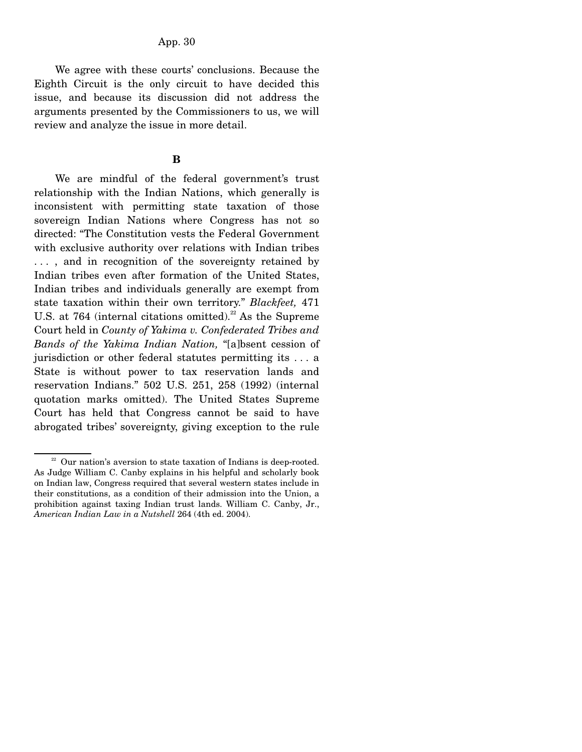We agree with these courts' conclusions. Because the Eighth Circuit is the only circuit to have decided this issue, and because its discussion did not address the arguments presented by the Commissioners to us, we will review and analyze the issue in more detail.

#### **B**

 We are mindful of the federal government's trust relationship with the Indian Nations, which generally is inconsistent with permitting state taxation of those sovereign Indian Nations where Congress has not so directed: "The Constitution vests the Federal Government with exclusive authority over relations with Indian tribes ..., and in recognition of the sovereignty retained by Indian tribes even after formation of the United States, Indian tribes and individuals generally are exempt from state taxation within their own territory." *Blackfeet,* 471 U.S. at 764 (internal citations omitted).<sup>22</sup> As the Supreme Court held in *County of Yakima v. Confederated Tribes and Bands of the Yakima Indian Nation,* "[a]bsent cession of jurisdiction or other federal statutes permitting its . . . a State is without power to tax reservation lands and reservation Indians." 502 U.S. 251, 258 (1992) (internal quotation marks omitted). The United States Supreme Court has held that Congress cannot be said to have abrogated tribes' sovereignty, giving exception to the rule

 $22$  Our nation's aversion to state taxation of Indians is deep-rooted. As Judge William C. Canby explains in his helpful and scholarly book on Indian law, Congress required that several western states include in their constitutions, as a condition of their admission into the Union, a prohibition against taxing Indian trust lands. William C. Canby, Jr., *American Indian Law in a Nutshell* 264 (4th ed. 2004).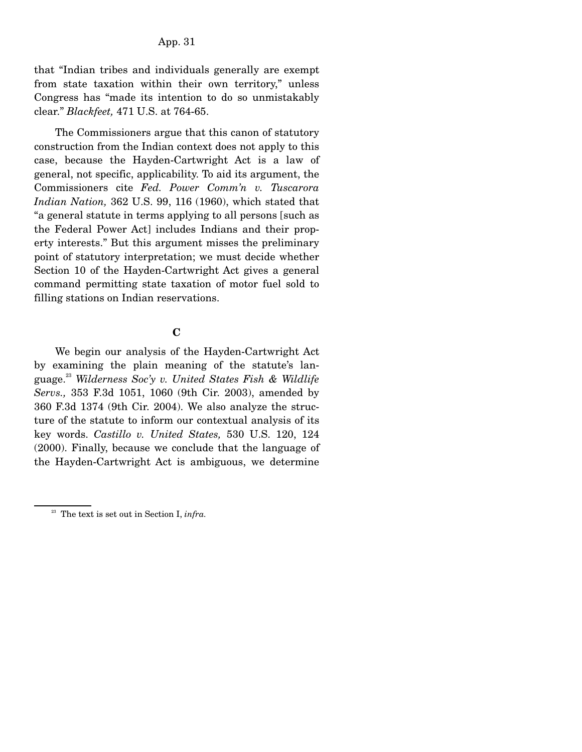that "Indian tribes and individuals generally are exempt from state taxation within their own territory," unless Congress has "made its intention to do so unmistakably clear." *Blackfeet,* 471 U.S. at 764-65.

 The Commissioners argue that this canon of statutory construction from the Indian context does not apply to this case, because the Hayden-Cartwright Act is a law of general, not specific, applicability. To aid its argument, the Commissioners cite *Fed. Power Comm'n v. Tuscarora Indian Nation,* 362 U.S. 99, 116 (1960), which stated that "a general statute in terms applying to all persons [such as the Federal Power Act] includes Indians and their property interests." But this argument misses the preliminary point of statutory interpretation; we must decide whether Section 10 of the Hayden-Cartwright Act gives a general command permitting state taxation of motor fuel sold to filling stations on Indian reservations.

### **C**

 We begin our analysis of the Hayden-Cartwright Act by examining the plain meaning of the statute's language.23 *Wilderness Soc'y v. United States Fish & Wildlife Servs.,* 353 F.3d 1051, 1060 (9th Cir. 2003), amended by 360 F.3d 1374 (9th Cir. 2004). We also analyze the structure of the statute to inform our contextual analysis of its key words. *Castillo v. United States,* 530 U.S. 120, 124 (2000). Finally, because we conclude that the language of the Hayden-Cartwright Act is ambiguous, we determine

23 The text is set out in Section I, *infra.*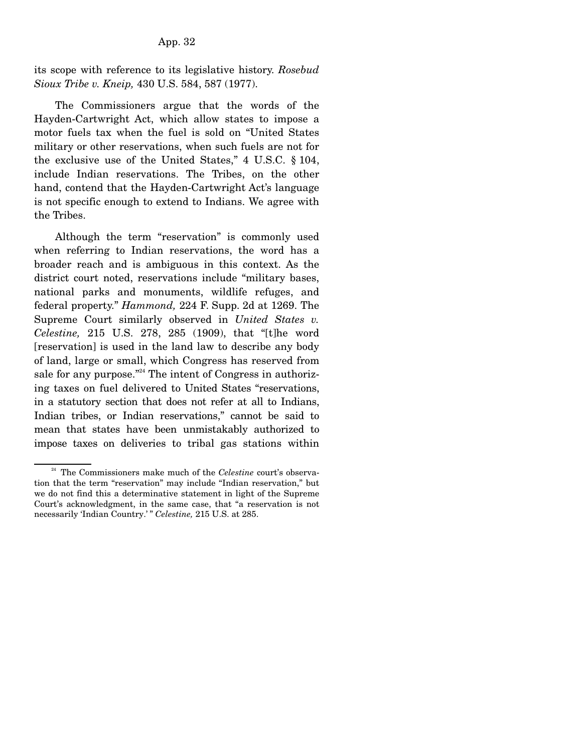its scope with reference to its legislative history. *Rosebud Sioux Tribe v. Kneip,* 430 U.S. 584, 587 (1977).

 The Commissioners argue that the words of the Hayden-Cartwright Act, which allow states to impose a motor fuels tax when the fuel is sold on "United States military or other reservations, when such fuels are not for the exclusive use of the United States," 4 U.S.C. § 104, include Indian reservations. The Tribes, on the other hand, contend that the Hayden-Cartwright Act's language is not specific enough to extend to Indians. We agree with the Tribes.

 Although the term "reservation" is commonly used when referring to Indian reservations, the word has a broader reach and is ambiguous in this context. As the district court noted, reservations include "military bases, national parks and monuments, wildlife refuges, and federal property." *Hammond,* 224 F. Supp. 2d at 1269. The Supreme Court similarly observed in *United States v. Celestine,* 215 U.S. 278, 285 (1909), that "[t]he word [reservation] is used in the land law to describe any body of land, large or small, which Congress has reserved from sale for any purpose."<sup>24</sup> The intent of Congress in authorizing taxes on fuel delivered to United States "reservations, in a statutory section that does not refer at all to Indians, Indian tribes, or Indian reservations," cannot be said to mean that states have been unmistakably authorized to impose taxes on deliveries to tribal gas stations within

<sup>&</sup>lt;sup>24</sup> The Commissioners make much of the *Celestine* court's observation that the term "reservation" may include "Indian reservation," but we do not find this a determinative statement in light of the Supreme Court's acknowledgment, in the same case, that "a reservation is not necessarily 'Indian Country.' " *Celestine,* 215 U.S. at 285.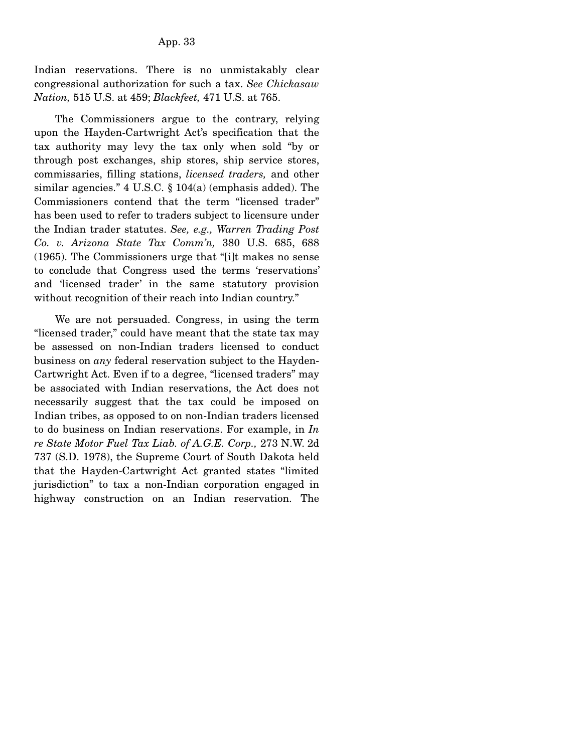Indian reservations. There is no unmistakably clear congressional authorization for such a tax. *See Chickasaw Nation,* 515 U.S. at 459; *Blackfeet,* 471 U.S. at 765.

 The Commissioners argue to the contrary, relying upon the Hayden-Cartwright Act's specification that the tax authority may levy the tax only when sold "by or through post exchanges, ship stores, ship service stores, commissaries, filling stations, *licensed traders,* and other similar agencies." 4 U.S.C. § 104(a) (emphasis added). The Commissioners contend that the term "licensed trader" has been used to refer to traders subject to licensure under the Indian trader statutes. *See, e.g., Warren Trading Post Co. v. Arizona State Tax Comm'n,* 380 U.S. 685, 688 (1965). The Commissioners urge that "[i]t makes no sense to conclude that Congress used the terms 'reservations' and 'licensed trader' in the same statutory provision without recognition of their reach into Indian country."

 We are not persuaded. Congress, in using the term "licensed trader," could have meant that the state tax may be assessed on non-Indian traders licensed to conduct business on *any* federal reservation subject to the Hayden-Cartwright Act. Even if to a degree, "licensed traders" may be associated with Indian reservations, the Act does not necessarily suggest that the tax could be imposed on Indian tribes, as opposed to on non-Indian traders licensed to do business on Indian reservations. For example, in *In re State Motor Fuel Tax Liab. of A.G.E. Corp.,* 273 N.W. 2d 737 (S.D. 1978), the Supreme Court of South Dakota held that the Hayden-Cartwright Act granted states "limited jurisdiction" to tax a non-Indian corporation engaged in highway construction on an Indian reservation. The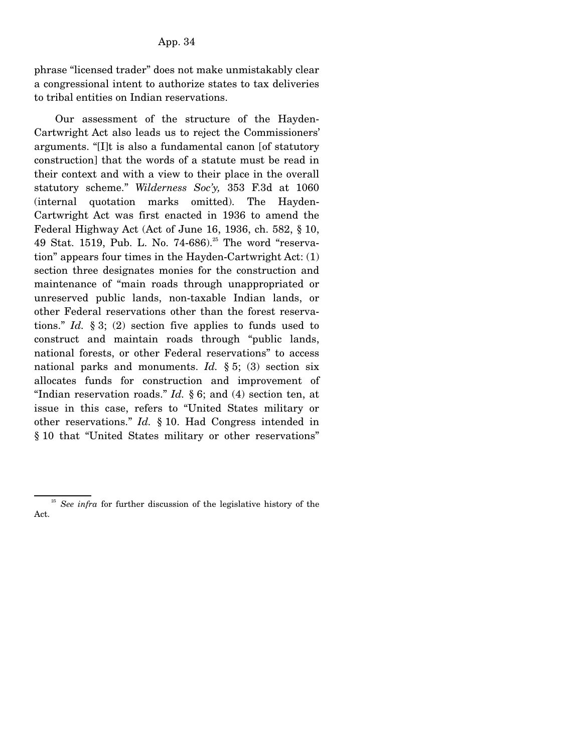phrase "licensed trader" does not make unmistakably clear a congressional intent to authorize states to tax deliveries to tribal entities on Indian reservations.

 Our assessment of the structure of the Hayden-Cartwright Act also leads us to reject the Commissioners' arguments. "[I]t is also a fundamental canon [of statutory construction] that the words of a statute must be read in their context and with a view to their place in the overall statutory scheme." *Wilderness Soc'y,* 353 F.3d at 1060 (internal quotation marks omitted). The Hayden-Cartwright Act was first enacted in 1936 to amend the Federal Highway Act (Act of June 16, 1936, ch. 582, § 10, 49 Stat. 1519, Pub. L. No. 74-686).<sup>25</sup> The word "reservation" appears four times in the Hayden-Cartwright Act: (1) section three designates monies for the construction and maintenance of "main roads through unappropriated or unreserved public lands, non-taxable Indian lands, or other Federal reservations other than the forest reservations." *Id.* § 3; (2) section five applies to funds used to construct and maintain roads through "public lands, national forests, or other Federal reservations" to access national parks and monuments. *Id.* § 5; (3) section six allocates funds for construction and improvement of "Indian reservation roads." *Id.* § 6; and (4) section ten, at issue in this case, refers to "United States military or other reservations." *Id.* § 10. Had Congress intended in § 10 that "United States military or other reservations"

<sup>&</sup>lt;sup>25</sup> *See infra* for further discussion of the legislative history of the Act.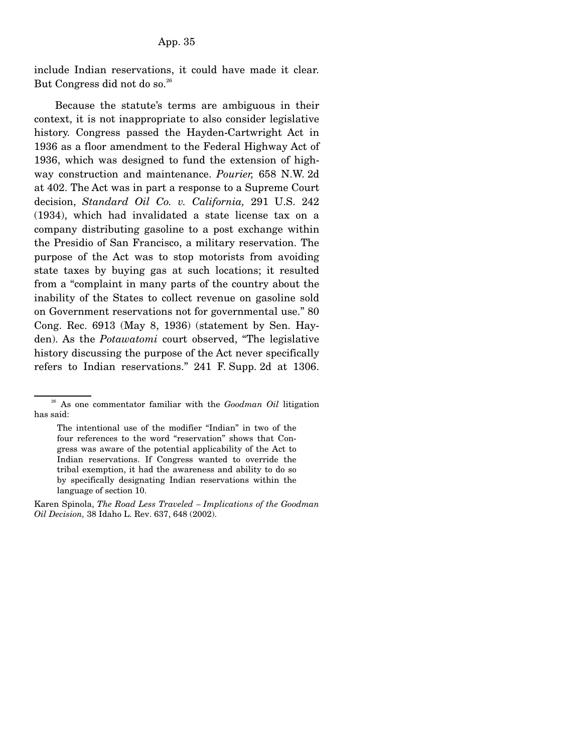include Indian reservations, it could have made it clear. But Congress did not do so.<sup>26</sup>

 Because the statute's terms are ambiguous in their context, it is not inappropriate to also consider legislative history. Congress passed the Hayden-Cartwright Act in 1936 as a floor amendment to the Federal Highway Act of 1936, which was designed to fund the extension of highway construction and maintenance. *Pourier,* 658 N.W. 2d at 402. The Act was in part a response to a Supreme Court decision, *Standard Oil Co. v. California,* 291 U.S. 242 (1934), which had invalidated a state license tax on a company distributing gasoline to a post exchange within the Presidio of San Francisco, a military reservation. The purpose of the Act was to stop motorists from avoiding state taxes by buying gas at such locations; it resulted from a "complaint in many parts of the country about the inability of the States to collect revenue on gasoline sold on Government reservations not for governmental use." 80 Cong. Rec. 6913 (May 8, 1936) (statement by Sen. Hayden). As the *Potawatomi* court observed, "The legislative history discussing the purpose of the Act never specifically refers to Indian reservations." 241 F. Supp. 2d at 1306.

26 As one commentator familiar with the *Goodman Oil* litigation has said:

The intentional use of the modifier "Indian" in two of the four references to the word "reservation" shows that Congress was aware of the potential applicability of the Act to Indian reservations. If Congress wanted to override the tribal exemption, it had the awareness and ability to do so by specifically designating Indian reservations within the language of section 10.

Karen Spinola, *The Road Less Traveled – Implications of the Goodman Oil Decision,* 38 Idaho L. Rev. 637, 648 (2002).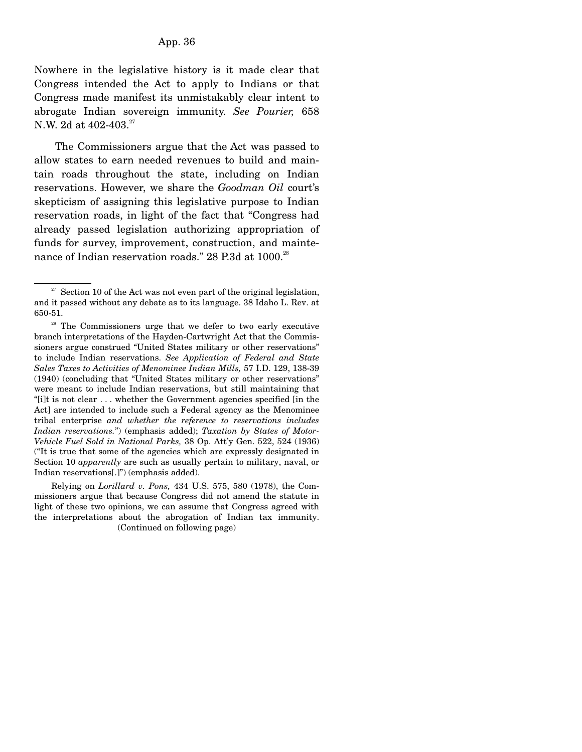Nowhere in the legislative history is it made clear that Congress intended the Act to apply to Indians or that Congress made manifest its unmistakably clear intent to abrogate Indian sovereign immunity. *See Pourier,* 658 N.W. 2d at 402-403.<sup>27</sup>

 The Commissioners argue that the Act was passed to allow states to earn needed revenues to build and maintain roads throughout the state, including on Indian reservations. However, we share the *Goodman Oil* court's skepticism of assigning this legislative purpose to Indian reservation roads, in light of the fact that "Congress had already passed legislation authorizing appropriation of funds for survey, improvement, construction, and maintenance of Indian reservation roads." 28 P.3d at 1000.<sup>28</sup>

 Relying on *Lorillard v. Pons,* 434 U.S. 575, 580 (1978), the Commissioners argue that because Congress did not amend the statute in light of these two opinions, we can assume that Congress agreed with the interpretations about the abrogation of Indian tax immunity. (Continued on following page)

 $27$  Section 10 of the Act was not even part of the original legislation, and it passed without any debate as to its language. 38 Idaho L. Rev. at 650-51.

<sup>&</sup>lt;sup>28</sup> The Commissioners urge that we defer to two early executive branch interpretations of the Hayden-Cartwright Act that the Commissioners argue construed "United States military or other reservations" to include Indian reservations. *See Application of Federal and State Sales Taxes to Activities of Menominee Indian Mills,* 57 I.D. 129, 138-39 (1940) (concluding that "United States military or other reservations" were meant to include Indian reservations, but still maintaining that "[i]t is not clear . . . whether the Government agencies specified [in the Act] are intended to include such a Federal agency as the Menominee tribal enterprise *and whether the reference to reservations includes Indian reservations.*") (emphasis added); *Taxation by States of Motor-Vehicle Fuel Sold in National Parks,* 38 Op. Att'y Gen. 522, 524 (1936) ("It is true that some of the agencies which are expressly designated in Section 10 *apparently* are such as usually pertain to military, naval, or Indian reservations[.]") (emphasis added).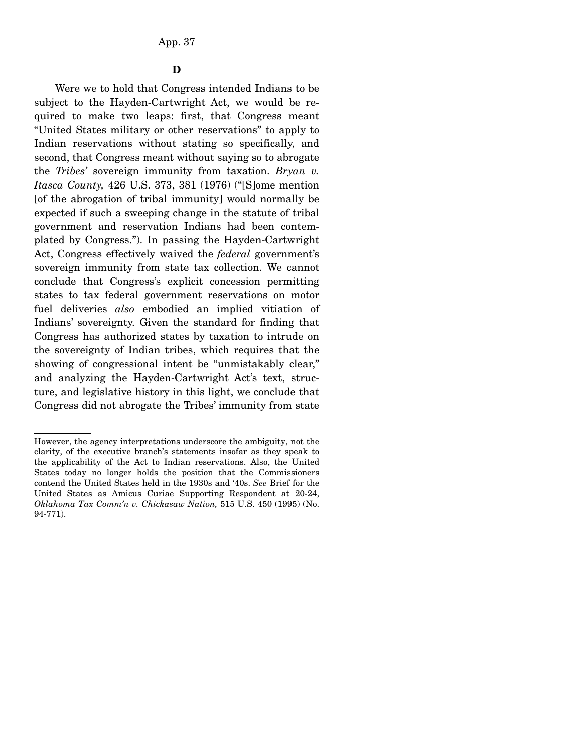Were we to hold that Congress intended Indians to be subject to the Hayden-Cartwright Act, we would be required to make two leaps: first, that Congress meant "United States military or other reservations" to apply to Indian reservations without stating so specifically, and second, that Congress meant without saying so to abrogate the *Tribes'* sovereign immunity from taxation. *Bryan v. Itasca County,* 426 U.S. 373, 381 (1976) ("[S]ome mention [of the abrogation of tribal immunity] would normally be expected if such a sweeping change in the statute of tribal government and reservation Indians had been contemplated by Congress."). In passing the Hayden-Cartwright Act, Congress effectively waived the *federal* government's sovereign immunity from state tax collection. We cannot conclude that Congress's explicit concession permitting states to tax federal government reservations on motor fuel deliveries *also* embodied an implied vitiation of Indians' sovereignty. Given the standard for finding that Congress has authorized states by taxation to intrude on the sovereignty of Indian tribes, which requires that the showing of congressional intent be "unmistakably clear," and analyzing the Hayden-Cartwright Act's text, structure, and legislative history in this light, we conclude that Congress did not abrogate the Tribes' immunity from state

However, the agency interpretations underscore the ambiguity, not the clarity, of the executive branch's statements insofar as they speak to the applicability of the Act to Indian reservations. Also, the United States today no longer holds the position that the Commissioners contend the United States held in the 1930s and '40s. *See* Brief for the United States as Amicus Curiae Supporting Respondent at 20-24, *Oklahoma Tax Comm'n v. Chickasaw Nation,* 515 U.S. 450 (1995) (No. 94-771).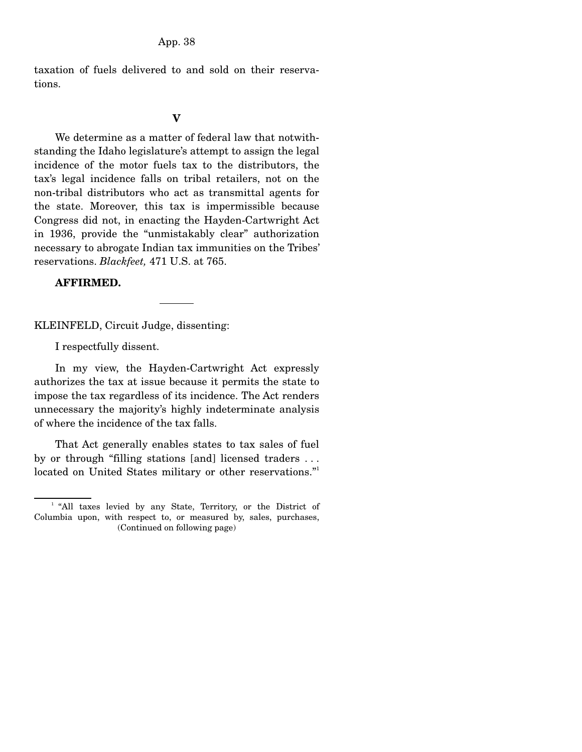taxation of fuels delivered to and sold on their reservations.

#### **V**

 We determine as a matter of federal law that notwithstanding the Idaho legislature's attempt to assign the legal incidence of the motor fuels tax to the distributors, the tax's legal incidence falls on tribal retailers, not on the non-tribal distributors who act as transmittal agents for the state. Moreover, this tax is impermissible because Congress did not, in enacting the Hayden-Cartwright Act in 1936, provide the "unmistakably clear" authorization necessary to abrogate Indian tax immunities on the Tribes' reservations. *Blackfeet,* 471 U.S. at 765.

# **AFFIRMED.**

KLEINFELD, Circuit Judge, dissenting:

I respectfully dissent.

 In my view, the Hayden-Cartwright Act expressly authorizes the tax at issue because it permits the state to impose the tax regardless of its incidence. The Act renders unnecessary the majority's highly indeterminate analysis of where the incidence of the tax falls.

 That Act generally enables states to tax sales of fuel by or through "filling stations [and] licensed traders . . . located on United States military or other reservations."

<sup>&</sup>lt;sup>1</sup> "All taxes levied by any State, Territory, or the District of Columbia upon, with respect to, or measured by, sales, purchases, (Continued on following page)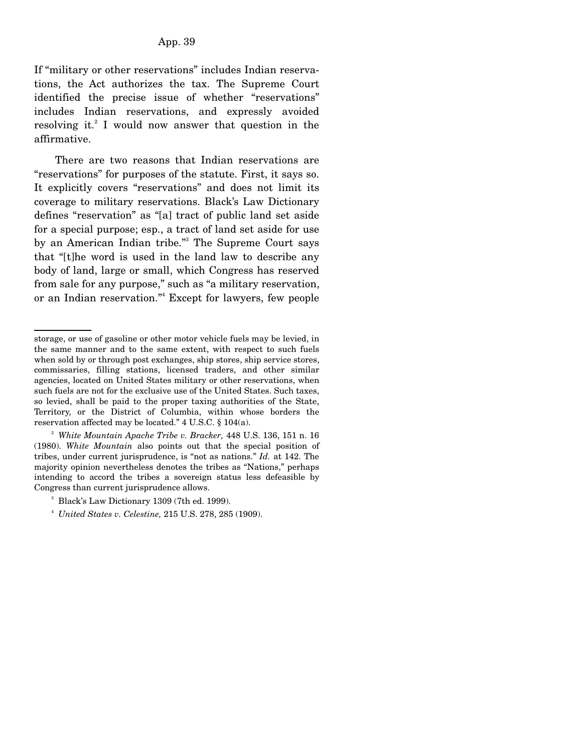If "military or other reservations" includes Indian reservations, the Act authorizes the tax. The Supreme Court identified the precise issue of whether "reservations" includes Indian reservations, and expressly avoided resolving it.<sup>2</sup> I would now answer that question in the affirmative.

 There are two reasons that Indian reservations are "reservations" for purposes of the statute. First, it says so. It explicitly covers "reservations" and does not limit its coverage to military reservations. Black's Law Dictionary defines "reservation" as "[a] tract of public land set aside for a special purpose; esp., a tract of land set aside for use by an American Indian tribe."<sup>3</sup> The Supreme Court says that "[t]he word is used in the land law to describe any body of land, large or small, which Congress has reserved from sale for any purpose," such as "a military reservation, or an Indian reservation."4 Except for lawyers, few people

storage, or use of gasoline or other motor vehicle fuels may be levied, in the same manner and to the same extent, with respect to such fuels when sold by or through post exchanges, ship stores, ship service stores, commissaries, filling stations, licensed traders, and other similar agencies, located on United States military or other reservations, when such fuels are not for the exclusive use of the United States. Such taxes, so levied, shall be paid to the proper taxing authorities of the State, Territory, or the District of Columbia, within whose borders the reservation affected may be located." 4 U.S.C. § 104(a).

<sup>2</sup> *White Mountain Apache Tribe v. Bracker,* 448 U.S. 136, 151 n. 16 (1980). *White Mountain* also points out that the special position of tribes, under current jurisprudence, is "not as nations." *Id.* at 142. The majority opinion nevertheless denotes the tribes as "Nations," perhaps intending to accord the tribes a sovereign status less defeasible by Congress than current jurisprudence allows.

<sup>3</sup> Black's Law Dictionary 1309 (7th ed. 1999).

<sup>4</sup> *United States v. Celestine,* 215 U.S. 278, 285 (1909).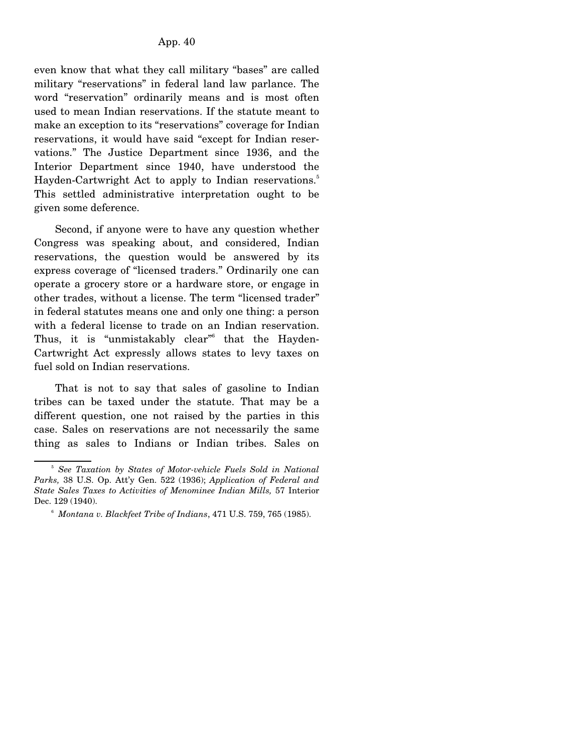even know that what they call military "bases" are called military "reservations" in federal land law parlance. The word "reservation" ordinarily means and is most often used to mean Indian reservations. If the statute meant to make an exception to its "reservations" coverage for Indian reservations, it would have said "except for Indian reservations." The Justice Department since 1936, and the Interior Department since 1940, have understood the Hayden-Cartwright Act to apply to Indian reservations.<sup>5</sup> This settled administrative interpretation ought to be given some deference.

 Second, if anyone were to have any question whether Congress was speaking about, and considered, Indian reservations, the question would be answered by its express coverage of "licensed traders." Ordinarily one can operate a grocery store or a hardware store, or engage in other trades, without a license. The term "licensed trader" in federal statutes means one and only one thing: a person with a federal license to trade on an Indian reservation. Thus, it is "unmistakably clear"<sup>6</sup> that the Hayden-Cartwright Act expressly allows states to levy taxes on fuel sold on Indian reservations.

 That is not to say that sales of gasoline to Indian tribes can be taxed under the statute. That may be a different question, one not raised by the parties in this case. Sales on reservations are not necessarily the same thing as sales to Indians or Indian tribes. Sales on

<sup>&</sup>lt;sup>5</sup> See Taxation by States of Motor-vehicle Fuels Sold in National *Parks,* 38 U.S. Op. Att'y Gen. 522 (1936); *Application of Federal and State Sales Taxes to Activities of Menominee Indian Mills,* 57 Interior Dec. 129 (1940).

<sup>6</sup> *Montana v. Blackfeet Tribe of Indians*, 471 U.S. 759, 765 (1985).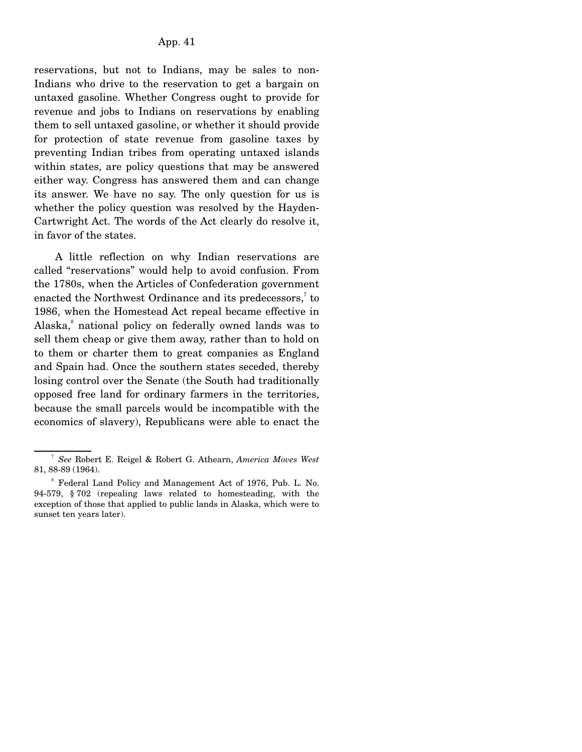reservations, but not to Indians, may be sales to non-Indians who drive to the reservation to get a bargain on untaxed gasoline. Whether Congress ought to provide for revenue and jobs to Indians on reservations by enabling them to sell untaxed gasoline, or whether it should provide for protection of state revenue from gasoline taxes by preventing Indian tribes from operating untaxed islands within states, are policy questions that may be answered either way. Congress has answered them and can change its answer. We have no say. The only question for us is whether the policy question was resolved by the Hayden-Cartwright Act. The words of the Act clearly do resolve it, in favor of the states.

 A little reflection on why Indian reservations are called "reservations" would help to avoid confusion. From the 1780s, when the Articles of Confederation government enacted the Northwest Ordinance and its predecessors, $7$  to 1986, when the Homestead Act repeal became effective in Alaska,<sup>8</sup> national policy on federally owned lands was to sell them cheap or give them away, rather than to hold on to them or charter them to great companies as England and Spain had. Once the southern states seceded, thereby losing control over the Senate (the South had traditionally opposed free land for ordinary farmers in the territories, because the small parcels would be incompatible with the economics of slavery), Republicans were able to enact the

<sup>7</sup> *See* Robert E. Reigel & Robert G. Athearn, *America Moves West* 81, 88-89 (1964).

<sup>8</sup> Federal Land Policy and Management Act of 1976, Pub. L. No. 94-579, § 702 (repealing laws related to homesteading, with the exception of those that applied to public lands in Alaska, which were to sunset ten years later).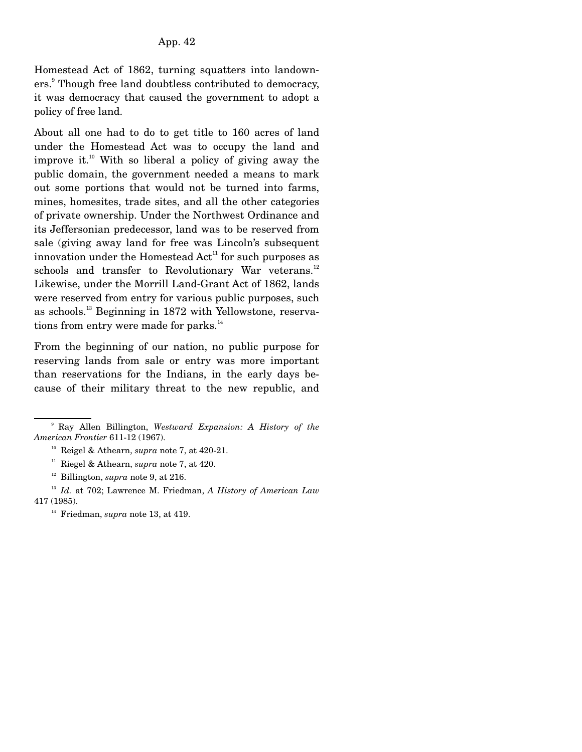Homestead Act of 1862, turning squatters into landowners.<sup>9</sup> Though free land doubtless contributed to democracy, it was democracy that caused the government to adopt a policy of free land.

About all one had to do to get title to 160 acres of land under the Homestead Act was to occupy the land and improve it.<sup>10</sup> With so liberal a policy of giving away the public domain, the government needed a means to mark out some portions that would not be turned into farms, mines, homesites, trade sites, and all the other categories of private ownership. Under the Northwest Ordinance and its Jeffersonian predecessor, land was to be reserved from sale (giving away land for free was Lincoln's subsequent innovation under the Homestead  $Act<sup>11</sup>$  for such purposes as schools and transfer to Revolutionary War veterans.<sup>12</sup> Likewise, under the Morrill Land-Grant Act of 1862, lands were reserved from entry for various public purposes, such as schools.13 Beginning in 1872 with Yellowstone, reservations from entry were made for parks. $14$ 

From the beginning of our nation, no public purpose for reserving lands from sale or entry was more important than reservations for the Indians, in the early days because of their military threat to the new republic, and

<sup>9</sup> Ray Allen Billington, *Westward Expansion: A History of the American Frontier* 611-12 (1967).

10 Reigel & Athearn, *supra* note 7, at 420-21.

11 Riegel & Athearn, *supra* note 7, at 420.

12 Billington, *supra* note 9, at 216.

<sup>13</sup> *Id.* at 702; Lawrence M. Friedman, *A History of American Law* 417 (1985).

<sup>&</sup>lt;sup>14</sup> Friedman, *supra* note 13, at 419.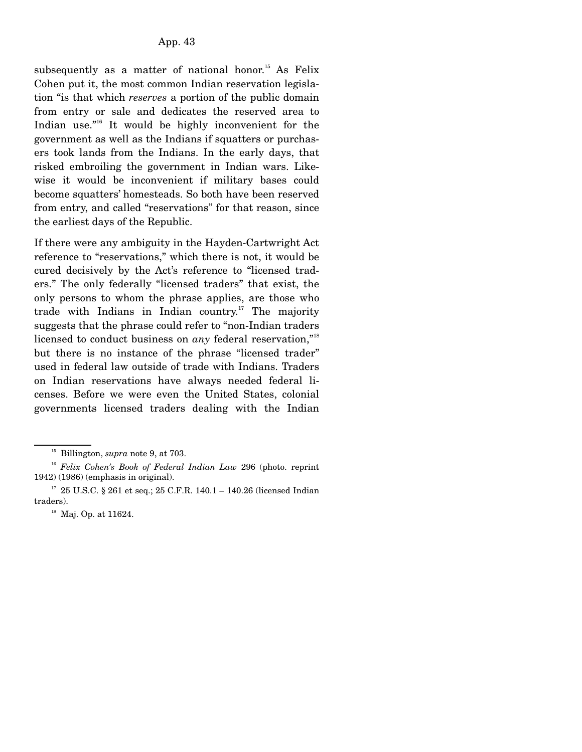subsequently as a matter of national honor.<sup>15</sup> As Felix Cohen put it, the most common Indian reservation legislation "is that which *reserves* a portion of the public domain from entry or sale and dedicates the reserved area to Indian use."<sup>16</sup> It would be highly inconvenient for the government as well as the Indians if squatters or purchasers took lands from the Indians. In the early days, that risked embroiling the government in Indian wars. Likewise it would be inconvenient if military bases could become squatters' homesteads. So both have been reserved from entry, and called "reservations" for that reason, since the earliest days of the Republic.

If there were any ambiguity in the Hayden-Cartwright Act reference to "reservations," which there is not, it would be cured decisively by the Act's reference to "licensed traders." The only federally "licensed traders" that exist, the only persons to whom the phrase applies, are those who trade with Indians in Indian country.17 The majority suggests that the phrase could refer to "non-Indian traders licensed to conduct business on *any* federal reservation,"<sup>18</sup> but there is no instance of the phrase "licensed trader" used in federal law outside of trade with Indians. Traders on Indian reservations have always needed federal licenses. Before we were even the United States, colonial governments licensed traders dealing with the Indian

15 Billington, *supra* note 9, at 703.

<sup>16</sup> *Felix Cohen's Book of Federal Indian Law* 296 (photo. reprint 1942) (1986) (emphasis in original).

 $17$  25 U.S.C. § 261 et seq.; 25 C.F.R. 140.1 – 140.26 (licensed Indian traders).

<sup>&</sup>lt;sup>18</sup> Maj. Op. at 11624.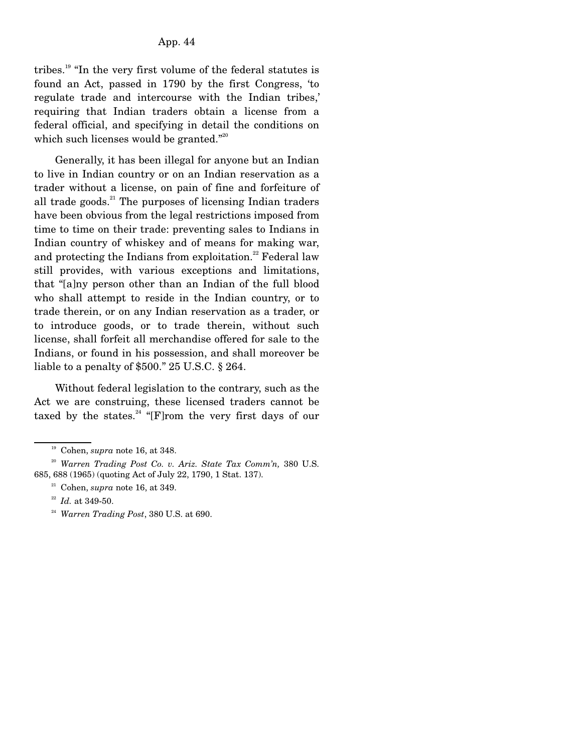tribes.<sup>19</sup> "In the very first volume of the federal statutes is found an Act, passed in 1790 by the first Congress, 'to regulate trade and intercourse with the Indian tribes,' requiring that Indian traders obtain a license from a federal official, and specifying in detail the conditions on which such licenses would be granted."<sup>20</sup>

 Generally, it has been illegal for anyone but an Indian to live in Indian country or on an Indian reservation as a trader without a license, on pain of fine and forfeiture of all trade goods. $21$  The purposes of licensing Indian traders have been obvious from the legal restrictions imposed from time to time on their trade: preventing sales to Indians in Indian country of whiskey and of means for making war, and protecting the Indians from exploitation.<sup>22</sup> Federal law still provides, with various exceptions and limitations, that "[a]ny person other than an Indian of the full blood who shall attempt to reside in the Indian country, or to trade therein, or on any Indian reservation as a trader, or to introduce goods, or to trade therein, without such license, shall forfeit all merchandise offered for sale to the Indians, or found in his possession, and shall moreover be liable to a penalty of \$500." 25 U.S.C. § 264.

 Without federal legislation to the contrary, such as the Act we are construing, these licensed traders cannot be taxed by the states.<sup>24</sup> "[F]rom the very first days of our

19 Cohen, *supra* note 16, at 348.

<sup>20</sup> *Warren Trading Post Co. v. Ariz. State Tax Comm'n,* 380 U.S. 685, 688 (1965) (quoting Act of July 22, 1790, 1 Stat. 137).

 $21$  Cohen, *supra* note 16, at 349.

<sup>22</sup> *Id.* at 349-50.

<sup>24</sup> *Warren Trading Post*, 380 U.S. at 690.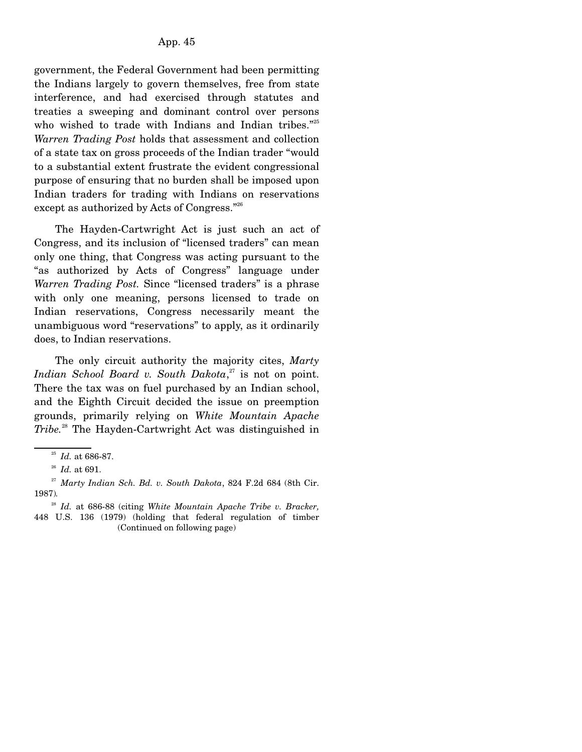government, the Federal Government had been permitting the Indians largely to govern themselves, free from state interference, and had exercised through statutes and treaties a sweeping and dominant control over persons who wished to trade with Indians and Indian tribes."<sup>25</sup> *Warren Trading Post* holds that assessment and collection of a state tax on gross proceeds of the Indian trader "would to a substantial extent frustrate the evident congressional purpose of ensuring that no burden shall be imposed upon Indian traders for trading with Indians on reservations except as authorized by Acts of Congress."<sup>26</sup>

 The Hayden-Cartwright Act is just such an act of Congress, and its inclusion of "licensed traders" can mean only one thing, that Congress was acting pursuant to the "as authorized by Acts of Congress" language under *Warren Trading Post.* Since "licensed traders" is a phrase with only one meaning, persons licensed to trade on Indian reservations, Congress necessarily meant the unambiguous word "reservations" to apply, as it ordinarily does, to Indian reservations.

 The only circuit authority the majority cites, *Marty Indian School Board v. South Dakota*, 27 is not on point. There the tax was on fuel purchased by an Indian school, and the Eighth Circuit decided the issue on preemption grounds, primarily relying on *White Mountain Apache Tribe.*28 The Hayden-Cartwright Act was distinguished in

<sup>25</sup> *Id.* at 686-87.

<sup>26</sup> *Id.* at 691.

<sup>27</sup> *Marty Indian Sch. Bd. v. South Dakota*, 824 F.2d 684 (8th Cir. 1987)*.*

<sup>28</sup> *Id.* at 686-88 (citing *White Mountain Apache Tribe v. Bracker,* 448 U.S. 136 (1979) (holding that federal regulation of timber (Continued on following page)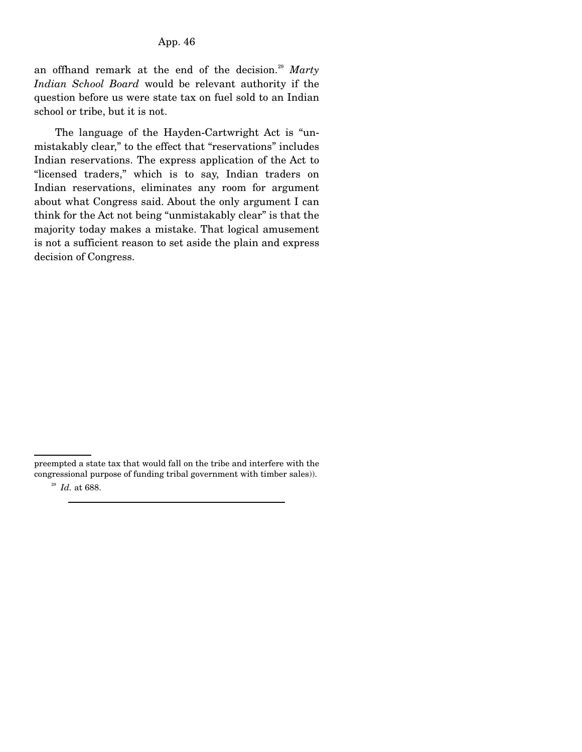an offhand remark at the end of the decision.<sup>29</sup> Marty *Indian School Board* would be relevant authority if the question before us were state tax on fuel sold to an Indian school or tribe, but it is not.

 The language of the Hayden-Cartwright Act is "unmistakably clear," to the effect that "reservations" includes Indian reservations. The express application of the Act to "licensed traders," which is to say, Indian traders on Indian reservations, eliminates any room for argument about what Congress said. About the only argument I can think for the Act not being "unmistakably clear" is that the majority today makes a mistake. That logical amusement is not a sufficient reason to set aside the plain and express decision of Congress.

preempted a state tax that would fall on the tribe and interfere with the congressional purpose of funding tribal government with timber sales)).

<sup>29</sup> *Id.* at 688.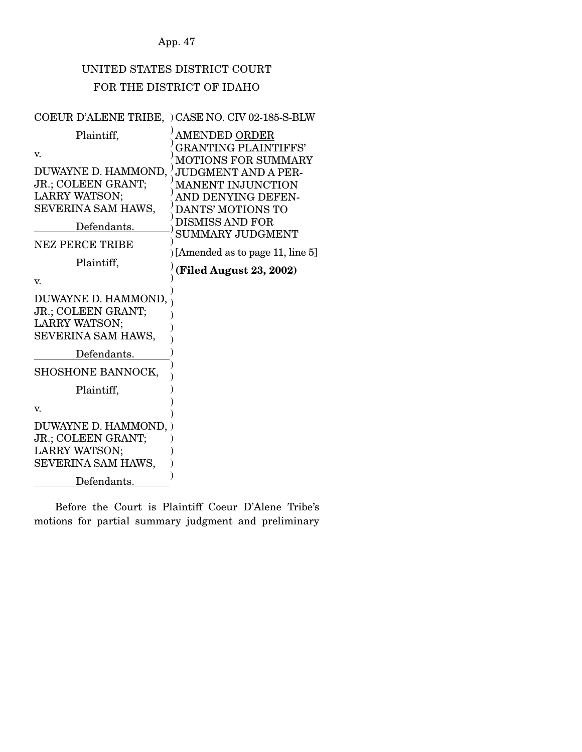App. 47

# UNITED STATES DISTRICT COURT FOR THE DISTRICT OF IDAHO

# COEUR D'ALENE TRIBE, ) CASE NO. CIV 02-185-S-BLW

| Plaintiff,                                                                                                                              | AMENDED ORDER                                                                                                                                                                                                                    |
|-----------------------------------------------------------------------------------------------------------------------------------------|----------------------------------------------------------------------------------------------------------------------------------------------------------------------------------------------------------------------------------|
| v.                                                                                                                                      | <b>GRANTING PLAINTIFFS'</b><br>MOTIONS FOR SUMMARY                                                                                                                                                                               |
| DUWAYNE D. HAMMOND,<br>JR.; COLEEN GRANT;<br>LARRY WATSON;<br>SEVERINA SAM HAWS,<br>Defendants.<br><b>NEZ PERCE TRIBE</b><br>Plaintiff, | <b>JUDGMENT AND A PER-</b><br>MANENT INJUNCTION<br>AND DENYING DEFEN-<br><b>DANTS' MOTIONS TO</b><br><b>DISMISS AND FOR</b><br><b>SUMMARY JUDGMENT</b><br>) [Amended as to page 11, line $5$ ]<br><b>(Filed August 23, 2002)</b> |
| V.                                                                                                                                      |                                                                                                                                                                                                                                  |
| DUWAYNE D. HAMMOND,<br>JR.; COLEEN GRANT;<br><b>LARRY WATSON;</b><br>SEVERINA SAM HAWS,                                                 |                                                                                                                                                                                                                                  |
| Defendants.                                                                                                                             |                                                                                                                                                                                                                                  |
| SHOSHONE BANNOCK,                                                                                                                       |                                                                                                                                                                                                                                  |
| Plaintiff,                                                                                                                              |                                                                                                                                                                                                                                  |
| V.                                                                                                                                      |                                                                                                                                                                                                                                  |
| DUWAYNE D. HAMMOND, )<br>JR.; COLEEN GRANT;<br><b>LARRY WATSON;</b><br>SEVERINA SAM HAWS,                                               |                                                                                                                                                                                                                                  |
| Defendants.                                                                                                                             |                                                                                                                                                                                                                                  |

 Before the Court is Plaintiff Coeur D'Alene Tribe's motions for partial summary judgment and preliminary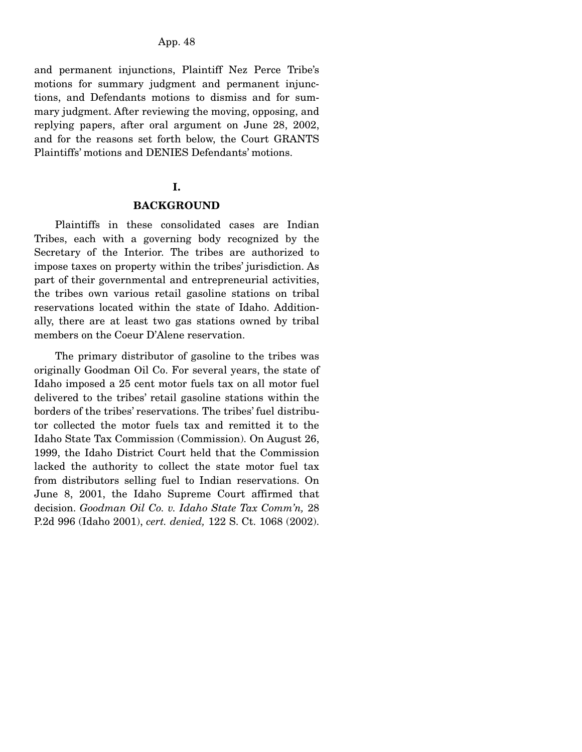and permanent injunctions, Plaintiff Nez Perce Tribe's motions for summary judgment and permanent injunctions, and Defendants motions to dismiss and for summary judgment. After reviewing the moving, opposing, and replying papers, after oral argument on June 28, 2002, and for the reasons set forth below, the Court GRANTS Plaintiffs' motions and DENIES Defendants' motions.

# **I.**

#### **BACKGROUND**

 Plaintiffs in these consolidated cases are Indian Tribes, each with a governing body recognized by the Secretary of the Interior. The tribes are authorized to impose taxes on property within the tribes' jurisdiction. As part of their governmental and entrepreneurial activities, the tribes own various retail gasoline stations on tribal reservations located within the state of Idaho. Additionally, there are at least two gas stations owned by tribal members on the Coeur D'Alene reservation.

 The primary distributor of gasoline to the tribes was originally Goodman Oil Co. For several years, the state of Idaho imposed a 25 cent motor fuels tax on all motor fuel delivered to the tribes' retail gasoline stations within the borders of the tribes' reservations. The tribes' fuel distributor collected the motor fuels tax and remitted it to the Idaho State Tax Commission (Commission). On August 26, 1999, the Idaho District Court held that the Commission lacked the authority to collect the state motor fuel tax from distributors selling fuel to Indian reservations. On June 8, 2001, the Idaho Supreme Court affirmed that decision. *Goodman Oil Co. v. Idaho State Tax Comm'n,* 28 P.2d 996 (Idaho 2001), *cert. denied,* 122 S. Ct. 1068 (2002).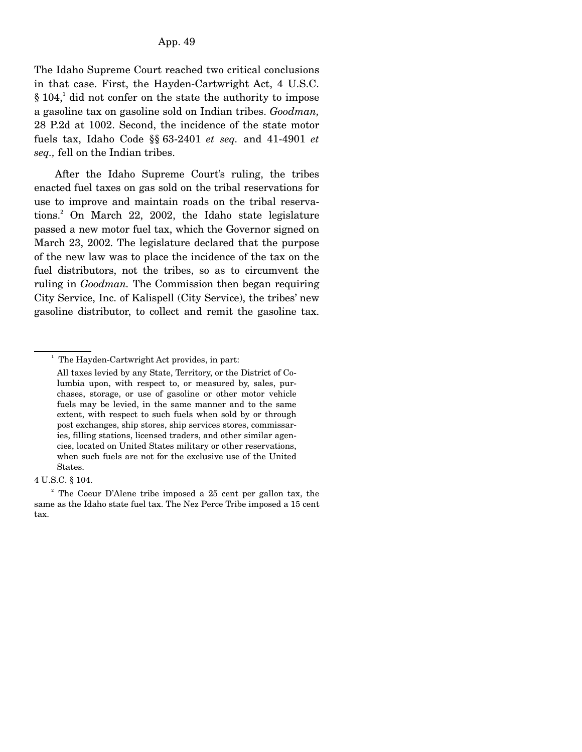The Idaho Supreme Court reached two critical conclusions in that case. First, the Hayden-Cartwright Act, 4 U.S.C.  $\S 104$ ,<sup>1</sup> did not confer on the state the authority to impose a gasoline tax on gasoline sold on Indian tribes. *Goodman,* 28 P.2d at 1002. Second, the incidence of the state motor fuels tax, Idaho Code §§ 63-2401 *et seq.* and 41-4901 *et seq.,* fell on the Indian tribes.

 After the Idaho Supreme Court's ruling, the tribes enacted fuel taxes on gas sold on the tribal reservations for use to improve and maintain roads on the tribal reservations.2 On March 22, 2002, the Idaho state legislature passed a new motor fuel tax, which the Governor signed on March 23, 2002. The legislature declared that the purpose of the new law was to place the incidence of the tax on the fuel distributors, not the tribes, so as to circumvent the ruling in *Goodman.* The Commission then began requiring City Service, Inc. of Kalispell (City Service), the tribes' new gasoline distributor, to collect and remit the gasoline tax.

<sup>&</sup>lt;sup>1</sup> The Hayden-Cartwright Act provides, in part:

All taxes levied by any State, Territory, or the District of Columbia upon, with respect to, or measured by, sales, purchases, storage, or use of gasoline or other motor vehicle fuels may be levied, in the same manner and to the same extent, with respect to such fuels when sold by or through post exchanges, ship stores, ship services stores, commissaries, filling stations, licensed traders, and other similar agencies, located on United States military or other reservations, when such fuels are not for the exclusive use of the United States.

<sup>4</sup> U.S.C. § 104.

<sup>&</sup>lt;sup>2</sup> The Coeur D'Alene tribe imposed a 25 cent per gallon tax, the same as the Idaho state fuel tax. The Nez Perce Tribe imposed a 15 cent tax.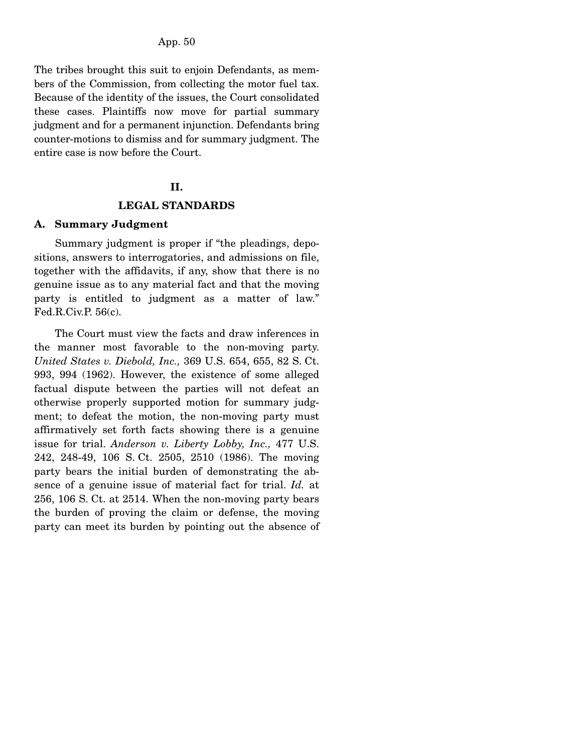The tribes brought this suit to enjoin Defendants, as members of the Commission, from collecting the motor fuel tax. Because of the identity of the issues, the Court consolidated these cases. Plaintiffs now move for partial summary judgment and for a permanent injunction. Defendants bring counter-motions to dismiss and for summary judgment. The entire case is now before the Court.

#### **II.**

#### **LEGAL STANDARDS**

#### **A. Summary Judgment**

 Summary judgment is proper if "the pleadings, depositions, answers to interrogatories, and admissions on file, together with the affidavits, if any, show that there is no genuine issue as to any material fact and that the moving party is entitled to judgment as a matter of law." Fed.R.Civ.P. 56(c).

 The Court must view the facts and draw inferences in the manner most favorable to the non-moving party. *United States v. Diebold, Inc.,* 369 U.S. 654, 655, 82 S. Ct. 993, 994 (1962). However, the existence of some alleged factual dispute between the parties will not defeat an otherwise properly supported motion for summary judgment; to defeat the motion, the non-moving party must affirmatively set forth facts showing there is a genuine issue for trial. *Anderson v. Liberty Lobby, Inc.,* 477 U.S. 242, 248-49, 106 S. Ct. 2505, 2510 (1986). The moving party bears the initial burden of demonstrating the absence of a genuine issue of material fact for trial. *Id.* at 256, 106 S. Ct. at 2514. When the non-moving party bears the burden of proving the claim or defense, the moving party can meet its burden by pointing out the absence of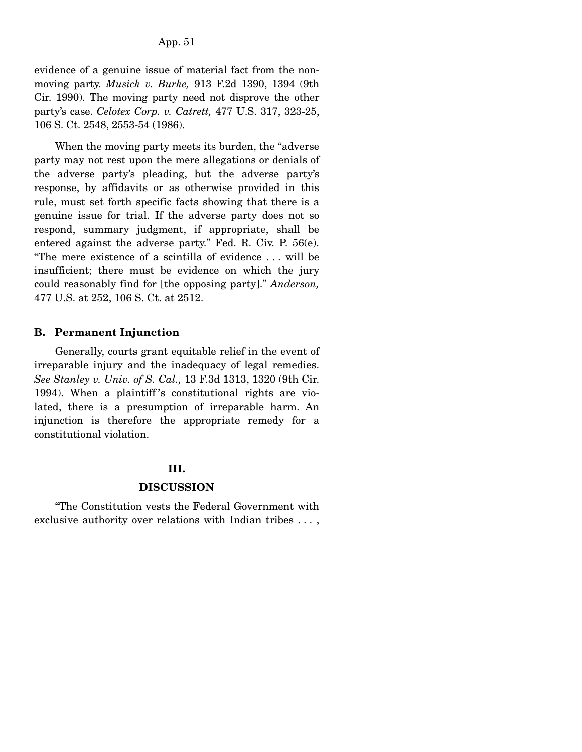evidence of a genuine issue of material fact from the nonmoving party. *Musick v. Burke,* 913 F.2d 1390, 1394 (9th Cir. 1990). The moving party need not disprove the other party's case. *Celotex Corp. v. Catrett,* 477 U.S. 317, 323-25, 106 S. Ct. 2548, 2553-54 (1986).

 When the moving party meets its burden, the "adverse party may not rest upon the mere allegations or denials of the adverse party's pleading, but the adverse party's response, by affidavits or as otherwise provided in this rule, must set forth specific facts showing that there is a genuine issue for trial. If the adverse party does not so respond, summary judgment, if appropriate, shall be entered against the adverse party." Fed. R. Civ. P. 56(e). "The mere existence of a scintilla of evidence . . . will be insufficient; there must be evidence on which the jury could reasonably find for [the opposing party]." *Anderson,* 477 U.S. at 252, 106 S. Ct. at 2512.

# **B. Permanent Injunction**

 Generally, courts grant equitable relief in the event of irreparable injury and the inadequacy of legal remedies. *See Stanley v. Univ. of S. Cal.,* 13 F.3d 1313, 1320 (9th Cir. 1994). When a plaintiff 's constitutional rights are violated, there is a presumption of irreparable harm. An injunction is therefore the appropriate remedy for a constitutional violation.

# **III.**

# **DISCUSSION**

 "The Constitution vests the Federal Government with exclusive authority over relations with Indian tribes . . . ,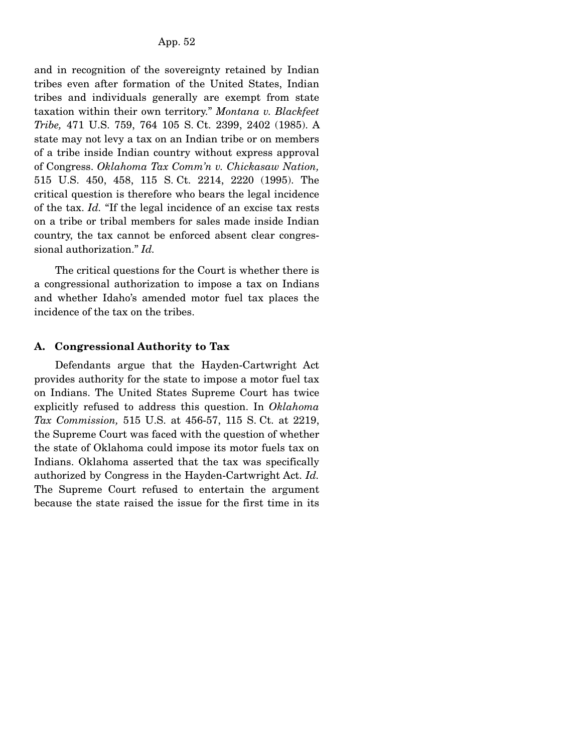and in recognition of the sovereignty retained by Indian tribes even after formation of the United States, Indian tribes and individuals generally are exempt from state taxation within their own territory." *Montana v. Blackfeet Tribe,* 471 U.S. 759, 764 105 S. Ct. 2399, 2402 (1985). A state may not levy a tax on an Indian tribe or on members of a tribe inside Indian country without express approval of Congress. *Oklahoma Tax Comm'n v. Chickasaw Nation,* 515 U.S. 450, 458, 115 S. Ct. 2214, 2220 (1995). The critical question is therefore who bears the legal incidence of the tax. *Id.* "If the legal incidence of an excise tax rests on a tribe or tribal members for sales made inside Indian country, the tax cannot be enforced absent clear congressional authorization." *Id.*

 The critical questions for the Court is whether there is a congressional authorization to impose a tax on Indians and whether Idaho's amended motor fuel tax places the incidence of the tax on the tribes.

# **A. Congressional Authority to Tax**

 Defendants argue that the Hayden-Cartwright Act provides authority for the state to impose a motor fuel tax on Indians. The United States Supreme Court has twice explicitly refused to address this question. In *Oklahoma Tax Commission,* 515 U.S. at 456-57, 115 S. Ct. at 2219, the Supreme Court was faced with the question of whether the state of Oklahoma could impose its motor fuels tax on Indians. Oklahoma asserted that the tax was specifically authorized by Congress in the Hayden-Cartwright Act. *Id.* The Supreme Court refused to entertain the argument because the state raised the issue for the first time in its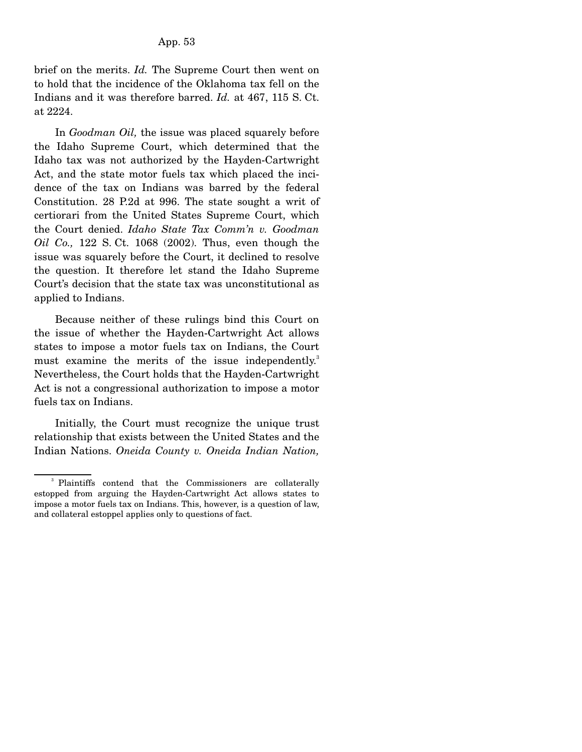brief on the merits. *Id.* The Supreme Court then went on to hold that the incidence of the Oklahoma tax fell on the Indians and it was therefore barred. *Id.* at 467, 115 S. Ct. at 2224.

 In *Goodman Oil,* the issue was placed squarely before the Idaho Supreme Court, which determined that the Idaho tax was not authorized by the Hayden-Cartwright Act, and the state motor fuels tax which placed the incidence of the tax on Indians was barred by the federal Constitution. 28 P.2d at 996. The state sought a writ of certiorari from the United States Supreme Court, which the Court denied. *Idaho State Tax Comm'n v. Goodman Oil Co.,* 122 S. Ct. 1068 (2002). Thus, even though the issue was squarely before the Court, it declined to resolve the question. It therefore let stand the Idaho Supreme Court's decision that the state tax was unconstitutional as applied to Indians.

 Because neither of these rulings bind this Court on the issue of whether the Hayden-Cartwright Act allows states to impose a motor fuels tax on Indians, the Court must examine the merits of the issue independently.<sup>3</sup> Nevertheless, the Court holds that the Hayden-Cartwright Act is not a congressional authorization to impose a motor fuels tax on Indians.

 Initially, the Court must recognize the unique trust relationship that exists between the United States and the Indian Nations. *Oneida County v. Oneida Indian Nation,*

<sup>&</sup>lt;sup>3</sup> Plaintiffs contend that the Commissioners are collaterally estopped from arguing the Hayden-Cartwright Act allows states to impose a motor fuels tax on Indians. This, however, is a question of law, and collateral estoppel applies only to questions of fact.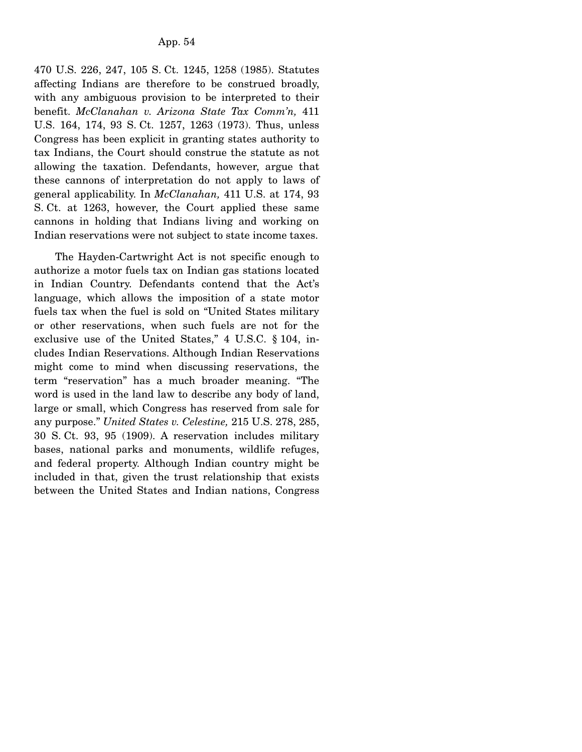470 U.S. 226, 247, 105 S. Ct. 1245, 1258 (1985). Statutes affecting Indians are therefore to be construed broadly, with any ambiguous provision to be interpreted to their benefit. *McClanahan v. Arizona State Tax Comm'n,* 411 U.S. 164, 174, 93 S. Ct. 1257, 1263 (1973). Thus, unless Congress has been explicit in granting states authority to tax Indians, the Court should construe the statute as not allowing the taxation. Defendants, however, argue that these cannons of interpretation do not apply to laws of general applicability. In *McClanahan,* 411 U.S. at 174, 93 S. Ct. at 1263, however, the Court applied these same cannons in holding that Indians living and working on Indian reservations were not subject to state income taxes.

 The Hayden-Cartwright Act is not specific enough to authorize a motor fuels tax on Indian gas stations located in Indian Country. Defendants contend that the Act's language, which allows the imposition of a state motor fuels tax when the fuel is sold on "United States military or other reservations, when such fuels are not for the exclusive use of the United States," 4 U.S.C. § 104, includes Indian Reservations. Although Indian Reservations might come to mind when discussing reservations, the term "reservation" has a much broader meaning. "The word is used in the land law to describe any body of land, large or small, which Congress has reserved from sale for any purpose." *United States v. Celestine,* 215 U.S. 278, 285, 30 S. Ct. 93, 95 (1909). A reservation includes military bases, national parks and monuments, wildlife refuges, and federal property. Although Indian country might be included in that, given the trust relationship that exists between the United States and Indian nations, Congress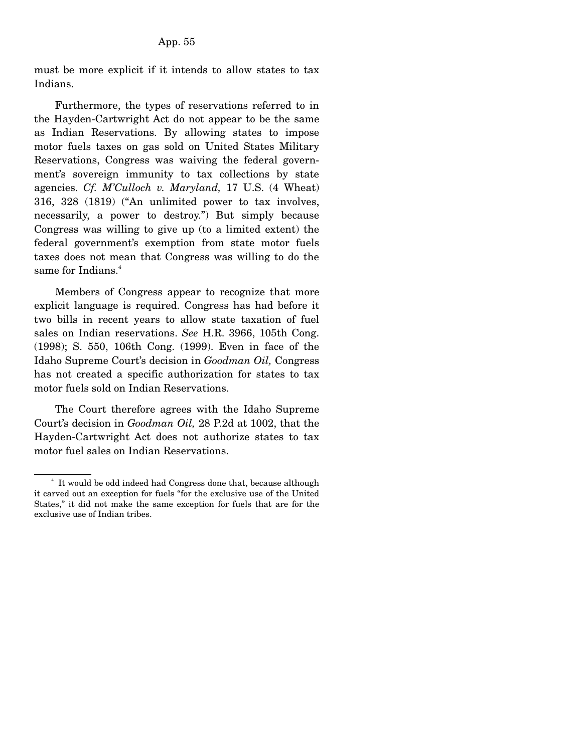must be more explicit if it intends to allow states to tax Indians.

 Furthermore, the types of reservations referred to in the Hayden-Cartwright Act do not appear to be the same as Indian Reservations. By allowing states to impose motor fuels taxes on gas sold on United States Military Reservations, Congress was waiving the federal government's sovereign immunity to tax collections by state agencies. *Cf. M'Culloch v. Maryland,* 17 U.S. (4 Wheat) 316, 328 (1819) ("An unlimited power to tax involves, necessarily, a power to destroy.") But simply because Congress was willing to give up (to a limited extent) the federal government's exemption from state motor fuels taxes does not mean that Congress was willing to do the same for Indians.<sup>4</sup>

 Members of Congress appear to recognize that more explicit language is required. Congress has had before it two bills in recent years to allow state taxation of fuel sales on Indian reservations. *See* H.R. 3966, 105th Cong. (1998); S. 550, 106th Cong. (1999). Even in face of the Idaho Supreme Court's decision in *Goodman Oil,* Congress has not created a specific authorization for states to tax motor fuels sold on Indian Reservations.

 The Court therefore agrees with the Idaho Supreme Court's decision in *Goodman Oil,* 28 P.2d at 1002, that the Hayden-Cartwright Act does not authorize states to tax motor fuel sales on Indian Reservations.

 $\sim$   $\frac{4}{3}$  It would be odd indeed had Congress done that, because although it carved out an exception for fuels "for the exclusive use of the United States," it did not make the same exception for fuels that are for the exclusive use of Indian tribes.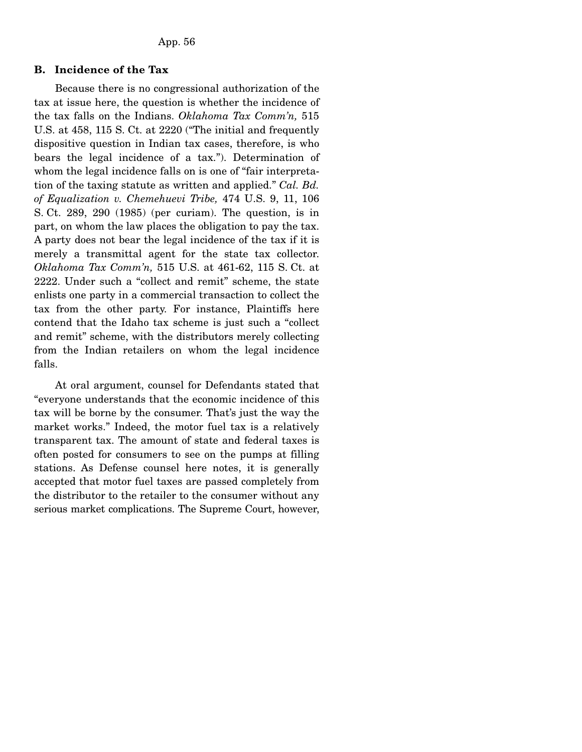# **B. Incidence of the Tax**

 Because there is no congressional authorization of the tax at issue here, the question is whether the incidence of the tax falls on the Indians. *Oklahoma Tax Comm'n,* 515 U.S. at 458, 115 S. Ct. at 2220 ("The initial and frequently dispositive question in Indian tax cases, therefore, is who bears the legal incidence of a tax."). Determination of whom the legal incidence falls on is one of "fair interpretation of the taxing statute as written and applied." *Cal. Bd. of Equalization v. Chemehuevi Tribe,* 474 U.S. 9, 11, 106 S. Ct. 289, 290 (1985) (per curiam). The question, is in part, on whom the law places the obligation to pay the tax. A party does not bear the legal incidence of the tax if it is merely a transmittal agent for the state tax collector. *Oklahoma Tax Comm'n,* 515 U.S. at 461-62, 115 S. Ct. at 2222. Under such a "collect and remit" scheme, the state enlists one party in a commercial transaction to collect the tax from the other party. For instance, Plaintiffs here contend that the Idaho tax scheme is just such a "collect and remit" scheme, with the distributors merely collecting from the Indian retailers on whom the legal incidence falls.

 At oral argument, counsel for Defendants stated that "everyone understands that the economic incidence of this tax will be borne by the consumer. That's just the way the market works." Indeed, the motor fuel tax is a relatively transparent tax. The amount of state and federal taxes is often posted for consumers to see on the pumps at filling stations. As Defense counsel here notes, it is generally accepted that motor fuel taxes are passed completely from the distributor to the retailer to the consumer without any serious market complications. The Supreme Court, however,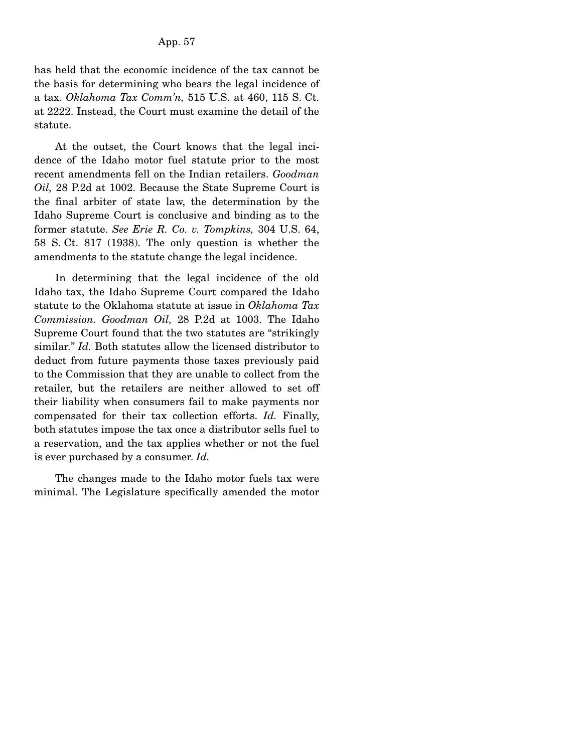has held that the economic incidence of the tax cannot be the basis for determining who bears the legal incidence of a tax. *Oklahoma Tax Comm'n,* 515 U.S. at 460, 115 S. Ct. at 2222. Instead, the Court must examine the detail of the statute.

 At the outset, the Court knows that the legal incidence of the Idaho motor fuel statute prior to the most recent amendments fell on the Indian retailers. *Goodman Oil,* 28 P.2d at 1002. Because the State Supreme Court is the final arbiter of state law, the determination by the Idaho Supreme Court is conclusive and binding as to the former statute. *See Erie R. Co. v. Tompkins,* 304 U.S. 64, 58 S. Ct. 817 (1938). The only question is whether the amendments to the statute change the legal incidence.

 In determining that the legal incidence of the old Idaho tax, the Idaho Supreme Court compared the Idaho statute to the Oklahoma statute at issue in *Oklahoma Tax Commission. Goodman Oil,* 28 P.2d at 1003. The Idaho Supreme Court found that the two statutes are "strikingly similar." *Id.* Both statutes allow the licensed distributor to deduct from future payments those taxes previously paid to the Commission that they are unable to collect from the retailer, but the retailers are neither allowed to set off their liability when consumers fail to make payments nor compensated for their tax collection efforts. *Id.* Finally, both statutes impose the tax once a distributor sells fuel to a reservation, and the tax applies whether or not the fuel is ever purchased by a consumer. *Id.*

 The changes made to the Idaho motor fuels tax were minimal. The Legislature specifically amended the motor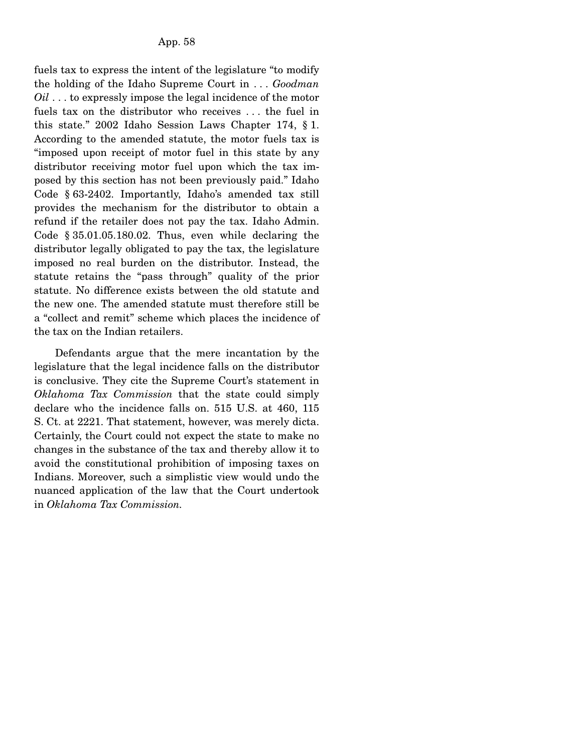fuels tax to express the intent of the legislature "to modify the holding of the Idaho Supreme Court in . . . *Goodman Oil* . . . to expressly impose the legal incidence of the motor fuels tax on the distributor who receives . . . the fuel in this state." 2002 Idaho Session Laws Chapter 174, § 1. According to the amended statute, the motor fuels tax is "imposed upon receipt of motor fuel in this state by any distributor receiving motor fuel upon which the tax imposed by this section has not been previously paid." Idaho Code § 63-2402. Importantly, Idaho's amended tax still provides the mechanism for the distributor to obtain a refund if the retailer does not pay the tax. Idaho Admin. Code § 35.01.05.180.02. Thus, even while declaring the distributor legally obligated to pay the tax, the legislature imposed no real burden on the distributor. Instead, the statute retains the "pass through" quality of the prior statute. No difference exists between the old statute and the new one. The amended statute must therefore still be a "collect and remit" scheme which places the incidence of the tax on the Indian retailers.

 Defendants argue that the mere incantation by the legislature that the legal incidence falls on the distributor is conclusive. They cite the Supreme Court's statement in *Oklahoma Tax Commission* that the state could simply declare who the incidence falls on. 515 U.S. at 460, 115 S. Ct. at 2221. That statement, however, was merely dicta. Certainly, the Court could not expect the state to make no changes in the substance of the tax and thereby allow it to avoid the constitutional prohibition of imposing taxes on Indians. Moreover, such a simplistic view would undo the nuanced application of the law that the Court undertook in *Oklahoma Tax Commission.*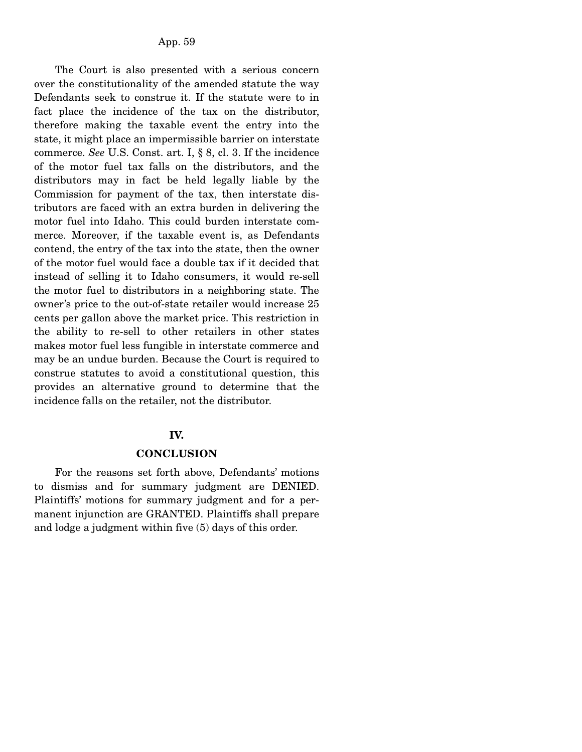The Court is also presented with a serious concern over the constitutionality of the amended statute the way Defendants seek to construe it. If the statute were to in fact place the incidence of the tax on the distributor, therefore making the taxable event the entry into the state, it might place an impermissible barrier on interstate commerce. *See* U.S. Const. art. I, § 8, cl. 3. If the incidence of the motor fuel tax falls on the distributors, and the distributors may in fact be held legally liable by the Commission for payment of the tax, then interstate distributors are faced with an extra burden in delivering the motor fuel into Idaho. This could burden interstate commerce. Moreover, if the taxable event is, as Defendants contend, the entry of the tax into the state, then the owner of the motor fuel would face a double tax if it decided that instead of selling it to Idaho consumers, it would re-sell the motor fuel to distributors in a neighboring state. The owner's price to the out-of-state retailer would increase 25 cents per gallon above the market price. This restriction in the ability to re-sell to other retailers in other states makes motor fuel less fungible in interstate commerce and may be an undue burden. Because the Court is required to construe statutes to avoid a constitutional question, this provides an alternative ground to determine that the incidence falls on the retailer, not the distributor.

#### **IV.**

#### **CONCLUSION**

 For the reasons set forth above, Defendants' motions to dismiss and for summary judgment are DENIED. Plaintiffs' motions for summary judgment and for a permanent injunction are GRANTED. Plaintiffs shall prepare and lodge a judgment within five (5) days of this order.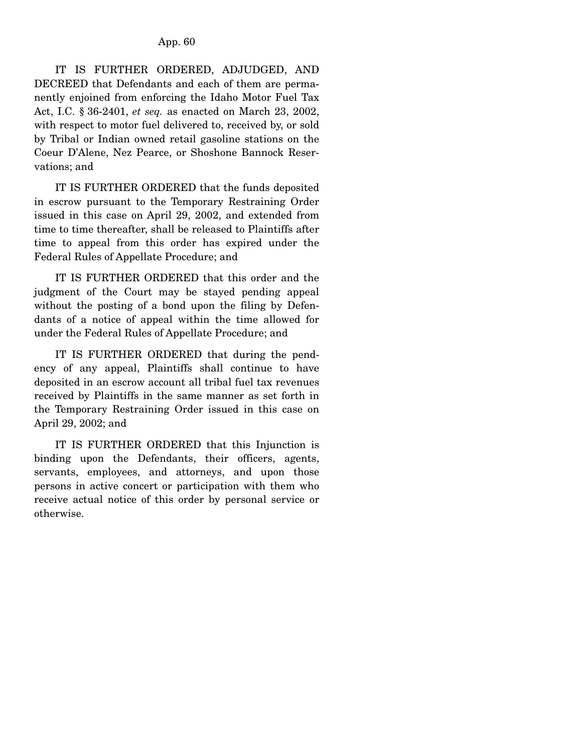IT IS FURTHER ORDERED, ADJUDGED, AND DECREED that Defendants and each of them are permanently enjoined from enforcing the Idaho Motor Fuel Tax Act, I.C. § 36-2401, *et seq.* as enacted on March 23, 2002, with respect to motor fuel delivered to, received by, or sold by Tribal or Indian owned retail gasoline stations on the Coeur D'Alene, Nez Pearce, or Shoshone Bannock Reservations; and

 IT IS FURTHER ORDERED that the funds deposited in escrow pursuant to the Temporary Restraining Order issued in this case on April 29, 2002, and extended from time to time thereafter, shall be released to Plaintiffs after time to appeal from this order has expired under the Federal Rules of Appellate Procedure; and

 IT IS FURTHER ORDERED that this order and the judgment of the Court may be stayed pending appeal without the posting of a bond upon the filing by Defendants of a notice of appeal within the time allowed for under the Federal Rules of Appellate Procedure; and

 IT IS FURTHER ORDERED that during the pendency of any appeal, Plaintiffs shall continue to have deposited in an escrow account all tribal fuel tax revenues received by Plaintiffs in the same manner as set forth in the Temporary Restraining Order issued in this case on April 29, 2002; and

 IT IS FURTHER ORDERED that this Injunction is binding upon the Defendants, their officers, agents, servants, employees, and attorneys, and upon those persons in active concert or participation with them who receive actual notice of this order by personal service or otherwise.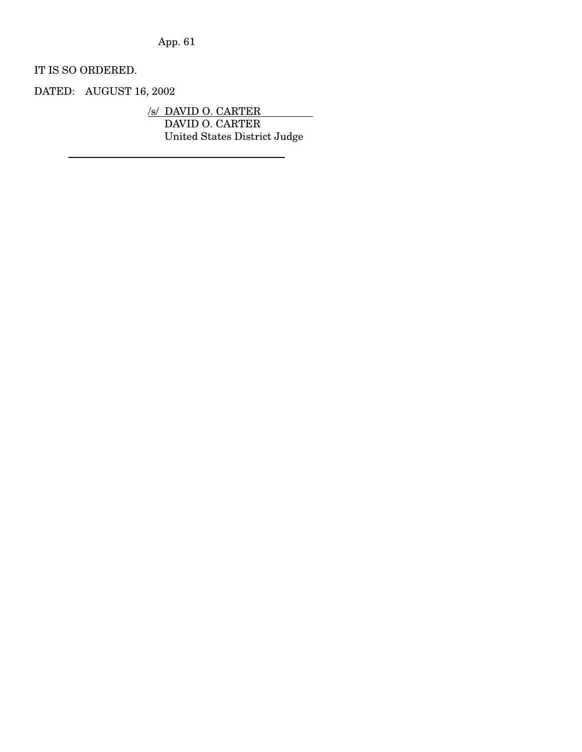App. 61

IT IS SO ORDERED.

DATED: AUGUST 16, 2002

/s/ DAVID O. CARTER DAVID O. CARTER United States District Judge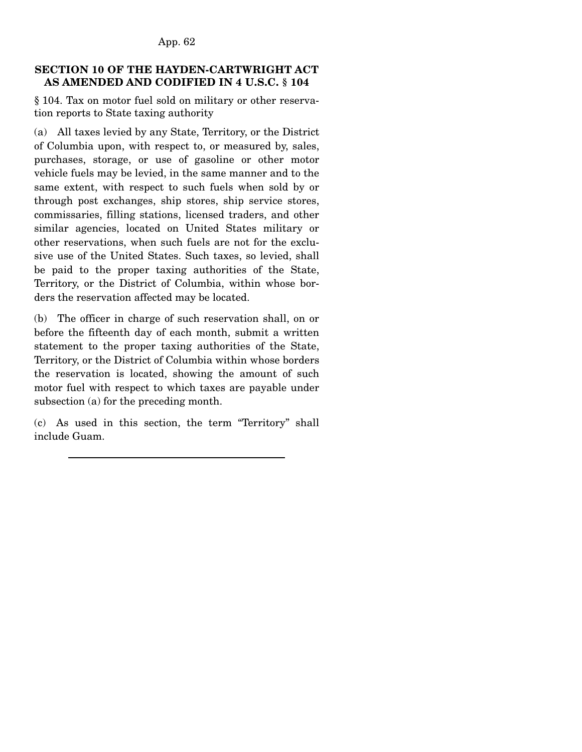# **SECTION 10 OF THE HAYDEN-CARTWRIGHT ACT AS AMENDED AND CODIFIED IN 4 U.S.C. § 104**

§ 104. Tax on motor fuel sold on military or other reservation reports to State taxing authority

(a) All taxes levied by any State, Territory, or the District of Columbia upon, with respect to, or measured by, sales, purchases, storage, or use of gasoline or other motor vehicle fuels may be levied, in the same manner and to the same extent, with respect to such fuels when sold by or through post exchanges, ship stores, ship service stores, commissaries, filling stations, licensed traders, and other similar agencies, located on United States military or other reservations, when such fuels are not for the exclusive use of the United States. Such taxes, so levied, shall be paid to the proper taxing authorities of the State, Territory, or the District of Columbia, within whose borders the reservation affected may be located.

(b) The officer in charge of such reservation shall, on or before the fifteenth day of each month, submit a written statement to the proper taxing authorities of the State, Territory, or the District of Columbia within whose borders the reservation is located, showing the amount of such motor fuel with respect to which taxes are payable under subsection (a) for the preceding month.

(c) As used in this section, the term "Territory" shall include Guam.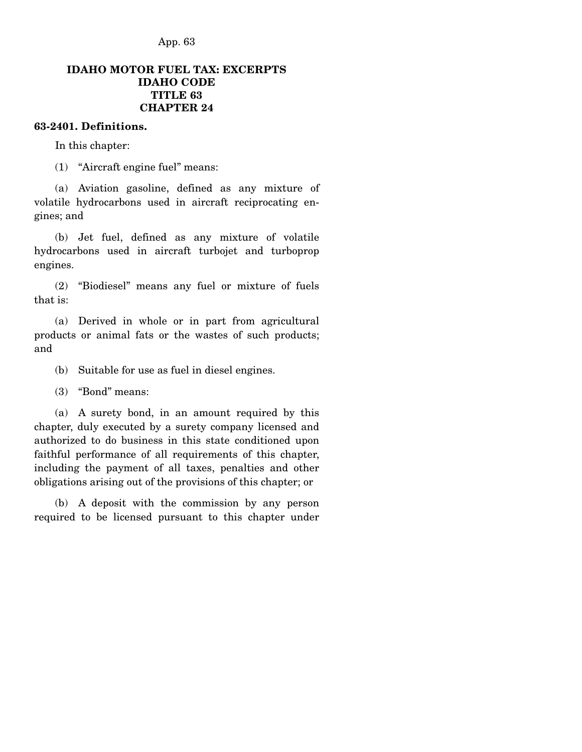App. 63

# **IDAHO MOTOR FUEL TAX: EXCERPTS IDAHO CODE TITLE 63 CHAPTER 24**

# **63-2401. Definitions.**

In this chapter:

(1) "Aircraft engine fuel" means:

 (a) Aviation gasoline, defined as any mixture of volatile hydrocarbons used in aircraft reciprocating engines; and

 (b) Jet fuel, defined as any mixture of volatile hydrocarbons used in aircraft turbojet and turboprop engines.

 (2) "Biodiesel" means any fuel or mixture of fuels that is:

 (a) Derived in whole or in part from agricultural products or animal fats or the wastes of such products; and

(b) Suitable for use as fuel in diesel engines.

(3) "Bond" means:

 (a) A surety bond, in an amount required by this chapter, duly executed by a surety company licensed and authorized to do business in this state conditioned upon faithful performance of all requirements of this chapter, including the payment of all taxes, penalties and other obligations arising out of the provisions of this chapter; or

 (b) A deposit with the commission by any person required to be licensed pursuant to this chapter under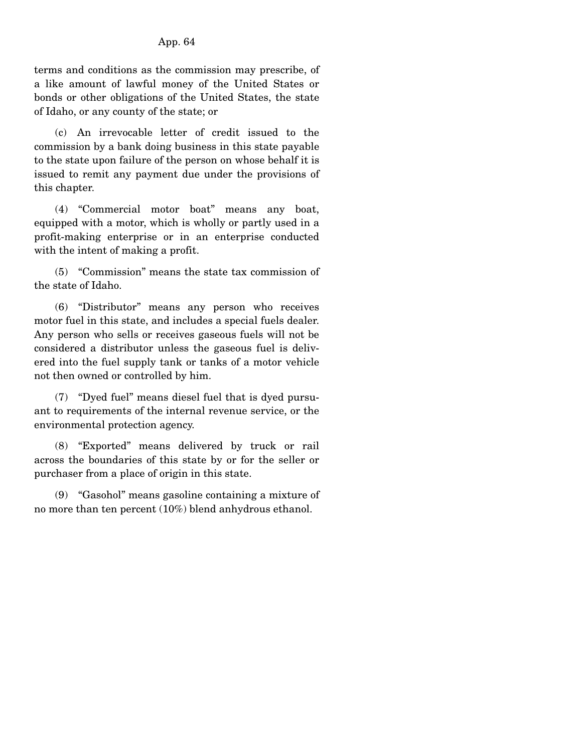## App. 64

terms and conditions as the commission may prescribe, of a like amount of lawful money of the United States or bonds or other obligations of the United States, the state of Idaho, or any county of the state; or

 (c) An irrevocable letter of credit issued to the commission by a bank doing business in this state payable to the state upon failure of the person on whose behalf it is issued to remit any payment due under the provisions of this chapter.

 (4) "Commercial motor boat" means any boat, equipped with a motor, which is wholly or partly used in a profit-making enterprise or in an enterprise conducted with the intent of making a profit.

 (5) "Commission" means the state tax commission of the state of Idaho.

 (6) "Distributor" means any person who receives motor fuel in this state, and includes a special fuels dealer. Any person who sells or receives gaseous fuels will not be considered a distributor unless the gaseous fuel is delivered into the fuel supply tank or tanks of a motor vehicle not then owned or controlled by him.

 (7) "Dyed fuel" means diesel fuel that is dyed pursuant to requirements of the internal revenue service, or the environmental protection agency.

 (8) "Exported" means delivered by truck or rail across the boundaries of this state by or for the seller or purchaser from a place of origin in this state.

 (9) "Gasohol" means gasoline containing a mixture of no more than ten percent (10%) blend anhydrous ethanol.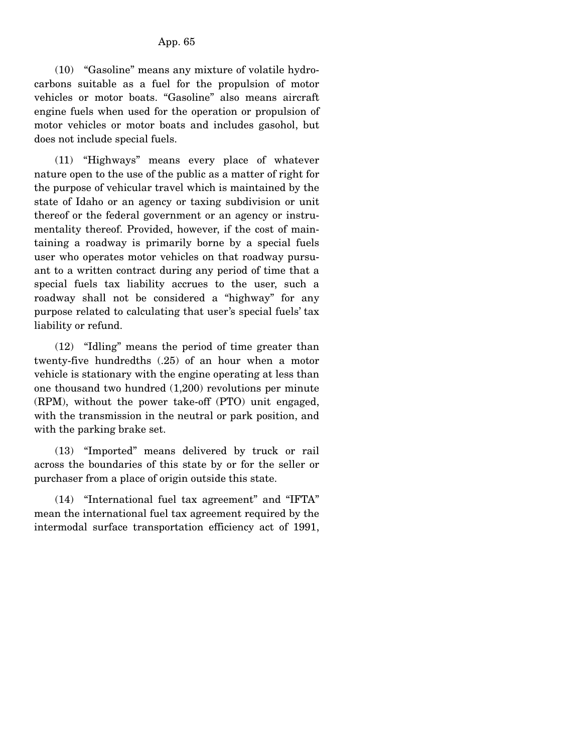(10) "Gasoline" means any mixture of volatile hydrocarbons suitable as a fuel for the propulsion of motor vehicles or motor boats. "Gasoline" also means aircraft engine fuels when used for the operation or propulsion of motor vehicles or motor boats and includes gasohol, but does not include special fuels.

 (11) "Highways" means every place of whatever nature open to the use of the public as a matter of right for the purpose of vehicular travel which is maintained by the state of Idaho or an agency or taxing subdivision or unit thereof or the federal government or an agency or instrumentality thereof. Provided, however, if the cost of maintaining a roadway is primarily borne by a special fuels user who operates motor vehicles on that roadway pursuant to a written contract during any period of time that a special fuels tax liability accrues to the user, such a roadway shall not be considered a "highway" for any purpose related to calculating that user's special fuels' tax liability or refund.

 (12) "Idling" means the period of time greater than twenty-five hundredths (.25) of an hour when a motor vehicle is stationary with the engine operating at less than one thousand two hundred (1,200) revolutions per minute (RPM), without the power take-off (PTO) unit engaged, with the transmission in the neutral or park position, and with the parking brake set.

 (13) "Imported" means delivered by truck or rail across the boundaries of this state by or for the seller or purchaser from a place of origin outside this state.

 (14) "International fuel tax agreement" and "IFTA" mean the international fuel tax agreement required by the intermodal surface transportation efficiency act of 1991,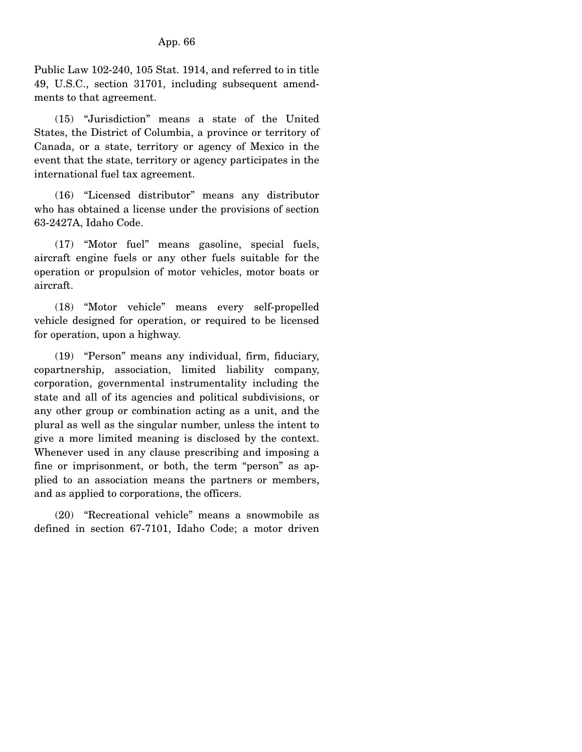Public Law 102-240, 105 Stat. 1914, and referred to in title 49, U.S.C., section 31701, including subsequent amendments to that agreement.

 (15) "Jurisdiction" means a state of the United States, the District of Columbia, a province or territory of Canada, or a state, territory or agency of Mexico in the event that the state, territory or agency participates in the international fuel tax agreement.

 (16) "Licensed distributor" means any distributor who has obtained a license under the provisions of section 63-2427A, Idaho Code.

 (17) "Motor fuel" means gasoline, special fuels, aircraft engine fuels or any other fuels suitable for the operation or propulsion of motor vehicles, motor boats or aircraft.

 (18) "Motor vehicle" means every self-propelled vehicle designed for operation, or required to be licensed for operation, upon a highway.

 (19) "Person" means any individual, firm, fiduciary, copartnership, association, limited liability company, corporation, governmental instrumentality including the state and all of its agencies and political subdivisions, or any other group or combination acting as a unit, and the plural as well as the singular number, unless the intent to give a more limited meaning is disclosed by the context. Whenever used in any clause prescribing and imposing a fine or imprisonment, or both, the term "person" as applied to an association means the partners or members, and as applied to corporations, the officers.

 (20) "Recreational vehicle" means a snowmobile as defined in section 67-7101, Idaho Code; a motor driven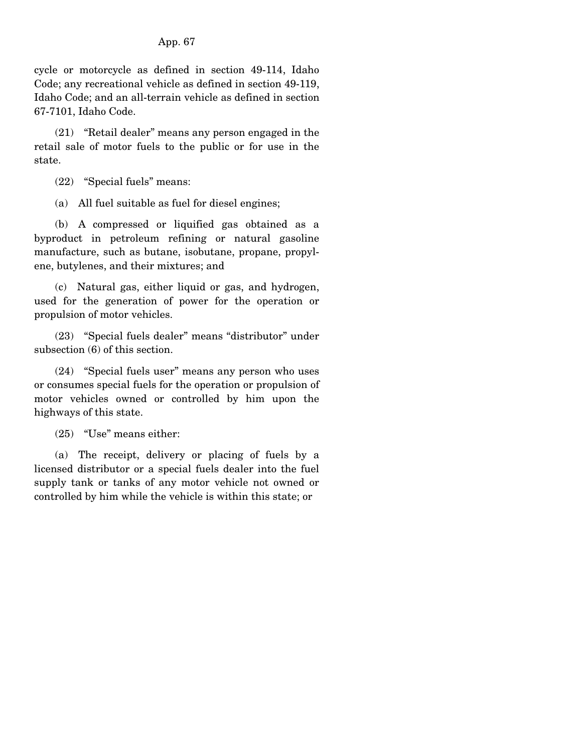cycle or motorcycle as defined in section 49-114, Idaho Code; any recreational vehicle as defined in section 49-119, Idaho Code; and an all-terrain vehicle as defined in section 67-7101, Idaho Code.

 (21) "Retail dealer" means any person engaged in the retail sale of motor fuels to the public or for use in the state.

(22) "Special fuels" means:

(a) All fuel suitable as fuel for diesel engines;

 (b) A compressed or liquified gas obtained as a byproduct in petroleum refining or natural gasoline manufacture, such as butane, isobutane, propane, propylene, butylenes, and their mixtures; and

 (c) Natural gas, either liquid or gas, and hydrogen, used for the generation of power for the operation or propulsion of motor vehicles.

 (23) "Special fuels dealer" means "distributor" under subsection (6) of this section.

 (24) "Special fuels user" means any person who uses or consumes special fuels for the operation or propulsion of motor vehicles owned or controlled by him upon the highways of this state.

(25) "Use" means either:

 (a) The receipt, delivery or placing of fuels by a licensed distributor or a special fuels dealer into the fuel supply tank or tanks of any motor vehicle not owned or controlled by him while the vehicle is within this state; or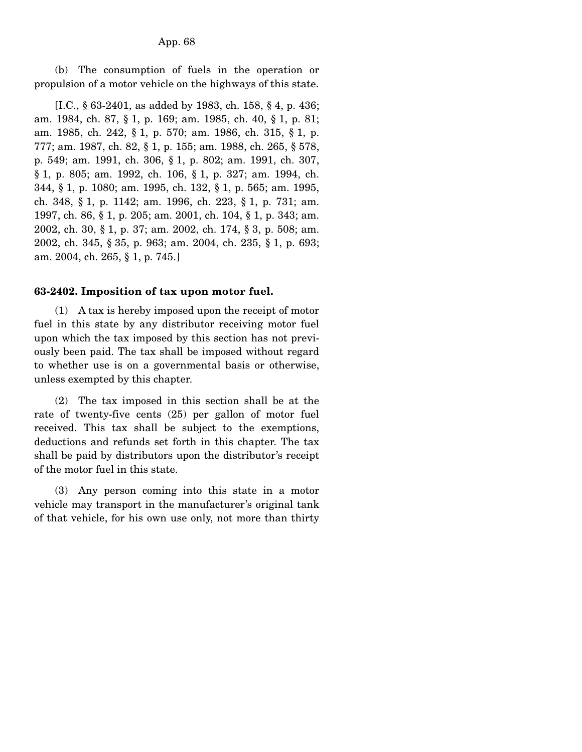(b) The consumption of fuels in the operation or propulsion of a motor vehicle on the highways of this state.

 [I.C., § 63-2401, as added by 1983, ch. 158, § 4, p. 436; am. 1984, ch. 87, § 1, p. 169; am. 1985, ch. 40, § 1, p. 81; am. 1985, ch. 242, § 1, p. 570; am. 1986, ch. 315, § 1, p. 777; am. 1987, ch. 82, § 1, p. 155; am. 1988, ch. 265, § 578, p. 549; am. 1991, ch. 306, § 1, p. 802; am. 1991, ch. 307, § 1, p. 805; am. 1992, ch. 106, § 1, p. 327; am. 1994, ch. 344, § 1, p. 1080; am. 1995, ch. 132, § 1, p. 565; am. 1995, ch. 348, § 1, p. 1142; am. 1996, ch. 223, § 1, p. 731; am. 1997, ch. 86, § 1, p. 205; am. 2001, ch. 104, § 1, p. 343; am. 2002, ch. 30, § 1, p. 37; am. 2002, ch. 174, § 3, p. 508; am. 2002, ch. 345, § 35, p. 963; am. 2004, ch. 235, § 1, p. 693; am. 2004, ch. 265, § 1, p. 745.]

#### **63-2402. Imposition of tax upon motor fuel.**

 (1) A tax is hereby imposed upon the receipt of motor fuel in this state by any distributor receiving motor fuel upon which the tax imposed by this section has not previously been paid. The tax shall be imposed without regard to whether use is on a governmental basis or otherwise, unless exempted by this chapter.

 (2) The tax imposed in this section shall be at the rate of twenty-five cents (25) per gallon of motor fuel received. This tax shall be subject to the exemptions, deductions and refunds set forth in this chapter. The tax shall be paid by distributors upon the distributor's receipt of the motor fuel in this state.

 (3) Any person coming into this state in a motor vehicle may transport in the manufacturer's original tank of that vehicle, for his own use only, not more than thirty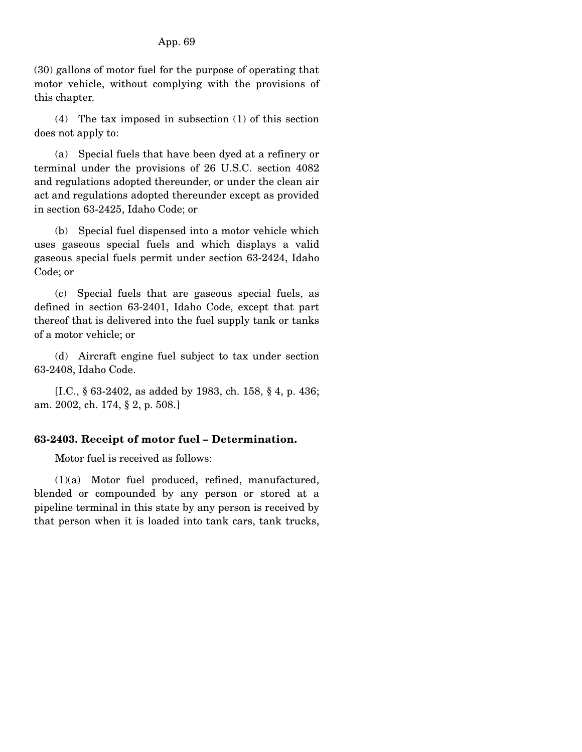(30) gallons of motor fuel for the purpose of operating that motor vehicle, without complying with the provisions of this chapter.

 (4) The tax imposed in subsection (1) of this section does not apply to:

 (a) Special fuels that have been dyed at a refinery or terminal under the provisions of 26 U.S.C. section 4082 and regulations adopted thereunder, or under the clean air act and regulations adopted thereunder except as provided in section 63-2425, Idaho Code; or

 (b) Special fuel dispensed into a motor vehicle which uses gaseous special fuels and which displays a valid gaseous special fuels permit under section 63-2424, Idaho Code; or

 (c) Special fuels that are gaseous special fuels, as defined in section 63-2401, Idaho Code, except that part thereof that is delivered into the fuel supply tank or tanks of a motor vehicle; or

 (d) Aircraft engine fuel subject to tax under section 63-2408, Idaho Code.

 [I.C., § 63-2402, as added by 1983, ch. 158, § 4, p. 436; am. 2002, ch. 174, § 2, p. 508.]

# **63-2403. Receipt of motor fuel – Determination.**

Motor fuel is received as follows:

 (1)(a) Motor fuel produced, refined, manufactured, blended or compounded by any person or stored at a pipeline terminal in this state by any person is received by that person when it is loaded into tank cars, tank trucks,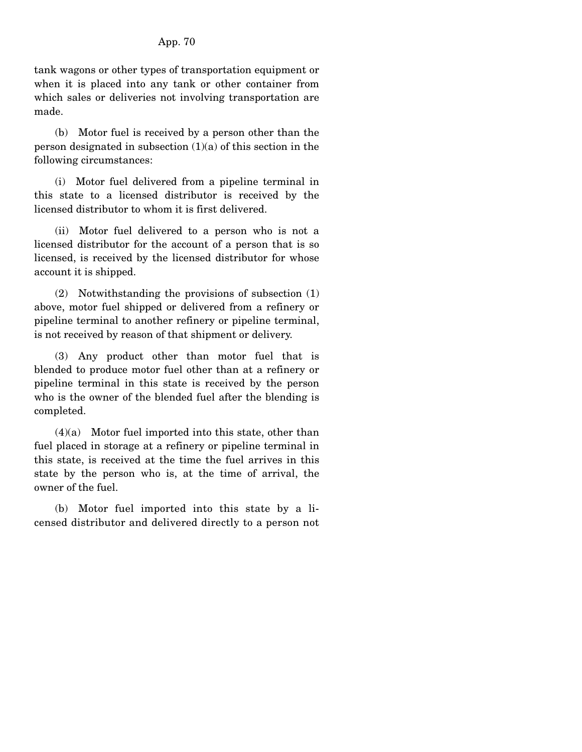tank wagons or other types of transportation equipment or when it is placed into any tank or other container from which sales or deliveries not involving transportation are made.

 (b) Motor fuel is received by a person other than the person designated in subsection  $(1)(a)$  of this section in the following circumstances:

 (i) Motor fuel delivered from a pipeline terminal in this state to a licensed distributor is received by the licensed distributor to whom it is first delivered.

 (ii) Motor fuel delivered to a person who is not a licensed distributor for the account of a person that is so licensed, is received by the licensed distributor for whose account it is shipped.

 (2) Notwithstanding the provisions of subsection (1) above, motor fuel shipped or delivered from a refinery or pipeline terminal to another refinery or pipeline terminal, is not received by reason of that shipment or delivery.

 (3) Any product other than motor fuel that is blended to produce motor fuel other than at a refinery or pipeline terminal in this state is received by the person who is the owner of the blended fuel after the blending is completed.

 $(4)(a)$  Motor fuel imported into this state, other than fuel placed in storage at a refinery or pipeline terminal in this state, is received at the time the fuel arrives in this state by the person who is, at the time of arrival, the owner of the fuel.

 (b) Motor fuel imported into this state by a licensed distributor and delivered directly to a person not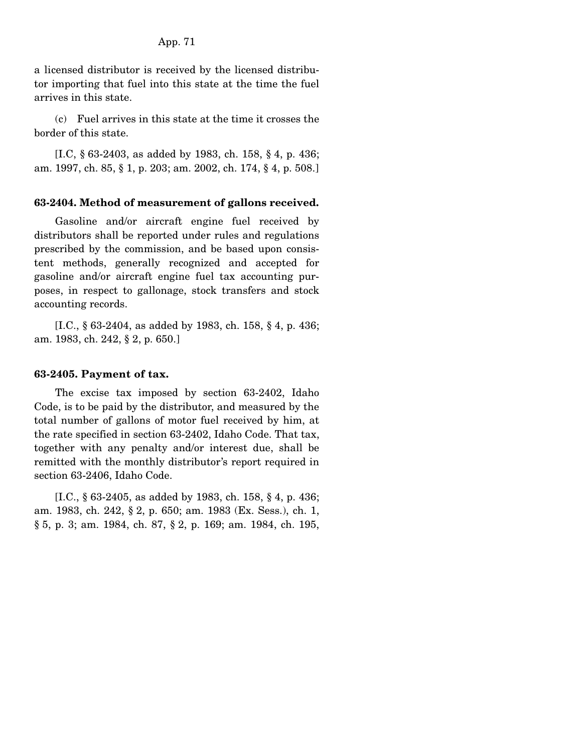App. 71

a licensed distributor is received by the licensed distributor importing that fuel into this state at the time the fuel arrives in this state.

 (c) Fuel arrives in this state at the time it crosses the border of this state.

 [I.C, § 63-2403, as added by 1983, ch. 158, § 4, p. 436; am. 1997, ch. 85, § 1, p. 203; am. 2002, ch. 174, § 4, p. 508.]

# **63-2404. Method of measurement of gallons received.**

 Gasoline and/or aircraft engine fuel received by distributors shall be reported under rules and regulations prescribed by the commission, and be based upon consistent methods, generally recognized and accepted for gasoline and/or aircraft engine fuel tax accounting purposes, in respect to gallonage, stock transfers and stock accounting records.

 [I.C., § 63-2404, as added by 1983, ch. 158, § 4, p. 436; am. 1983, ch. 242, § 2, p. 650.]

#### **63-2405. Payment of tax.**

 The excise tax imposed by section 63-2402, Idaho Code, is to be paid by the distributor, and measured by the total number of gallons of motor fuel received by him, at the rate specified in section 63-2402, Idaho Code. That tax, together with any penalty and/or interest due, shall be remitted with the monthly distributor's report required in section 63-2406, Idaho Code.

 [I.C., § 63-2405, as added by 1983, ch. 158, § 4, p. 436; am. 1983, ch. 242, § 2, p. 650; am. 1983 (Ex. Sess.), ch. 1, § 5, p. 3; am. 1984, ch. 87, § 2, p. 169; am. 1984, ch. 195,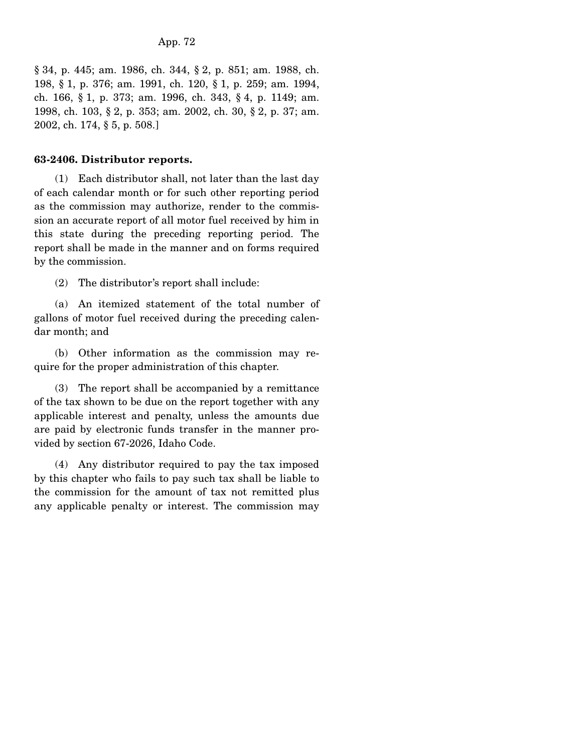§ 34, p. 445; am. 1986, ch. 344, § 2, p. 851; am. 1988, ch. 198, § 1, p. 376; am. 1991, ch. 120, § 1, p. 259; am. 1994, ch. 166, § 1, p. 373; am. 1996, ch. 343, § 4, p. 1149; am. 1998, ch. 103, § 2, p. 353; am. 2002, ch. 30, § 2, p. 37; am. 2002, ch. 174, § 5, p. 508.]

## **63-2406. Distributor reports.**

 (1) Each distributor shall, not later than the last day of each calendar month or for such other reporting period as the commission may authorize, render to the commission an accurate report of all motor fuel received by him in this state during the preceding reporting period. The report shall be made in the manner and on forms required by the commission.

(2) The distributor's report shall include:

 (a) An itemized statement of the total number of gallons of motor fuel received during the preceding calendar month; and

 (b) Other information as the commission may require for the proper administration of this chapter.

 (3) The report shall be accompanied by a remittance of the tax shown to be due on the report together with any applicable interest and penalty, unless the amounts due are paid by electronic funds transfer in the manner provided by section 67-2026, Idaho Code.

 (4) Any distributor required to pay the tax imposed by this chapter who fails to pay such tax shall be liable to the commission for the amount of tax not remitted plus any applicable penalty or interest. The commission may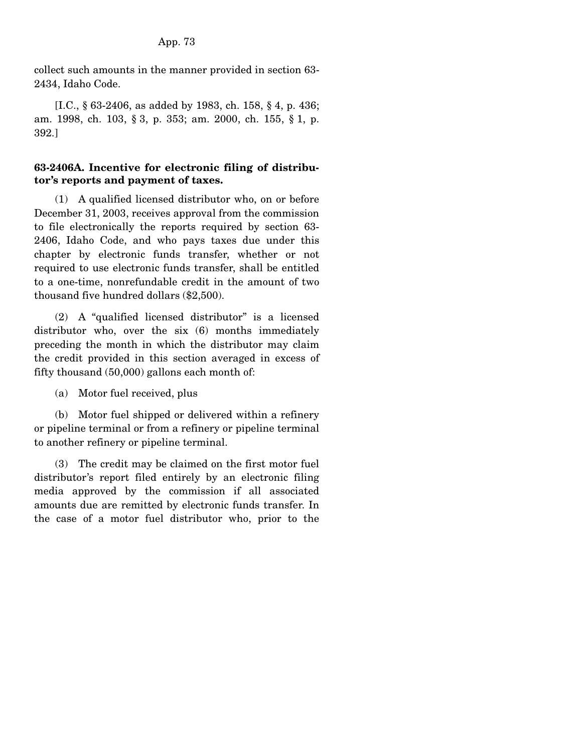collect such amounts in the manner provided in section 63- 2434, Idaho Code.

 [I.C., § 63-2406, as added by 1983, ch. 158, § 4, p. 436; am. 1998, ch. 103, § 3, p. 353; am. 2000, ch. 155, § 1, p. 392.]

# **63-2406A. Incentive for electronic filing of distributor's reports and payment of taxes.**

 (1) A qualified licensed distributor who, on or before December 31, 2003, receives approval from the commission to file electronically the reports required by section 63- 2406, Idaho Code, and who pays taxes due under this chapter by electronic funds transfer, whether or not required to use electronic funds transfer, shall be entitled to a one-time, nonrefundable credit in the amount of two thousand five hundred dollars (\$2,500).

 (2) A "qualified licensed distributor" is a licensed distributor who, over the six (6) months immediately preceding the month in which the distributor may claim the credit provided in this section averaged in excess of fifty thousand (50,000) gallons each month of:

(a) Motor fuel received, plus

 (b) Motor fuel shipped or delivered within a refinery or pipeline terminal or from a refinery or pipeline terminal to another refinery or pipeline terminal.

 (3) The credit may be claimed on the first motor fuel distributor's report filed entirely by an electronic filing media approved by the commission if all associated amounts due are remitted by electronic funds transfer. In the case of a motor fuel distributor who, prior to the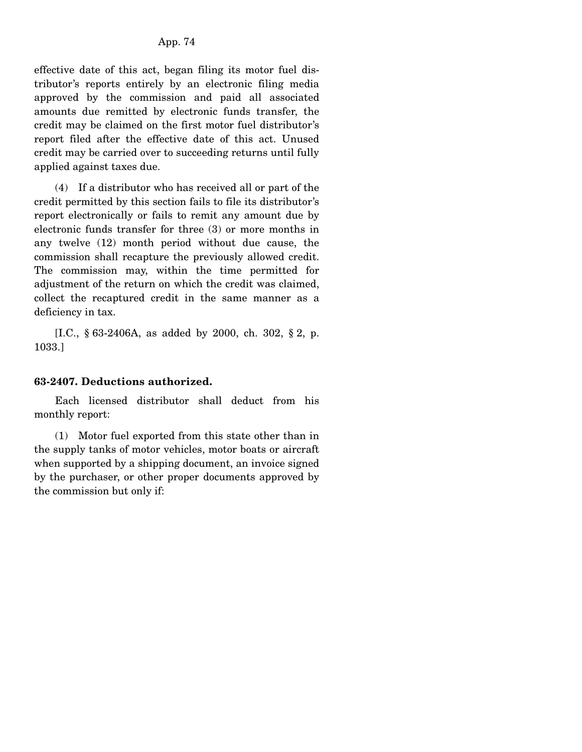effective date of this act, began filing its motor fuel distributor's reports entirely by an electronic filing media approved by the commission and paid all associated amounts due remitted by electronic funds transfer, the credit may be claimed on the first motor fuel distributor's report filed after the effective date of this act. Unused credit may be carried over to succeeding returns until fully applied against taxes due.

 (4) If a distributor who has received all or part of the credit permitted by this section fails to file its distributor's report electronically or fails to remit any amount due by electronic funds transfer for three (3) or more months in any twelve (12) month period without due cause, the commission shall recapture the previously allowed credit. The commission may, within the time permitted for adjustment of the return on which the credit was claimed, collect the recaptured credit in the same manner as a deficiency in tax.

 [I.C., § 63-2406A, as added by 2000, ch. 302, § 2, p. 1033.]

## **63-2407. Deductions authorized.**

 Each licensed distributor shall deduct from his monthly report:

 (1) Motor fuel exported from this state other than in the supply tanks of motor vehicles, motor boats or aircraft when supported by a shipping document, an invoice signed by the purchaser, or other proper documents approved by the commission but only if: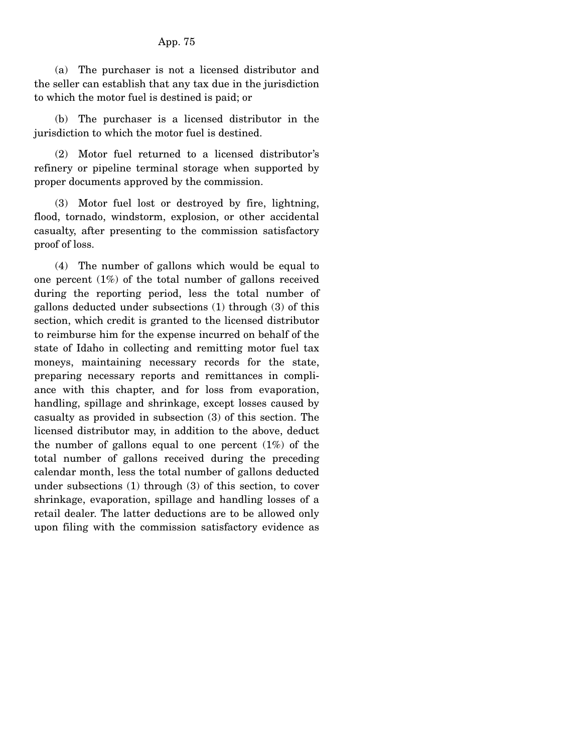### App. 75

 (a) The purchaser is not a licensed distributor and the seller can establish that any tax due in the jurisdiction to which the motor fuel is destined is paid; or

 (b) The purchaser is a licensed distributor in the jurisdiction to which the motor fuel is destined.

 (2) Motor fuel returned to a licensed distributor's refinery or pipeline terminal storage when supported by proper documents approved by the commission.

 (3) Motor fuel lost or destroyed by fire, lightning, flood, tornado, windstorm, explosion, or other accidental casualty, after presenting to the commission satisfactory proof of loss.

 (4) The number of gallons which would be equal to one percent  $(1%)$  of the total number of gallons received during the reporting period, less the total number of gallons deducted under subsections (1) through (3) of this section, which credit is granted to the licensed distributor to reimburse him for the expense incurred on behalf of the state of Idaho in collecting and remitting motor fuel tax moneys, maintaining necessary records for the state, preparing necessary reports and remittances in compliance with this chapter, and for loss from evaporation, handling, spillage and shrinkage, except losses caused by casualty as provided in subsection (3) of this section. The licensed distributor may, in addition to the above, deduct the number of gallons equal to one percent  $(1%)$  of the total number of gallons received during the preceding calendar month, less the total number of gallons deducted under subsections (1) through (3) of this section, to cover shrinkage, evaporation, spillage and handling losses of a retail dealer. The latter deductions are to be allowed only upon filing with the commission satisfactory evidence as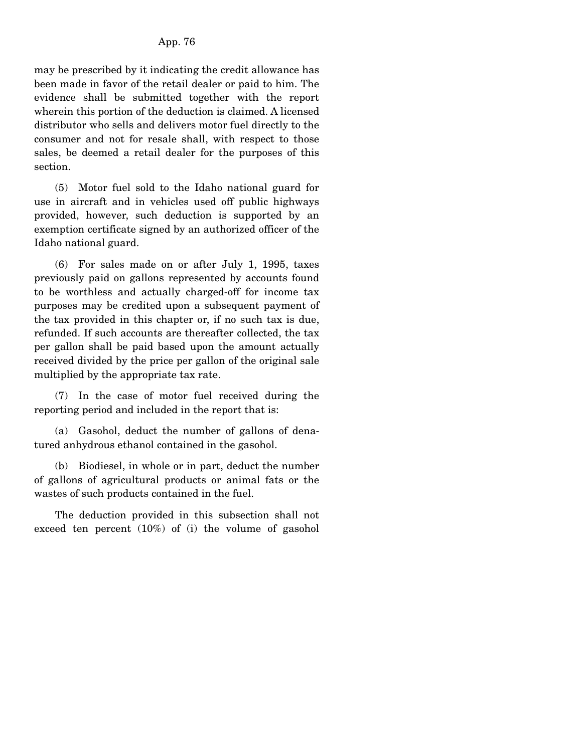may be prescribed by it indicating the credit allowance has been made in favor of the retail dealer or paid to him. The evidence shall be submitted together with the report wherein this portion of the deduction is claimed. A licensed distributor who sells and delivers motor fuel directly to the consumer and not for resale shall, with respect to those sales, be deemed a retail dealer for the purposes of this section.

 (5) Motor fuel sold to the Idaho national guard for use in aircraft and in vehicles used off public highways provided, however, such deduction is supported by an exemption certificate signed by an authorized officer of the Idaho national guard.

 (6) For sales made on or after July 1, 1995, taxes previously paid on gallons represented by accounts found to be worthless and actually charged-off for income tax purposes may be credited upon a subsequent payment of the tax provided in this chapter or, if no such tax is due, refunded. If such accounts are thereafter collected, the tax per gallon shall be paid based upon the amount actually received divided by the price per gallon of the original sale multiplied by the appropriate tax rate.

 (7) In the case of motor fuel received during the reporting period and included in the report that is:

 (a) Gasohol, deduct the number of gallons of denatured anhydrous ethanol contained in the gasohol.

 (b) Biodiesel, in whole or in part, deduct the number of gallons of agricultural products or animal fats or the wastes of such products contained in the fuel.

 The deduction provided in this subsection shall not exceed ten percent (10%) of (i) the volume of gasohol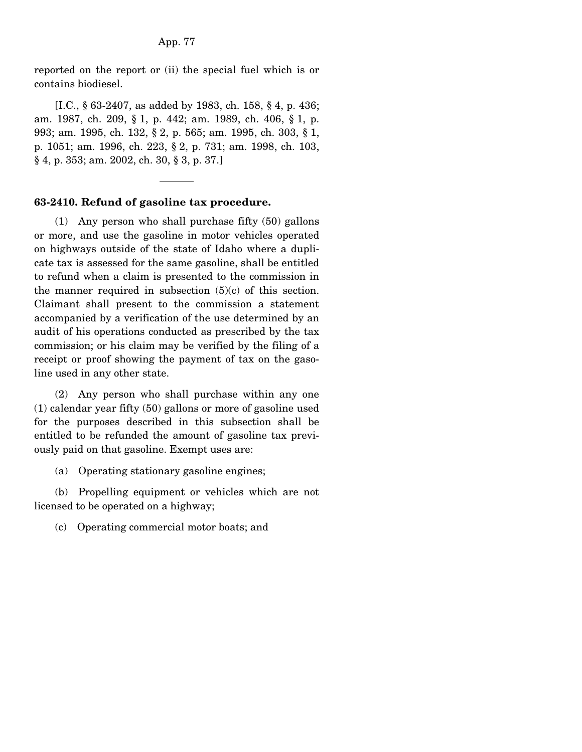reported on the report or (ii) the special fuel which is or contains biodiesel.

 [I.C., § 63-2407, as added by 1983, ch. 158, § 4, p. 436; am. 1987, ch. 209, § 1, p. 442; am. 1989, ch. 406, § 1, p. 993; am. 1995, ch. 132, § 2, p. 565; am. 1995, ch. 303, § 1, p. 1051; am. 1996, ch. 223, § 2, p. 731; am. 1998, ch. 103, § 4, p. 353; am. 2002, ch. 30, § 3, p. 37.]

### **63-2410. Refund of gasoline tax procedure.**

 (1) Any person who shall purchase fifty (50) gallons or more, and use the gasoline in motor vehicles operated on highways outside of the state of Idaho where a duplicate tax is assessed for the same gasoline, shall be entitled to refund when a claim is presented to the commission in the manner required in subsection  $(5)(c)$  of this section. Claimant shall present to the commission a statement accompanied by a verification of the use determined by an audit of his operations conducted as prescribed by the tax commission; or his claim may be verified by the filing of a receipt or proof showing the payment of tax on the gasoline used in any other state.

 (2) Any person who shall purchase within any one (1) calendar year fifty (50) gallons or more of gasoline used for the purposes described in this subsection shall be entitled to be refunded the amount of gasoline tax previously paid on that gasoline. Exempt uses are:

(a) Operating stationary gasoline engines;

 (b) Propelling equipment or vehicles which are not licensed to be operated on a highway;

(c) Operating commercial motor boats; and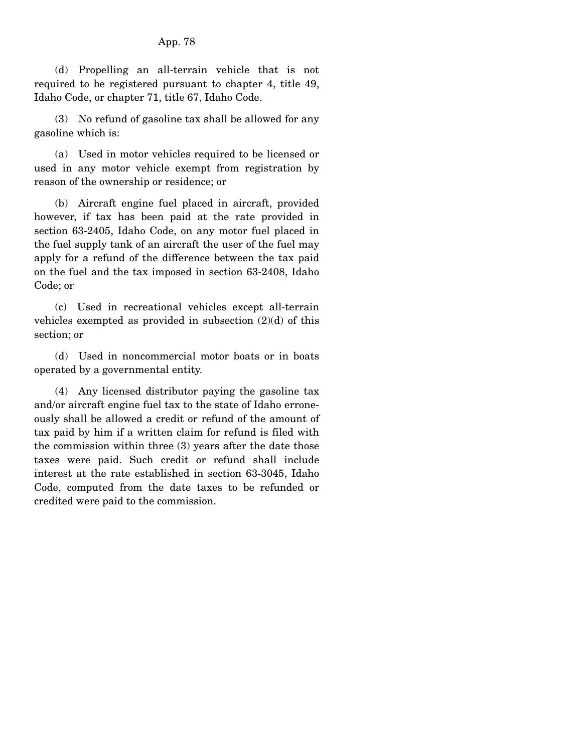### App. 78

 (d) Propelling an all-terrain vehicle that is not required to be registered pursuant to chapter 4, title 49, Idaho Code, or chapter 71, title 67, Idaho Code.

 (3) No refund of gasoline tax shall be allowed for any gasoline which is:

 (a) Used in motor vehicles required to be licensed or used in any motor vehicle exempt from registration by reason of the ownership or residence; or

 (b) Aircraft engine fuel placed in aircraft, provided however, if tax has been paid at the rate provided in section 63-2405, Idaho Code, on any motor fuel placed in the fuel supply tank of an aircraft the user of the fuel may apply for a refund of the difference between the tax paid on the fuel and the tax imposed in section 63-2408, Idaho Code; or

 (c) Used in recreational vehicles except all-terrain vehicles exempted as provided in subsection  $(2)(d)$  of this section; or

 (d) Used in noncommercial motor boats or in boats operated by a governmental entity.

 (4) Any licensed distributor paying the gasoline tax and/or aircraft engine fuel tax to the state of Idaho erroneously shall be allowed a credit or refund of the amount of tax paid by him if a written claim for refund is filed with the commission within three (3) years after the date those taxes were paid. Such credit or refund shall include interest at the rate established in section 63-3045, Idaho Code, computed from the date taxes to be refunded or credited were paid to the commission.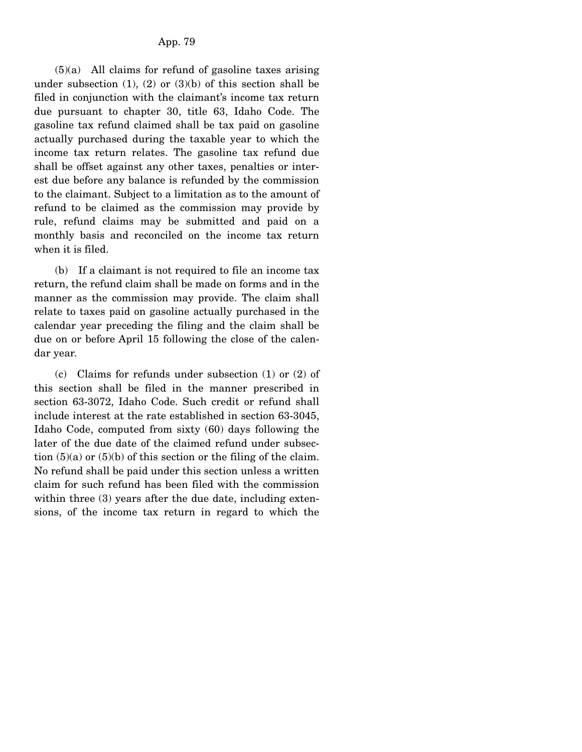$(5)(a)$  All claims for refund of gasoline taxes arising under subsection  $(1)$ ,  $(2)$  or  $(3)(b)$  of this section shall be filed in conjunction with the claimant's income tax return due pursuant to chapter 30, title 63, Idaho Code. The gasoline tax refund claimed shall be tax paid on gasoline actually purchased during the taxable year to which the income tax return relates. The gasoline tax refund due shall be offset against any other taxes, penalties or interest due before any balance is refunded by the commission to the claimant. Subject to a limitation as to the amount of refund to be claimed as the commission may provide by rule, refund claims may be submitted and paid on a monthly basis and reconciled on the income tax return when it is filed.

 (b) If a claimant is not required to file an income tax return, the refund claim shall be made on forms and in the manner as the commission may provide. The claim shall relate to taxes paid on gasoline actually purchased in the calendar year preceding the filing and the claim shall be due on or before April 15 following the close of the calendar year.

 (c) Claims for refunds under subsection (1) or (2) of this section shall be filed in the manner prescribed in section 63-3072, Idaho Code. Such credit or refund shall include interest at the rate established in section 63-3045, Idaho Code, computed from sixty (60) days following the later of the due date of the claimed refund under subsection  $(5)(a)$  or  $(5)(b)$  of this section or the filing of the claim. No refund shall be paid under this section unless a written claim for such refund has been filed with the commission within three (3) years after the due date, including extensions, of the income tax return in regard to which the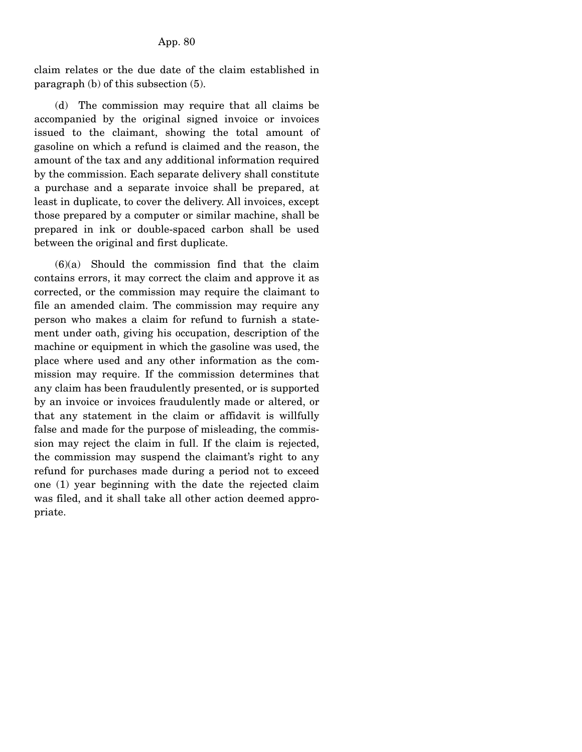claim relates or the due date of the claim established in paragraph (b) of this subsection (5).

 (d) The commission may require that all claims be accompanied by the original signed invoice or invoices issued to the claimant, showing the total amount of gasoline on which a refund is claimed and the reason, the amount of the tax and any additional information required by the commission. Each separate delivery shall constitute a purchase and a separate invoice shall be prepared, at least in duplicate, to cover the delivery. All invoices, except those prepared by a computer or similar machine, shall be prepared in ink or double-spaced carbon shall be used between the original and first duplicate.

 $(6)(a)$  Should the commission find that the claim contains errors, it may correct the claim and approve it as corrected, or the commission may require the claimant to file an amended claim. The commission may require any person who makes a claim for refund to furnish a statement under oath, giving his occupation, description of the machine or equipment in which the gasoline was used, the place where used and any other information as the commission may require. If the commission determines that any claim has been fraudulently presented, or is supported by an invoice or invoices fraudulently made or altered, or that any statement in the claim or affidavit is willfully false and made for the purpose of misleading, the commission may reject the claim in full. If the claim is rejected, the commission may suspend the claimant's right to any refund for purchases made during a period not to exceed one (1) year beginning with the date the rejected claim was filed, and it shall take all other action deemed appropriate.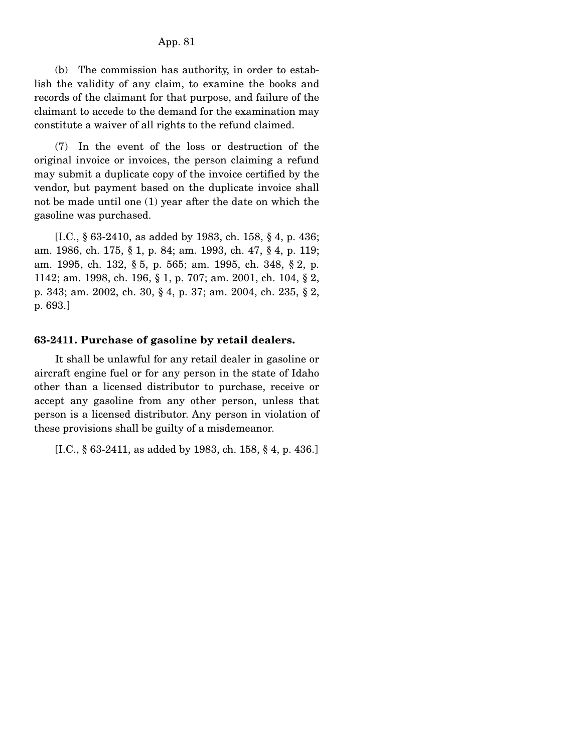### App. 81

 (b) The commission has authority, in order to establish the validity of any claim, to examine the books and records of the claimant for that purpose, and failure of the claimant to accede to the demand for the examination may constitute a waiver of all rights to the refund claimed.

 (7) In the event of the loss or destruction of the original invoice or invoices, the person claiming a refund may submit a duplicate copy of the invoice certified by the vendor, but payment based on the duplicate invoice shall not be made until one (1) year after the date on which the gasoline was purchased.

 [I.C., § 63-2410, as added by 1983, ch. 158, § 4, p. 436; am. 1986, ch. 175, § 1, p. 84; am. 1993, ch. 47, § 4, p. 119; am. 1995, ch. 132, § 5, p. 565; am. 1995, ch. 348, § 2, p. 1142; am. 1998, ch. 196, § 1, p. 707; am. 2001, ch. 104, § 2, p. 343; am. 2002, ch. 30, § 4, p. 37; am. 2004, ch. 235, § 2, p. 693.]

### **63-2411. Purchase of gasoline by retail dealers.**

 It shall be unlawful for any retail dealer in gasoline or aircraft engine fuel or for any person in the state of Idaho other than a licensed distributor to purchase, receive or accept any gasoline from any other person, unless that person is a licensed distributor. Any person in violation of these provisions shall be guilty of a misdemeanor.

[I.C., § 63-2411, as added by 1983, ch. 158, § 4, p. 436.]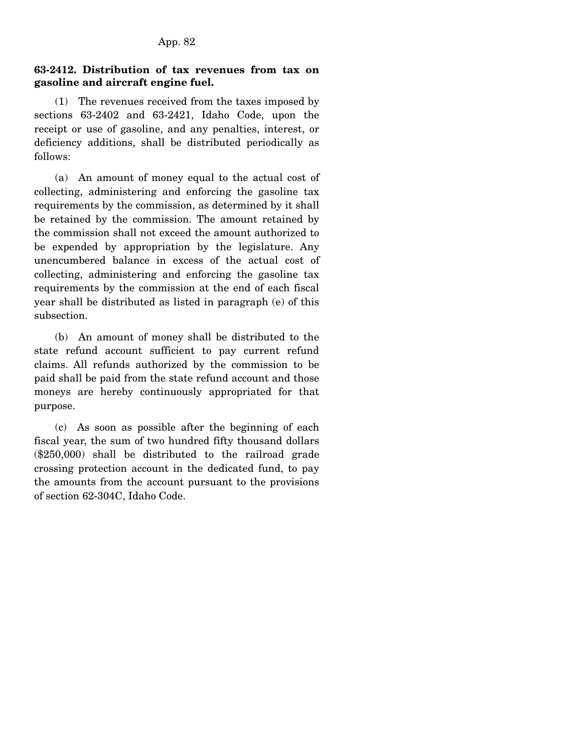## **63-2412. Distribution of tax revenues from tax on gasoline and aircraft engine fuel.**

 (1) The revenues received from the taxes imposed by sections 63-2402 and 63-2421, Idaho Code, upon the receipt or use of gasoline, and any penalties, interest, or deficiency additions, shall be distributed periodically as follows:

 (a) An amount of money equal to the actual cost of collecting, administering and enforcing the gasoline tax requirements by the commission, as determined by it shall be retained by the commission. The amount retained by the commission shall not exceed the amount authorized to be expended by appropriation by the legislature. Any unencumbered balance in excess of the actual cost of collecting, administering and enforcing the gasoline tax requirements by the commission at the end of each fiscal year shall be distributed as listed in paragraph (e) of this subsection.

 (b) An amount of money shall be distributed to the state refund account sufficient to pay current refund claims. All refunds authorized by the commission to be paid shall be paid from the state refund account and those moneys are hereby continuously appropriated for that purpose.

 (c) As soon as possible after the beginning of each fiscal year, the sum of two hundred fifty thousand dollars (\$250,000) shall be distributed to the railroad grade crossing protection account in the dedicated fund, to pay the amounts from the account pursuant to the provisions of section 62-304C, Idaho Code.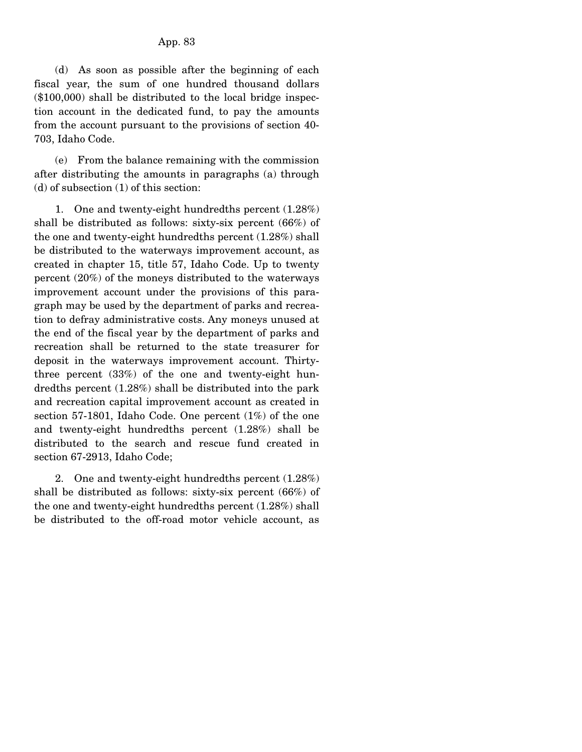(d) As soon as possible after the beginning of each fiscal year, the sum of one hundred thousand dollars (\$100,000) shall be distributed to the local bridge inspection account in the dedicated fund, to pay the amounts from the account pursuant to the provisions of section 40- 703, Idaho Code.

 (e) From the balance remaining with the commission after distributing the amounts in paragraphs (a) through (d) of subsection (1) of this section:

 1. One and twenty-eight hundredths percent (1.28%) shall be distributed as follows: sixty-six percent (66%) of the one and twenty-eight hundredths percent (1.28%) shall be distributed to the waterways improvement account, as created in chapter 15, title 57, Idaho Code. Up to twenty percent (20%) of the moneys distributed to the waterways improvement account under the provisions of this paragraph may be used by the department of parks and recreation to defray administrative costs. Any moneys unused at the end of the fiscal year by the department of parks and recreation shall be returned to the state treasurer for deposit in the waterways improvement account. Thirtythree percent (33%) of the one and twenty-eight hundredths percent (1.28%) shall be distributed into the park and recreation capital improvement account as created in section 57-1801, Idaho Code. One percent (1%) of the one and twenty-eight hundredths percent (1.28%) shall be distributed to the search and rescue fund created in section 67-2913, Idaho Code;

 2. One and twenty-eight hundredths percent (1.28%) shall be distributed as follows: sixty-six percent (66%) of the one and twenty-eight hundredths percent (1.28%) shall be distributed to the off-road motor vehicle account, as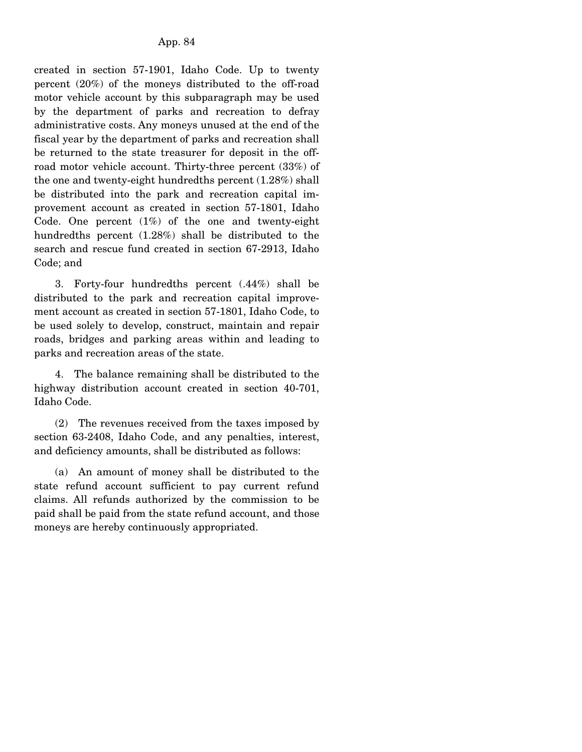created in section 57-1901, Idaho Code. Up to twenty percent (20%) of the moneys distributed to the off-road motor vehicle account by this subparagraph may be used by the department of parks and recreation to defray administrative costs. Any moneys unused at the end of the fiscal year by the department of parks and recreation shall be returned to the state treasurer for deposit in the offroad motor vehicle account. Thirty-three percent (33%) of the one and twenty-eight hundredths percent (1.28%) shall be distributed into the park and recreation capital improvement account as created in section 57-1801, Idaho Code. One percent  $(1%)$  of the one and twenty-eight hundredths percent (1.28%) shall be distributed to the search and rescue fund created in section 67-2913, Idaho Code; and

 3. Forty-four hundredths percent (.44%) shall be distributed to the park and recreation capital improvement account as created in section 57-1801, Idaho Code, to be used solely to develop, construct, maintain and repair roads, bridges and parking areas within and leading to parks and recreation areas of the state.

 4. The balance remaining shall be distributed to the highway distribution account created in section 40-701, Idaho Code.

 (2) The revenues received from the taxes imposed by section 63-2408, Idaho Code, and any penalties, interest, and deficiency amounts, shall be distributed as follows:

 (a) An amount of money shall be distributed to the state refund account sufficient to pay current refund claims. All refunds authorized by the commission to be paid shall be paid from the state refund account, and those moneys are hereby continuously appropriated.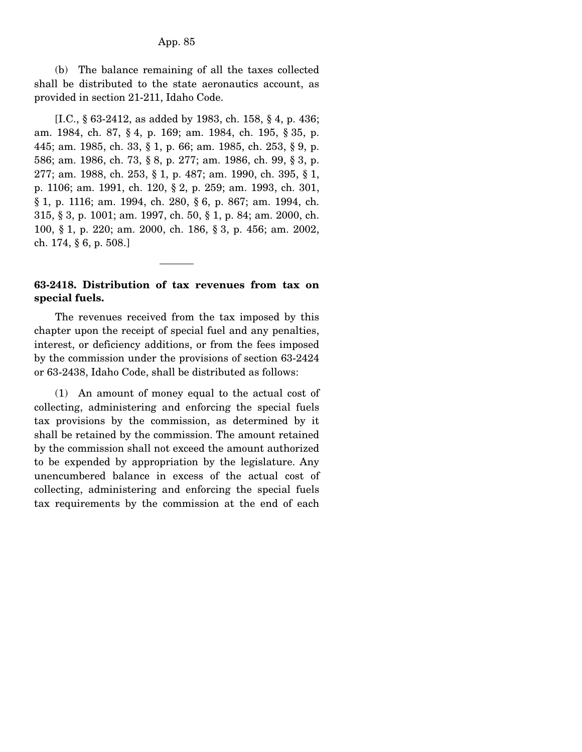(b) The balance remaining of all the taxes collected shall be distributed to the state aeronautics account, as provided in section 21-211, Idaho Code.

 [I.C., § 63-2412, as added by 1983, ch. 158, § 4, p. 436; am. 1984, ch. 87, § 4, p. 169; am. 1984, ch. 195, § 35, p. 445; am. 1985, ch. 33, § 1, p. 66; am. 1985, ch. 253, § 9, p. 586; am. 1986, ch. 73, § 8, p. 277; am. 1986, ch. 99, § 3, p. 277; am. 1988, ch. 253, § 1, p. 487; am. 1990, ch. 395, § 1, p. 1106; am. 1991, ch. 120, § 2, p. 259; am. 1993, ch. 301, § 1, p. 1116; am. 1994, ch. 280, § 6, p. 867; am. 1994, ch. 315, § 3, p. 1001; am. 1997, ch. 50, § 1, p. 84; am. 2000, ch. 100, § 1, p. 220; am. 2000, ch. 186, § 3, p. 456; am. 2002, ch. 174, § 6, p. 508.]

### **63-2418. Distribution of tax revenues from tax on special fuels.**

 The revenues received from the tax imposed by this chapter upon the receipt of special fuel and any penalties, interest, or deficiency additions, or from the fees imposed by the commission under the provisions of section 63-2424 or 63-2438, Idaho Code, shall be distributed as follows:

 (1) An amount of money equal to the actual cost of collecting, administering and enforcing the special fuels tax provisions by the commission, as determined by it shall be retained by the commission. The amount retained by the commission shall not exceed the amount authorized to be expended by appropriation by the legislature. Any unencumbered balance in excess of the actual cost of collecting, administering and enforcing the special fuels tax requirements by the commission at the end of each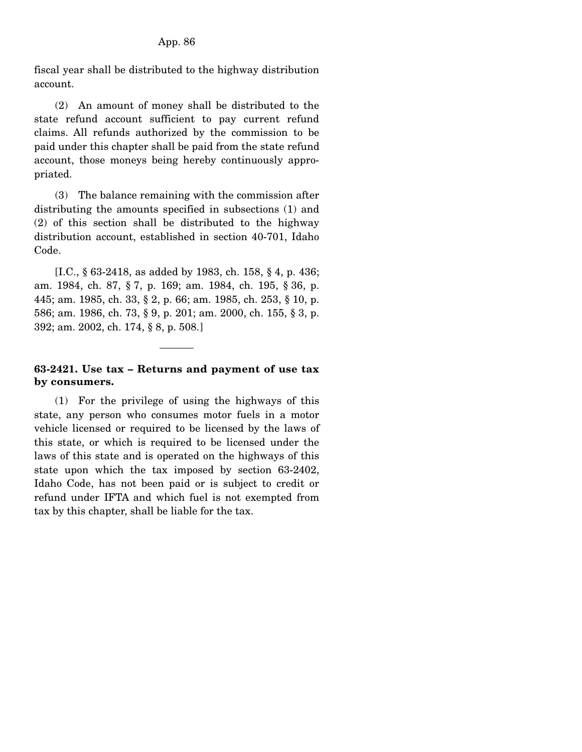fiscal year shall be distributed to the highway distribution account.

 (2) An amount of money shall be distributed to the state refund account sufficient to pay current refund claims. All refunds authorized by the commission to be paid under this chapter shall be paid from the state refund account, those moneys being hereby continuously appropriated.

 (3) The balance remaining with the commission after distributing the amounts specified in subsections (1) and (2) of this section shall be distributed to the highway distribution account, established in section 40-701, Idaho Code.

 [I.C., § 63-2418, as added by 1983, ch. 158, § 4, p. 436; am. 1984, ch. 87, § 7, p. 169; am. 1984, ch. 195, § 36, p. 445; am. 1985, ch. 33, § 2, p. 66; am. 1985, ch. 253, § 10, p. 586; am. 1986, ch. 73, § 9, p. 201; am. 2000, ch. 155, § 3, p. 392; am. 2002, ch. 174, § 8, p. 508.]

# **63-2421. Use tax – Returns and payment of use tax by consumers.**

 (1) For the privilege of using the highways of this state, any person who consumes motor fuels in a motor vehicle licensed or required to be licensed by the laws of this state, or which is required to be licensed under the laws of this state and is operated on the highways of this state upon which the tax imposed by section 63-2402, Idaho Code, has not been paid or is subject to credit or refund under IFTA and which fuel is not exempted from tax by this chapter, shall be liable for the tax.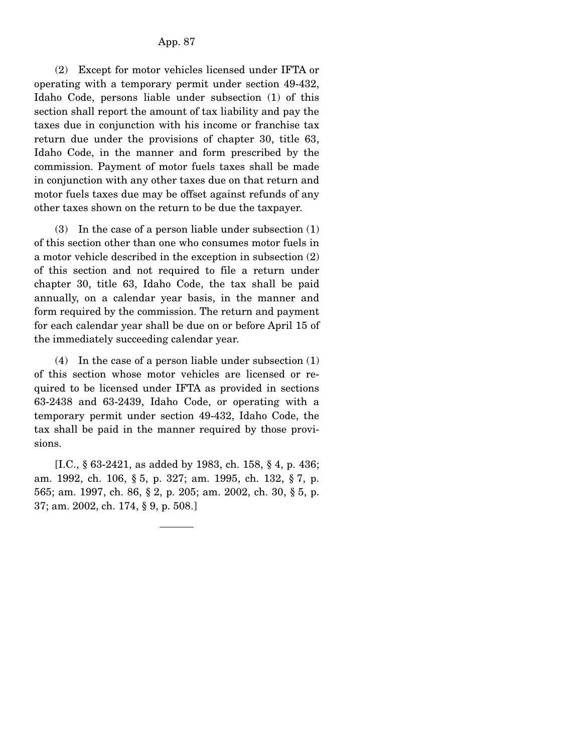(2) Except for motor vehicles licensed under IFTA or operating with a temporary permit under section 49-432, Idaho Code, persons liable under subsection (1) of this section shall report the amount of tax liability and pay the taxes due in conjunction with his income or franchise tax return due under the provisions of chapter 30, title 63, Idaho Code, in the manner and form prescribed by the commission. Payment of motor fuels taxes shall be made in conjunction with any other taxes due on that return and motor fuels taxes due may be offset against refunds of any other taxes shown on the return to be due the taxpayer.

 (3) In the case of a person liable under subsection (1) of this section other than one who consumes motor fuels in a motor vehicle described in the exception in subsection (2) of this section and not required to file a return under chapter 30, title 63, Idaho Code, the tax shall be paid annually, on a calendar year basis, in the manner and form required by the commission. The return and payment for each calendar year shall be due on or before April 15 of the immediately succeeding calendar year.

 (4) In the case of a person liable under subsection (1) of this section whose motor vehicles are licensed or required to be licensed under IFTA as provided in sections 63-2438 and 63-2439, Idaho Code, or operating with a temporary permit under section 49-432, Idaho Code, the tax shall be paid in the manner required by those provisions.

 [I.C., § 63-2421, as added by 1983, ch. 158, § 4, p. 436; am. 1992, ch. 106, § 5, p. 327; am. 1995, ch. 132, § 7, p. 565; am. 1997, ch. 86, § 2, p. 205; am. 2002, ch. 30, § 5, p. 37; am. 2002, ch. 174, § 9, p. 508.]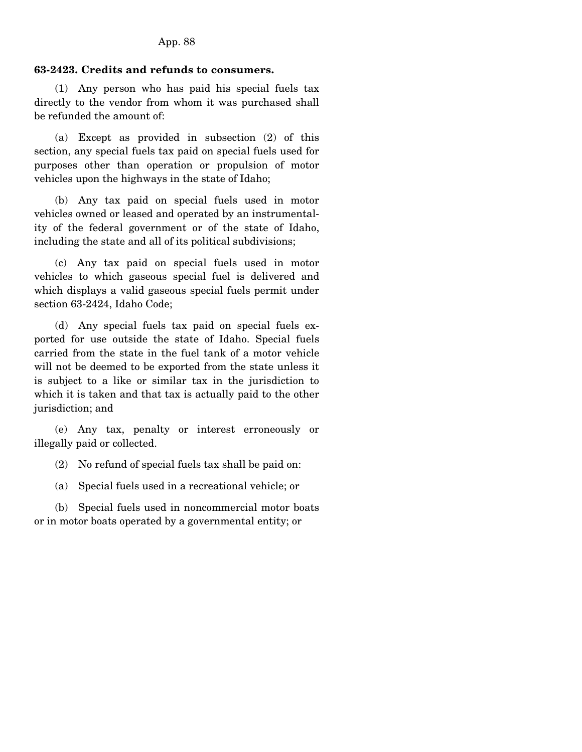## **63-2423. Credits and refunds to consumers.**

 (1) Any person who has paid his special fuels tax directly to the vendor from whom it was purchased shall be refunded the amount of:

 (a) Except as provided in subsection (2) of this section, any special fuels tax paid on special fuels used for purposes other than operation or propulsion of motor vehicles upon the highways in the state of Idaho;

 (b) Any tax paid on special fuels used in motor vehicles owned or leased and operated by an instrumentality of the federal government or of the state of Idaho, including the state and all of its political subdivisions;

 (c) Any tax paid on special fuels used in motor vehicles to which gaseous special fuel is delivered and which displays a valid gaseous special fuels permit under section 63-2424, Idaho Code;

 (d) Any special fuels tax paid on special fuels exported for use outside the state of Idaho. Special fuels carried from the state in the fuel tank of a motor vehicle will not be deemed to be exported from the state unless it is subject to a like or similar tax in the jurisdiction to which it is taken and that tax is actually paid to the other jurisdiction; and

 (e) Any tax, penalty or interest erroneously or illegally paid or collected.

(2) No refund of special fuels tax shall be paid on:

(a) Special fuels used in a recreational vehicle; or

 (b) Special fuels used in noncommercial motor boats or in motor boats operated by a governmental entity; or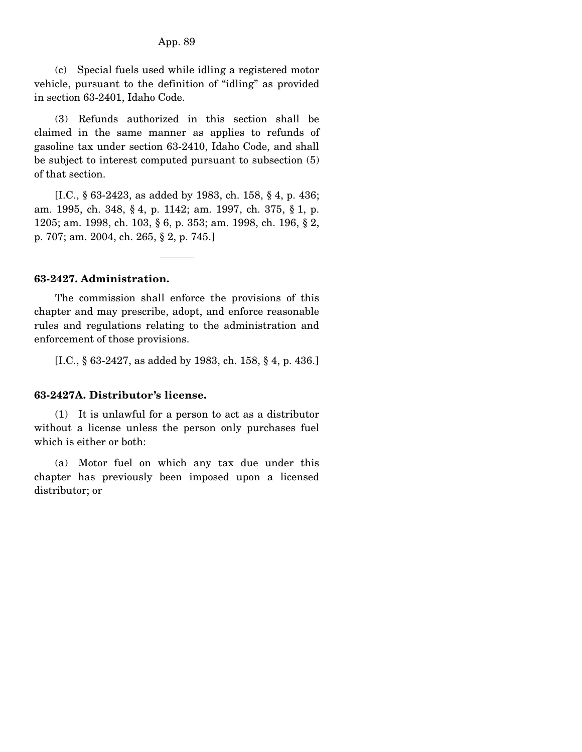(c) Special fuels used while idling a registered motor vehicle, pursuant to the definition of "idling" as provided in section 63-2401, Idaho Code.

 (3) Refunds authorized in this section shall be claimed in the same manner as applies to refunds of gasoline tax under section 63-2410, Idaho Code, and shall be subject to interest computed pursuant to subsection (5) of that section.

 [I.C., § 63-2423, as added by 1983, ch. 158, § 4, p. 436; am. 1995, ch. 348, § 4, p. 1142; am. 1997, ch. 375, § 1, p. 1205; am. 1998, ch. 103, § 6, p. 353; am. 1998, ch. 196, § 2, p. 707; am. 2004, ch. 265, § 2, p. 745.]

### **63-2427. Administration.**

 The commission shall enforce the provisions of this chapter and may prescribe, adopt, and enforce reasonable rules and regulations relating to the administration and enforcement of those provisions.

[I.C., § 63-2427, as added by 1983, ch. 158, § 4, p. 436.]

### **63-2427A. Distributor's license.**

 (1) It is unlawful for a person to act as a distributor without a license unless the person only purchases fuel which is either or both:

 (a) Motor fuel on which any tax due under this chapter has previously been imposed upon a licensed distributor; or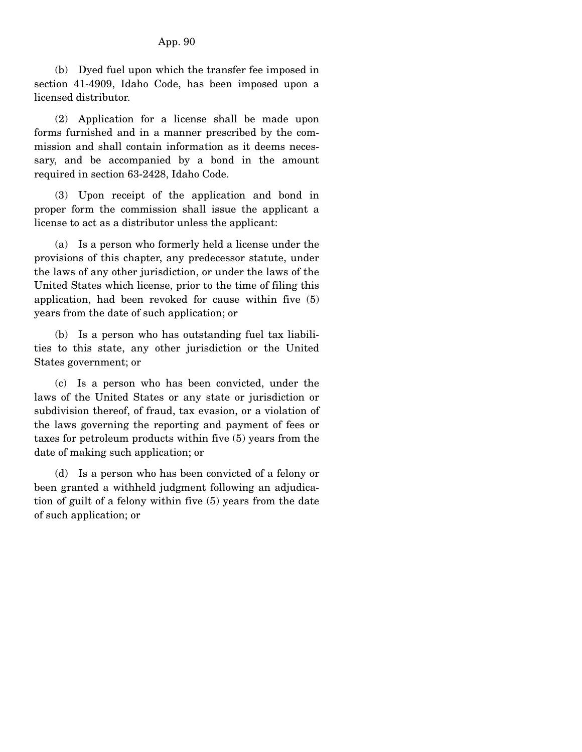(b) Dyed fuel upon which the transfer fee imposed in section 41-4909, Idaho Code, has been imposed upon a licensed distributor.

 (2) Application for a license shall be made upon forms furnished and in a manner prescribed by the commission and shall contain information as it deems necessary, and be accompanied by a bond in the amount required in section 63-2428, Idaho Code.

 (3) Upon receipt of the application and bond in proper form the commission shall issue the applicant a license to act as a distributor unless the applicant:

 (a) Is a person who formerly held a license under the provisions of this chapter, any predecessor statute, under the laws of any other jurisdiction, or under the laws of the United States which license, prior to the time of filing this application, had been revoked for cause within five (5) years from the date of such application; or

 (b) Is a person who has outstanding fuel tax liabilities to this state, any other jurisdiction or the United States government; or

 (c) Is a person who has been convicted, under the laws of the United States or any state or jurisdiction or subdivision thereof, of fraud, tax evasion, or a violation of the laws governing the reporting and payment of fees or taxes for petroleum products within five (5) years from the date of making such application; or

 (d) Is a person who has been convicted of a felony or been granted a withheld judgment following an adjudication of guilt of a felony within five (5) years from the date of such application; or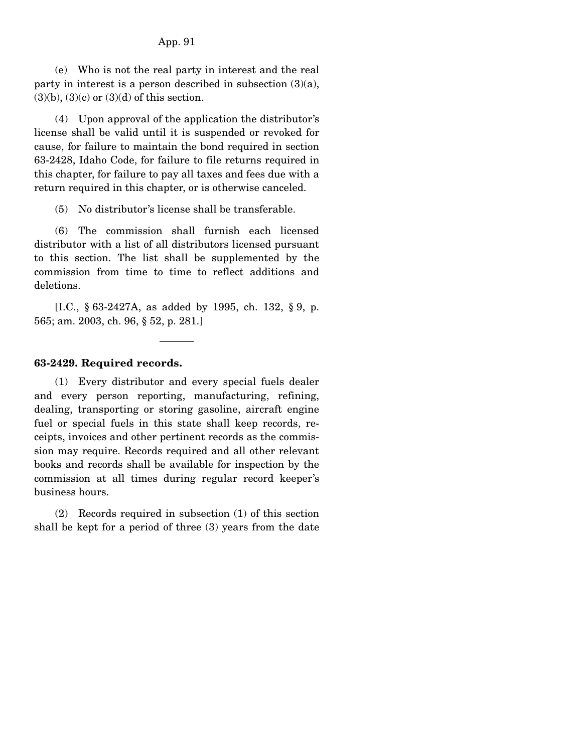### App. 91

 (e) Who is not the real party in interest and the real party in interest is a person described in subsection  $(3)(a)$ ,  $(3)(b)$ ,  $(3)(c)$  or  $(3)(d)$  of this section.

 (4) Upon approval of the application the distributor's license shall be valid until it is suspended or revoked for cause, for failure to maintain the bond required in section 63-2428, Idaho Code, for failure to file returns required in this chapter, for failure to pay all taxes and fees due with a return required in this chapter, or is otherwise canceled.

(5) No distributor's license shall be transferable.

 (6) The commission shall furnish each licensed distributor with a list of all distributors licensed pursuant to this section. The list shall be supplemented by the commission from time to time to reflect additions and deletions.

 [I.C., § 63-2427A, as added by 1995, ch. 132, § 9, p. 565; am. 2003, ch. 96, § 52, p. 281.]

### **63-2429. Required records.**

 (1) Every distributor and every special fuels dealer and every person reporting, manufacturing, refining, dealing, transporting or storing gasoline, aircraft engine fuel or special fuels in this state shall keep records, receipts, invoices and other pertinent records as the commission may require. Records required and all other relevant books and records shall be available for inspection by the commission at all times during regular record keeper's business hours.

 (2) Records required in subsection (1) of this section shall be kept for a period of three (3) years from the date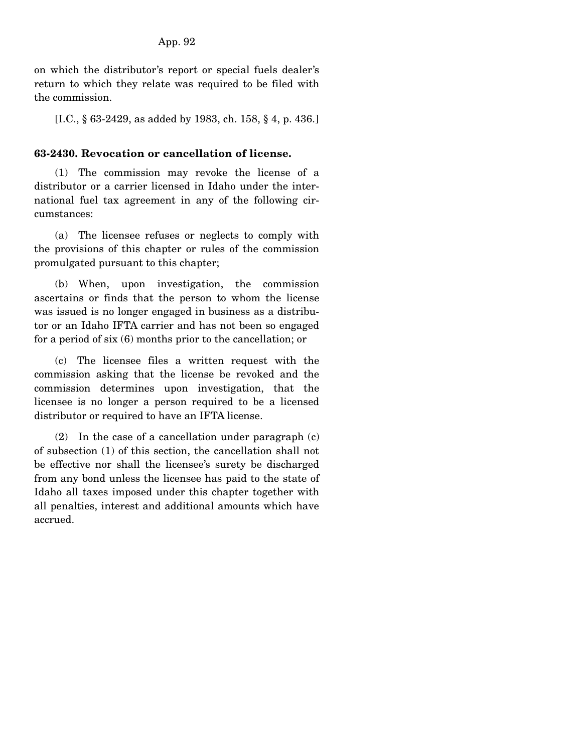on which the distributor's report or special fuels dealer's return to which they relate was required to be filed with the commission.

[I.C., § 63-2429, as added by 1983, ch. 158, § 4, p. 436.]

### **63-2430. Revocation or cancellation of license.**

 (1) The commission may revoke the license of a distributor or a carrier licensed in Idaho under the international fuel tax agreement in any of the following circumstances:

 (a) The licensee refuses or neglects to comply with the provisions of this chapter or rules of the commission promulgated pursuant to this chapter;

 (b) When, upon investigation, the commission ascertains or finds that the person to whom the license was issued is no longer engaged in business as a distributor or an Idaho IFTA carrier and has not been so engaged for a period of six (6) months prior to the cancellation; or

 (c) The licensee files a written request with the commission asking that the license be revoked and the commission determines upon investigation, that the licensee is no longer a person required to be a licensed distributor or required to have an IFTA license.

 (2) In the case of a cancellation under paragraph (c) of subsection (1) of this section, the cancellation shall not be effective nor shall the licensee's surety be discharged from any bond unless the licensee has paid to the state of Idaho all taxes imposed under this chapter together with all penalties, interest and additional amounts which have accrued.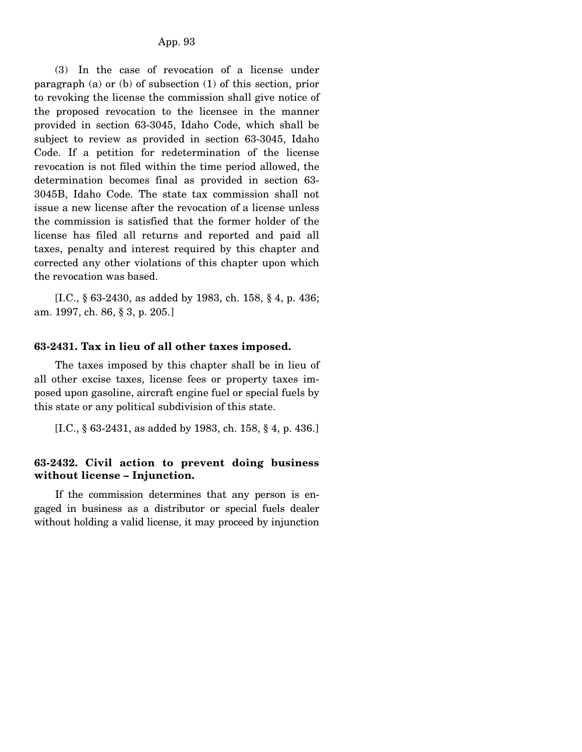(3) In the case of revocation of a license under paragraph (a) or (b) of subsection (1) of this section, prior to revoking the license the commission shall give notice of the proposed revocation to the licensee in the manner provided in section 63-3045, Idaho Code, which shall be subject to review as provided in section 63-3045, Idaho Code. If a petition for redetermination of the license revocation is not filed within the time period allowed, the determination becomes final as provided in section 63- 3045B, Idaho Code. The state tax commission shall not issue a new license after the revocation of a license unless the commission is satisfied that the former holder of the license has filed all returns and reported and paid all taxes, penalty and interest required by this chapter and corrected any other violations of this chapter upon which the revocation was based.

 [I.C., § 63-2430, as added by 1983, ch. 158, § 4, p. 436; am. 1997, ch. 86, § 3, p. 205.]

#### **63-2431. Tax in lieu of all other taxes imposed.**

 The taxes imposed by this chapter shall be in lieu of all other excise taxes, license fees or property taxes imposed upon gasoline, aircraft engine fuel or special fuels by this state or any political subdivision of this state.

[I.C., § 63-2431, as added by 1983, ch. 158, § 4, p. 436.]

## **63-2432. Civil action to prevent doing business without license – Injunction.**

 If the commission determines that any person is engaged in business as a distributor or special fuels dealer without holding a valid license, it may proceed by injunction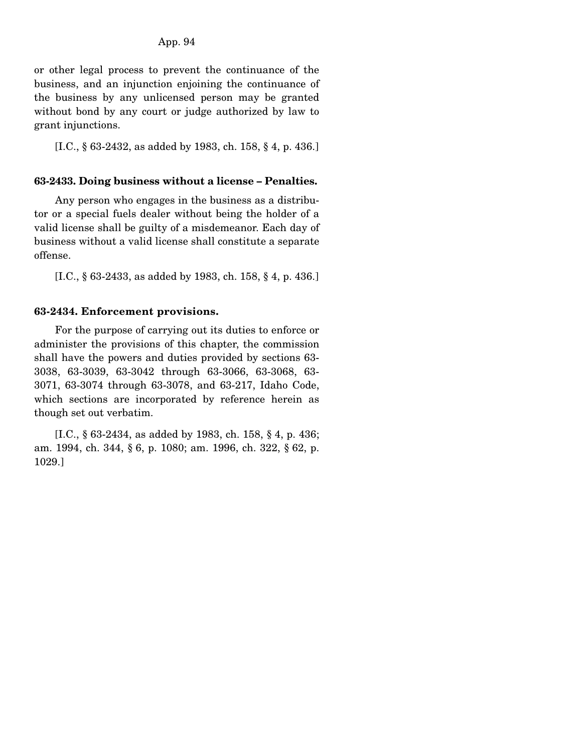or other legal process to prevent the continuance of the business, and an injunction enjoining the continuance of the business by any unlicensed person may be granted without bond by any court or judge authorized by law to grant injunctions.

[I.C., § 63-2432, as added by 1983, ch. 158, § 4, p. 436.]

## **63-2433. Doing business without a license – Penalties.**

 Any person who engages in the business as a distributor or a special fuels dealer without being the holder of a valid license shall be guilty of a misdemeanor. Each day of business without a valid license shall constitute a separate offense.

[I.C., § 63-2433, as added by 1983, ch. 158, § 4, p. 436.]

## **63-2434. Enforcement provisions.**

 For the purpose of carrying out its duties to enforce or administer the provisions of this chapter, the commission shall have the powers and duties provided by sections 63- 3038, 63-3039, 63-3042 through 63-3066, 63-3068, 63- 3071, 63-3074 through 63-3078, and 63-217, Idaho Code, which sections are incorporated by reference herein as though set out verbatim.

 [I.C., § 63-2434, as added by 1983, ch. 158, § 4, p. 436; am. 1994, ch. 344, § 6, p. 1080; am. 1996, ch. 322, § 62, p. 1029.]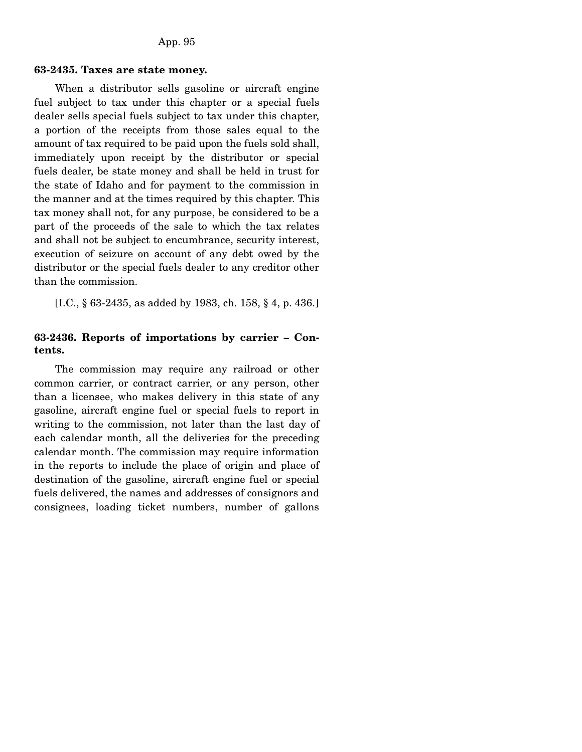### **63-2435. Taxes are state money.**

 When a distributor sells gasoline or aircraft engine fuel subject to tax under this chapter or a special fuels dealer sells special fuels subject to tax under this chapter, a portion of the receipts from those sales equal to the amount of tax required to be paid upon the fuels sold shall, immediately upon receipt by the distributor or special fuels dealer, be state money and shall be held in trust for the state of Idaho and for payment to the commission in the manner and at the times required by this chapter. This tax money shall not, for any purpose, be considered to be a part of the proceeds of the sale to which the tax relates and shall not be subject to encumbrance, security interest, execution of seizure on account of any debt owed by the distributor or the special fuels dealer to any creditor other than the commission.

[I.C., § 63-2435, as added by 1983, ch. 158, § 4, p. 436.]

### **63-2436. Reports of importations by carrier – Contents.**

 The commission may require any railroad or other common carrier, or contract carrier, or any person, other than a licensee, who makes delivery in this state of any gasoline, aircraft engine fuel or special fuels to report in writing to the commission, not later than the last day of each calendar month, all the deliveries for the preceding calendar month. The commission may require information in the reports to include the place of origin and place of destination of the gasoline, aircraft engine fuel or special fuels delivered, the names and addresses of consignors and consignees, loading ticket numbers, number of gallons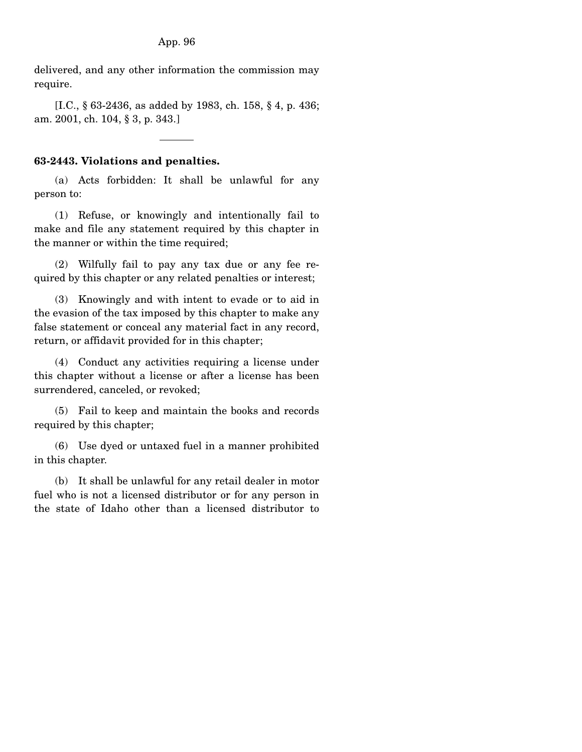delivered, and any other information the commission may require.

 [I.C., § 63-2436, as added by 1983, ch. 158, § 4, p. 436; am. 2001, ch. 104, § 3, p. 343.]

## **63-2443. Violations and penalties.**

 (a) Acts forbidden: It shall be unlawful for any person to:

 (1) Refuse, or knowingly and intentionally fail to make and file any statement required by this chapter in the manner or within the time required;

 (2) Wilfully fail to pay any tax due or any fee required by this chapter or any related penalties or interest;

 (3) Knowingly and with intent to evade or to aid in the evasion of the tax imposed by this chapter to make any false statement or conceal any material fact in any record, return, or affidavit provided for in this chapter;

 (4) Conduct any activities requiring a license under this chapter without a license or after a license has been surrendered, canceled, or revoked;

 (5) Fail to keep and maintain the books and records required by this chapter;

 (6) Use dyed or untaxed fuel in a manner prohibited in this chapter.

 (b) It shall be unlawful for any retail dealer in motor fuel who is not a licensed distributor or for any person in the state of Idaho other than a licensed distributor to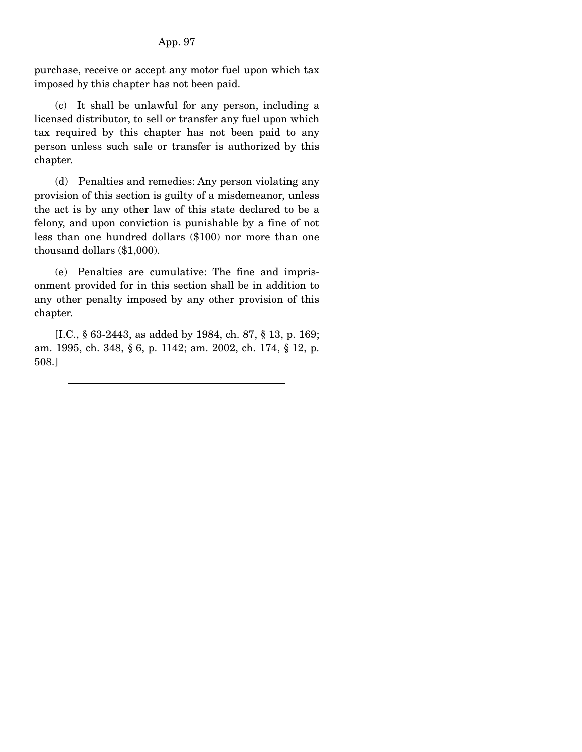purchase, receive or accept any motor fuel upon which tax imposed by this chapter has not been paid.

 (c) It shall be unlawful for any person, including a licensed distributor, to sell or transfer any fuel upon which tax required by this chapter has not been paid to any person unless such sale or transfer is authorized by this chapter.

 (d) Penalties and remedies: Any person violating any provision of this section is guilty of a misdemeanor, unless the act is by any other law of this state declared to be a felony, and upon conviction is punishable by a fine of not less than one hundred dollars (\$100) nor more than one thousand dollars (\$1,000).

 (e) Penalties are cumulative: The fine and imprisonment provided for in this section shall be in addition to any other penalty imposed by any other provision of this chapter.

 [I.C., § 63-2443, as added by 1984, ch. 87, § 13, p. 169; am. 1995, ch. 348, § 6, p. 1142; am. 2002, ch. 174, § 12, p. 508.]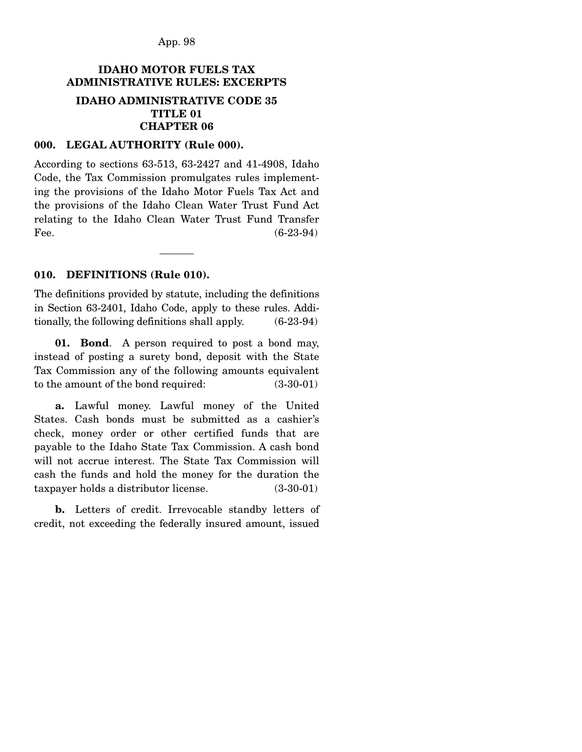App. 98

# **IDAHO MOTOR FUELS TAX ADMINISTRATIVE RULES: EXCERPTS IDAHO ADMINISTRATIVE CODE 35 TITLE 01 CHAPTER 06**

### **000. LEGAL AUTHORITY (Rule 000).**

According to sections 63-513, 63-2427 and 41-4908, Idaho Code, the Tax Commission promulgates rules implementing the provisions of the Idaho Motor Fuels Tax Act and the provisions of the Idaho Clean Water Trust Fund Act relating to the Idaho Clean Water Trust Fund Transfer Fee.  $(6-23-94)$ 

### **010. DEFINITIONS (Rule 010).**

The definitions provided by statute, including the definitions in Section 63-2401, Idaho Code, apply to these rules. Additionally, the following definitions shall apply. (6-23-94)

 **01. Bond**. A person required to post a bond may, instead of posting a surety bond, deposit with the State Tax Commission any of the following amounts equivalent to the amount of the bond required: (3-30-01)

 **a.** Lawful money. Lawful money of the United States. Cash bonds must be submitted as a cashier's check, money order or other certified funds that are payable to the Idaho State Tax Commission. A cash bond will not accrue interest. The State Tax Commission will cash the funds and hold the money for the duration the taxpayer holds a distributor license. (3-30-01)

 **b.** Letters of credit. Irrevocable standby letters of credit, not exceeding the federally insured amount, issued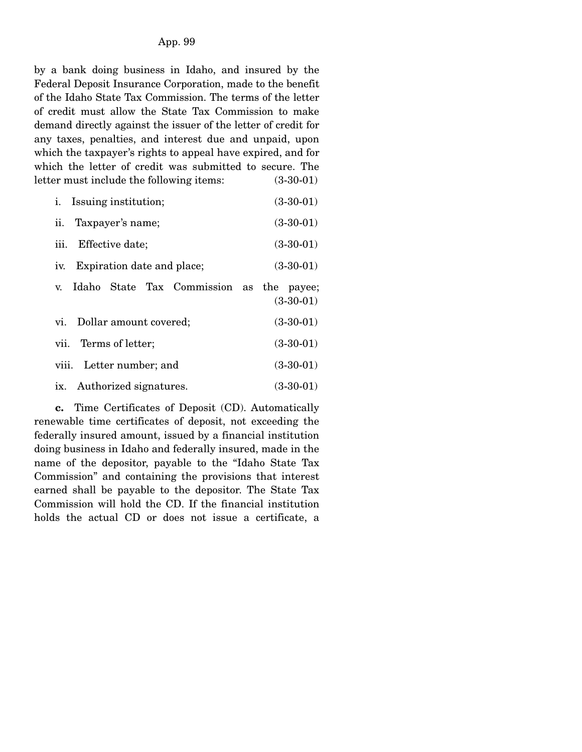by a bank doing business in Idaho, and insured by the Federal Deposit Insurance Corporation, made to the benefit of the Idaho State Tax Commission. The terms of the letter of credit must allow the State Tax Commission to make demand directly against the issuer of the letter of credit for any taxes, penalties, and interest due and unpaid, upon which the taxpayer's rights to appeal have expired, and for which the letter of credit was submitted to secure. The letter must include the following items: (3-30-01)

| <i>i.</i> Issuing institution;                             | $(3-30-01)$ |
|------------------------------------------------------------|-------------|
| ii. Taxpayer's name;                                       | $(3-30-01)$ |
| iii.<br>Effective date;                                    | $(3-30-01)$ |
| Expiration date and place;<br>IV.                          | $(3-30-01)$ |
| Idaho State Tax Commission as the payee;<br>$\mathbf{V}$ . | $(3-30-01)$ |
| vi. Dollar amount covered;                                 | $(3-30-01)$ |
| vii. Terms of letter;                                      | $(3-30-01)$ |
| viii. Letter number; and                                   | $(3-30-01)$ |
| ix. Authorized signatures.                                 | $(3-30-01)$ |

 **c.** Time Certificates of Deposit (CD). Automatically renewable time certificates of deposit, not exceeding the federally insured amount, issued by a financial institution doing business in Idaho and federally insured, made in the name of the depositor, payable to the "Idaho State Tax Commission" and containing the provisions that interest earned shall be payable to the depositor. The State Tax Commission will hold the CD. If the financial institution holds the actual CD or does not issue a certificate, a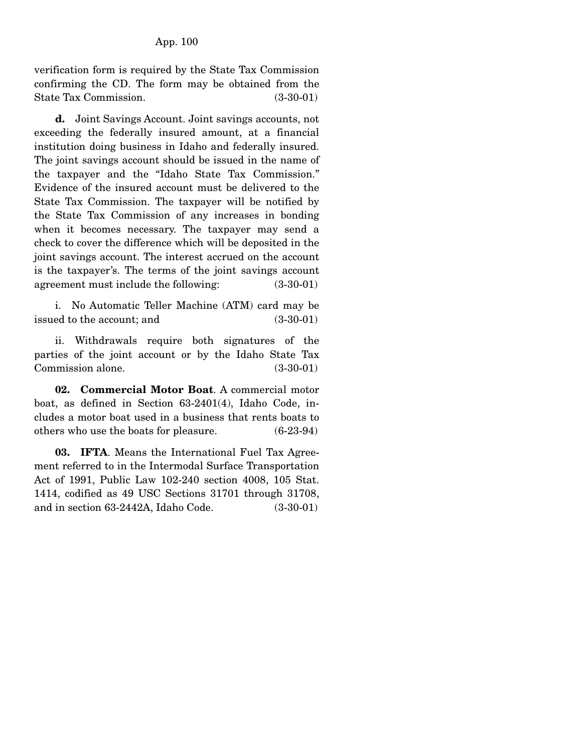verification form is required by the State Tax Commission confirming the CD. The form may be obtained from the State Tax Commission. (3-30-01)

 **d.** Joint Savings Account. Joint savings accounts, not exceeding the federally insured amount, at a financial institution doing business in Idaho and federally insured. The joint savings account should be issued in the name of the taxpayer and the "Idaho State Tax Commission." Evidence of the insured account must be delivered to the State Tax Commission. The taxpayer will be notified by the State Tax Commission of any increases in bonding when it becomes necessary. The taxpayer may send a check to cover the difference which will be deposited in the joint savings account. The interest accrued on the account is the taxpayer's. The terms of the joint savings account agreement must include the following: (3-30-01)

 i. No Automatic Teller Machine (ATM) card may be issued to the account; and (3-30-01)

 ii. Withdrawals require both signatures of the parties of the joint account or by the Idaho State Tax Commission alone. (3-30-01)

 **02. Commercial Motor Boat**. A commercial motor boat, as defined in Section 63-2401(4), Idaho Code, includes a motor boat used in a business that rents boats to others who use the boats for pleasure. (6-23-94)

 **03. IFTA**. Means the International Fuel Tax Agreement referred to in the Intermodal Surface Transportation Act of 1991, Public Law 102-240 section 4008, 105 Stat. 1414, codified as 49 USC Sections 31701 through 31708, and in section 63-2442A, Idaho Code. (3-30-01)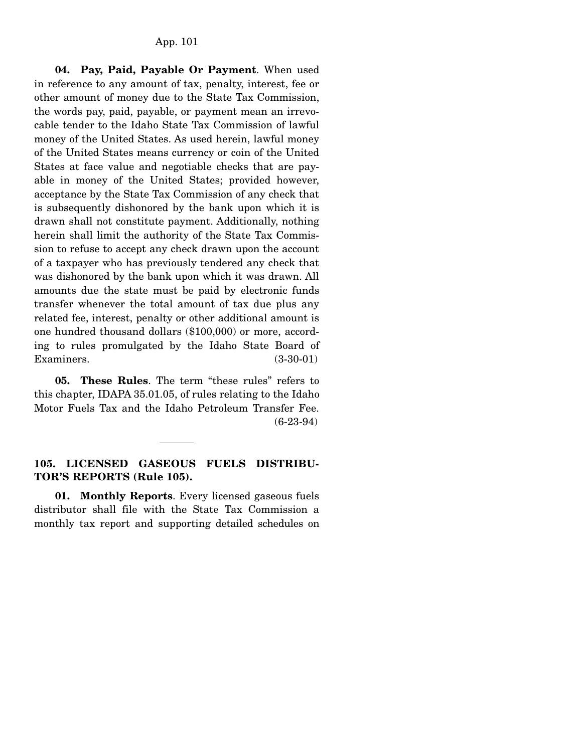**04. Pay, Paid, Payable Or Payment**. When used in reference to any amount of tax, penalty, interest, fee or other amount of money due to the State Tax Commission, the words pay, paid, payable, or payment mean an irrevocable tender to the Idaho State Tax Commission of lawful money of the United States. As used herein, lawful money of the United States means currency or coin of the United States at face value and negotiable checks that are payable in money of the United States; provided however, acceptance by the State Tax Commission of any check that is subsequently dishonored by the bank upon which it is drawn shall not constitute payment. Additionally, nothing herein shall limit the authority of the State Tax Commission to refuse to accept any check drawn upon the account of a taxpayer who has previously tendered any check that was dishonored by the bank upon which it was drawn. All amounts due the state must be paid by electronic funds transfer whenever the total amount of tax due plus any related fee, interest, penalty or other additional amount is one hundred thousand dollars (\$100,000) or more, according to rules promulgated by the Idaho State Board of Examiners. (3-30-01)

 **05. These Rules**. The term "these rules" refers to this chapter, IDAPA 35.01.05, of rules relating to the Idaho Motor Fuels Tax and the Idaho Petroleum Transfer Fee. (6-23-94)

## **105. LICENSED GASEOUS FUELS DISTRIBU-TOR'S REPORTS (Rule 105).**

 **01. Monthly Reports**. Every licensed gaseous fuels distributor shall file with the State Tax Commission a monthly tax report and supporting detailed schedules on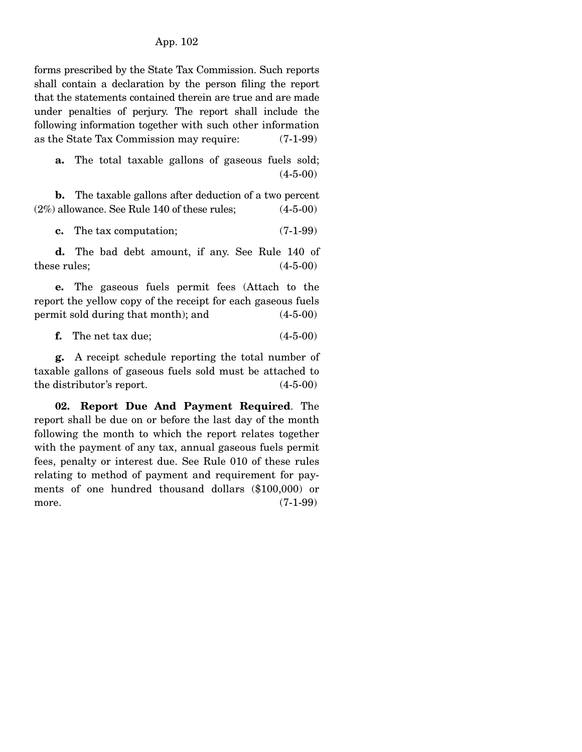### App. 102

forms prescribed by the State Tax Commission. Such reports shall contain a declaration by the person filing the report that the statements contained therein are true and are made under penalties of perjury. The report shall include the following information together with such other information as the State Tax Commission may require: (7-1-99)

 **a.** The total taxable gallons of gaseous fuels sold; (4-5-00)

 **b.** The taxable gallons after deduction of a two percent  $(2\%)$  allowance. See Rule 140 of these rules;  $(4-5-00)$ 

**c.** The tax computation; (7-1-99)

 **d.** The bad debt amount, if any. See Rule 140 of these rules;  $(4-5-00)$ 

 **e.** The gaseous fuels permit fees (Attach to the report the yellow copy of the receipt for each gaseous fuels permit sold during that month); and (4-5-00)

**f.** The net tax due; (4-5-00)

 **g.** A receipt schedule reporting the total number of taxable gallons of gaseous fuels sold must be attached to the distributor's report. (4-5-00)

 **02. Report Due And Payment Required**. The report shall be due on or before the last day of the month following the month to which the report relates together with the payment of any tax, annual gaseous fuels permit fees, penalty or interest due. See Rule 010 of these rules relating to method of payment and requirement for payments of one hundred thousand dollars (\$100,000) or more. (7-1-99)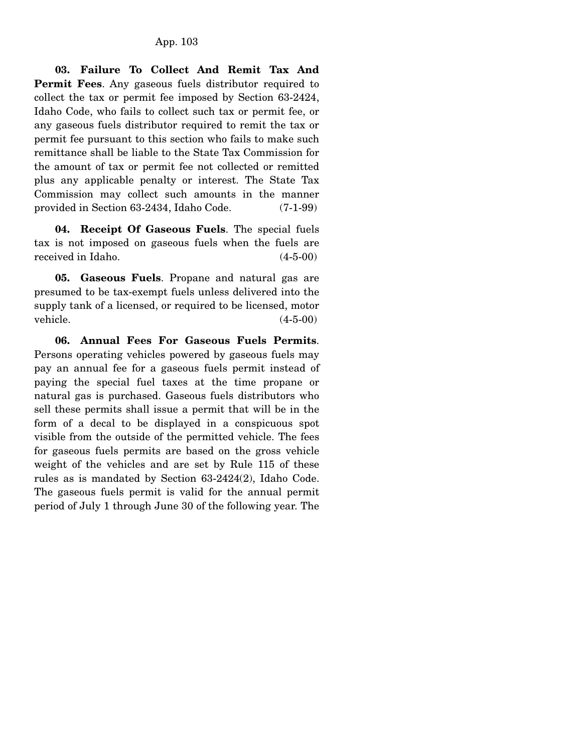**03. Failure To Collect And Remit Tax And Permit Fees**. Any gaseous fuels distributor required to collect the tax or permit fee imposed by Section 63-2424, Idaho Code, who fails to collect such tax or permit fee, or any gaseous fuels distributor required to remit the tax or permit fee pursuant to this section who fails to make such remittance shall be liable to the State Tax Commission for the amount of tax or permit fee not collected or remitted plus any applicable penalty or interest. The State Tax Commission may collect such amounts in the manner provided in Section 63-2434, Idaho Code. (7-1-99)

 **04. Receipt Of Gaseous Fuels**. The special fuels tax is not imposed on gaseous fuels when the fuels are received in Idaho. (4-5-00)

 **05. Gaseous Fuels**. Propane and natural gas are presumed to be tax-exempt fuels unless delivered into the supply tank of a licensed, or required to be licensed, motor  $v$ ehicle.  $(4-5-00)$ 

 **06. Annual Fees For Gaseous Fuels Permits**. Persons operating vehicles powered by gaseous fuels may pay an annual fee for a gaseous fuels permit instead of paying the special fuel taxes at the time propane or natural gas is purchased. Gaseous fuels distributors who sell these permits shall issue a permit that will be in the form of a decal to be displayed in a conspicuous spot visible from the outside of the permitted vehicle. The fees for gaseous fuels permits are based on the gross vehicle weight of the vehicles and are set by Rule 115 of these rules as is mandated by Section 63-2424(2), Idaho Code. The gaseous fuels permit is valid for the annual permit period of July 1 through June 30 of the following year. The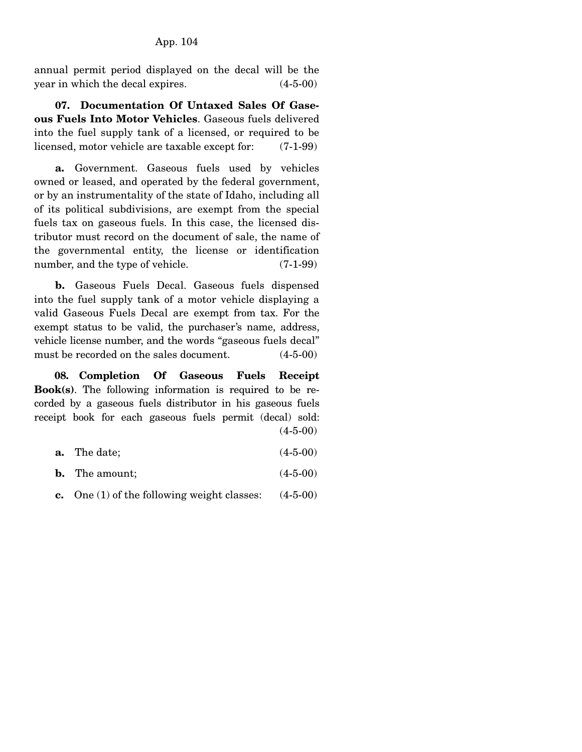annual permit period displayed on the decal will be the year in which the decal expires. (4-5-00)

 **07. Documentation Of Untaxed Sales Of Gaseous Fuels Into Motor Vehicles**. Gaseous fuels delivered into the fuel supply tank of a licensed, or required to be licensed, motor vehicle are taxable except for: (7-1-99)

 **a.** Government. Gaseous fuels used by vehicles owned or leased, and operated by the federal government, or by an instrumentality of the state of Idaho, including all of its political subdivisions, are exempt from the special fuels tax on gaseous fuels. In this case, the licensed distributor must record on the document of sale, the name of the governmental entity, the license or identification number, and the type of vehicle. (7-1-99)

 **b.** Gaseous Fuels Decal. Gaseous fuels dispensed into the fuel supply tank of a motor vehicle displaying a valid Gaseous Fuels Decal are exempt from tax. For the exempt status to be valid, the purchaser's name, address, vehicle license number, and the words "gaseous fuels decal" must be recorded on the sales document. (4-5-00)

 **08. Completion Of Gaseous Fuels Receipt Book(s)**. The following information is required to be recorded by a gaseous fuels distributor in his gaseous fuels receipt book for each gaseous fuels permit (decal) sold:  $(4 - 5 - 00)$ 

- **a.** The date; (4-5-00)
- **b.** The amount;  $(4-5-00)$
- **c.** One (1) of the following weight classes: (4-5-00)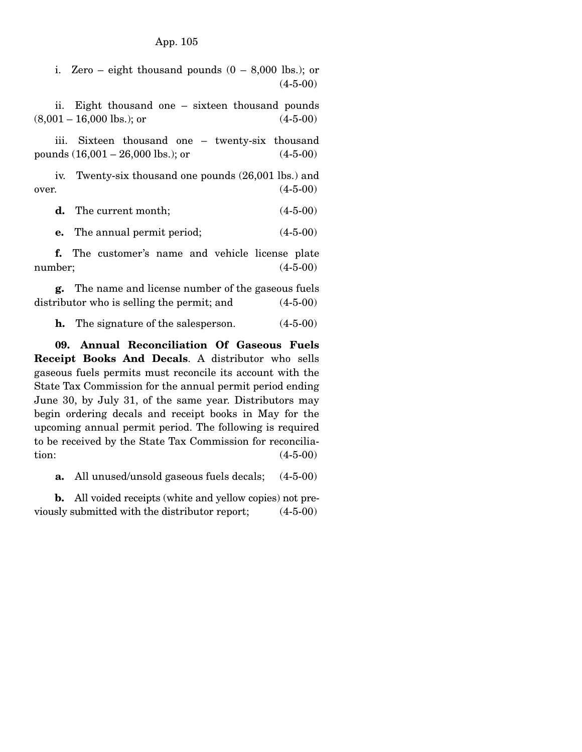i. Zero – eight thousand pounds  $(0 - 8,000)$  lbs.); or (4-5-00)

 ii. Eight thousand one – sixteen thousand pounds  $(8,001 - 16,000 \text{ lbs.}); \text{ or }$  (4-5-00)

 iii. Sixteen thousand one – twenty-six thousand pounds  $(16,001 - 26,000 \text{ lbs.})$ ; or  $(4-5-00)$ 

 iv. Twenty-six thousand one pounds (26,001 lbs.) and over.  $(4-5-00)$ 

**d.** The current month; (4-5-00)

**e.** The annual permit period;  $(4-5-00)$ 

 **f.** The customer's name and vehicle license plate number; (4-5-00)

 **g.** The name and license number of the gaseous fuels distributor who is selling the permit; and  $(4-5-00)$ 

**h.** The signature of the salesperson.  $(4-5-00)$ 

 **09. Annual Reconciliation Of Gaseous Fuels Receipt Books And Decals**. A distributor who sells gaseous fuels permits must reconcile its account with the State Tax Commission for the annual permit period ending June 30, by July 31, of the same year. Distributors may begin ordering decals and receipt books in May for the upcoming annual permit period. The following is required to be received by the State Tax Commission for reconcilia- $\frac{1}{4-5-00}$ 

**a.** All unused/unsold gaseous fuels decals; (4-5-00)

 **b.** All voided receipts (white and yellow copies) not previously submitted with the distributor report; (4-5-00)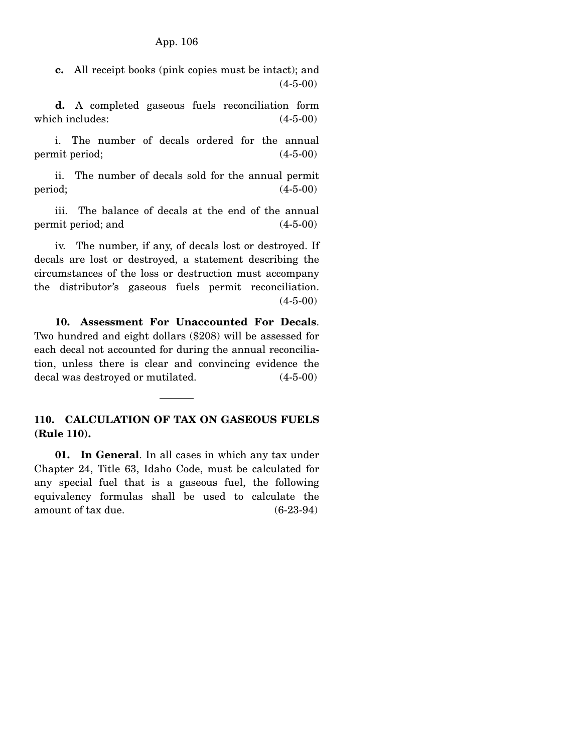**c.** All receipt books (pink copies must be intact); and (4-5-00)

 **d.** A completed gaseous fuels reconciliation form which includes:  $(4-5-00)$ 

 i. The number of decals ordered for the annual permit period; (4-5-00)

 ii. The number of decals sold for the annual permit  $period;$  (4-5-00)

 iii. The balance of decals at the end of the annual permit period; and (4-5-00)

 iv. The number, if any, of decals lost or destroyed. If decals are lost or destroyed, a statement describing the circumstances of the loss or destruction must accompany the distributor's gaseous fuels permit reconciliation.  $(4-5-00)$ 

 **10. Assessment For Unaccounted For Decals**. Two hundred and eight dollars (\$208) will be assessed for each decal not accounted for during the annual reconciliation, unless there is clear and convincing evidence the decal was destroyed or mutilated. (4-5-00)

# **110. CALCULATION OF TAX ON GASEOUS FUELS (Rule 110).**

 **01. In General**. In all cases in which any tax under Chapter 24, Title 63, Idaho Code, must be calculated for any special fuel that is a gaseous fuel, the following equivalency formulas shall be used to calculate the amount of tax due. (6-23-94)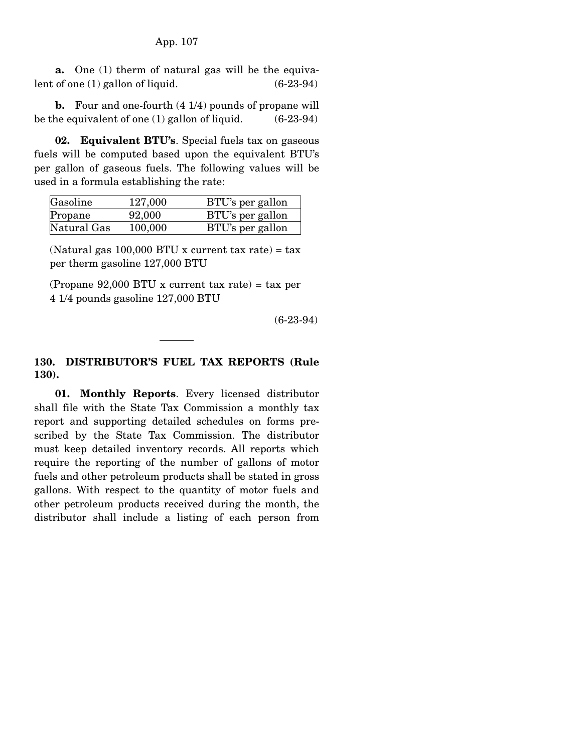**a.** One (1) therm of natural gas will be the equivalent of one  $(1)$  gallon of liquid.  $(6-23-94)$ 

 **b.** Four and one-fourth (4 1/4) pounds of propane will be the equivalent of one (1) gallon of liquid. (6-23-94)

 **02. Equivalent BTU's**. Special fuels tax on gaseous fuels will be computed based upon the equivalent BTU's per gallon of gaseous fuels. The following values will be used in a formula establishing the rate:

| Gasoline    | 127,000 | BTU's per gallon |
|-------------|---------|------------------|
| Propane     | 92,000  | BTU's per gallon |
| Natural Gas | 100,000 | BTU's per gallon |

(Natural gas 100,000 BTU x current tax rate) = tax per therm gasoline 127,000 BTU

(Propane 92,000 BTU x current tax rate) = tax per 4 1/4 pounds gasoline 127,000 BTU

(6-23-94)

## **130. DISTRIBUTOR'S FUEL TAX REPORTS (Rule 130).**

 **01. Monthly Reports**. Every licensed distributor shall file with the State Tax Commission a monthly tax report and supporting detailed schedules on forms prescribed by the State Tax Commission. The distributor must keep detailed inventory records. All reports which require the reporting of the number of gallons of motor fuels and other petroleum products shall be stated in gross gallons. With respect to the quantity of motor fuels and other petroleum products received during the month, the distributor shall include a listing of each person from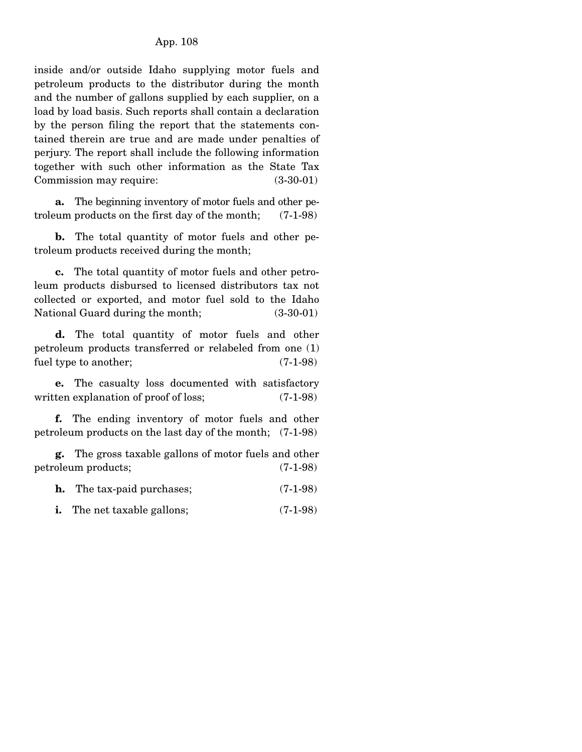inside and/or outside Idaho supplying motor fuels and petroleum products to the distributor during the month and the number of gallons supplied by each supplier, on a load by load basis. Such reports shall contain a declaration by the person filing the report that the statements contained therein are true and are made under penalties of perjury. The report shall include the following information together with such other information as the State Tax Commission may require:  $(3-30-01)$ 

 **a.** The beginning inventory of motor fuels and other petroleum products on the first day of the month; (7-1-98)

 **b.** The total quantity of motor fuels and other petroleum products received during the month;

 **c.** The total quantity of motor fuels and other petroleum products disbursed to licensed distributors tax not collected or exported, and motor fuel sold to the Idaho National Guard during the month; (3-30-01)

 **d.** The total quantity of motor fuels and other petroleum products transferred or relabeled from one (1) fuel type to another; (7-1-98)

 **e.** The casualty loss documented with satisfactory written explanation of proof of loss; (7-1-98)

 **f.** The ending inventory of motor fuels and other petroleum products on the last day of the month; (7-1-98)

 **g.** The gross taxable gallons of motor fuels and other petroleum products; (7-1-98)

|  | The tax-paid purchases; | $(7-1-98)$ |
|--|-------------------------|------------|
|--|-------------------------|------------|

**i.** The net taxable gallons; (7-1-98)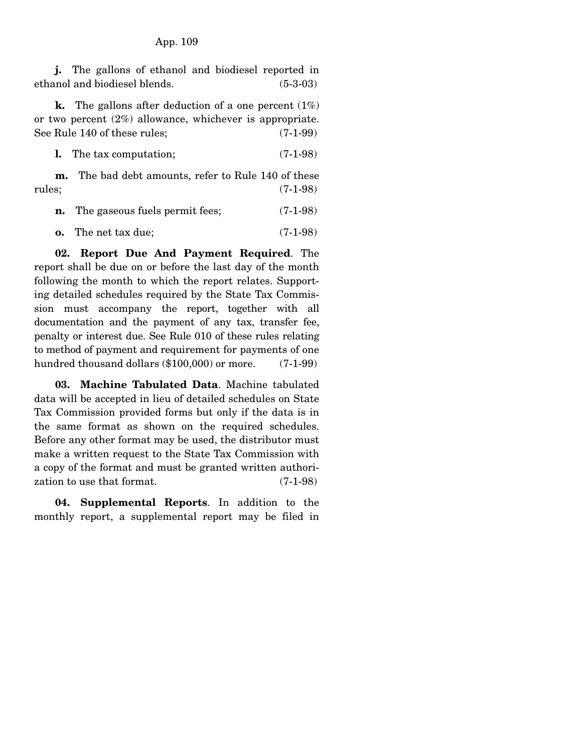**j.** The gallons of ethanol and biodiesel reported in ethanol and biodiesel blends. (5-3-03)

 **k.** The gallons after deduction of a one percent (1%) or two percent (2%) allowance, whichever is appropriate. See Rule 140 of these rules; (7-1-99)

**l.** The tax computation; (7-1-98)

 **m.** The bad debt amounts, refer to Rule 140 of these rules; (7-1-98)

| The gaseous fuels permit fees; | $(7-1-98)$ |
|--------------------------------|------------|
|                                |            |

**o.** The net tax due; (7-1-98)

 **02. Report Due And Payment Required**. The report shall be due on or before the last day of the month following the month to which the report relates. Supporting detailed schedules required by the State Tax Commission must accompany the report, together with all documentation and the payment of any tax, transfer fee, penalty or interest due. See Rule 010 of these rules relating to method of payment and requirement for payments of one hundred thousand dollars (\$100,000) or more. (7-1-99)

 **03. Machine Tabulated Data**. Machine tabulated data will be accepted in lieu of detailed schedules on State Tax Commission provided forms but only if the data is in the same format as shown on the required schedules. Before any other format may be used, the distributor must make a written request to the State Tax Commission with a copy of the format and must be granted written authorization to use that format. (7-1-98)

 **04. Supplemental Reports**. In addition to the monthly report, a supplemental report may be filed in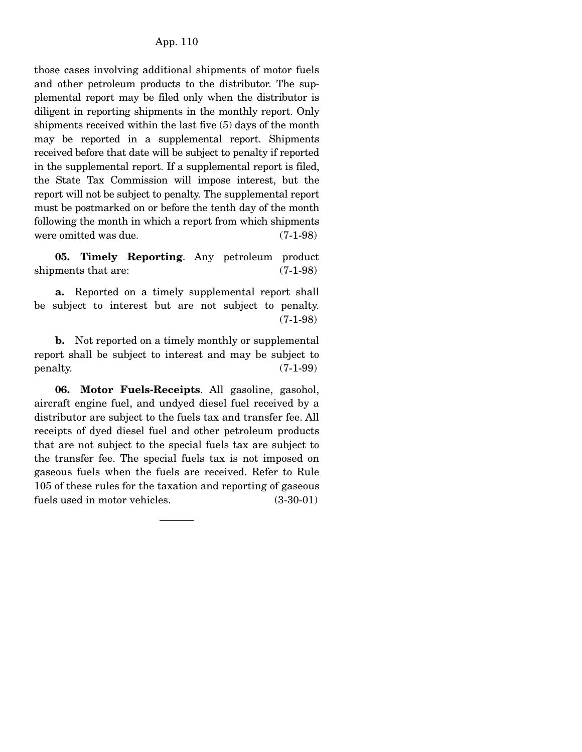those cases involving additional shipments of motor fuels and other petroleum products to the distributor. The supplemental report may be filed only when the distributor is diligent in reporting shipments in the monthly report. Only shipments received within the last five (5) days of the month may be reported in a supplemental report. Shipments received before that date will be subject to penalty if reported in the supplemental report. If a supplemental report is filed, the State Tax Commission will impose interest, but the report will not be subject to penalty. The supplemental report must be postmarked on or before the tenth day of the month following the month in which a report from which shipments were omitted was due. (7-1-98)

 **05. Timely Reporting**. Any petroleum product shipments that are:  $(7-1-98)$ 

 **a.** Reported on a timely supplemental report shall be subject to interest but are not subject to penalty. (7-1-98)

 **b.** Not reported on a timely monthly or supplemental report shall be subject to interest and may be subject to  $penalty.$  (7-1-99)

 **06. Motor Fuels-Receipts**. All gasoline, gasohol, aircraft engine fuel, and undyed diesel fuel received by a distributor are subject to the fuels tax and transfer fee. All receipts of dyed diesel fuel and other petroleum products that are not subject to the special fuels tax are subject to the transfer fee. The special fuels tax is not imposed on gaseous fuels when the fuels are received. Refer to Rule 105 of these rules for the taxation and reporting of gaseous fuels used in motor vehicles. (3-30-01)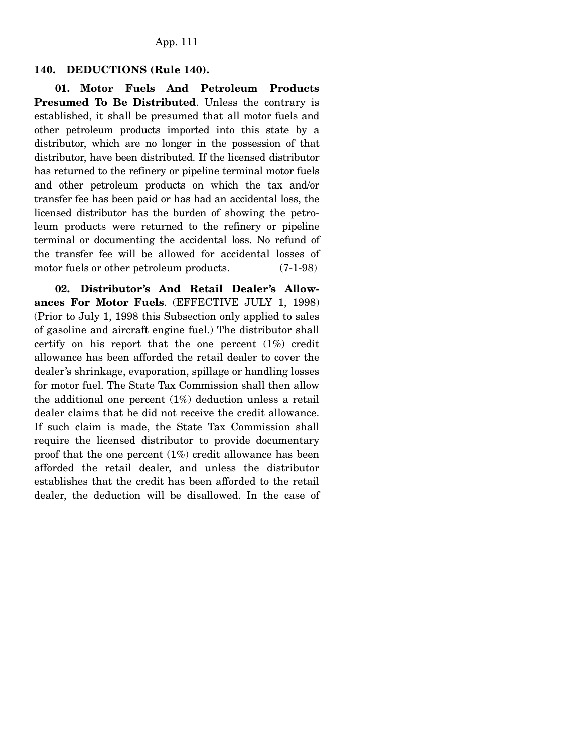#### **140. DEDUCTIONS (Rule 140).**

 **01. Motor Fuels And Petroleum Products Presumed To Be Distributed**. Unless the contrary is established, it shall be presumed that all motor fuels and other petroleum products imported into this state by a distributor, which are no longer in the possession of that distributor, have been distributed. If the licensed distributor has returned to the refinery or pipeline terminal motor fuels and other petroleum products on which the tax and/or transfer fee has been paid or has had an accidental loss, the licensed distributor has the burden of showing the petroleum products were returned to the refinery or pipeline terminal or documenting the accidental loss. No refund of the transfer fee will be allowed for accidental losses of motor fuels or other petroleum products.  $(7-1-98)$ 

 **02. Distributor's And Retail Dealer's Allowances For Motor Fuels**. (EFFECTIVE JULY 1, 1998) (Prior to July 1, 1998 this Subsection only applied to sales of gasoline and aircraft engine fuel.) The distributor shall certify on his report that the one percent (1%) credit allowance has been afforded the retail dealer to cover the dealer's shrinkage, evaporation, spillage or handling losses for motor fuel. The State Tax Commission shall then allow the additional one percent (1%) deduction unless a retail dealer claims that he did not receive the credit allowance. If such claim is made, the State Tax Commission shall require the licensed distributor to provide documentary proof that the one percent (1%) credit allowance has been afforded the retail dealer, and unless the distributor establishes that the credit has been afforded to the retail dealer, the deduction will be disallowed. In the case of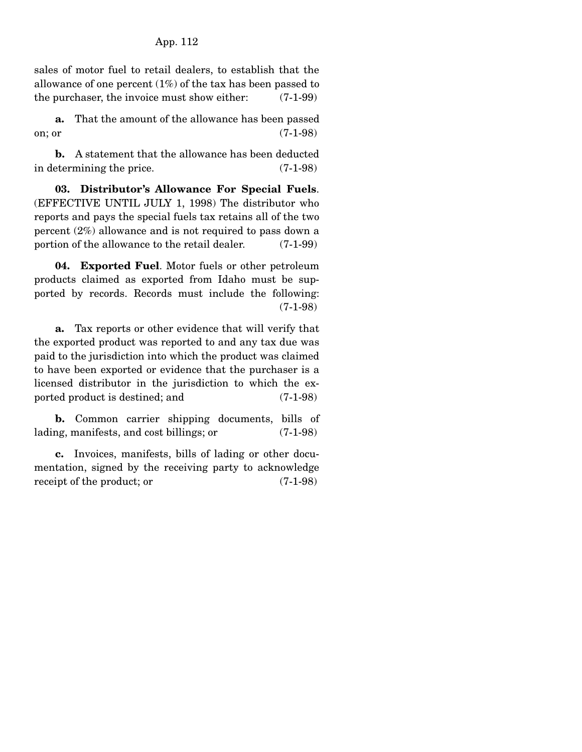sales of motor fuel to retail dealers, to establish that the allowance of one percent (1%) of the tax has been passed to the purchaser, the invoice must show either: (7-1-99)

 **a.** That the amount of the allowance has been passed on; or (7-1-98)

 **b.** A statement that the allowance has been deducted in determining the price. (7-1-98)

 **03. Distributor's Allowance For Special Fuels**. (EFFECTIVE UNTIL JULY 1, 1998) The distributor who reports and pays the special fuels tax retains all of the two percent (2%) allowance and is not required to pass down a portion of the allowance to the retail dealer. (7-1-99)

 **04. Exported Fuel**. Motor fuels or other petroleum products claimed as exported from Idaho must be supported by records. Records must include the following: (7-1-98)

 **a.** Tax reports or other evidence that will verify that the exported product was reported to and any tax due was paid to the jurisdiction into which the product was claimed to have been exported or evidence that the purchaser is a licensed distributor in the jurisdiction to which the exported product is destined; and (7-1-98)

 **b.** Common carrier shipping documents, bills of lading, manifests, and cost billings; or (7-1-98)

 **c.** Invoices, manifests, bills of lading or other documentation, signed by the receiving party to acknowledge receipt of the product; or  $(7-1-98)$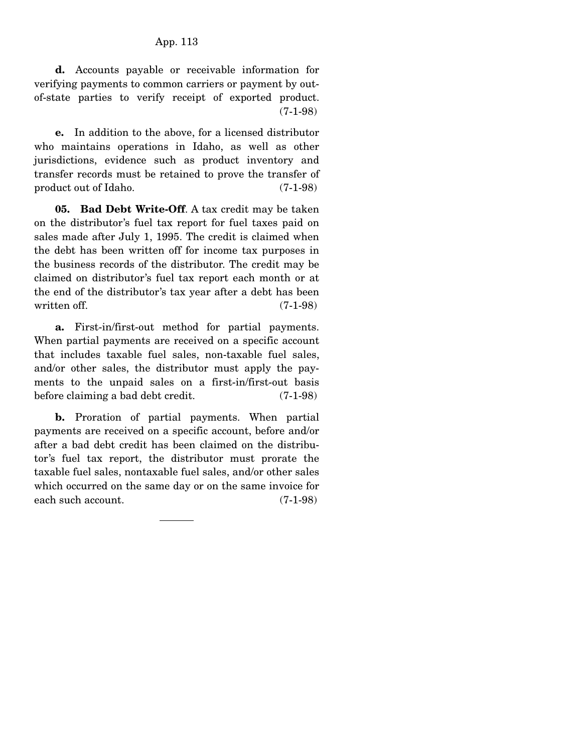**d.** Accounts payable or receivable information for verifying payments to common carriers or payment by outof-state parties to verify receipt of exported product. (7-1-98)

 **e.** In addition to the above, for a licensed distributor who maintains operations in Idaho, as well as other jurisdictions, evidence such as product inventory and transfer records must be retained to prove the transfer of product out of Idaho. (7-1-98)

 **05. Bad Debt Write-Off**. A tax credit may be taken on the distributor's fuel tax report for fuel taxes paid on sales made after July 1, 1995. The credit is claimed when the debt has been written off for income tax purposes in the business records of the distributor. The credit may be claimed on distributor's fuel tax report each month or at the end of the distributor's tax year after a debt has been written off. (7-1-98)

 **a.** First-in/first-out method for partial payments. When partial payments are received on a specific account that includes taxable fuel sales, non-taxable fuel sales, and/or other sales, the distributor must apply the payments to the unpaid sales on a first-in/first-out basis before claiming a bad debt credit. (7-1-98)

 **b.** Proration of partial payments. When partial payments are received on a specific account, before and/or after a bad debt credit has been claimed on the distributor's fuel tax report, the distributor must prorate the taxable fuel sales, nontaxable fuel sales, and/or other sales which occurred on the same day or on the same invoice for each such account. (7-1-98)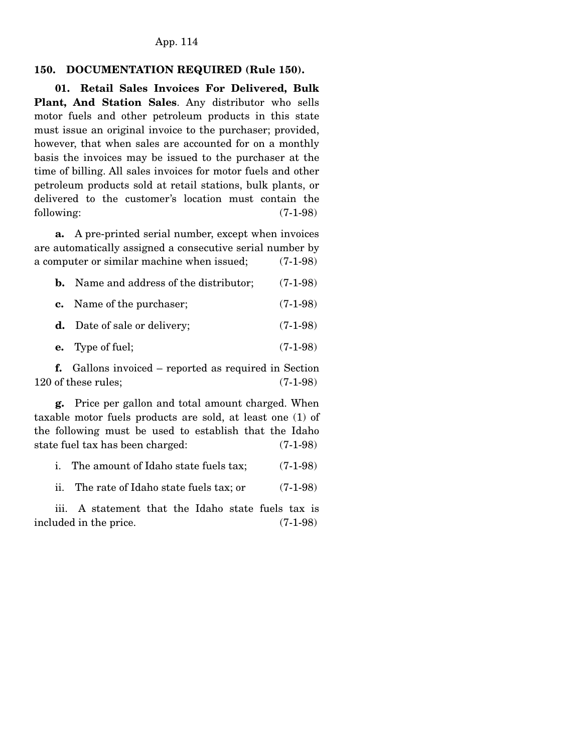#### **150. DOCUMENTATION REQUIRED (Rule 150).**

 **01. Retail Sales Invoices For Delivered, Bulk Plant, And Station Sales**. Any distributor who sells motor fuels and other petroleum products in this state must issue an original invoice to the purchaser; provided, however, that when sales are accounted for on a monthly basis the invoices may be issued to the purchaser at the time of billing. All sales invoices for motor fuels and other petroleum products sold at retail stations, bulk plants, or delivered to the customer's location must contain the following:  $(7-1-98)$ 

 **a.** A pre-printed serial number, except when invoices are automatically assigned a consecutive serial number by a computer or similar machine when issued; (7-1-98)

| Name and address of the distributor; | $(7-1-98)$ |
|--------------------------------------|------------|
| <b>c.</b> Name of the purchaser;     | $(7-1-98)$ |

**d.** Date of sale or delivery; (7-1-98)

**e.** Type of fuel; (7-1-98)

 **f.** Gallons invoiced – reported as required in Section 120 of these rules; (7-1-98)

 **g.** Price per gallon and total amount charged. When taxable motor fuels products are sold, at least one (1) of the following must be used to establish that the Idaho state fuel tax has been charged: (7-1-98)

i. The amount of Idaho state fuels tax; (7-1-98)

ii. The rate of Idaho state fuels tax; or (7-1-98)

 iii. A statement that the Idaho state fuels tax is included in the price. (7-1-98)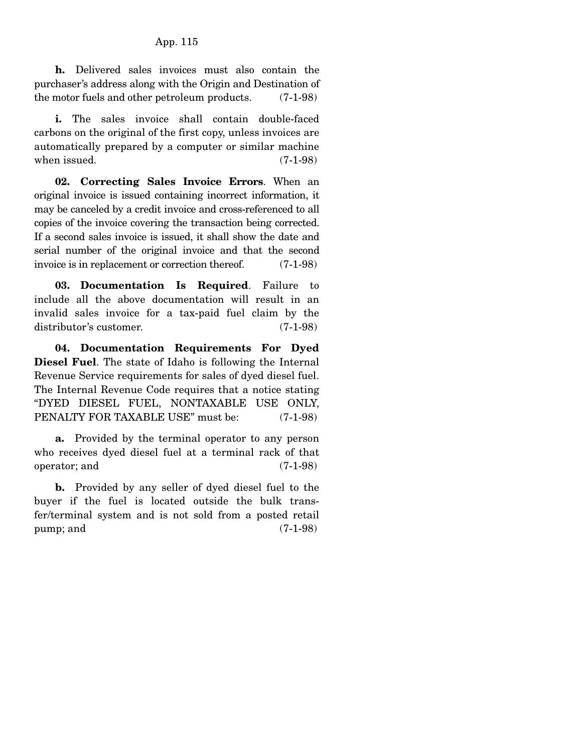**h.** Delivered sales invoices must also contain the purchaser's address along with the Origin and Destination of the motor fuels and other petroleum products. (7-1-98)

**i.** The sales invoice shall contain double-faced carbons on the original of the first copy, unless invoices are automatically prepared by a computer or similar machine when issued. (7-1-98)

 **02. Correcting Sales Invoice Errors**. When an original invoice is issued containing incorrect information, it may be canceled by a credit invoice and cross-referenced to all copies of the invoice covering the transaction being corrected. If a second sales invoice is issued, it shall show the date and serial number of the original invoice and that the second invoice is in replacement or correction thereof. (7-1-98)

 **03. Documentation Is Required**. Failure to include all the above documentation will result in an invalid sales invoice for a tax-paid fuel claim by the distributor's customer. (7-1-98)

 **04. Documentation Requirements For Dyed Diesel Fuel**. The state of Idaho is following the Internal Revenue Service requirements for sales of dyed diesel fuel. The Internal Revenue Code requires that a notice stating "DYED DIESEL FUEL, NONTAXABLE USE ONLY, PENALTY FOR TAXABLE USE" must be: (7-1-98)

 **a.** Provided by the terminal operator to any person who receives dyed diesel fuel at a terminal rack of that operator; and (7-1-98)

 **b.** Provided by any seller of dyed diesel fuel to the buyer if the fuel is located outside the bulk transfer/terminal system and is not sold from a posted retail  $pump;$  and  $(7-1-98)$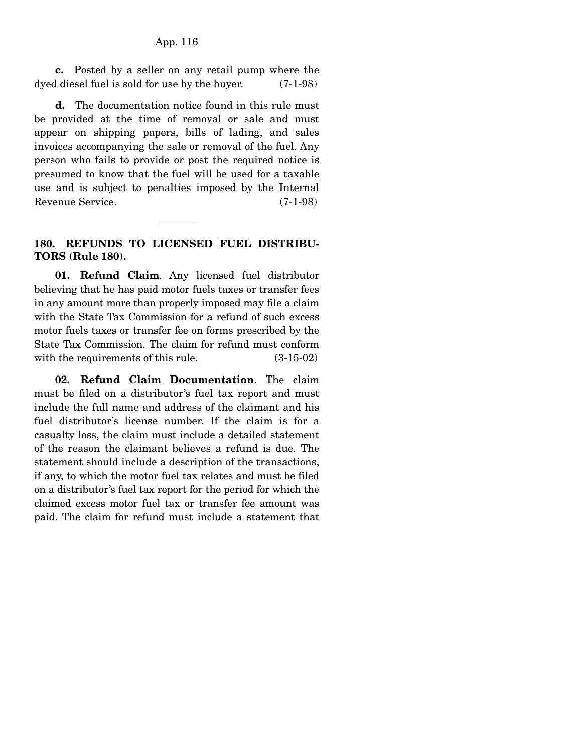**c.** Posted by a seller on any retail pump where the dyed diesel fuel is sold for use by the buyer. (7-1-98)

 **d.** The documentation notice found in this rule must be provided at the time of removal or sale and must appear on shipping papers, bills of lading, and sales invoices accompanying the sale or removal of the fuel. Any person who fails to provide or post the required notice is presumed to know that the fuel will be used for a taxable use and is subject to penalties imposed by the Internal Revenue Service. (7-1-98)

#### **180. REFUNDS TO LICENSED FUEL DISTRIBU-TORS (Rule 180).**

 **01. Refund Claim**. Any licensed fuel distributor believing that he has paid motor fuels taxes or transfer fees in any amount more than properly imposed may file a claim with the State Tax Commission for a refund of such excess motor fuels taxes or transfer fee on forms prescribed by the State Tax Commission. The claim for refund must conform with the requirements of this rule. (3-15-02)

 **02. Refund Claim Documentation**. The claim must be filed on a distributor's fuel tax report and must include the full name and address of the claimant and his fuel distributor's license number. If the claim is for a casualty loss, the claim must include a detailed statement of the reason the claimant believes a refund is due. The statement should include a description of the transactions, if any, to which the motor fuel tax relates and must be filed on a distributor's fuel tax report for the period for which the claimed excess motor fuel tax or transfer fee amount was paid. The claim for refund must include a statement that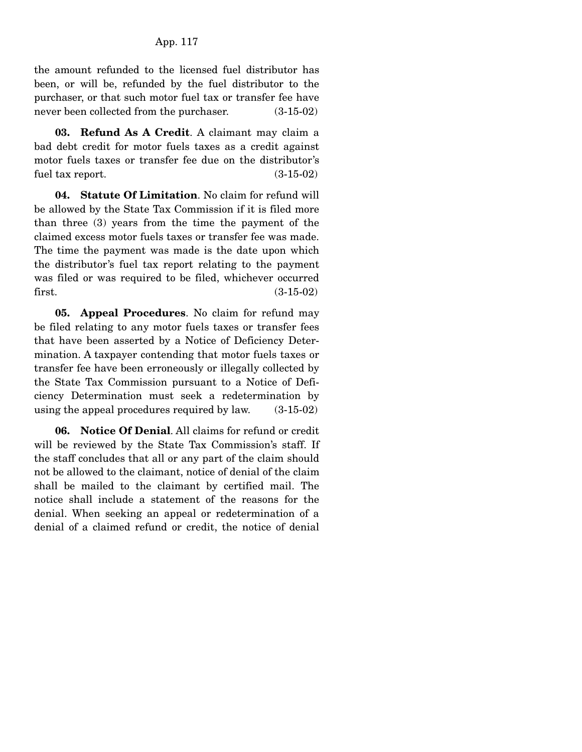the amount refunded to the licensed fuel distributor has been, or will be, refunded by the fuel distributor to the purchaser, or that such motor fuel tax or transfer fee have never been collected from the purchaser. (3-15-02)

 **03. Refund As A Credit**. A claimant may claim a bad debt credit for motor fuels taxes as a credit against motor fuels taxes or transfer fee due on the distributor's fuel tax report. (3-15-02)

 **04. Statute Of Limitation**. No claim for refund will be allowed by the State Tax Commission if it is filed more than three (3) years from the time the payment of the claimed excess motor fuels taxes or transfer fee was made. The time the payment was made is the date upon which the distributor's fuel tax report relating to the payment was filed or was required to be filed, whichever occurred first. (3-15-02)

 **05. Appeal Procedures**. No claim for refund may be filed relating to any motor fuels taxes or transfer fees that have been asserted by a Notice of Deficiency Determination. A taxpayer contending that motor fuels taxes or transfer fee have been erroneously or illegally collected by the State Tax Commission pursuant to a Notice of Deficiency Determination must seek a redetermination by using the appeal procedures required by law. (3-15-02)

 **06. Notice Of Denial**. All claims for refund or credit will be reviewed by the State Tax Commission's staff. If the staff concludes that all or any part of the claim should not be allowed to the claimant, notice of denial of the claim shall be mailed to the claimant by certified mail. The notice shall include a statement of the reasons for the denial. When seeking an appeal or redetermination of a denial of a claimed refund or credit, the notice of denial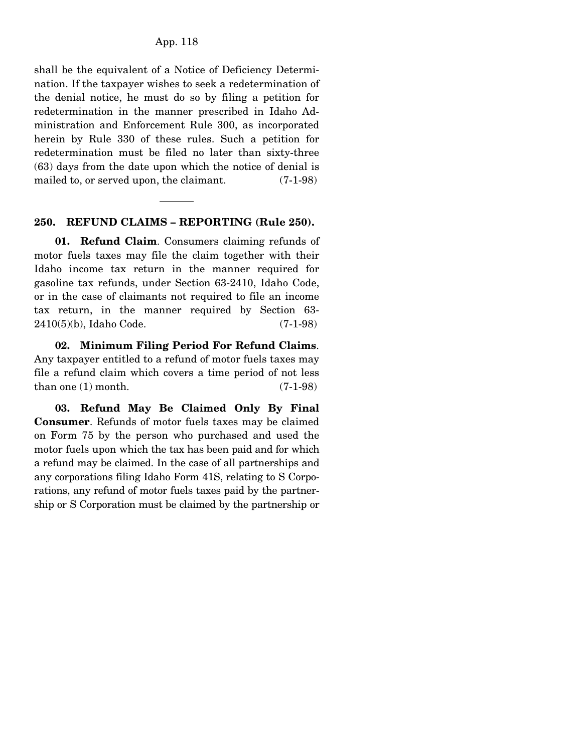shall be the equivalent of a Notice of Deficiency Determination. If the taxpayer wishes to seek a redetermination of the denial notice, he must do so by filing a petition for redetermination in the manner prescribed in Idaho Administration and Enforcement Rule 300, as incorporated herein by Rule 330 of these rules. Such a petition for redetermination must be filed no later than sixty-three (63) days from the date upon which the notice of denial is mailed to, or served upon, the claimant. (7-1-98)

#### **250. REFUND CLAIMS – REPORTING (Rule 250).**

 **01. Refund Claim**. Consumers claiming refunds of motor fuels taxes may file the claim together with their Idaho income tax return in the manner required for gasoline tax refunds, under Section 63-2410, Idaho Code, or in the case of claimants not required to file an income tax return, in the manner required by Section 63- 2410(5)(b), Idaho Code. (7-1-98)

 **02. Minimum Filing Period For Refund Claims**. Any taxpayer entitled to a refund of motor fuels taxes may file a refund claim which covers a time period of not less than one  $(1)$  month.  $(7-1-98)$ 

 **03. Refund May Be Claimed Only By Final Consumer**. Refunds of motor fuels taxes may be claimed on Form 75 by the person who purchased and used the motor fuels upon which the tax has been paid and for which a refund may be claimed. In the case of all partnerships and any corporations filing Idaho Form 41S, relating to S Corporations, any refund of motor fuels taxes paid by the partnership or S Corporation must be claimed by the partnership or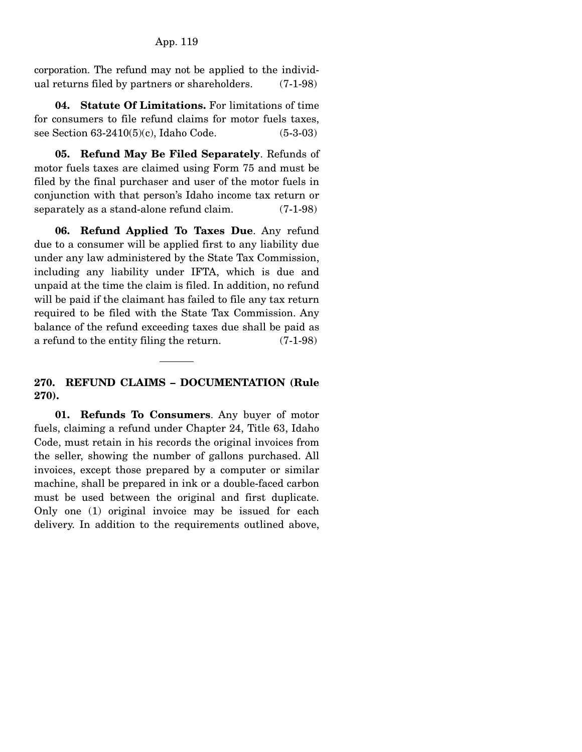corporation. The refund may not be applied to the individual returns filed by partners or shareholders. (7-1-98)

 **04. Statute Of Limitations.** For limitations of time for consumers to file refund claims for motor fuels taxes, see Section 63-2410(5)(c), Idaho Code. (5-3-03)

 **05. Refund May Be Filed Separately**. Refunds of motor fuels taxes are claimed using Form 75 and must be filed by the final purchaser and user of the motor fuels in conjunction with that person's Idaho income tax return or separately as a stand-alone refund claim. (7-1-98)

 **06. Refund Applied To Taxes Due**. Any refund due to a consumer will be applied first to any liability due under any law administered by the State Tax Commission, including any liability under IFTA, which is due and unpaid at the time the claim is filed. In addition, no refund will be paid if the claimant has failed to file any tax return required to be filed with the State Tax Commission. Any balance of the refund exceeding taxes due shall be paid as a refund to the entity filing the return. (7-1-98)

## **270. REFUND CLAIMS – DOCUMENTATION (Rule 270).**

 **01. Refunds To Consumers**. Any buyer of motor fuels, claiming a refund under Chapter 24, Title 63, Idaho Code, must retain in his records the original invoices from the seller, showing the number of gallons purchased. All invoices, except those prepared by a computer or similar machine, shall be prepared in ink or a double-faced carbon must be used between the original and first duplicate. Only one (1) original invoice may be issued for each delivery. In addition to the requirements outlined above,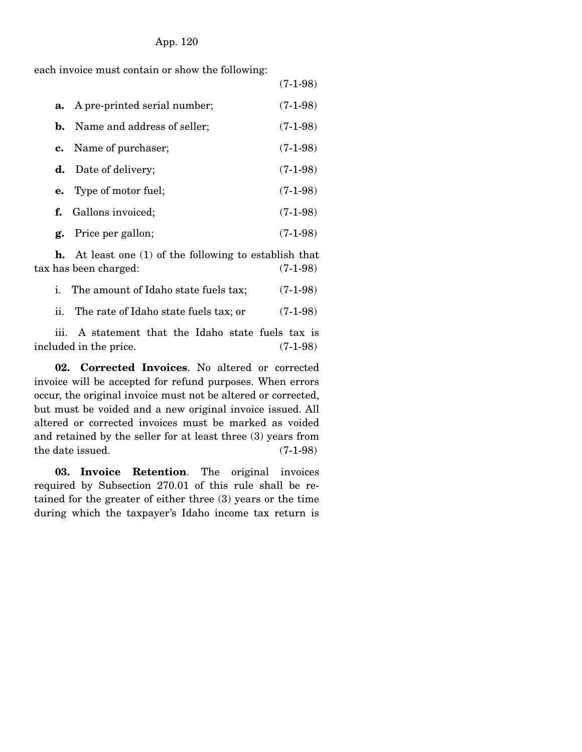#### App. 120

each invoice must contain or show the following:

|    |                                        | $(7-1-98)$ |
|----|----------------------------------------|------------|
|    | <b>a.</b> A pre-printed serial number; | $(7-1-98)$ |
|    | <b>b.</b> Name and address of seller;  | $(7-1-98)$ |
|    | <b>c.</b> Name of purchaser;           | $(7-1-98)$ |
| d. | Date of delivery;                      | $(7-1-98)$ |
|    | <b>e.</b> Type of motor fuel;          | $(7-1-98)$ |
|    | f. Gallons invoiced;                   | $(7-1-98)$ |
| g. | Price per gallon;                      | $(7-1-98)$ |

 **h.** At least one (1) of the following to establish that tax has been charged: (7-1-98)

|  | The amount of Idaho state fuels tax; | $(7-1-98)$ |
|--|--------------------------------------|------------|
|--|--------------------------------------|------------|

ii. The rate of Idaho state fuels tax; or (7-1-98)

 iii. A statement that the Idaho state fuels tax is included in the price. (7-1-98)

 **02. Corrected Invoices**. No altered or corrected invoice will be accepted for refund purposes. When errors occur, the original invoice must not be altered or corrected, but must be voided and a new original invoice issued. All altered or corrected invoices must be marked as voided and retained by the seller for at least three (3) years from the date issued. (7-1-98)

 **03. Invoice Retention**. The original invoices required by Subsection 270.01 of this rule shall be retained for the greater of either three (3) years or the time during which the taxpayer's Idaho income tax return is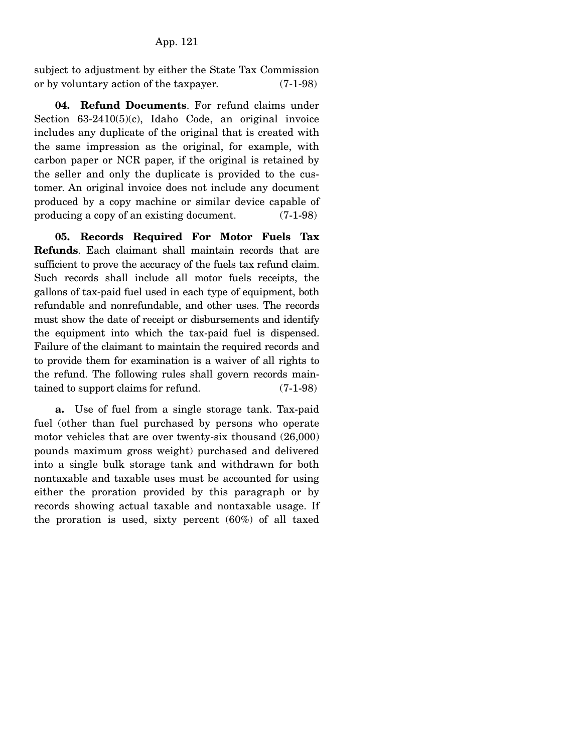subject to adjustment by either the State Tax Commission or by voluntary action of the taxpayer. (7-1-98)

 **04. Refund Documents**. For refund claims under Section 63-2410(5)(c), Idaho Code, an original invoice includes any duplicate of the original that is created with the same impression as the original, for example, with carbon paper or NCR paper, if the original is retained by the seller and only the duplicate is provided to the customer. An original invoice does not include any document produced by a copy machine or similar device capable of producing a copy of an existing document. (7-1-98)

 **05. Records Required For Motor Fuels Tax Refunds**. Each claimant shall maintain records that are sufficient to prove the accuracy of the fuels tax refund claim. Such records shall include all motor fuels receipts, the gallons of tax-paid fuel used in each type of equipment, both refundable and nonrefundable, and other uses. The records must show the date of receipt or disbursements and identify the equipment into which the tax-paid fuel is dispensed. Failure of the claimant to maintain the required records and to provide them for examination is a waiver of all rights to the refund. The following rules shall govern records maintained to support claims for refund. (7-1-98)

 **a.** Use of fuel from a single storage tank. Tax-paid fuel (other than fuel purchased by persons who operate motor vehicles that are over twenty-six thousand (26,000) pounds maximum gross weight) purchased and delivered into a single bulk storage tank and withdrawn for both nontaxable and taxable uses must be accounted for using either the proration provided by this paragraph or by records showing actual taxable and nontaxable usage. If the proration is used, sixty percent (60%) of all taxed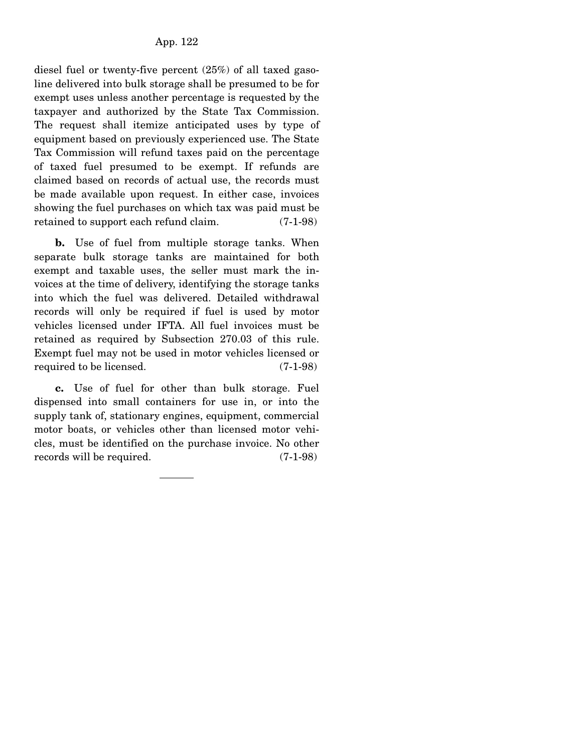diesel fuel or twenty-five percent (25%) of all taxed gasoline delivered into bulk storage shall be presumed to be for exempt uses unless another percentage is requested by the taxpayer and authorized by the State Tax Commission. The request shall itemize anticipated uses by type of equipment based on previously experienced use. The State Tax Commission will refund taxes paid on the percentage of taxed fuel presumed to be exempt. If refunds are claimed based on records of actual use, the records must be made available upon request. In either case, invoices showing the fuel purchases on which tax was paid must be retained to support each refund claim. (7-1-98)

**b.** Use of fuel from multiple storage tanks. When separate bulk storage tanks are maintained for both exempt and taxable uses, the seller must mark the invoices at the time of delivery, identifying the storage tanks into which the fuel was delivered. Detailed withdrawal records will only be required if fuel is used by motor vehicles licensed under IFTA. All fuel invoices must be retained as required by Subsection 270.03 of this rule. Exempt fuel may not be used in motor vehicles licensed or required to be licensed. (7-1-98)

 **c.** Use of fuel for other than bulk storage. Fuel dispensed into small containers for use in, or into the supply tank of, stationary engines, equipment, commercial motor boats, or vehicles other than licensed motor vehicles, must be identified on the purchase invoice. No other records will be required. (7-1-98)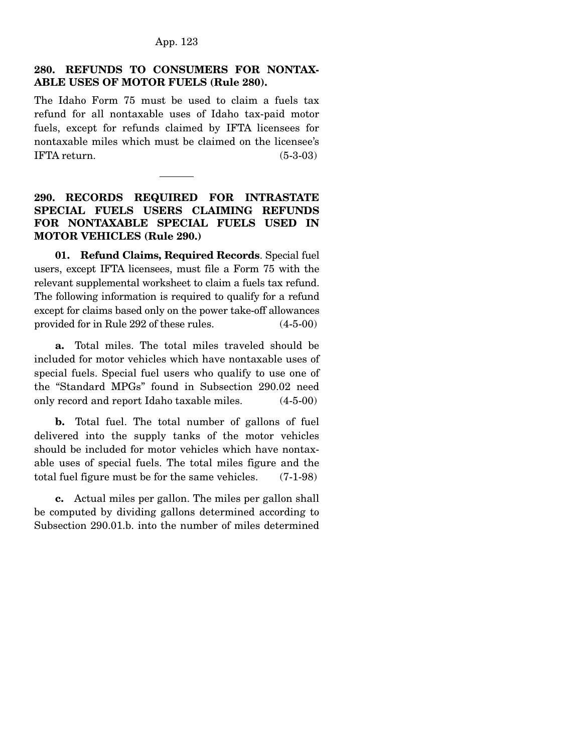# **280. REFUNDS TO CONSUMERS FOR NONTAX-ABLE USES OF MOTOR FUELS (Rule 280).**

The Idaho Form 75 must be used to claim a fuels tax refund for all nontaxable uses of Idaho tax-paid motor fuels, except for refunds claimed by IFTA licensees for nontaxable miles which must be claimed on the licensee's IFTA return. (5-3-03)

# **290. RECORDS REQUIRED FOR INTRASTATE SPECIAL FUELS USERS CLAIMING REFUNDS FOR NONTAXABLE SPECIAL FUELS USED IN MOTOR VEHICLES (Rule 290.)**

 **01. Refund Claims, Required Records**. Special fuel users, except IFTA licensees, must file a Form 75 with the relevant supplemental worksheet to claim a fuels tax refund. The following information is required to qualify for a refund except for claims based only on the power take-off allowances provided for in Rule 292 of these rules. (4-5-00)

 **a.** Total miles. The total miles traveled should be included for motor vehicles which have nontaxable uses of special fuels. Special fuel users who qualify to use one of the "Standard MPGs" found in Subsection 290.02 need only record and report Idaho taxable miles. (4-5-00)

**b.** Total fuel. The total number of gallons of fuel delivered into the supply tanks of the motor vehicles should be included for motor vehicles which have nontaxable uses of special fuels. The total miles figure and the total fuel figure must be for the same vehicles. (7-1-98)

 **c.** Actual miles per gallon. The miles per gallon shall be computed by dividing gallons determined according to Subsection 290.01.b. into the number of miles determined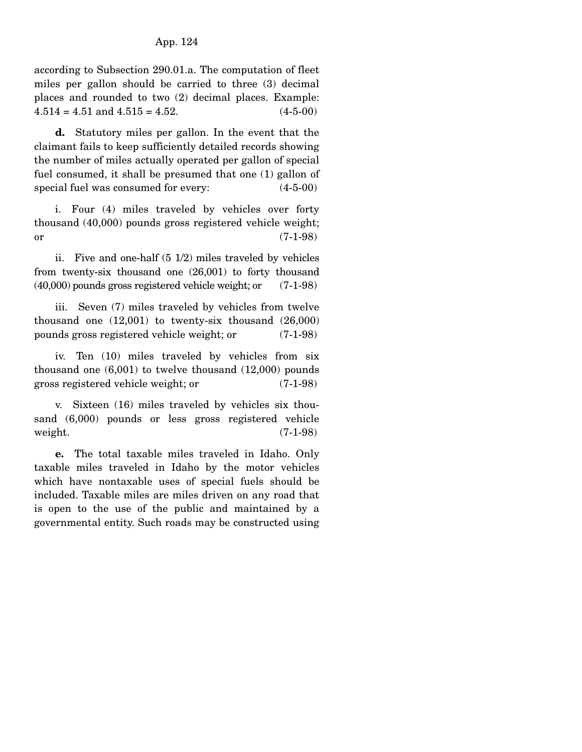according to Subsection 290.01.a. The computation of fleet miles per gallon should be carried to three (3) decimal places and rounded to two (2) decimal places. Example:  $4.514 = 4.51$  and  $4.515 = 4.52$ .  $(4-5-00)$ 

 **d.** Statutory miles per gallon. In the event that the claimant fails to keep sufficiently detailed records showing the number of miles actually operated per gallon of special fuel consumed, it shall be presumed that one (1) gallon of special fuel was consumed for every:  $(4-5-00)$ 

 i. Four (4) miles traveled by vehicles over forty thousand (40,000) pounds gross registered vehicle weight;  $or$  (7-1-98)

 ii. Five and one-half (5 1/2) miles traveled by vehicles from twenty-six thousand one (26,001) to forty thousand (40,000) pounds gross registered vehicle weight; or (7-1-98)

 iii. Seven (7) miles traveled by vehicles from twelve thousand one (12,001) to twenty-six thousand (26,000) pounds gross registered vehicle weight; or (7-1-98)

 iv. Ten (10) miles traveled by vehicles from six thousand one (6,001) to twelve thousand (12,000) pounds gross registered vehicle weight; or (7-1-98)

 v. Sixteen (16) miles traveled by vehicles six thousand (6,000) pounds or less gross registered vehicle weight. (7-1-98)

 **e.** The total taxable miles traveled in Idaho. Only taxable miles traveled in Idaho by the motor vehicles which have nontaxable uses of special fuels should be included. Taxable miles are miles driven on any road that is open to the use of the public and maintained by a governmental entity. Such roads may be constructed using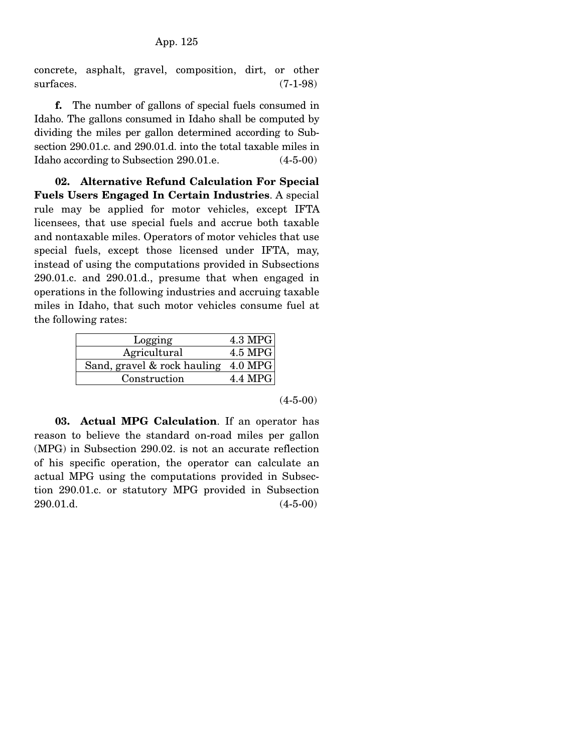concrete, asphalt, gravel, composition, dirt, or other surfaces. (7-1-98)

 **f.** The number of gallons of special fuels consumed in Idaho. The gallons consumed in Idaho shall be computed by dividing the miles per gallon determined according to Subsection 290.01.c. and 290.01.d. into the total taxable miles in Idaho according to Subsection 290.01.e. (4-5-00)

 **02. Alternative Refund Calculation For Special Fuels Users Engaged In Certain Industries**. A special rule may be applied for motor vehicles, except IFTA licensees, that use special fuels and accrue both taxable and nontaxable miles. Operators of motor vehicles that use special fuels, except those licensed under IFTA, may, instead of using the computations provided in Subsections 290.01.c. and 290.01.d., presume that when engaged in operations in the following industries and accruing taxable miles in Idaho, that such motor vehicles consume fuel at the following rates:

| Logging                               | $4.3 \text{ MPG}$ |
|---------------------------------------|-------------------|
| Agricultural                          | 4.5 MPG           |
| Sand, gravel $&$ rock hauling 4.0 MPG |                   |
| Construction                          | 4.4 MPG           |

(4-5-00)

 **03. Actual MPG Calculation**. If an operator has reason to believe the standard on-road miles per gallon (MPG) in Subsection 290.02. is not an accurate reflection of his specific operation, the operator can calculate an actual MPG using the computations provided in Subsection 290.01.c. or statutory MPG provided in Subsection 290.01.d. (4-5-00)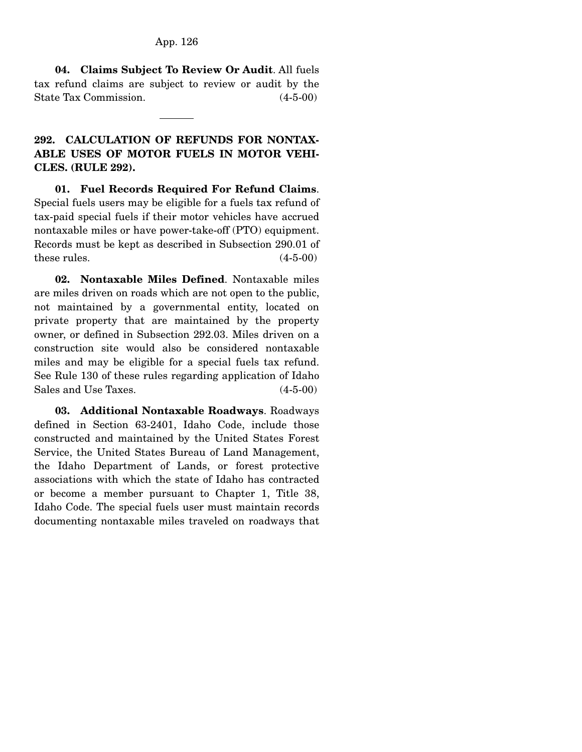**04. Claims Subject To Review Or Audit**. All fuels tax refund claims are subject to review or audit by the State Tax Commission. (4-5-00)

# **292. CALCULATION OF REFUNDS FOR NONTAX-ABLE USES OF MOTOR FUELS IN MOTOR VEHI-CLES. (RULE 292).**

 **01. Fuel Records Required For Refund Claims**. Special fuels users may be eligible for a fuels tax refund of tax-paid special fuels if their motor vehicles have accrued nontaxable miles or have power-take-off (PTO) equipment. Records must be kept as described in Subsection 290.01 of these rules.  $(4-5-00)$ 

 **02. Nontaxable Miles Defined**. Nontaxable miles are miles driven on roads which are not open to the public, not maintained by a governmental entity, located on private property that are maintained by the property owner, or defined in Subsection 292.03. Miles driven on a construction site would also be considered nontaxable miles and may be eligible for a special fuels tax refund. See Rule 130 of these rules regarding application of Idaho Sales and Use Taxes. (4-5-00)

 **03. Additional Nontaxable Roadways**. Roadways defined in Section 63-2401, Idaho Code, include those constructed and maintained by the United States Forest Service, the United States Bureau of Land Management, the Idaho Department of Lands, or forest protective associations with which the state of Idaho has contracted or become a member pursuant to Chapter 1, Title 38, Idaho Code. The special fuels user must maintain records documenting nontaxable miles traveled on roadways that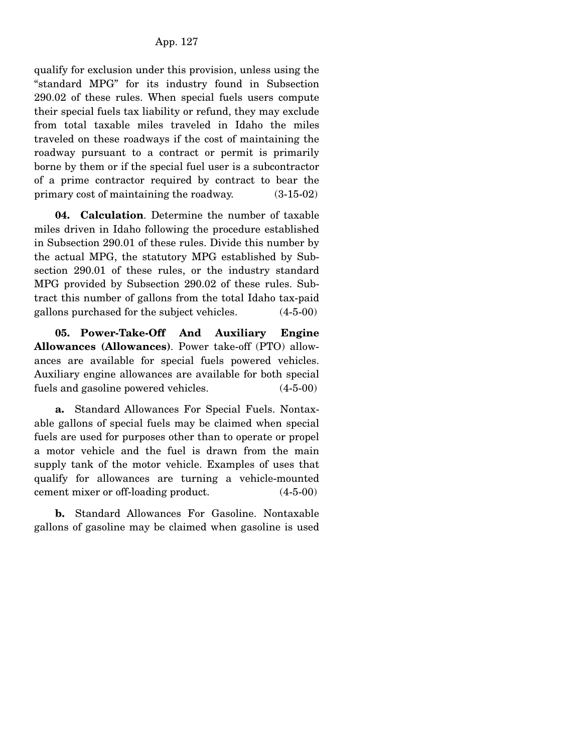qualify for exclusion under this provision, unless using the "standard MPG" for its industry found in Subsection 290.02 of these rules. When special fuels users compute their special fuels tax liability or refund, they may exclude from total taxable miles traveled in Idaho the miles traveled on these roadways if the cost of maintaining the roadway pursuant to a contract or permit is primarily borne by them or if the special fuel user is a subcontractor of a prime contractor required by contract to bear the primary cost of maintaining the roadway. (3-15-02)

 **04. Calculation**. Determine the number of taxable miles driven in Idaho following the procedure established in Subsection 290.01 of these rules. Divide this number by the actual MPG, the statutory MPG established by Subsection 290.01 of these rules, or the industry standard MPG provided by Subsection 290.02 of these rules. Subtract this number of gallons from the total Idaho tax-paid gallons purchased for the subject vehicles. (4-5-00)

 **05. Power-Take-Off And Auxiliary Engine Allowances (Allowances)**. Power take-off (PTO) allowances are available for special fuels powered vehicles. Auxiliary engine allowances are available for both special fuels and gasoline powered vehicles. (4-5-00)

 **a.** Standard Allowances For Special Fuels. Nontaxable gallons of special fuels may be claimed when special fuels are used for purposes other than to operate or propel a motor vehicle and the fuel is drawn from the main supply tank of the motor vehicle. Examples of uses that qualify for allowances are turning a vehicle-mounted cement mixer or off-loading product. (4-5-00)

 **b.** Standard Allowances For Gasoline. Nontaxable gallons of gasoline may be claimed when gasoline is used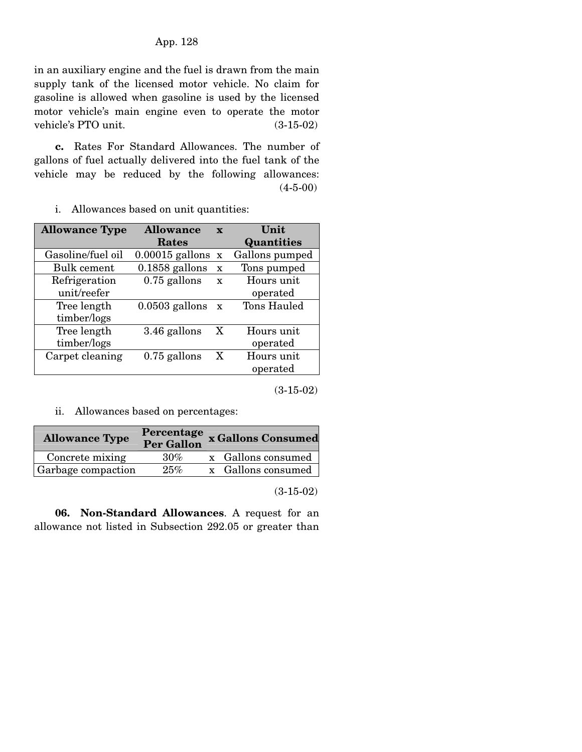in an auxiliary engine and the fuel is drawn from the main supply tank of the licensed motor vehicle. No claim for gasoline is allowed when gasoline is used by the licensed motor vehicle's main engine even to operate the motor vehicle's PTO unit.  $(3-15-02)$ 

 **c.** Rates For Standard Allowances. The number of gallons of fuel actually delivered into the fuel tank of the vehicle may be reduced by the following allowances:  $(4-5-00)$ 

i. Allowances based on unit quantities:

| <b>Allowance Type</b> | <b>Allowance</b>    | $\mathbf{x}$ | Unit              |
|-----------------------|---------------------|--------------|-------------------|
|                       | <b>Rates</b>        |              | <b>Quantities</b> |
| Gasoline/fuel oil     | $0.00015$ gallons x |              | Gallons pumped    |
| Bulk cement           | $0.1858$ gallons    | $\mathbf x$  | Tons pumped       |
| Refrigeration         | $0.75$ gallons      | $\mathbf x$  | Hours unit.       |
| unit/reefer           |                     |              | operated          |
| Tree length           | $0.0503$ gallons    | $\mathbf{X}$ | Tons Hauled       |
| timber/logs           |                     |              |                   |
| Tree length           | 3.46 gallons        | X            | Hours unit        |
| timber/logs           |                     |              | operated          |
| Carpet cleaning       | $0.75$ gallons      | X            | Hours unit        |
|                       |                     |              | operated          |
|                       |                     |              |                   |

(3-15-02)

ii. Allowances based on percentages:

| <b>Allowance Type</b> |        | Percentage x Gallons Consumed<br>Per Gallon |
|-----------------------|--------|---------------------------------------------|
| Concrete mixing       | $30\%$ | x Gallons consumed                          |
| Garbage compaction    | 25%    | x Gallons consumed                          |

(3-15-02)

 **06. Non-Standard Allowances**. A request for an allowance not listed in Subsection 292.05 or greater than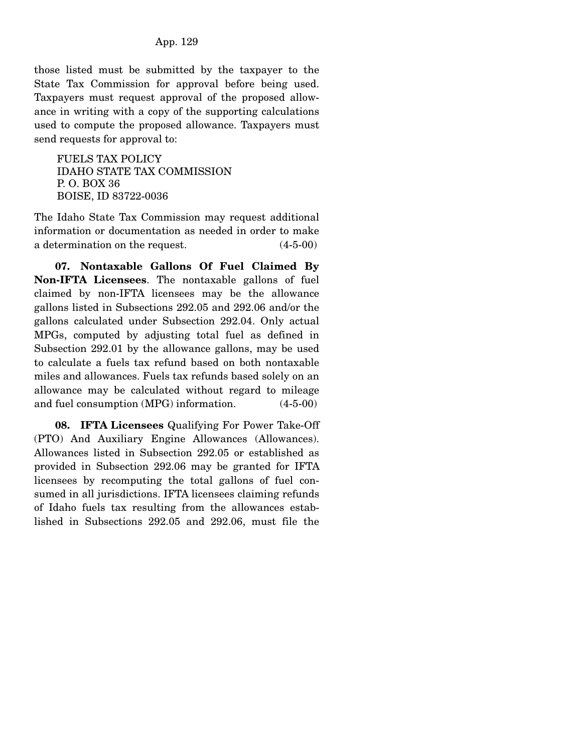those listed must be submitted by the taxpayer to the State Tax Commission for approval before being used. Taxpayers must request approval of the proposed allowance in writing with a copy of the supporting calculations used to compute the proposed allowance. Taxpayers must send requests for approval to:

FUELS TAX POLICY IDAHO STATE TAX COMMISSION P. O. BOX 36 BOISE, ID 83722-0036

The Idaho State Tax Commission may request additional information or documentation as needed in order to make a determination on the request. (4-5-00)

 **07. Nontaxable Gallons Of Fuel Claimed By Non-IFTA Licensees**. The nontaxable gallons of fuel claimed by non-IFTA licensees may be the allowance gallons listed in Subsections 292.05 and 292.06 and/or the gallons calculated under Subsection 292.04. Only actual MPGs, computed by adjusting total fuel as defined in Subsection 292.01 by the allowance gallons, may be used to calculate a fuels tax refund based on both nontaxable miles and allowances. Fuels tax refunds based solely on an allowance may be calculated without regard to mileage and fuel consumption (MPG) information. (4-5-00)

 **08. IFTA Licensees** Qualifying For Power Take-Off (PTO) And Auxiliary Engine Allowances (Allowances). Allowances listed in Subsection 292.05 or established as provided in Subsection 292.06 may be granted for IFTA licensees by recomputing the total gallons of fuel consumed in all jurisdictions. IFTA licensees claiming refunds of Idaho fuels tax resulting from the allowances established in Subsections 292.05 and 292.06, must file the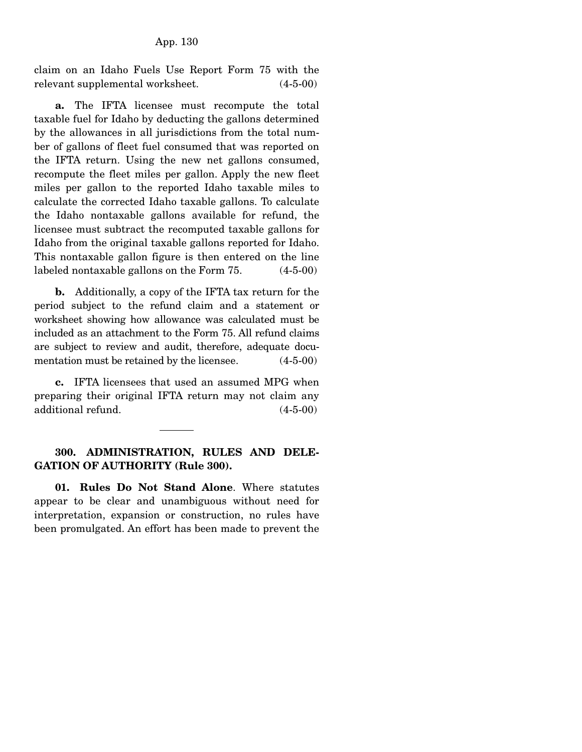claim on an Idaho Fuels Use Report Form 75 with the relevant supplemental worksheet. (4-5-00)

 **a.** The IFTA licensee must recompute the total taxable fuel for Idaho by deducting the gallons determined by the allowances in all jurisdictions from the total number of gallons of fleet fuel consumed that was reported on the IFTA return. Using the new net gallons consumed, recompute the fleet miles per gallon. Apply the new fleet miles per gallon to the reported Idaho taxable miles to calculate the corrected Idaho taxable gallons. To calculate the Idaho nontaxable gallons available for refund, the licensee must subtract the recomputed taxable gallons for Idaho from the original taxable gallons reported for Idaho. This nontaxable gallon figure is then entered on the line labeled nontaxable gallons on the Form 75. (4-5-00)

 **b.** Additionally, a copy of the IFTA tax return for the period subject to the refund claim and a statement or worksheet showing how allowance was calculated must be included as an attachment to the Form 75. All refund claims are subject to review and audit, therefore, adequate documentation must be retained by the licensee. (4-5-00)

 **c.** IFTA licensees that used an assumed MPG when preparing their original IFTA return may not claim any additional refund. (4-5-00)

# **300. ADMINISTRATION, RULES AND DELE-GATION OF AUTHORITY (Rule 300).**

 **01. Rules Do Not Stand Alone**. Where statutes appear to be clear and unambiguous without need for interpretation, expansion or construction, no rules have been promulgated. An effort has been made to prevent the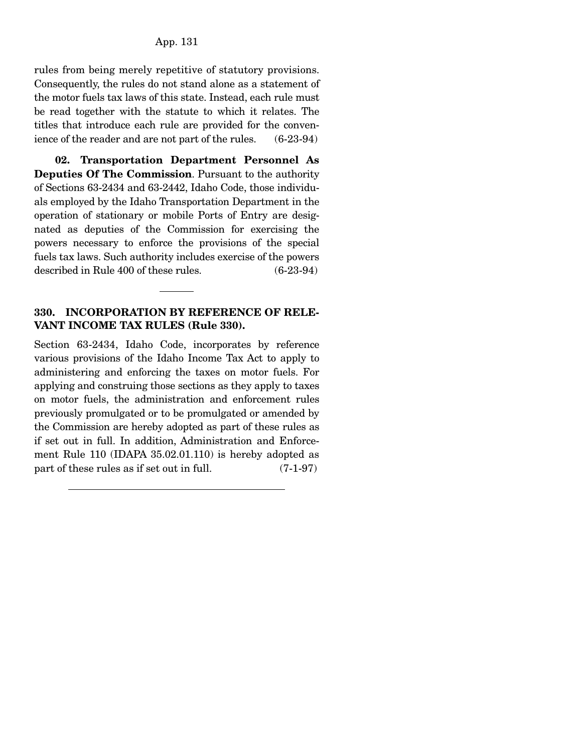rules from being merely repetitive of statutory provisions. Consequently, the rules do not stand alone as a statement of the motor fuels tax laws of this state. Instead, each rule must be read together with the statute to which it relates. The titles that introduce each rule are provided for the convenience of the reader and are not part of the rules. (6-23-94)

 **02. Transportation Department Personnel As Deputies Of The Commission**. Pursuant to the authority of Sections 63-2434 and 63-2442, Idaho Code, those individuals employed by the Idaho Transportation Department in the operation of stationary or mobile Ports of Entry are designated as deputies of the Commission for exercising the powers necessary to enforce the provisions of the special fuels tax laws. Such authority includes exercise of the powers described in Rule 400 of these rules. (6-23-94)

# **330. INCORPORATION BY REFERENCE OF RELE-VANT INCOME TAX RULES (Rule 330).**

Section 63-2434, Idaho Code, incorporates by reference various provisions of the Idaho Income Tax Act to apply to administering and enforcing the taxes on motor fuels. For applying and construing those sections as they apply to taxes on motor fuels, the administration and enforcement rules previously promulgated or to be promulgated or amended by the Commission are hereby adopted as part of these rules as if set out in full. In addition, Administration and Enforcement Rule 110 (IDAPA 35.02.01.110) is hereby adopted as part of these rules as if set out in full. (7-1-97)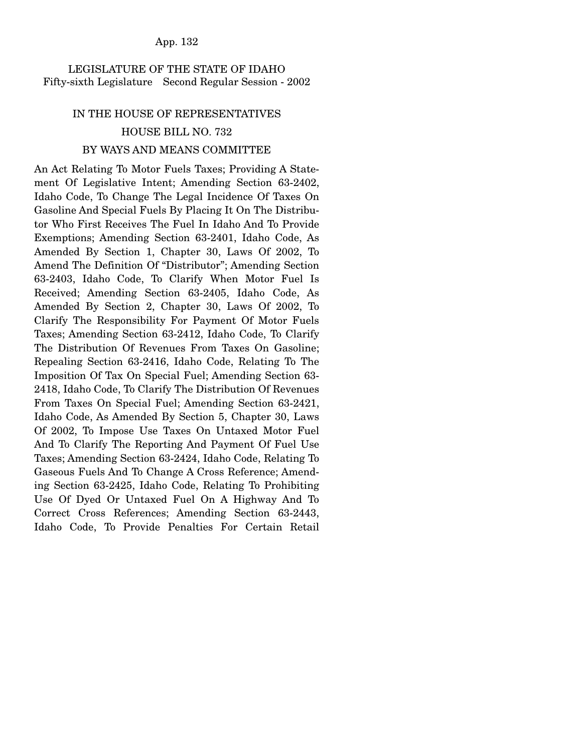#### App. 132

## LEGISLATURE OF THE STATE OF IDAHO Fifty-sixth Legislature Second Regular Session - 2002

# IN THE HOUSE OF REPRESENTATIVES HOUSE BILL NO. 732 BY WAYS AND MEANS COMMITTEE

# An Act Relating To Motor Fuels Taxes; Providing A Statement Of Legislative Intent; Amending Section 63-2402, Idaho Code, To Change The Legal Incidence Of Taxes On Gasoline And Special Fuels By Placing It On The Distributor Who First Receives The Fuel In Idaho And To Provide Exemptions; Amending Section 63-2401, Idaho Code, As Amended By Section 1, Chapter 30, Laws Of 2002, To Amend The Definition Of "Distributor"; Amending Section 63-2403, Idaho Code, To Clarify When Motor Fuel Is Received; Amending Section 63-2405, Idaho Code, As Amended By Section 2, Chapter 30, Laws Of 2002, To Clarify The Responsibility For Payment Of Motor Fuels Taxes; Amending Section 63-2412, Idaho Code, To Clarify The Distribution Of Revenues From Taxes On Gasoline; Repealing Section 63-2416, Idaho Code, Relating To The Imposition Of Tax On Special Fuel; Amending Section 63- 2418, Idaho Code, To Clarify The Distribution Of Revenues From Taxes On Special Fuel; Amending Section 63-2421, Idaho Code, As Amended By Section 5, Chapter 30, Laws Of 2002, To Impose Use Taxes On Untaxed Motor Fuel And To Clarify The Reporting And Payment Of Fuel Use Taxes; Amending Section 63-2424, Idaho Code, Relating To Gaseous Fuels And To Change A Cross Reference; Amending Section 63-2425, Idaho Code, Relating To Prohibiting Use Of Dyed Or Untaxed Fuel On A Highway And To Correct Cross References; Amending Section 63-2443, Idaho Code, To Provide Penalties For Certain Retail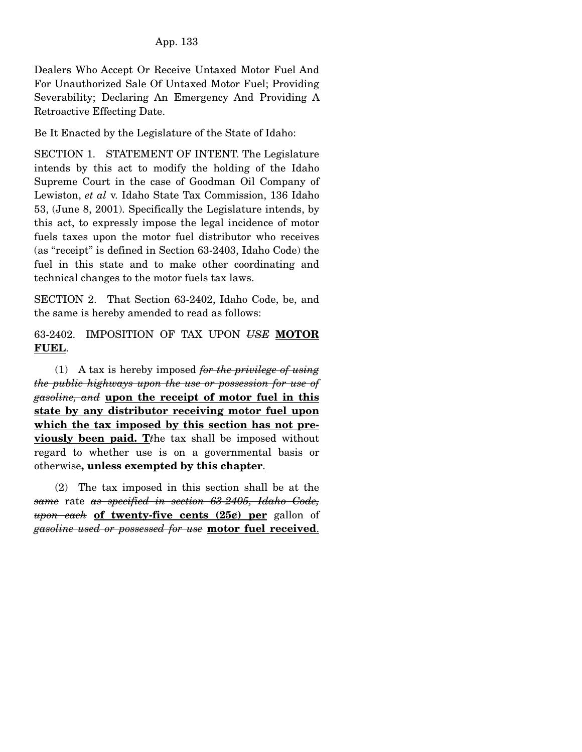Dealers Who Accept Or Receive Untaxed Motor Fuel And For Unauthorized Sale Of Untaxed Motor Fuel; Providing Severability; Declaring An Emergency And Providing A Retroactive Effecting Date.

Be It Enacted by the Legislature of the State of Idaho:

SECTION 1. STATEMENT OF INTENT. The Legislature intends by this act to modify the holding of the Idaho Supreme Court in the case of Goodman Oil Company of Lewiston, *et al* v. Idaho State Tax Commission, 136 Idaho 53, (June 8, 2001). Specifically the Legislature intends, by this act, to expressly impose the legal incidence of motor fuels taxes upon the motor fuel distributor who receives (as "receipt" is defined in Section 63-2403, Idaho Code) the fuel in this state and to make other coordinating and technical changes to the motor fuels tax laws.

SECTION 2. That Section 63-2402, Idaho Code, be, and the same is hereby amended to read as follows:

63-2402. IMPOSITION OF TAX UPON *USE* **MOTOR FUEL**.

 (1) A tax is hereby imposed *for the privilege of using the public highways upon the use or possession for use of gasoline, and* **upon the receipt of motor fuel in this state by any distributor receiving motor fuel upon which the tax imposed by this section has not previously been paid. T***t*he tax shall be imposed without regard to whether use is on a governmental basis or otherwise**, unless exempted by this chapter**.

 (2) The tax imposed in this section shall be at the *same* rate *as specified in section 63-2405, Idaho Code, upon each* **of twenty-five cents (25¢) per** gallon of *gasoline used or possessed for use* **motor fuel received**.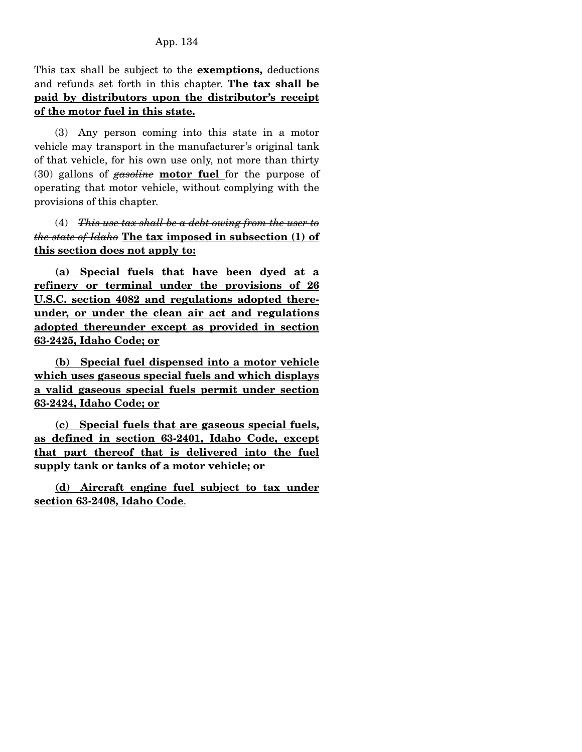This tax shall be subject to the **exemptions,** deductions and refunds set forth in this chapter. **The tax shall be paid by distributors upon the distributor's receipt of the motor fuel in this state.**

 (3) Any person coming into this state in a motor vehicle may transport in the manufacturer's original tank of that vehicle, for his own use only, not more than thirty (30) gallons of *gasoline* **motor fuel** for the purpose of operating that motor vehicle, without complying with the provisions of this chapter.

 (4) *This use tax shall be a debt owing from the user to the state of Idaho* **The tax imposed in subsection (1) of this section does not apply to:**

**(a) Special fuels that have been dyed at a refinery or terminal under the provisions of 26 U.S.C. section 4082 and regulations adopted thereunder, or under the clean air act and regulations adopted thereunder except as provided in section 63-2425, Idaho Code; or**

 **(b) Special fuel dispensed into a motor vehicle which uses gaseous special fuels and which displays a valid gaseous special fuels permit under section 63-2424, Idaho Code; or**

 **(c) Special fuels that are gaseous special fuels, as defined in section 63-2401, Idaho Code, except that part thereof that is delivered into the fuel supply tank or tanks of a motor vehicle; or**

 **(d) Aircraft engine fuel subject to tax under section 63-2408, Idaho Code**.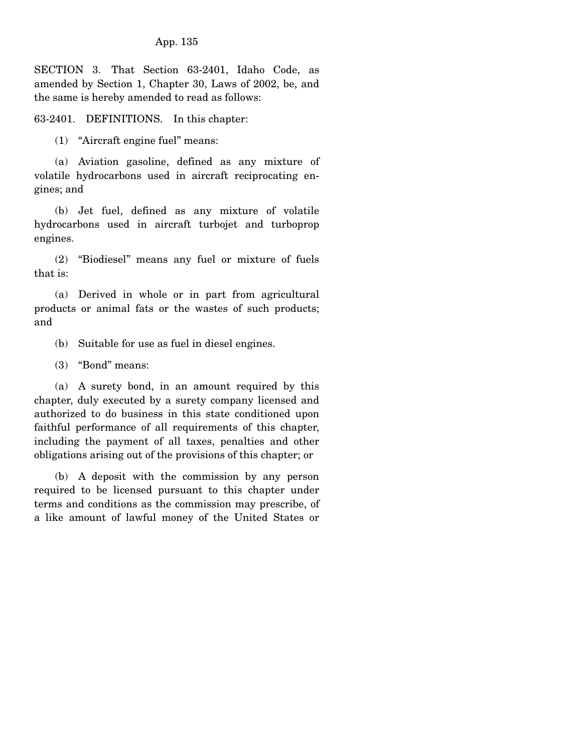SECTION 3. That Section 63-2401, Idaho Code, as amended by Section 1, Chapter 30, Laws of 2002, be, and the same is hereby amended to read as follows:

63-2401. DEFINITIONS. In this chapter:

(1) "Aircraft engine fuel" means:

 (a) Aviation gasoline, defined as any mixture of volatile hydrocarbons used in aircraft reciprocating engines; and

 (b) Jet fuel, defined as any mixture of volatile hydrocarbons used in aircraft turbojet and turboprop engines.

 (2) "Biodiesel" means any fuel or mixture of fuels that is:

 (a) Derived in whole or in part from agricultural products or animal fats or the wastes of such products; and

(b) Suitable for use as fuel in diesel engines.

(3) "Bond" means:

 (a) A surety bond, in an amount required by this chapter, duly executed by a surety company licensed and authorized to do business in this state conditioned upon faithful performance of all requirements of this chapter, including the payment of all taxes, penalties and other obligations arising out of the provisions of this chapter; or

 (b) A deposit with the commission by any person required to be licensed pursuant to this chapter under terms and conditions as the commission may prescribe, of a like amount of lawful money of the United States or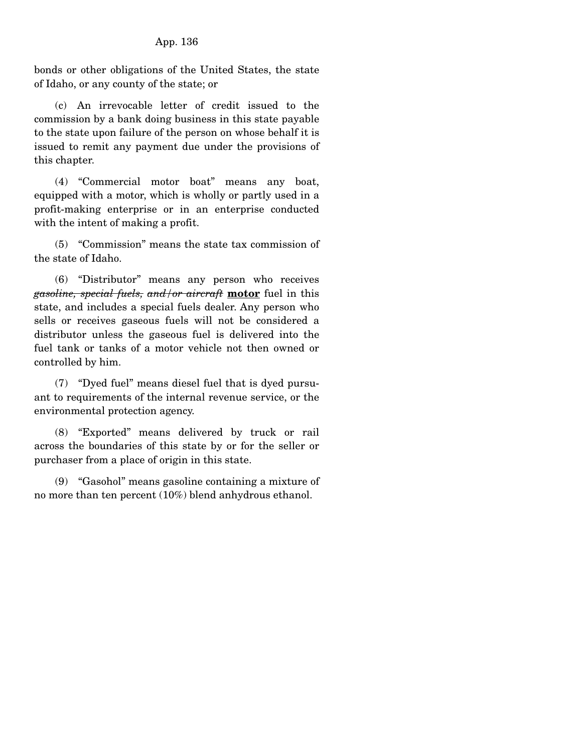bonds or other obligations of the United States, the state of Idaho, or any county of the state; or

 (c) An irrevocable letter of credit issued to the commission by a bank doing business in this state payable to the state upon failure of the person on whose behalf it is issued to remit any payment due under the provisions of this chapter.

 (4) "Commercial motor boat" means any boat, equipped with a motor, which is wholly or partly used in a profit-making enterprise or in an enterprise conducted with the intent of making a profit.

 (5) "Commission" means the state tax commission of the state of Idaho.

 (6) "Distributor" means any person who receives *gasoline, special fuels, and/or aircraft* **motor** fuel in this state, and includes a special fuels dealer. Any person who sells or receives gaseous fuels will not be considered a distributor unless the gaseous fuel is delivered into the fuel tank or tanks of a motor vehicle not then owned or controlled by him.

 (7) "Dyed fuel" means diesel fuel that is dyed pursuant to requirements of the internal revenue service, or the environmental protection agency.

 (8) "Exported" means delivered by truck or rail across the boundaries of this state by or for the seller or purchaser from a place of origin in this state.

 (9) "Gasohol" means gasoline containing a mixture of no more than ten percent (10%) blend anhydrous ethanol.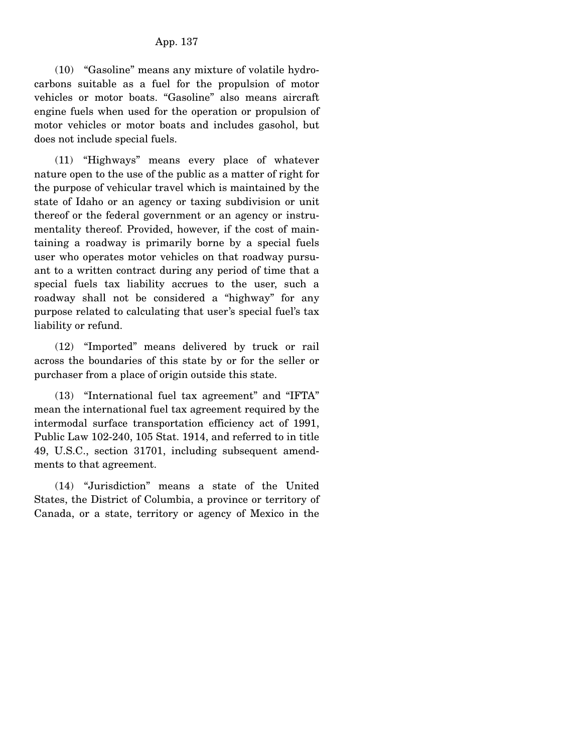(10) "Gasoline" means any mixture of volatile hydrocarbons suitable as a fuel for the propulsion of motor vehicles or motor boats. "Gasoline" also means aircraft engine fuels when used for the operation or propulsion of motor vehicles or motor boats and includes gasohol, but does not include special fuels.

 (11) "Highways" means every place of whatever nature open to the use of the public as a matter of right for the purpose of vehicular travel which is maintained by the state of Idaho or an agency or taxing subdivision or unit thereof or the federal government or an agency or instrumentality thereof. Provided, however, if the cost of maintaining a roadway is primarily borne by a special fuels user who operates motor vehicles on that roadway pursuant to a written contract during any period of time that a special fuels tax liability accrues to the user, such a roadway shall not be considered a "highway" for any purpose related to calculating that user's special fuel's tax liability or refund.

 (12) "Imported" means delivered by truck or rail across the boundaries of this state by or for the seller or purchaser from a place of origin outside this state.

 (13) "International fuel tax agreement" and "IFTA" mean the international fuel tax agreement required by the intermodal surface transportation efficiency act of 1991, Public Law 102-240, 105 Stat. 1914, and referred to in title 49, U.S.C., section 31701, including subsequent amendments to that agreement.

 (14) "Jurisdiction" means a state of the United States, the District of Columbia, a province or territory of Canada, or a state, territory or agency of Mexico in the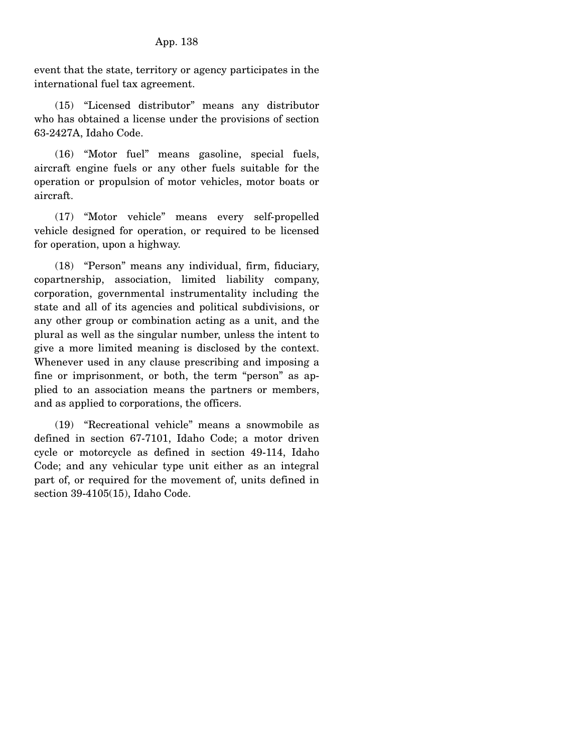event that the state, territory or agency participates in the international fuel tax agreement.

 (15) "Licensed distributor" means any distributor who has obtained a license under the provisions of section 63-2427A, Idaho Code.

 (16) "Motor fuel" means gasoline, special fuels, aircraft engine fuels or any other fuels suitable for the operation or propulsion of motor vehicles, motor boats or aircraft.

 (17) "Motor vehicle" means every self-propelled vehicle designed for operation, or required to be licensed for operation, upon a highway.

 (18) "Person" means any individual, firm, fiduciary, copartnership, association, limited liability company, corporation, governmental instrumentality including the state and all of its agencies and political subdivisions, or any other group or combination acting as a unit, and the plural as well as the singular number, unless the intent to give a more limited meaning is disclosed by the context. Whenever used in any clause prescribing and imposing a fine or imprisonment, or both, the term "person" as applied to an association means the partners or members, and as applied to corporations, the officers.

 (19) "Recreational vehicle" means a snowmobile as defined in section 67-7101, Idaho Code; a motor driven cycle or motorcycle as defined in section 49-114, Idaho Code; and any vehicular type unit either as an integral part of, or required for the movement of, units defined in section 39-4105(15), Idaho Code.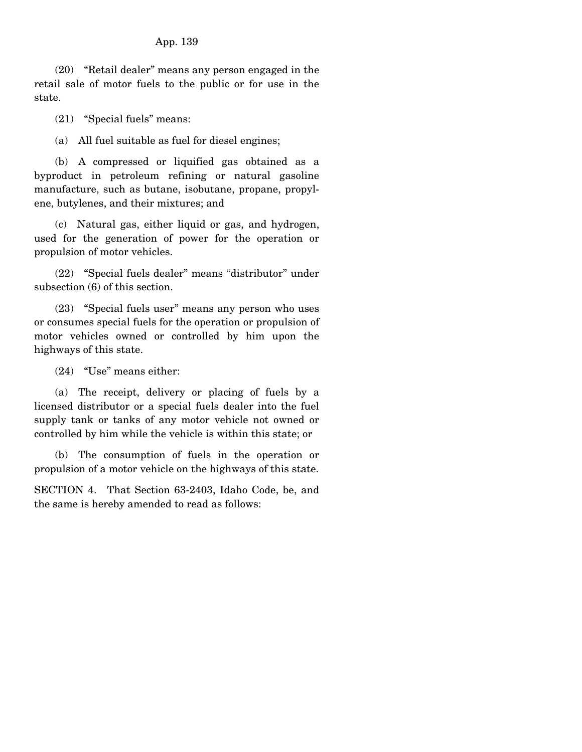(20) "Retail dealer" means any person engaged in the retail sale of motor fuels to the public or for use in the state.

(21) "Special fuels" means:

(a) All fuel suitable as fuel for diesel engines;

 (b) A compressed or liquified gas obtained as a byproduct in petroleum refining or natural gasoline manufacture, such as butane, isobutane, propane, propylene, butylenes, and their mixtures; and

 (c) Natural gas, either liquid or gas, and hydrogen, used for the generation of power for the operation or propulsion of motor vehicles.

 (22) "Special fuels dealer" means "distributor" under subsection (6) of this section.

 (23) "Special fuels user" means any person who uses or consumes special fuels for the operation or propulsion of motor vehicles owned or controlled by him upon the highways of this state.

(24) "Use" means either:

 (a) The receipt, delivery or placing of fuels by a licensed distributor or a special fuels dealer into the fuel supply tank or tanks of any motor vehicle not owned or controlled by him while the vehicle is within this state; or

 (b) The consumption of fuels in the operation or propulsion of a motor vehicle on the highways of this state.

SECTION 4. That Section 63-2403, Idaho Code, be, and the same is hereby amended to read as follows: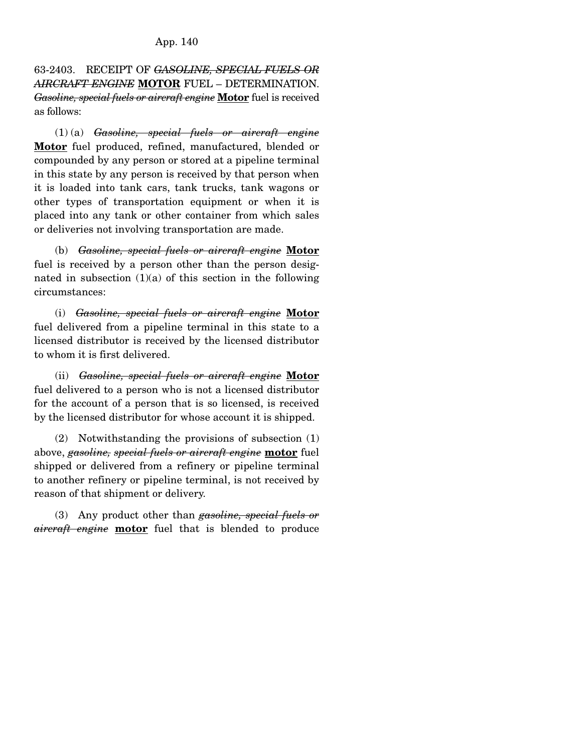63-2403. RECEIPT OF *GASOLINE, SPECIAL FUELS OR AIRCRAFT ENGINE* **MOTOR** FUEL – DETERMINATION. *Gasoline, special fuels or aircraft engine* **Motor** fuel is received as follows:

 (1) (a) *Gasoline, special fuels or aircraft engine* **Motor** fuel produced, refined, manufactured, blended or compounded by any person or stored at a pipeline terminal in this state by any person is received by that person when it is loaded into tank cars, tank trucks, tank wagons or other types of transportation equipment or when it is placed into any tank or other container from which sales or deliveries not involving transportation are made.

 (b) *Gasoline, special fuels or aircraft engine* **Motor** fuel is received by a person other than the person designated in subsection  $(1)(a)$  of this section in the following circumstances:

 (i) *Gasoline, special fuels or aircraft engine* **Motor** fuel delivered from a pipeline terminal in this state to a licensed distributor is received by the licensed distributor to whom it is first delivered.

 (ii) *Gasoline, special fuels or aircraft engine* **Motor** fuel delivered to a person who is not a licensed distributor for the account of a person that is so licensed, is received by the licensed distributor for whose account it is shipped.

 (2) Notwithstanding the provisions of subsection (1) above, *gasoline, special fuels or aircraft engine* **motor** fuel shipped or delivered from a refinery or pipeline terminal to another refinery or pipeline terminal, is not received by reason of that shipment or delivery.

 (3) Any product other than *gasoline, special fuels or aircraft engine* **motor** fuel that is blended to produce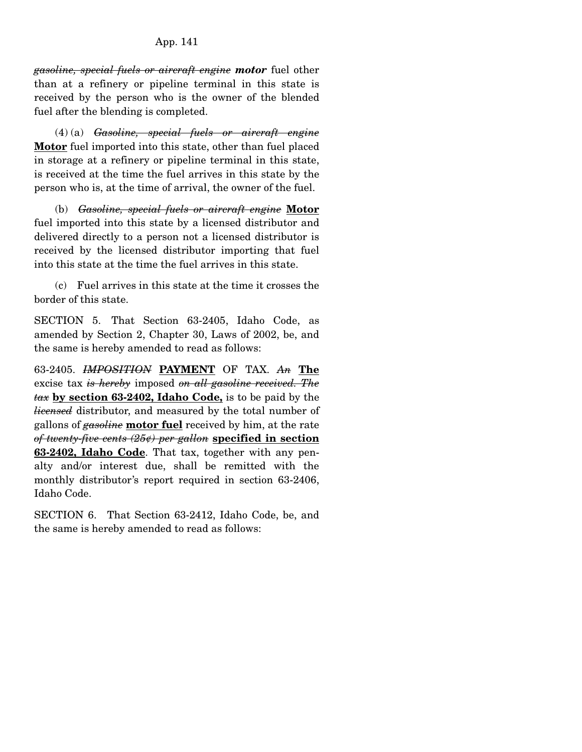# App. 141

*gasoline, special fuels or aircraft engine motor* fuel other than at a refinery or pipeline terminal in this state is received by the person who is the owner of the blended fuel after the blending is completed.

 (4) (a) *Gasoline, special fuels or aircraft engine* **Motor** fuel imported into this state, other than fuel placed in storage at a refinery or pipeline terminal in this state, is received at the time the fuel arrives in this state by the person who is, at the time of arrival, the owner of the fuel.

 (b) *Gasoline, special fuels or aircraft engine* **Motor** fuel imported into this state by a licensed distributor and delivered directly to a person not a licensed distributor is received by the licensed distributor importing that fuel into this state at the time the fuel arrives in this state.

 (c) Fuel arrives in this state at the time it crosses the border of this state.

SECTION 5. That Section 63-2405, Idaho Code, as amended by Section 2, Chapter 30, Laws of 2002, be, and the same is hereby amended to read as follows:

63-2405. *IMPOSITION* **PAYMENT** OF TAX. *An* **The** excise tax *is hereby* imposed *on all gasoline received. The tax* **by section 63-2402, Idaho Code,** is to be paid by the *licensed* distributor, and measured by the total number of gallons of *gasoline* **motor fuel** received by him, at the rate *of twenty-five cents (25¢) per gallon* **specified in section 63-2402, Idaho Code**. That tax, together with any penalty and/or interest due, shall be remitted with the monthly distributor's report required in section 63-2406, Idaho Code.

SECTION 6. That Section 63-2412, Idaho Code, be, and the same is hereby amended to read as follows: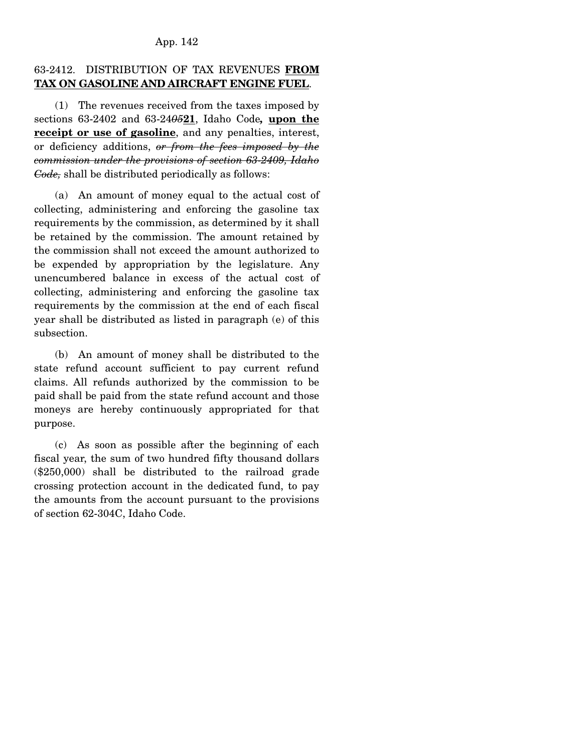#### App. 142

# 63-2412. DISTRIBUTION OF TAX REVENUES **FROM TAX ON GASOLINE AND AIRCRAFT ENGINE FUEL**.

 (1) The revenues received from the taxes imposed by sections 63-2402 and 63-24*05***21**, Idaho Code*,* **upon the receipt or use of gasoline**, and any penalties, interest, or deficiency additions, *or from the fees imposed by the commission under the provisions of section 63-2409, Idaho Code,* shall be distributed periodically as follows:

 (a) An amount of money equal to the actual cost of collecting, administering and enforcing the gasoline tax requirements by the commission, as determined by it shall be retained by the commission. The amount retained by the commission shall not exceed the amount authorized to be expended by appropriation by the legislature. Any unencumbered balance in excess of the actual cost of collecting, administering and enforcing the gasoline tax requirements by the commission at the end of each fiscal year shall be distributed as listed in paragraph (e) of this subsection.

 (b) An amount of money shall be distributed to the state refund account sufficient to pay current refund claims. All refunds authorized by the commission to be paid shall be paid from the state refund account and those moneys are hereby continuously appropriated for that purpose.

 (c) As soon as possible after the beginning of each fiscal year, the sum of two hundred fifty thousand dollars (\$250,000) shall be distributed to the railroad grade crossing protection account in the dedicated fund, to pay the amounts from the account pursuant to the provisions of section 62-304C, Idaho Code.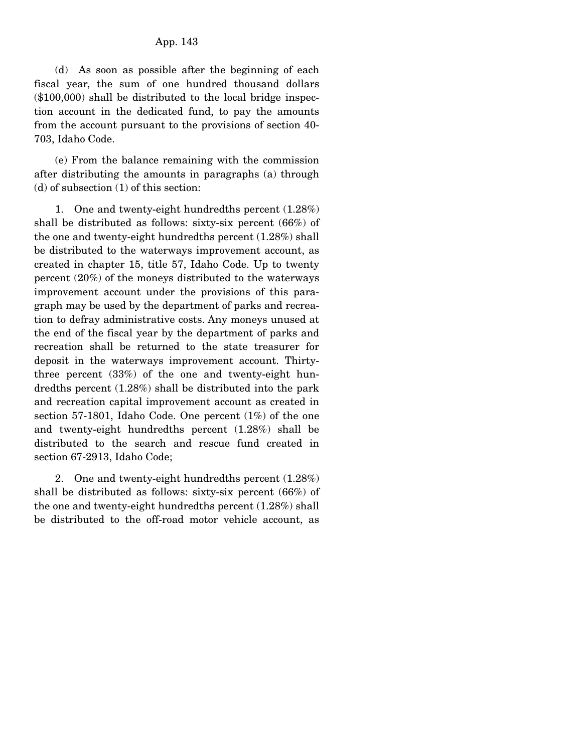(d) As soon as possible after the beginning of each fiscal year, the sum of one hundred thousand dollars (\$100,000) shall be distributed to the local bridge inspection account in the dedicated fund, to pay the amounts from the account pursuant to the provisions of section 40- 703, Idaho Code.

 (e) From the balance remaining with the commission after distributing the amounts in paragraphs (a) through (d) of subsection (1) of this section:

 1. One and twenty-eight hundredths percent (1.28%) shall be distributed as follows: sixty-six percent (66%) of the one and twenty-eight hundredths percent (1.28%) shall be distributed to the waterways improvement account, as created in chapter 15, title 57, Idaho Code. Up to twenty percent (20%) of the moneys distributed to the waterways improvement account under the provisions of this paragraph may be used by the department of parks and recreation to defray administrative costs. Any moneys unused at the end of the fiscal year by the department of parks and recreation shall be returned to the state treasurer for deposit in the waterways improvement account. Thirtythree percent (33%) of the one and twenty-eight hundredths percent (1.28%) shall be distributed into the park and recreation capital improvement account as created in section 57-1801, Idaho Code. One percent (1%) of the one and twenty-eight hundredths percent (1.28%) shall be distributed to the search and rescue fund created in section 67-2913, Idaho Code;

 2. One and twenty-eight hundredths percent (1.28%) shall be distributed as follows: sixty-six percent (66%) of the one and twenty-eight hundredths percent (1.28%) shall be distributed to the off-road motor vehicle account, as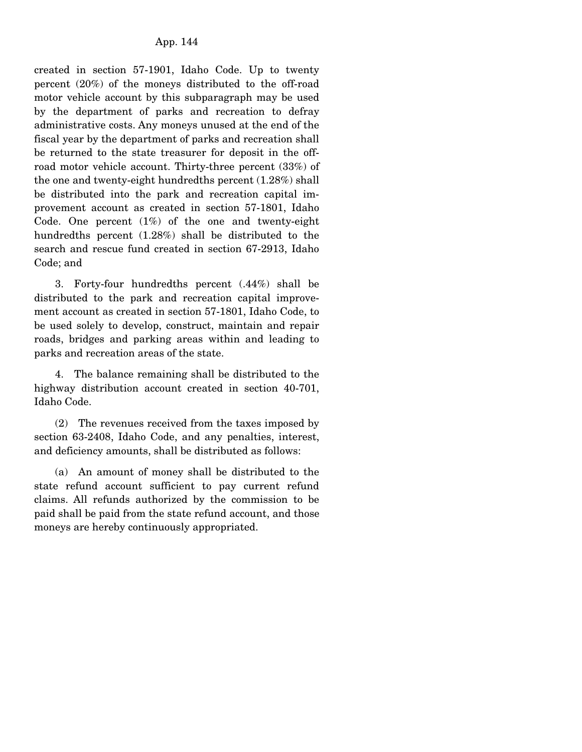created in section 57-1901, Idaho Code. Up to twenty percent (20%) of the moneys distributed to the off-road motor vehicle account by this subparagraph may be used by the department of parks and recreation to defray administrative costs. Any moneys unused at the end of the fiscal year by the department of parks and recreation shall be returned to the state treasurer for deposit in the offroad motor vehicle account. Thirty-three percent (33%) of the one and twenty-eight hundredths percent (1.28%) shall be distributed into the park and recreation capital improvement account as created in section 57-1801, Idaho Code. One percent  $(1%)$  of the one and twenty-eight hundredths percent (1.28%) shall be distributed to the search and rescue fund created in section 67-2913, Idaho Code; and

 3. Forty-four hundredths percent (.44%) shall be distributed to the park and recreation capital improvement account as created in section 57-1801, Idaho Code, to be used solely to develop, construct, maintain and repair roads, bridges and parking areas within and leading to parks and recreation areas of the state.

 4. The balance remaining shall be distributed to the highway distribution account created in section 40-701, Idaho Code.

 (2) The revenues received from the taxes imposed by section 63-2408, Idaho Code, and any penalties, interest, and deficiency amounts, shall be distributed as follows:

 (a) An amount of money shall be distributed to the state refund account sufficient to pay current refund claims. All refunds authorized by the commission to be paid shall be paid from the state refund account, and those moneys are hereby continuously appropriated.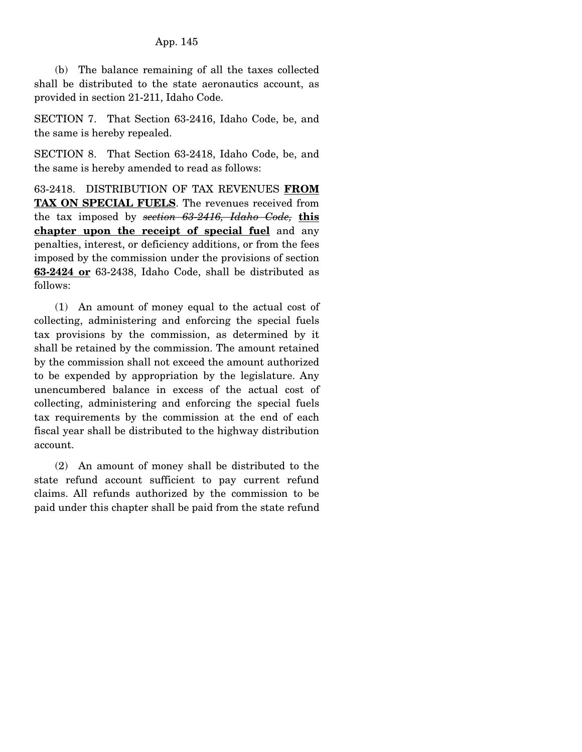(b) The balance remaining of all the taxes collected shall be distributed to the state aeronautics account, as provided in section 21-211, Idaho Code.

SECTION 7. That Section 63-2416, Idaho Code, be, and the same is hereby repealed.

SECTION 8. That Section 63-2418, Idaho Code, be, and the same is hereby amended to read as follows:

63-2418. DISTRIBUTION OF TAX REVENUES **FROM TAX ON SPECIAL FUELS**. The revenues received from the tax imposed by *section 63-2416, Idaho Code,* **this chapter upon the receipt of special fuel** and any penalties, interest, or deficiency additions, or from the fees imposed by the commission under the provisions of section **63-2424 or** 63-2438, Idaho Code, shall be distributed as follows:

 (1) An amount of money equal to the actual cost of collecting, administering and enforcing the special fuels tax provisions by the commission, as determined by it shall be retained by the commission. The amount retained by the commission shall not exceed the amount authorized to be expended by appropriation by the legislature. Any unencumbered balance in excess of the actual cost of collecting, administering and enforcing the special fuels tax requirements by the commission at the end of each fiscal year shall be distributed to the highway distribution account.

 (2) An amount of money shall be distributed to the state refund account sufficient to pay current refund claims. All refunds authorized by the commission to be paid under this chapter shall be paid from the state refund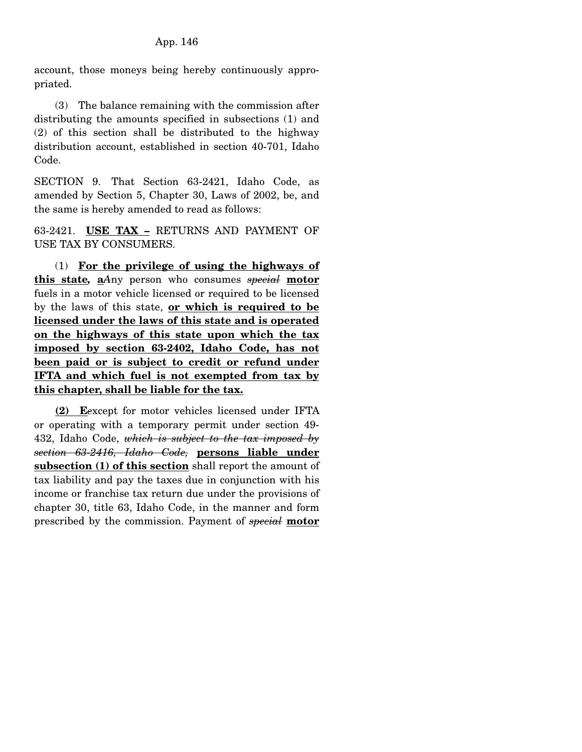account, those moneys being hereby continuously appropriated.

 (3) The balance remaining with the commission after distributing the amounts specified in subsections (1) and (2) of this section shall be distributed to the highway distribution account, established in section 40-701, Idaho Code.

SECTION 9. That Section 63-2421, Idaho Code, as amended by Section 5, Chapter 30, Laws of 2002, be, and the same is hereby amended to read as follows:

63-2421. **USE TAX –** RETURNS AND PAYMENT OF USE TAX BY CONSUMERS.

 (1) **For the privilege of using the highways of this state***,* **a***A*ny person who consumes *special* **motor** fuels in a motor vehicle licensed or required to be licensed by the laws of this state, **or which is required to be licensed under the laws of this state and is operated on the highways of this state upon which the tax imposed by section 63-2402, Idaho Code, has not been paid or is subject to credit or refund under IFTA and which fuel is not exempted from tax by this chapter, shall be liable for the tax.**

 **(2) E***e*xcept for motor vehicles licensed under IFTA or operating with a temporary permit under section 49- 432, Idaho Code, *which is subject to the tax imposed by section 63-2416, Idaho Code,* **persons liable under subsection (1) of this section** shall report the amount of tax liability and pay the taxes due in conjunction with his income or franchise tax return due under the provisions of chapter 30, title 63, Idaho Code, in the manner and form prescribed by the commission. Payment of *special* **motor**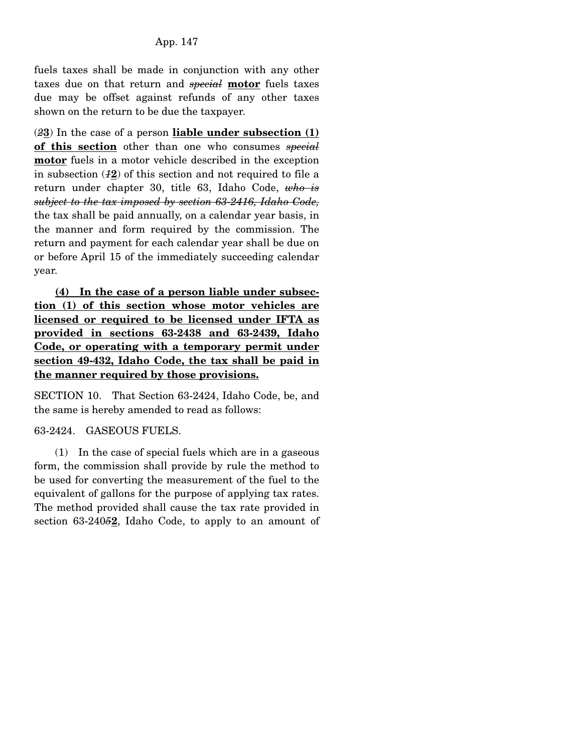fuels taxes shall be made in conjunction with any other taxes due on that return and *special* **motor** fuels taxes due may be offset against refunds of any other taxes shown on the return to be due the taxpayer.

(*2***3**) In the case of a person **liable under subsection (1) of this section** other than one who consumes *special* **motor** fuels in a motor vehicle described in the exception in subsection (*1***2**) of this section and not required to file a return under chapter 30, title 63, Idaho Code, *who is subject to the tax imposed by section 63-2416, Idaho Code,* the tax shall be paid annually, on a calendar year basis, in the manner and form required by the commission. The return and payment for each calendar year shall be due on or before April 15 of the immediately succeeding calendar year.

**(4) In the case of a person liable under subsection (1) of this section whose motor vehicles are licensed or required to be licensed under IFTA as provided in sections 63-2438 and 63-2439, Idaho Code, or operating with a temporary permit under section 49-432, Idaho Code, the tax shall be paid in the manner required by those provisions.**

SECTION 10. That Section 63-2424, Idaho Code, be, and the same is hereby amended to read as follows:

## 63-2424. GASEOUS FUELS.

 (1) In the case of special fuels which are in a gaseous form, the commission shall provide by rule the method to be used for converting the measurement of the fuel to the equivalent of gallons for the purpose of applying tax rates. The method provided shall cause the tax rate provided in section 63-240*5***2**, Idaho Code, to apply to an amount of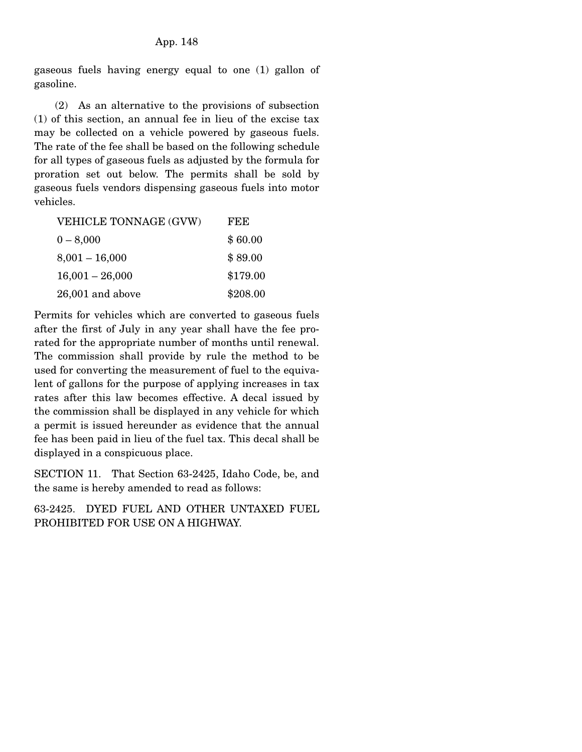gaseous fuels having energy equal to one (1) gallon of gasoline.

 (2) As an alternative to the provisions of subsection (1) of this section, an annual fee in lieu of the excise tax may be collected on a vehicle powered by gaseous fuels. The rate of the fee shall be based on the following schedule for all types of gaseous fuels as adjusted by the formula for proration set out below. The permits shall be sold by gaseous fuels vendors dispensing gaseous fuels into motor vehicles.

| VEHICLE TONNAGE (GVW) | FEE      |
|-----------------------|----------|
| $0 - 8,000$           | \$60.00  |
| $8,001 - 16,000$      | \$89.00  |
| $16,001 - 26,000$     | \$179.00 |
| 26,001 and above      | \$208.00 |

Permits for vehicles which are converted to gaseous fuels after the first of July in any year shall have the fee prorated for the appropriate number of months until renewal. The commission shall provide by rule the method to be used for converting the measurement of fuel to the equivalent of gallons for the purpose of applying increases in tax rates after this law becomes effective. A decal issued by the commission shall be displayed in any vehicle for which a permit is issued hereunder as evidence that the annual fee has been paid in lieu of the fuel tax. This decal shall be displayed in a conspicuous place.

SECTION 11. That Section 63-2425, Idaho Code, be, and the same is hereby amended to read as follows:

63-2425. DYED FUEL AND OTHER UNTAXED FUEL PROHIBITED FOR USE ON A HIGHWAY.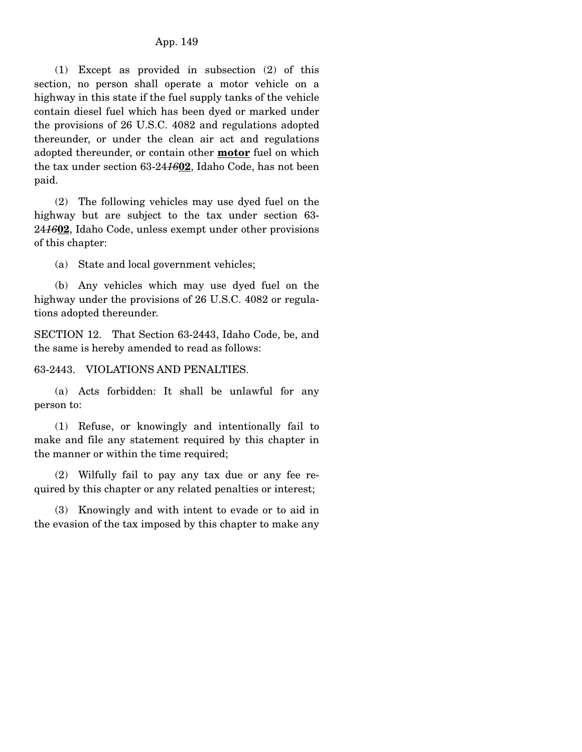(1) Except as provided in subsection (2) of this section, no person shall operate a motor vehicle on a highway in this state if the fuel supply tanks of the vehicle contain diesel fuel which has been dyed or marked under the provisions of 26 U.S.C. 4082 and regulations adopted thereunder, or under the clean air act and regulations adopted thereunder, or contain other **motor** fuel on which the tax under section 63-24*16***02**, Idaho Code, has not been paid.

 (2) The following vehicles may use dyed fuel on the highway but are subject to the tax under section 63- 24*16***02**, Idaho Code, unless exempt under other provisions of this chapter:

(a) State and local government vehicles;

 (b) Any vehicles which may use dyed fuel on the highway under the provisions of 26 U.S.C. 4082 or regulations adopted thereunder.

SECTION 12. That Section 63-2443, Idaho Code, be, and the same is hereby amended to read as follows:

63-2443. VIOLATIONS AND PENALTIES.

 (a) Acts forbidden: It shall be unlawful for any person to:

 (1) Refuse, or knowingly and intentionally fail to make and file any statement required by this chapter in the manner or within the time required;

 (2) Wilfully fail to pay any tax due or any fee required by this chapter or any related penalties or interest;

 (3) Knowingly and with intent to evade or to aid in the evasion of the tax imposed by this chapter to make any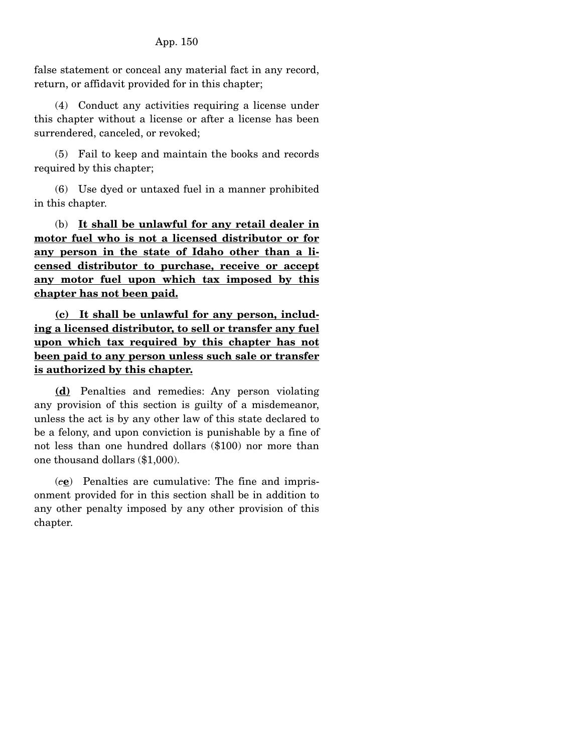false statement or conceal any material fact in any record, return, or affidavit provided for in this chapter;

 (4) Conduct any activities requiring a license under this chapter without a license or after a license has been surrendered, canceled, or revoked;

 (5) Fail to keep and maintain the books and records required by this chapter;

 (6) Use dyed or untaxed fuel in a manner prohibited in this chapter.

 (b) **It shall be unlawful for any retail dealer in motor fuel who is not a licensed distributor or for any person in the state of Idaho other than a licensed distributor to purchase, receive or accept any motor fuel upon which tax imposed by this chapter has not been paid.**

**(c) It shall be unlawful for any person, including a licensed distributor, to sell or transfer any fuel upon which tax required by this chapter has not been paid to any person unless such sale or transfer is authorized by this chapter.**

 **(d)** Penalties and remedies: Any person violating any provision of this section is guilty of a misdemeanor, unless the act is by any other law of this state declared to be a felony, and upon conviction is punishable by a fine of not less than one hundred dollars (\$100) nor more than one thousand dollars (\$1,000).

 (*c***e**) Penalties are cumulative: The fine and imprisonment provided for in this section shall be in addition to any other penalty imposed by any other provision of this chapter.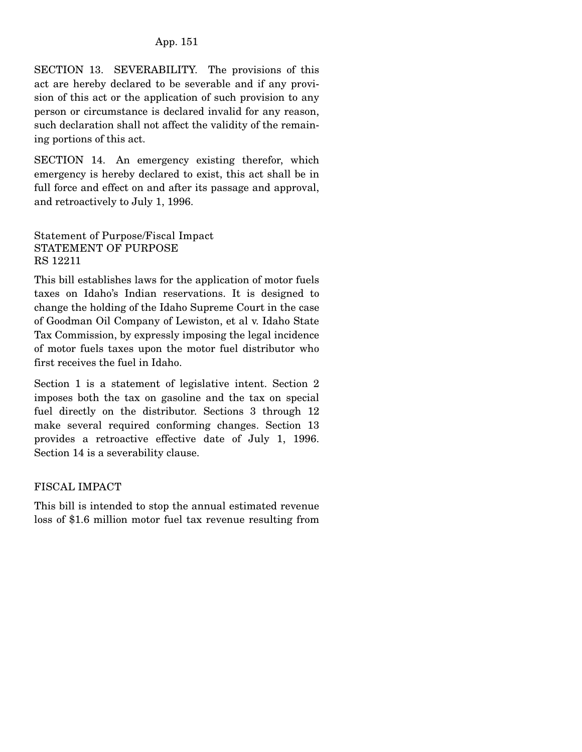SECTION 13. SEVERABILITY. The provisions of this act are hereby declared to be severable and if any provision of this act or the application of such provision to any person or circumstance is declared invalid for any reason, such declaration shall not affect the validity of the remaining portions of this act.

SECTION 14. An emergency existing therefor, which emergency is hereby declared to exist, this act shall be in full force and effect on and after its passage and approval, and retroactively to July 1, 1996.

Statement of Purpose/Fiscal Impact STATEMENT OF PURPOSE RS 12211

This bill establishes laws for the application of motor fuels taxes on Idaho's Indian reservations. It is designed to change the holding of the Idaho Supreme Court in the case of Goodman Oil Company of Lewiston, et al v. Idaho State Tax Commission, by expressly imposing the legal incidence of motor fuels taxes upon the motor fuel distributor who first receives the fuel in Idaho.

Section 1 is a statement of legislative intent. Section 2 imposes both the tax on gasoline and the tax on special fuel directly on the distributor. Sections 3 through 12 make several required conforming changes. Section 13 provides a retroactive effective date of July 1, 1996. Section 14 is a severability clause.

## FISCAL IMPACT

This bill is intended to stop the annual estimated revenue loss of \$1.6 million motor fuel tax revenue resulting from